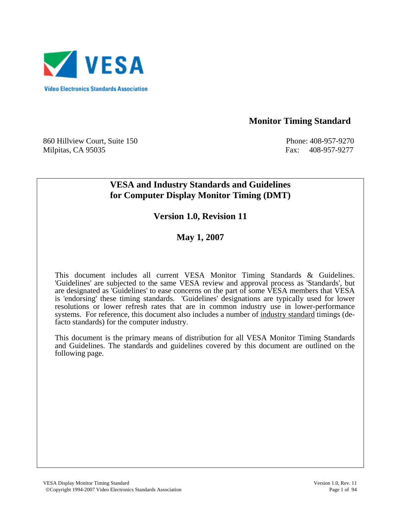

 **Monitor Timing Standard** 

860 Hillview Court, Suite 150 **Phone: 408-957-9270** Phone: 408-957-9270 Milpitas, CA 95035 Fax: 408-957-9277

# **VESA and Industry Standards and Guidelines for Computer Display Monitor Timing (DMT)**

**Version 1.0, Revision 11** 

**May 1, 2007** 

This document includes all current VESA Monitor Timing Standards & Guidelines. 'Guidelines' are subjected to the same VESA review and approval process as 'Standards', but are designated as 'Guidelines' to ease concerns on the part of some VESA members that VESA is 'endorsing' these timing standards. 'Guidelines' designations are typically used for lower resolutions or lower refresh rates that are in common industry use in lower-performance systems. For reference, this document also includes a number of industry standard timings (defacto standards) for the computer industry.

 This document is the primary means of distribution for all VESA Monitor Timing Standards and Guidelines. The standards and guidelines covered by this document are outlined on the following page.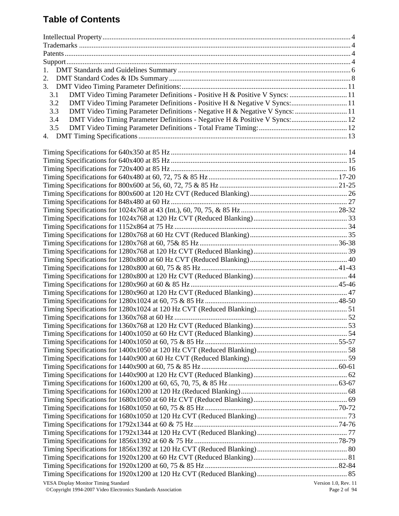# **Table of Contents**

| 1.                                                                                 |                      |
|------------------------------------------------------------------------------------|----------------------|
| 2.                                                                                 |                      |
|                                                                                    |                      |
| DMT Video Timing Parameter Definitions - Positive H & Positive V Syncs:  11<br>3.1 |                      |
| DMT Video Timing Parameter Definitions - Positive H & Negative V Syncs: 11<br>3.2  |                      |
| DMT Video Timing Parameter Definitions - Negative H & Negative V Syncs:  11<br>3.3 |                      |
| DMT Video Timing Parameter Definitions - Negative H & Positive V Syncs: 12<br>3.4  |                      |
| 3.5                                                                                |                      |
|                                                                                    |                      |
|                                                                                    |                      |
|                                                                                    |                      |
|                                                                                    |                      |
|                                                                                    |                      |
|                                                                                    |                      |
|                                                                                    |                      |
|                                                                                    |                      |
|                                                                                    |                      |
|                                                                                    |                      |
|                                                                                    |                      |
|                                                                                    |                      |
|                                                                                    |                      |
|                                                                                    |                      |
|                                                                                    |                      |
|                                                                                    |                      |
|                                                                                    |                      |
|                                                                                    |                      |
|                                                                                    |                      |
|                                                                                    |                      |
|                                                                                    |                      |
|                                                                                    |                      |
|                                                                                    |                      |
|                                                                                    |                      |
|                                                                                    |                      |
|                                                                                    |                      |
|                                                                                    |                      |
|                                                                                    |                      |
|                                                                                    |                      |
|                                                                                    |                      |
|                                                                                    |                      |
|                                                                                    |                      |
|                                                                                    |                      |
|                                                                                    |                      |
|                                                                                    |                      |
|                                                                                    |                      |
|                                                                                    |                      |
|                                                                                    |                      |
|                                                                                    |                      |
|                                                                                    |                      |
|                                                                                    |                      |
|                                                                                    |                      |
| <b>VESA Display Monitor Timing Standard</b>                                        | Version 1.0, Rev. 11 |
|                                                                                    |                      |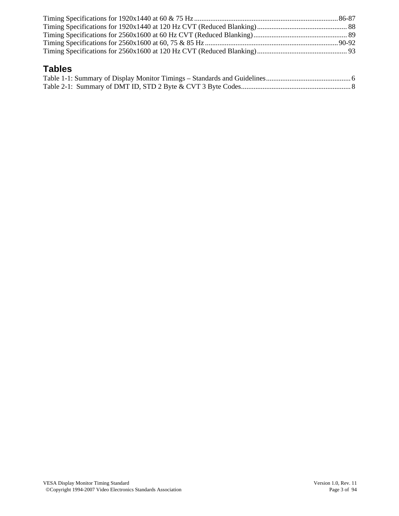# **Tables**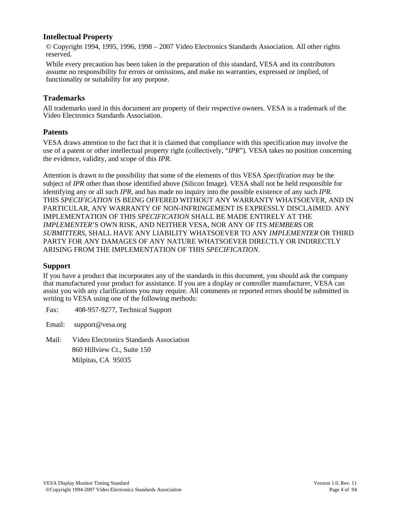#### **Intellectual Property**

© Copyright 1994, 1995, 1996, 1998 – 2007 Video Electronics Standards Association. All other rights reserved.

While every precaution has been taken in the preparation of this standard, VESA and its contributors assume no responsibility for errors or omissions, and make no warranties, expressed or implied, of functionality or suitability for any purpose.

#### **Trademarks**

All trademarks used in this document are property of their respective owners. VESA is a trademark of the Video Electronics Standards Association.

#### **Patents**

VESA draws attention to the fact that it is claimed that compliance with this specification may involve the use of a patent or other intellectual property right (collectively, "*IPR*"). VESA takes no position concerning the evidence, validity, and scope of this *IPR*.

Attention is drawn to the possibility that some of the elements of this VESA *Specification* may be the subject of *IPR* other than those identified above (Silicon Image). VESA shall not be held responsible for identifying any or all such *IPR*, and has made no inquiry into the possible existence of any such *IPR*. THIS *SPECIFICATION* IS BEING OFFERED WITHOUT ANY WARRANTY WHATSOEVER, AND IN PARTICULAR, ANY WARRANTY OF NON-INFRINGEMENT IS EXPRESSLY DISCLAIMED. ANY IMPLEMENTATION OF THIS *SPECIFICATION* SHALL BE MADE ENTIRELY AT THE *IMPLEMENTER*'S OWN RISK, AND NEITHER VESA, NOR ANY OF ITS *MEMBERS* OR *SUBMITTERS*, SHALL HAVE ANY LIABILITY WHATSOEVER TO ANY *IMPLEMENTER* OR THIRD PARTY FOR ANY DAMAGES OF ANY NATURE WHATSOEVER DIRECTLY OR INDIRECTLY ARISING FROM THE IMPLEMENTATION OF THIS *SPECIFICATION*.

#### **Support**

If you have a product that incorporates any of the standards in this document, you should ask the company that manufactured your product for assistance. If you are a display or controller manufacturer, VESA can assist you with any clarifications you may require. All comments or reported errors should be submitted in writing to VESA using one of the following methods:

Fax: 408-957-9277, Technical Support

Email: support@vesa.org

Mail: Video Electronics Standards Association 860 Hillview Ct., Suite 150 Milpitas, CA 95035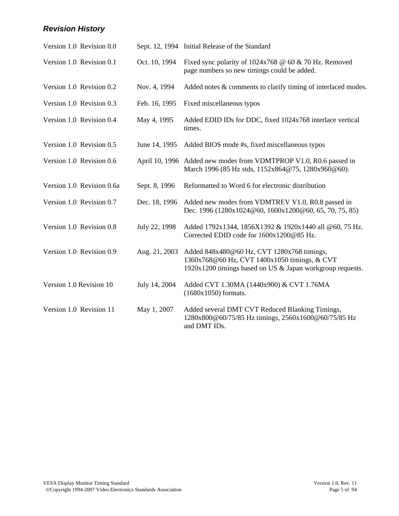# *Revision History*

| Version 1.0 Revision 0.0  |               | Sept. 12, 1994 Initial Release of the Standard                                                                                                          |
|---------------------------|---------------|---------------------------------------------------------------------------------------------------------------------------------------------------------|
| Version 1.0 Revision 0.1  | Oct. 10, 1994 | Fixed sync polarity of $1024x768 \t@ 60 \t& 70 Hz$ . Removed<br>page numbers so new timings could be added.                                             |
| Version 1.0 Revision 0.2  | Nov. 4, 1994  | Added notes & comments to clarify timing of interlaced modes.                                                                                           |
| Version 1.0 Revision 0.3  | Feb. 16, 1995 | Fixed miscellaneous typos                                                                                                                               |
| Version 1.0 Revision 0.4  | May 4, 1995   | Added EDID IDs for DDC, fixed 1024x768 interlace vertical<br>times.                                                                                     |
| Version 1.0 Revision 0.5  | June 14, 1995 | Added BIOS mode #s, fixed miscellaneous typos                                                                                                           |
| Version 1.0 Revision 0.6  |               | April 10, 1996 Added new modes from VDMTPROP V1.0, R0.6 passed in<br>March 1996 (85 Hz stds, 1152x864@75, 1280x960@60).                                 |
| Version 1.0 Revision 0.6a | Sept. 8, 1996 | Reformatted to Word 6 for electronic distribution                                                                                                       |
| Version 1.0 Revision 0.7  | Dec. 18, 1996 | Added new modes from VDMTREV V1.0, R0.8 passed in<br>Dec. 1996 (1280x1024@60, 1600x1200@60, 65, 70, 75, 85)                                             |
| Version 1.0 Revision 0.8  | July 22, 1998 | Added 1792x1344, 1856X1392 & 1920x1440 all @60, 75 Hz.<br>Corrected EDID code for 1600x1200@85 Hz.                                                      |
| Version 1.0 Revision 0.9  | Aug. 21, 2003 | Added 848x480@60 Hz, CVT 1280x768 timings,<br>1360x768@60 Hz, CVT 1400x1050 timings, & CVT<br>1920x1200 timings based on US & Japan workgroup requests. |
| Version 1.0 Revision 10   | July 14, 2004 | Added CVT 1.30MA (1440x900) & CVT 1.76MA<br>$(1680x1050)$ formats.                                                                                      |
| Version 1.0 Revision 11   | May 1, 2007   | Added several DMT CVT Reduced Blanking Timings,<br>1280x800@60/75/85 Hz timings, 2560x1600@60/75/85 Hz<br>and DMT IDs.                                  |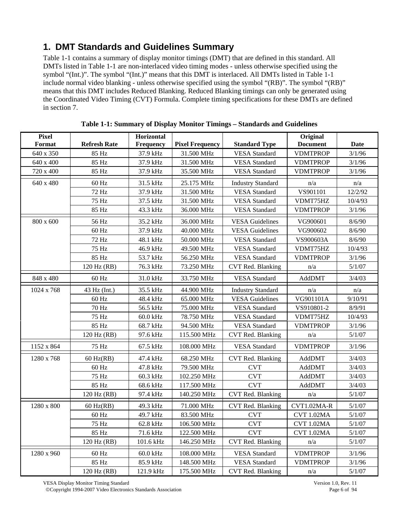# **1. DMT Standards and Guidelines Summary**

Table 1-1 contains a summary of display monitor timings (DMT) that are defined in this standard. All DMTs listed in Table 1-1 are non-interlaced video timing modes - unless otherwise specified using the symbol "(Int.)". The symbol "(Int.)" means that this DMT is interlaced. All DMTs listed in Table 1-1 include normal video blanking - unless otherwise specified using the symbol "(RB)". The symbol "(RB)" means that this DMT includes Reduced Blanking. Reduced Blanking timings can only be generated using the Coordinated Video Timing (CVT) Formula. Complete timing specifications for these DMTs are defined in section 7.

| <b>Pixel</b><br>Format | <b>Refresh Rate</b> | <b>Horizontal</b><br>Frequency | <b>Pixel Frequency</b> | <b>Standard Type</b>     | Original<br><b>Document</b> | <b>Date</b> |
|------------------------|---------------------|--------------------------------|------------------------|--------------------------|-----------------------------|-------------|
| 640 x 350              | 85 Hz               | 37.9 kHz                       | 31.500 MHz             | <b>VESA</b> Standard     | <b>VDMTPROP</b>             | 3/1/96      |
| 640 x 400              | 85 Hz               | 37.9 kHz                       | 31.500 MHz             | <b>VESA</b> Standard     | <b>VDMTPROP</b>             | 3/1/96      |
| 720 x 400              | 85 Hz               | 37.9 kHz                       | 35.500 MHz             | <b>VESA</b> Standard     | <b>VDMTPROP</b>             | 3/1/96      |
| 640 x 480              | 60 Hz               | 31.5 kHz                       | 25.175 MHz             | <b>Industry Standard</b> | n/a                         | n/a         |
|                        | 72 Hz               | 37.9 kHz                       | 31.500 MHz             | <b>VESA</b> Standard     | VS901101                    | 12/2/92     |
|                        | 75 Hz               | 37.5 kHz                       | 31.500 MHz             | <b>VESA</b> Standard     | VDMT75HZ                    | 10/4/93     |
|                        | 85 Hz               | 43.3 kHz                       | 36.000 MHz             | <b>VESA</b> Standard     | <b>VDMTPROP</b>             | 3/1/96      |
| 800 x 600              | 56 Hz               | 35.2 kHz                       | 36.000 MHz             | <b>VESA Guidelines</b>   | VG900601                    | 8/6/90      |
|                        | 60 Hz               | 37.9 kHz                       | 40.000 MHz             | <b>VESA Guidelines</b>   | VG900602                    | 8/6/90      |
|                        | 72 Hz               | 48.1 kHz                       | 50.000 MHz             | <b>VESA</b> Standard     | VS900603A                   | 8/6/90      |
|                        | 75 Hz               | 46.9 kHz                       | 49.500 MHz             | <b>VESA</b> Standard     | VDMT75HZ                    | 10/4/93     |
|                        | 85 Hz               | 53.7 kHz                       | 56.250 MHz             | <b>VESA</b> Standard     | <b>VDMTPROP</b>             | 3/1/96      |
|                        | 120 Hz (RB)         | 76.3 kHz                       | 73.250 MHz             | CVT Red. Blanking        | n/a                         | 5/1/07      |
| 848 x 480              | 60 Hz               | 31.0 kHz                       | 33.750 MHz             | <b>VESA</b> Standard     | AddDMT                      | 3/4/03      |
| 1024 x 768             | 43 Hz (Int.)        | 35.5 kHz                       | 44.900 MHz             | <b>Industry Standard</b> | n/a                         | n/a         |
|                        | $60\ \mathrm{Hz}$   | 48.4 kHz                       | 65.000 MHz             | <b>VESA Guidelines</b>   | VG901101A                   | 9/10/91     |
|                        | 70 Hz               | 56.5 kHz                       | 75.000 MHz             | <b>VESA</b> Standard     | VS910801-2                  | 8/9/91      |
|                        | 75 Hz               | 60.0 kHz                       | 78.750 MHz             | <b>VESA</b> Standard     | VDMT75HZ                    | 10/4/93     |
|                        | 85 Hz               | 68.7 kHz                       | 94.500 MHz             | <b>VESA</b> Standard     | <b>VDMTPROP</b>             | 3/1/96      |
|                        | 120 Hz (RB)         | 97.6 kHz                       | 115.500 MHz            | CVT Red. Blanking        | n/a                         | 5/1/07      |
| 1152 x 864             | 75 Hz               | 67.5 kHz                       | 108.000 MHz            | <b>VESA</b> Standard     | <b>VDMTPROP</b>             | 3/1/96      |
| 1280 x 768             | $60$ Hz(RB)         | 47.4 kHz                       | 68.250 MHz             | CVT Red. Blanking        | AddDMT                      | 3/4/03      |
|                        | 60 Hz               | 47.8 kHz                       | 79.500 MHz             | <b>CVT</b>               | AddDMT                      | 3/4/03      |
|                        | 75 Hz               | 60.3 kHz                       | 102.250 MHz            | <b>CVT</b>               | AddDMT                      | 3/4/03      |
|                        | 85 Hz               | 68.6 kHz                       | 117.500 MHz            | <b>CVT</b>               | AddDMT                      | 3/4/03      |
|                        | 120 Hz (RB)         | 97.4 kHz                       | 140.250 MHz            | CVT Red. Blanking        | n/a                         | 5/1/07      |
| 1280 x 800             | $60$ Hz(RB)         | 49.3 kHz                       | 71.000 MHz             | CVT Red. Blanking        | CVT1.02MA-R                 | 5/1/07      |
|                        | 60 Hz               | 49.7 kHz                       | 83.500 MHz             | <b>CVT</b>               | <b>CVT 1.02MA</b>           | 5/1/07      |
|                        | 75 Hz               | 62.8 kHz                       | 106.500 MHz            | <b>CVT</b>               | CVT 1.02MA                  | 5/1/07      |
|                        | 85 Hz               | 71.6 kHz                       | 122.500 MHz            | <b>CVT</b>               | CVT 1.02MA                  | 5/1/07      |
|                        | 120 Hz (RB)         | 101.6 kHz                      | 146.250 MHz            | CVT Red. Blanking        | n/a                         | 5/1/07      |
| 1280 x 960             | 60 Hz               | 60.0 kHz                       | 108.000 MHz            | <b>VESA</b> Standard     | <b>VDMTPROP</b>             | 3/1/96      |
|                        | 85 Hz               | 85.9 kHz                       | 148.500 MHz            | <b>VESA</b> Standard     | <b>VDMTPROP</b>             | 3/1/96      |
|                        | 120 Hz (RB)         | 121.9 kHz                      | 175.500 MHz            | CVT Red. Blanking        | n/a                         | 5/1/07      |

**Table 1-1: Summary of Display Monitor Timings – Standards and Guidelines** 

VESA Display Monitor Timing Standard<br>
© Copyright 1994-2007 Video Electronics Standards Association Page 6 of 94 ©Copyright 1994-2007 Video Electronics Standards Association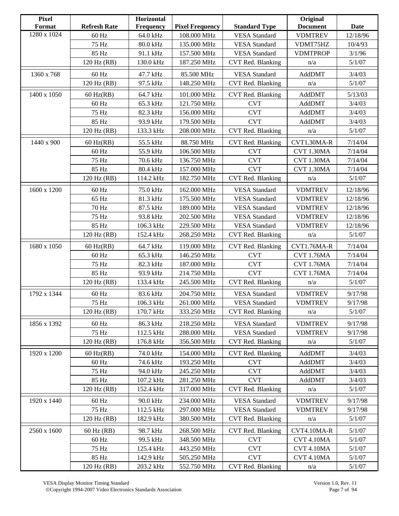| <b>Pixel</b><br>Format | <b>Refresh Rate</b> | Horizontal<br><b>Frequency</b> | <b>Pixel Frequency</b>           | <b>Standard Type</b>                         | Original<br><b>Document</b> | Date              |
|------------------------|---------------------|--------------------------------|----------------------------------|----------------------------------------------|-----------------------------|-------------------|
| 1280 x 1024            | 60 Hz               | 64.0 kHz                       | 108.000 MHz                      | <b>VESA</b> Standard                         | <b>VDMTREV</b>              | 12/18/96          |
|                        | 75 Hz               |                                | 135.000 MHz                      |                                              |                             |                   |
|                        | 85 Hz               | 80.0 kHz                       |                                  | <b>VESA</b> Standard<br><b>VESA</b> Standard | VDMT75HZ                    | 10/4/93<br>3/1/96 |
|                        |                     | 91.1 kHz                       | 157.500 MHz<br>187.250 MHz       |                                              | <b>VDMTPROP</b>             |                   |
|                        | 120 Hz (RB)         | 130.0 kHz                      |                                  | CVT Red. Blanking<br>n/a                     |                             | 5/1/07            |
| 1360 x 768             | 60 Hz               | 47.7 kHz                       | 85.500 MHz                       | <b>VESA</b> Standard                         | AddDMT                      | 3/4/03            |
|                        | 120 Hz (RB)         | 97.5 kHz                       | 148.250 MHz                      | CVT Red. Blanking                            | n/a                         | 5/1/07            |
| 1400 x 1050            | $60$ Hz(RB)         | 64.7 kHz                       | 101.000 MHz                      | CVT Red. Blanking                            | AddDMT                      | 5/13/03           |
|                        | 60 Hz               | 65.3 kHz                       | 121.750 MHz                      | <b>CVT</b>                                   | AddDMT                      | 3/4/03            |
|                        | 75 Hz               | 82.3 kHz                       | 156.000 MHz                      | <b>CVT</b>                                   | AddDMT                      | 3/4/03            |
|                        | 85 Hz               | 93.9 kHz                       | 179.500 MHz                      | <b>CVT</b>                                   | AddDMT                      | 3/4/03            |
|                        | 120 Hz (RB)         | 133.3 kHz                      | 208.000 MHz                      | CVT Red. Blanking                            | n/a                         | 5/1/07            |
| 1440 x 900             | $60$ Hz(RB)         | 55.5 kHz                       | 88.750 MHz                       | CVT Red. Blanking                            | CVT1.30MA-R                 | 7/14/04           |
|                        | 60 Hz               | 55.9 kHz                       | 106.500 MHz                      | <b>CVT</b>                                   | <b>CVT 1.30MA</b>           | 7/14/04           |
|                        | 75 Hz               | 70.6 kHz                       | 136.750 MHz                      | <b>CVT</b>                                   | CVT 1.30MA                  | 7/14/04           |
|                        | 85 Hz               | 80.4 kHz                       | 157.000 MHz                      | <b>CVT</b>                                   | CVT 1.30MA                  | 7/14/04           |
|                        | 120 Hz (RB)         | 114.2 kHz                      | 182.750 MHz                      | CVT Red. Blanking                            | n/a                         | 5/1/07            |
|                        |                     |                                |                                  |                                              |                             |                   |
| 1600 x 1200            | 60 Hz               | 75.0 kHz                       | 162.000 MHz                      | <b>VESA</b> Standard                         | <b>VDMTREV</b>              | 12/18/96          |
|                        | 65 Hz               | 81.3 kHz                       | 175.500 MHz                      | <b>VESA</b> Standard                         | <b>VDMTREV</b>              | 12/18/96          |
|                        | 70 Hz               | 87.5 kHz                       | 189.000 MHz                      | <b>VESA</b> Standard                         | <b>VDMTREV</b>              | 12/18/96          |
|                        | 75 Hz               | 93.8 kHz                       | 202.500 MHz                      | <b>VESA</b> Standard                         | <b>VDMTREV</b>              | 12/18/96          |
|                        | 85 Hz               | 106.3 kHz                      | 229.500 MHz                      | <b>VESA</b> Standard                         | <b>VDMTREV</b>              | 12/18/96          |
|                        | 120 Hz (RB)         | 152.4 kHz                      | 268.250 MHz<br>CVT Red. Blanking |                                              | n/a                         | 5/1/07            |
| 1680 x 1050            | $60$ Hz(RB)         | 64.7 kHz                       | 119.000 MHz                      | CVT Red. Blanking                            | CVT1.76MA-R                 | 7/14/04           |
|                        | 60 Hz               | 65.3 kHz                       | 146.250 MHz                      | <b>CVT</b>                                   | <b>CVT 1.76MA</b>           | 7/14/04           |
|                        | 75 Hz               | 82.3 kHz                       | 187.000 MHz                      | <b>CVT</b>                                   | <b>CVT 1.76MA</b>           | 7/14/04           |
|                        | 85 Hz               | 93.9 kHz                       | 214.750 MHz                      | <b>CVT</b>                                   | <b>CVT 1.76MA</b>           | 7/14/04           |
|                        | 120 Hz (RB)         | 133.4 kHz                      | 245.500 MHz                      | CVT Red. Blanking                            | n/a                         | 5/1/07            |
| 1792 x 1344            | 60 Hz               | 83.6 kHz                       | 204.750 MHz                      | <b>VESA</b> Standard                         | <b>VDMTREV</b>              | 9/17/98           |
|                        | 75 Hz               | 106.3 kHz                      | 261.000 MHz                      | <b>VESA</b> Standard                         | <b>VDMTREV</b>              | 9/17/98           |
|                        | 120 Hz (RB)         | 170.7 kHz                      | 333.250 MHz                      | CVT Red. Blanking                            | n/a                         | 5/1/07            |
| 1856 x 1392            | 60 Hz               | 86.3 kHz                       | 218.250 MHz                      | <b>VESA</b> Standard                         | <b>VDMTREV</b>              | 9/17/98           |
|                        | 75 Hz               | 112.5 kHz                      | 288.000 MHz                      | <b>VESA</b> Standard                         | <b>VDMTREV</b>              | 9/17/98           |
|                        | 120 Hz (RB)         | 176.8 kHz                      | 356.500 MHz                      | CVT Red. Blanking                            | n/a                         | 5/1/07            |
|                        |                     |                                |                                  |                                              |                             |                   |
| 1920 x 1200            | $60$ Hz(RB)         | 74.0 kHz                       | 154.000 MHz                      | CVT Red. Blanking                            | AddDMT                      | 3/4/03            |
|                        | 60 Hz               | 74.6 kHz                       | 193.250 MHz                      | <b>CVT</b>                                   | AddDMT                      | 3/4/03            |
|                        | 75 Hz               | 94.0 kHz                       | 245.250 MHz                      | <b>CVT</b>                                   | AddDMT                      | 3/4/03            |
|                        | 85 Hz               | 107.2 kHz                      | 281.250 MHz                      | <b>CVT</b>                                   | AddDMT                      | 3/4/03            |
|                        | 120 Hz (RB)         | 152.4 kHz                      | 317.000 MHz                      | CVT Red. Blanking                            | n/a                         | 5/1/07            |
| 1920 x 1440            | $60\ \mathrm{Hz}$   | 90.0 kHz                       | 234.000 MHz                      | <b>VESA</b> Standard                         | <b>VDMTREV</b>              | 9/17/98           |
|                        | 75 Hz               | 112.5 kHz                      | 297.000 MHz                      | <b>VESA</b> Standard                         | <b>VDMTREV</b>              | 9/17/98           |
|                        | 120 Hz (RB)         | 182.9 kHz                      | 380.500 MHz                      | CVT Red. Blanking                            | n/a                         | 5/1/07            |
| 2560 x 1600            | 60 Hz (RB)          | 98.7 kHz                       | 268.500 MHz                      | CVT Red. Blanking                            | CVT4.10MA-R                 | 5/1/07            |
|                        | 60 Hz               | 99.5 kHz                       | 348.500 MHz                      | <b>CVT</b>                                   | CVT 4.10MA                  | 5/1/07            |
|                        | 75 Hz               | 125.4 kHz                      | 443.250 MHz                      | <b>CVT</b>                                   | <b>CVT 4.10MA</b>           | 5/1/07            |
|                        | 85 Hz               | 142.9 kHz                      | 505.250 MHz                      | <b>CVT</b>                                   | CVT 4.10MA                  | 5/1/07            |
|                        | 120 Hz (RB)         | 203.2 kHz                      | 552.750 MHz                      | CVT Red. Blanking                            | n/a                         | 5/1/07            |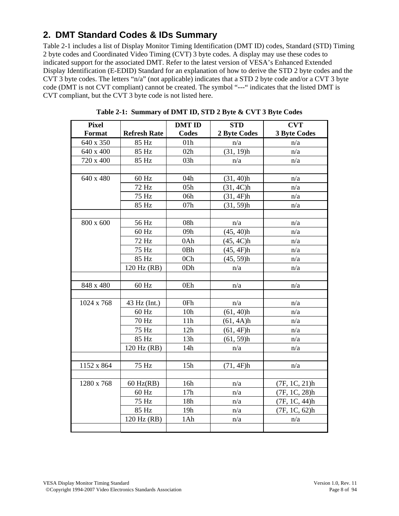# **2. DMT Standard Codes & IDs Summary**

Table 2-1 includes a list of Display Monitor Timing Identification (DMT ID) codes, Standard (STD) Timing 2 byte codes and Coordinated Video Timing (CVT) 3 byte codes. A display may use these codes to indicated support for the associated DMT. Refer to the latest version of VESA's Enhanced Extended Display Identification (E-EDID) Standard for an explanation of how to derive the STD 2 byte codes and the CVT 3 byte codes. The letters "n/a" (not applicable) indicates that a STD 2 byte code and/or a CVT 3 byte code (DMT is not CVT compliant) cannot be created. The symbol "---" indicates that the listed DMT is CVT compliant, but the CVT 3 byte code is not listed here.

| <b>Pixel</b> |                     | <b>DMT ID</b>   | <b>STD</b>          | <b>CVT</b>          |
|--------------|---------------------|-----------------|---------------------|---------------------|
| Format       | <b>Refresh Rate</b> | Codes           | <b>2 Byte Codes</b> | <b>3 Byte Codes</b> |
| 640 x 350    | 85 Hz               | 01 <sub>h</sub> | n/a                 | n/a                 |
| 640 x 400    | 85 Hz               | 02h             | (31, 19)h           | n/a                 |
| 720 x 400    | 85 Hz               | 03h             | n/a                 | n/a                 |
|              |                     |                 |                     |                     |
| 640 x 480    | 60 Hz               | 04h             | (31, 40)h           | n/a                 |
|              | 72 Hz               | 05h             | (31, 4C)h           | n/a                 |
|              | 75 Hz               | 06h             | (31, 4F)h           | n/a                 |
|              | 85 Hz               | 07h             | $(31, 59)$ h        | n/a                 |
|              |                     |                 |                     |                     |
| 800 x 600    | 56 Hz               | 08h             | n/a                 | n/a                 |
|              | 60 Hz               | 09h             | (45, 40)h           | n/a                 |
|              | 72 Hz               | 0Ah             | (45, 4C)h           | n/a                 |
|              | 75 Hz               | 0Bh             | (45, 4F)h           | n/a                 |
|              | 85 Hz               | 0 <sub>Ch</sub> | $(45, 59)$ h        | n/a                 |
|              | 120 Hz (RB)         | 0Dh<br>n/a      |                     | n/a                 |
|              |                     |                 |                     |                     |
| 848 x 480    | 60 Hz               | 0Eh             | n/a                 | n/a                 |
|              |                     |                 |                     |                     |
| 1024 x 768   | 43 Hz (Int.)        | 0Fh             | n/a                 | n/a                 |
|              | 60 Hz               | 10 <sub>h</sub> | $(61, 40)$ h        | n/a                 |
|              | 70 Hz               | 11h             | (61, 4A)h           | n/a                 |
|              | 75 Hz               | 12h             | (61, 4F)h           | n/a                 |
|              | 85 Hz               | 13h             | $(61, 59)$ h        | n/a                 |
|              | 120 Hz (RB)         | 14h             | n/a                 | n/a                 |
|              |                     |                 |                     |                     |
| 1152 x 864   | 75 Hz               | 15h             | (71, 4F)h           | n/a                 |
|              |                     |                 |                     |                     |
| 1280 x 768   | $60$ Hz(RB)         | 16h             | n/a                 | (7F, 1C, 21)h       |
|              | 60 Hz               | 17h             | n/a                 | (7F, 1C, 28)h       |
|              | 75 Hz               | 18h             | n/a                 | (7F, 1C, 44)h       |
|              | 85 Hz               | 19h             | n/a                 | (7F, 1C, 62)h       |
|              | 120 Hz (RB)         | 1Ah             | n/a                 | n/a                 |
|              |                     |                 |                     |                     |

**Table 2-1: Summary of DMT ID, STD 2 Byte & CVT 3 Byte Codes**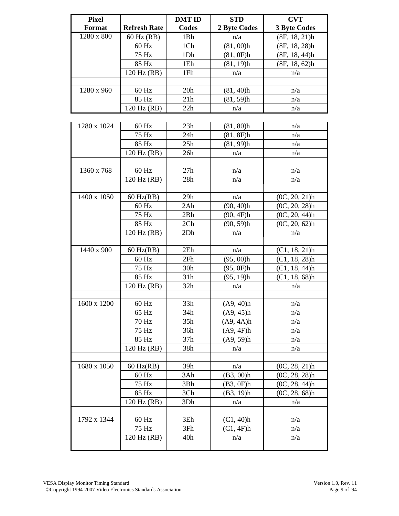| <b>Pixel</b>  |                     | <b>DMT ID</b> | <b>STD</b>   | <b>CVT</b>          |
|---------------|---------------------|---------------|--------------|---------------------|
| <b>Format</b> | <b>Refresh Rate</b> | Codes         | 2 Byte Codes | <b>3 Byte Codes</b> |
| 1280 x 800    | 60 Hz (RB)          | 1Bh           | n/a          | (8F, 18, 21)h       |
|               | 60 Hz               | 1Ch           | $(81, 00)$ h | (8F, 18, 28)h       |
|               | 75 Hz               | 1Dh           | (81, 0F)h    | (8F, 18, 44)h       |
|               | 85 Hz               | 1Eh           | $(81, 19)$ h | (8F, 18, 62)h       |
|               | 120 Hz (RB)         | 1Fh           | n/a          | n/a                 |
|               |                     |               |              |                     |
| 1280 x 960    | 60 Hz               | 20h           | (81, 40)h    | n/a                 |
|               | 85 Hz               | 21h           | $(81, 59)$ h | n/a                 |
|               | 120 Hz (RB)         | 22h           | n/a          | n/a                 |
|               |                     |               |              |                     |
| 1280 x 1024   | 60 Hz               | 23h           | $(81, 80)$ h | n/a                 |
|               | 75 Hz               | 24h           | (81, 8F)h    | n/a                 |
|               | 85 Hz               | 25h           | $(81, 99)$ h | n/a                 |
|               | 120 Hz (RB)         | 26h           | n/a          | n/a                 |
|               |                     |               |              |                     |
| 1360 x 768    | 60 Hz               | 27h           | n/a          | n/a                 |
|               | 120 Hz (RB)         | 28h           | n/a          | n/a                 |
|               |                     |               |              |                     |
| 1400 x 1050   | $60$ Hz(RB)         | 29h           | n/a          | $(0C, 20, 21)$ h    |
|               | 60 Hz               | 2Ah           | $(90, 40)$ h | $(0C, 20, 28)$ h    |
|               | 75 Hz               | 2Bh           | (90, 4F)h    | $(0C, 20, 44)$ h    |
|               | 85 Hz               | 2Ch           | $(90, 59)$ h | $(0C, 20, 62)$ h    |
|               | 120 Hz (RB)         | 2Dh           | n/a          | n/a                 |
|               |                     |               |              |                     |
| 1440 x 900    | $60$ Hz(RB)         | 2Eh           | n/a          | (C1, 18, 21)h       |
|               | 60 Hz               | 2Fh           | $(95, 00)$ h | $(C1, 18, 28)$ h    |
|               | 75 Hz               | 30h           | (95, 0F)h    | (C1, 18, 44)h       |
|               | 85 Hz               | 31h           | $(95, 19)$ h | (C1, 18, 68)h       |
|               | 120 Hz (RB)         | 32h           | n/a          | n/a                 |
|               |                     |               |              |                     |
| 1600 x 1200   | $60$ Hz             | 33h           | (A9, 40)h    | n/a                 |
|               | 65 Hz               | 34h           | (A9, 45)h    | n/a                 |
|               | 70 Hz               | 35h           | (A9, 4A)h    | n/a                 |
|               | 75 Hz               | 36h           | (A9, 4F)h    | n/a                 |
|               | 85 Hz               | 37h           | (A9, 59)h    | n/a                 |
|               | 120 Hz (RB)         | 38h           | n/a          | n/a                 |
|               |                     |               |              |                     |
| 1680 x 1050   | $60$ Hz(RB)         | 39h           | n/a          | $(0C, 28, 21)$ h    |
|               | $60$ Hz             | 3Ah           | (B3, 00)h    | $(0C, 28, 28)$ h    |
|               | 75 Hz               | 3Bh           | (B3, 0F)h    | (0C, 28, 44)h       |
|               | 85 Hz               | 3Ch           | (B3, 19)h    | $(0C, 28, 68)$ h    |
|               | 120 Hz (RB)         | 3Dh           | n/a          | n/a                 |
|               |                     |               |              |                     |
| 1792 x 1344   | 60 Hz               | 3Eh           | (C1, 40)h    | n/a                 |
|               | 75 Hz               | 3Fh           | (C1, 4F)h    | n/a                 |
|               | 120 Hz (RB)         | 40h           | n/a          | n/a                 |
|               |                     |               |              |                     |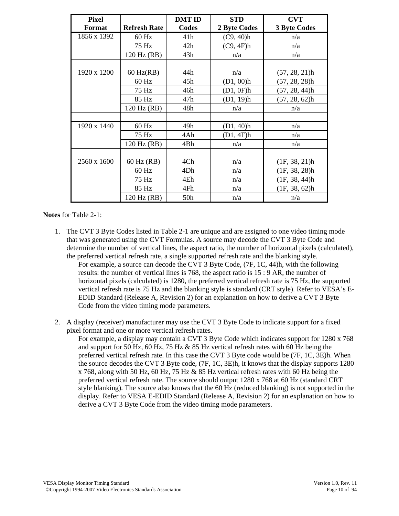| <b>Pixel</b> |                     | <b>DMT ID</b>   | <b>STD</b>   | <b>CVT</b>          |
|--------------|---------------------|-----------------|--------------|---------------------|
| Format       | <b>Refresh Rate</b> | Codes           | 2 Byte Codes | <b>3 Byte Codes</b> |
| 1856 x 1392  | $60$ Hz             | 41h             | (C9, 40)h    | n/a                 |
|              | 75 Hz               | 42h             | (C9, 4F)h    | n/a                 |
|              | 120 Hz (RB)         | 43h             | n/a          | n/a                 |
|              |                     |                 |              |                     |
| 1920 x 1200  | $60$ Hz(RB)         | 44h             | n/a          | $(57, 28, 21)$ h    |
|              | $60$ Hz             | 45h             | $(D1, 00)$ h | $(57, 28, 28)$ h    |
|              | 75 Hz               | 46h             | (D1, 0F)h    | $(57, 28, 44)$ h    |
|              | 85 Hz               | 47h             | (D1, 19)h    | $(57, 28, 62)$ h    |
|              | 120 Hz (RB)         | 48h             | n/a          | n/a                 |
|              |                     |                 |              |                     |
| 1920 x 1440  | $60$ Hz             | 49h             | (D1, 40)h    | n/a                 |
|              | 75 Hz               | 4Ah             | (D1, 4F)h    | n/a                 |
|              | 120 Hz (RB)         | 4Bh             | n/a          | n/a                 |
|              |                     |                 |              |                     |
| 2560 x 1600  | 60 Hz (RB)          | 4Ch             | n/a          | (1F, 38, 21)h       |
|              | $60$ Hz             | 4Dh             | n/a          | (1F, 38, 28)h       |
|              | 75 Hz               | 4Eh             | n/a          | (1F, 38, 44)h       |
|              | 85 Hz               | 4Fh             | n/a          | (1F, 38, 62)h       |
|              | 120 Hz (RB)         | 50 <sub>h</sub> | n/a          | n/a                 |

**Notes** for Table 2-1:

1. The CVT 3 Byte Codes listed in Table 2-1 are unique and are assigned to one video timing mode that was generated using the CVT Formulas. A source may decode the CVT 3 Byte Code and determine the number of vertical lines, the aspect ratio, the number of horizontal pixels (calculated), the preferred vertical refresh rate, a single supported refresh rate and the blanking style. For example, a source can decode the CVT 3 Byte Code, (7F, 1C, 44)h, with the following

results: the number of vertical lines is 768, the aspect ratio is 15 : 9 AR, the number of horizontal pixels (calculated) is 1280, the preferred vertical refresh rate is 75 Hz, the supported vertical refresh rate is 75 Hz and the blanking style is standard (CRT style). Refer to VESA's E-EDID Standard (Release A, Revision 2) for an explanation on how to derive a CVT 3 Byte Code from the video timing mode parameters.

2. A display (receiver) manufacturer may use the CVT 3 Byte Code to indicate support for a fixed pixel format and one or more vertical refresh rates.

For example, a display may contain a CVT 3 Byte Code which indicates support for 1280 x 768 and support for 50 Hz, 60 Hz, 75 Hz & 85 Hz vertical refresh rates with 60 Hz being the preferred vertical refresh rate. In this case the CVT 3 Byte code would be (7F, 1C, 3E)h. When the source decodes the CVT 3 Byte code, (7F, 1C, 3E)h, it knows that the display supports 1280 x 768, along with 50 Hz, 60 Hz, 75 Hz & 85 Hz vertical refresh rates with 60 Hz being the preferred vertical refresh rate. The source should output 1280 x 768 at 60 Hz (standard CRT style blanking). The source also knows that the 60 Hz (reduced blanking) is not supported in the display. Refer to VESA E-EDID Standard (Release A, Revision 2) for an explanation on how to derive a CVT 3 Byte Code from the video timing mode parameters.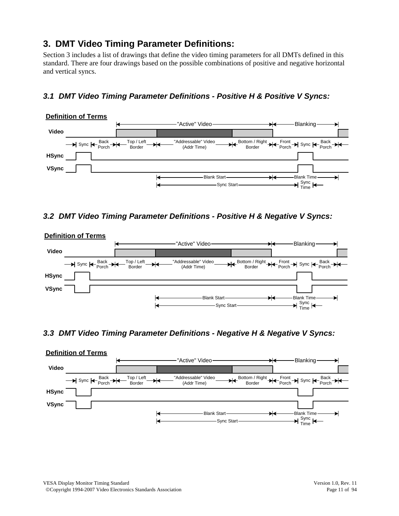# **3. DMT Video Timing Parameter Definitions:**

Section 3 includes a list of drawings that define the video timing parameters for all DMTs defined in this standard. There are four drawings based on the possible combinations of positive and negative horizontal and vertical syncs.

# *3.1 DMT Video Timing Parameter Definitions - Positive H & Positive V Syncs:*



#### *3.2 DMT Video Timing Parameter Definitions - Positive H & Negative V Syncs:*



#### *3.3 DMT Video Timing Parameter Definitions - Negative H & Negative V Syncs:*

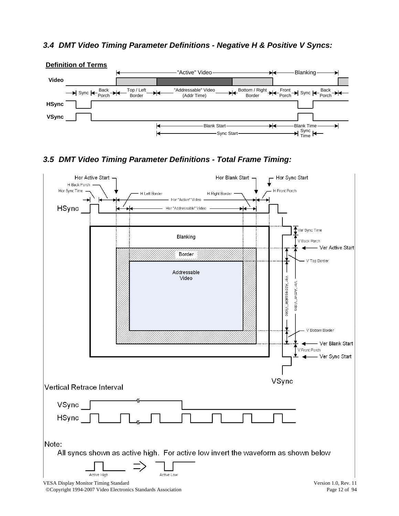#### *3.4 DMT Video Timing Parameter Definitions - Negative H & Positive V Syncs:*



# *3.5 DMT Video Timing Parameter Definitions - Total Frame Timing:*

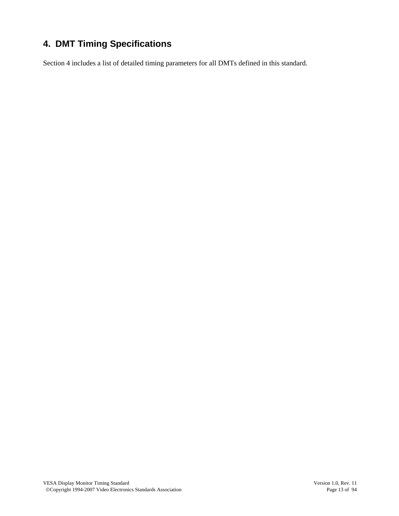# **4. DMT Timing Specifications**

Section 4 includes a list of detailed timing parameters for all DMTs defined in this standard.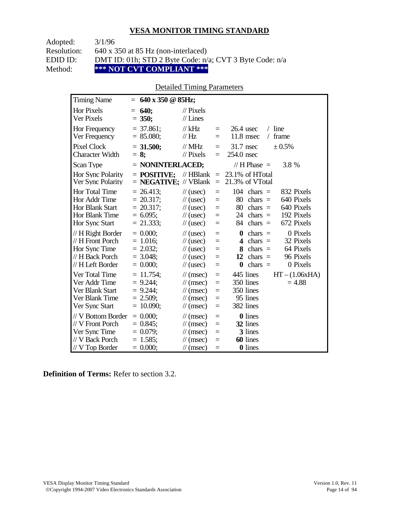Adopted: 3/1/96

Resolution: 640 x 350 at 85 Hz (non-interlaced)

EDID ID: DMT ID: 01h; STD 2 Byte Code: n/a; CVT 3 Byte Code: n/a<br>Method: \*\*\* NOT CVT COMPLIANT \*\*\*

Method: **\*\*\* NOT CVT COMPLIANT \*\*\*** 

# Detailed Timing Parameters

| <b>Timing Name</b>                                                                              | $= 640 \times 350 \text{ } \textcircled{a} 85 \text{Hz};$                  |                                                                                                                                    |                                      |                                                                                                                                                                 |
|-------------------------------------------------------------------------------------------------|----------------------------------------------------------------------------|------------------------------------------------------------------------------------------------------------------------------------|--------------------------------------|-----------------------------------------------------------------------------------------------------------------------------------------------------------------|
| <b>Hor Pixels</b><br><b>Ver Pixels</b>                                                          | 640;<br>$=$<br>$= 350;$                                                    | $\mathcal{U}$ Pixels<br>$//$ Lines                                                                                                 |                                      |                                                                                                                                                                 |
| Hor Frequency<br>Ver Frequency                                                                  | $= 37.861$ ;<br>$= 85.080;$                                                | // $kHz$<br>$\frac{1}{1}$ Hz                                                                                                       | $=$<br>$=$                           | $/$ line<br>$26.4$ usec<br>$11.8$ msec<br>frame<br>$\sqrt{2}$                                                                                                   |
| <b>Pixel Clock</b><br><b>Character Width</b>                                                    | $= 31.500$ ;<br>$= 8$ ;                                                    | $//$ MHz<br>$//$ Pixels                                                                                                            | $=$<br>$=$                           | 31.7 nsec<br>± 0.5%<br>254.0 nsec                                                                                                                               |
| Scan Type                                                                                       | $=$ NONINTERLACED;                                                         |                                                                                                                                    |                                      | // H Phase $=$<br>3.8 %                                                                                                                                         |
| Hor Sync Polarity<br>Ver Sync Polarity                                                          | $=$ POSITIVE:<br>$=$ <b>NEGATIVE;</b> // VBlank                            | // $HBlank =$                                                                                                                      | $=$                                  | 23.1% of HTotal<br>21.3% of VTotal                                                                                                                              |
| Hor Total Time<br>Hor Addr Time<br><b>Hor Blank Start</b><br>Hor Blank Time<br>Hor Sync Start   | $= 26.413$ ;<br>$= 20.317$ ;<br>$= 20.317$ ;<br>$= 6.095$ ;<br>$= 21.333;$ | $\frac{1}{2}$ (usec)<br>$\frac{1}{2}$ (usec)<br>$\frac{1}{2}$ (usec)<br>$\frac{1}{2}$ (usec)<br>$\frac{1}{2}$ (usec)               | $=$<br>$=$<br>$=$<br>$\equiv$<br>$=$ | 104<br>832 Pixels<br>$chars =$<br>640 Pixels<br>80<br>$chars =$<br>80<br>640 Pixels<br>$chars =$<br>192 Pixels<br>24 chars $=$<br>672 Pixels<br>84<br>chars $=$ |
| // H Right Border<br>// H Front Porch<br>Hor Sync Time<br>// H Back Porch<br>// H Left Border   | $= 0.000$<br>$= 1.016$ ;<br>$= 2.032;$<br>$= 3.048$ ;<br>$= 0.000;$        | $\frac{1}{2}$ (usec)<br>$\frac{1}{2}$ (usec)<br>$\frac{1}{2}$ (usec)<br>$\frac{1}{2}$ (usec)<br>$\frac{1}{2}$ (usec)               | $=$<br>$=$<br>$=$<br>$=$<br>$=$      | 0 Pixels<br>0<br>chars $=$<br>32 Pixels<br>4<br>$chars =$<br>64 Pixels<br>8<br>$chars =$<br>96 Pixels<br>12<br>chars $=$<br>$\bf{0}$<br>chars $=$<br>0 Pixels   |
| Ver Total Time<br>Ver Addr Time<br>Ver Blank Start<br>Ver Blank Time<br>Ver Sync Start          | $= 11.754$ ;<br>$= 9.244;$<br>$= 9.244$ ;<br>$= 2.509$ ;<br>$= 10.090$ ;   | $\mathcal{U}$ (msec)<br>$\mathcal{U}$ (msec)<br>$\mathcal{U}$ (msec)<br>$\mathcal{U}$ (msec)<br>$\mathcal{U}$ (msec)               | $=$<br>$=$<br>$=$<br>$=$<br>$=$      | 445 lines<br>$HT - (1.06xHA)$<br>350 lines<br>$= 4.88$<br>350 lines<br>95 lines<br>382 lines                                                                    |
| // V Bottom Border<br>// V Front Porch<br>Ver Sync Time<br>// V Back Porch<br>$//$ V Top Border | $= 0.000;$<br>$= 0.845$ ;<br>$= 0.079$ ;<br>$= 1.585$ ;<br>$= 0.000;$      | $\frac{1}{\sqrt{2}}$ (msec)<br>$\mathcal{U}$ (msec)<br>$\mathcal{U}$ (msec)<br>$\frac{1}{\sqrt{2}}$ (msec)<br>$\mathcal{U}$ (msec) | $=$<br>$=$<br>$=$<br>$=$<br>$=$      | <b>0</b> lines<br>32 lines<br>3 lines<br>60 lines<br><b>0</b> lines                                                                                             |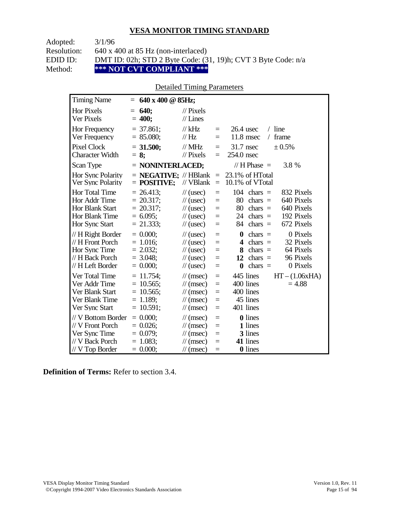Adopted: 3/1/96

Resolution: 640 x 400 at 85 Hz (non-interlaced)

EDID ID: DMT ID: 02h; STD 2 Byte Code: (31, 19)h; CVT 3 Byte Code: n/a<br>Method: \*\*\* NOT CVT COMPLIANT \*\*\*

Method: **\*\*\* NOT CVT COMPLIANT \*\*\*** 

# Detailed Timing Parameters

| <b>Timing Name</b>                                                                            | $= 640 \times 400 \text{ @ } 85 \text{Hz};$                                 |                                                                                                                                                  |                                 |                                                                                                                                                                          |
|-----------------------------------------------------------------------------------------------|-----------------------------------------------------------------------------|--------------------------------------------------------------------------------------------------------------------------------------------------|---------------------------------|--------------------------------------------------------------------------------------------------------------------------------------------------------------------------|
| <b>Hor Pixels</b><br><b>Ver Pixels</b>                                                        | <b>640;</b><br>$=$<br>$= 400;$                                              | $\mathcal{U}$ Pixels<br>$//$ Lines                                                                                                               |                                 |                                                                                                                                                                          |
| Hor Frequency<br>Ver Frequency                                                                | $=$ 37.861;<br>$= 85.080;$                                                  | $//$ kHz<br>$\frac{1}{1}$ Hz                                                                                                                     | $=$<br>$=$                      | $26.4$ usec<br>$/$ line<br>$11.8$ msec<br>frame<br>$\sqrt{2}$                                                                                                            |
| <b>Pixel Clock</b><br><b>Character Width</b>                                                  | $= 31.500;$<br>$= 8$ ;                                                      | $//$ MHz<br>$//$ Pixels                                                                                                                          | $=$<br>$=$                      | $31.7$ nsec<br>± 0.5%<br>254.0 nsec                                                                                                                                      |
| Scan Type                                                                                     | $=$ NONINTERLACED;                                                          |                                                                                                                                                  |                                 | // H Phase $=$<br>3.8 %                                                                                                                                                  |
| Hor Sync Polarity<br>Ver Sync Polarity                                                        | $=$ <b>NEGATIVE</b> ; // HBlank<br>$=$ POSITIVE;                            | // VBlank                                                                                                                                        | $\equiv$<br>$\equiv$            | 23.1% of HTotal<br>10.1% of VTotal                                                                                                                                       |
| Hor Total Time<br>Hor Addr Time<br><b>Hor Blank Start</b><br>Hor Blank Time<br>Hor Sync Start | $= 26.413$ ;<br>$= 20.317$ ;<br>$= 20.317$ ;<br>$= 6.095$ ;<br>$= 21.333;$  | $\frac{1}{2}$ (usec)<br>$\frac{1}{2}$ (usec)<br>$\frac{1}{2}$ (usec)<br>$\frac{1}{2}$ (usec)<br>$\frac{1}{2}$ (usec)                             | $=$<br>$=$<br>$=$<br>$=$<br>$=$ | 104<br>832 Pixels<br>$chars =$<br>80<br>$chars =$<br>640 Pixels<br>640 Pixels<br>80<br>chars $=$<br>192 Pixels<br>24<br>$chars =$<br>672 Pixels<br>84<br>$chars =$       |
| // H Right Border<br>// H Front Porch<br>Hor Sync Time<br>// H Back Porch<br>// H Left Border | $= 0.000$<br>$= 1.016$ ;<br>$= 2.032;$<br>$= 3.048$ ;<br>$= 0.000;$         | $\frac{1}{2}$ (usec)<br>$\frac{1}{2}$ (usec)<br>$\frac{1}{2}$ (usec)<br>$\frac{1}{2}$ (usec)<br>$\frac{1}{2}$ (usec)                             | $=$<br>$=$<br>$=$<br>$=$<br>$=$ | 0 Pixels<br>chars $=$<br>$\mathbf{0}$<br>32 Pixels<br>$chars =$<br>4<br>64 Pixels<br>8<br>chars $=$<br>96 Pixels<br>12<br>chars $=$<br>$\bf{0}$<br>chars $=$<br>0 Pixels |
| Ver Total Time<br>Ver Addr Time<br>Ver Blank Start<br>Ver Blank Time<br>Ver Sync Start        | $= 11.754$ ;<br>$= 10.565$ ;<br>$= 10.565$ ;<br>$= 1.189$ ;<br>$= 10.591$ ; | $\mathcal{U}$ (msec)<br>$\mathcal{U}$ (msec)<br>$\frac{1}{\sqrt{2}}$ (msec)<br>$\mathcal{U}$ (msec)<br>$\mathcal{U}$ (msec)                      | $=$<br>$=$<br>$=$<br>$=$<br>$=$ | 445 lines<br>$HT - (1.06xHA)$<br>400 lines<br>$= 4.88$<br>400 lines<br>45 lines<br>401 lines                                                                             |
| // V Bottom Border<br>// V Front Porch<br>Ver Sync Time<br>// V Back Porch<br>// V Top Border | $= 0.000$<br>$= 0.026$ ;<br>$= 0.079$ ;<br>$= 1.083;$<br>$= 0.000;$         | $\mathcal{U}$ (msec)<br>$\frac{1}{\sqrt{2}}$ (msec)<br>$\frac{1}{\sqrt{2}}$ (msec)<br>$\frac{1}{\sqrt{2}}$ (msec)<br>$\frac{1}{\sqrt{2}}$ (msec) | $=$<br>$=$<br>$=$<br>$=$<br>$=$ | <b>0</b> lines<br>1 lines<br>3 lines<br>41 lines<br><b>0</b> lines                                                                                                       |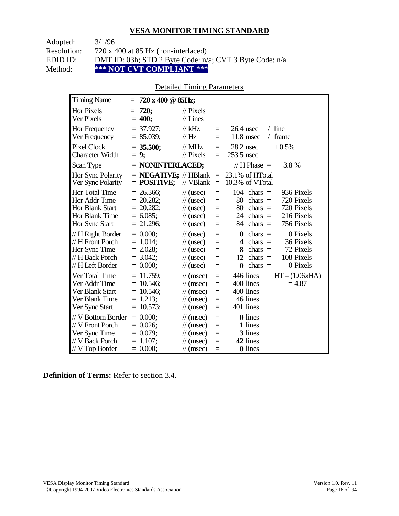Adopted: 3/1/96

Resolution: 720 x 400 at 85 Hz (non-interlaced)

EDID ID: DMT ID: 03h; STD 2 Byte Code: n/a; CVT 3 Byte Code: n/a<br>Method: \*\*\* NOT CVT COMPLIANT \*\*\*

Method: **\*\*\* NOT CVT COMPLIANT \*\*\*** 

# Detailed Timing Parameters

| <b>Timing Name</b>                                                                              |     | $= 720 \times 400 \text{ @ } 85 \text{Hz};$                                |                                                                                                                                               |                                           |                                                                                                                                                                                                     |
|-------------------------------------------------------------------------------------------------|-----|----------------------------------------------------------------------------|-----------------------------------------------------------------------------------------------------------------------------------------------|-------------------------------------------|-----------------------------------------------------------------------------------------------------------------------------------------------------------------------------------------------------|
| <b>Hor Pixels</b><br><b>Ver Pixels</b>                                                          | $=$ | 720:<br>$= 400;$                                                           | $//$ Pixels<br>$//$ Lines                                                                                                                     |                                           |                                                                                                                                                                                                     |
| Hor Frequency<br>Ver Frequency                                                                  |     | $= 37.927$ ;<br>$= 85.039;$                                                | $//$ kHz<br>// Hz                                                                                                                             | $\equiv$<br>$=$                           | $/$ line<br>$26.4$ usec<br>$11.8$ msec<br>frame<br>$\sqrt{2}$                                                                                                                                       |
| Pixel Clock<br><b>Character Width</b>                                                           |     | $= 35.500;$<br>$= 9;$                                                      | $//$ MHz<br>$\frac{1}{2}$ Pixels                                                                                                              | $\equiv$<br>$\equiv$                      | $28.2$ nsec<br>± 0.5%<br>253.5 nsec                                                                                                                                                                 |
| Scan Type                                                                                       |     | $=$ NONINTERLACED;                                                         |                                                                                                                                               |                                           | // $H$ Phase $=$<br>3.8 %                                                                                                                                                                           |
| Hor Sync Polarity<br>Ver Sync Polarity                                                          |     | $=$ <b>NEGATIVE;</b> // HBlank<br>$=$ POSITIVE;                            | // VBlank                                                                                                                                     | $\equiv$<br>$\equiv$                      | 23.1% of HTotal<br>10.3% of VTotal                                                                                                                                                                  |
| Hor Total Time<br>Hor Addr Time<br><b>Hor Blank Start</b><br>Hor Blank Time<br>Hor Sync Start   |     | $= 26.366$ ;<br>$= 20.282;$<br>$= 20.282$ ;<br>$= 6.085$ ;<br>$= 21.296$ ; | $\frac{1}{2}$ (usec)<br>$\frac{1}{2}$ (usec)<br>$\frac{1}{2}$ (usec)<br>$\frac{1}{2}$ (usec)<br>$\frac{1}{2}$ (usec)                          | $=$<br>$\equiv$<br>$=$<br>$\equiv$<br>$=$ | 104<br>936 Pixels<br>$chars =$<br>80<br>720 Pixels<br>chars $=$<br>80<br>720 Pixels<br>$chars =$<br>216 Pixels<br>24<br>chars $=$<br>756 Pixels<br>84<br>chars $=$                                  |
| // H Right Border<br>// H Front Porch<br>Hor Sync Time<br>// H Back Porch<br>// H Left Border   |     | $= 0.000$<br>$= 1.014$ ;<br>$= 2.028$ ;<br>$= 3.042;$<br>$= 0.000;$        | $\frac{1}{2}$ (usec)<br>$\frac{1}{2}$ (usec)<br>$\frac{1}{2}$ (usec)<br>$\frac{1}{2}$ (usec)<br>$\frac{1}{2}$ (usec)                          | $=$<br>$=$<br>$=$<br>$=$<br>$\equiv$      | 0 Pixels<br>$\boldsymbol{0}$<br>$chars =$<br>36 Pixels<br>$chars =$<br>$\overline{\mathbf{4}}$<br>72 Pixels<br>8<br>$chars =$<br>108 Pixels<br>chars $=$<br>12<br>0 Pixels<br>chars $=$<br>$\bf{0}$ |
| Ver Total Time<br>Ver Addr Time<br>Ver Blank Start<br>Ver Blank Time<br>Ver Sync Start          |     | $= 11.759$ ;<br>$= 10.546$ ;<br>$= 10.546$ ;<br>$= 1.213$ ;<br>$= 10.573;$ | $\mathcal{U}$ (msec)<br>$\frac{1}{\sqrt{2}}$ (msec)<br>$\frac{1}{\pi}$ (msec)<br>$\frac{1}{\sqrt{2}}$ (msec)<br>$\mathcal{U}$ (msec)          | $\equiv$<br>$=$<br>$=$<br>$\equiv$<br>$=$ | $HT - (1.06xHA)$<br>446 lines<br>400 lines<br>$= 4.87$<br>400 lines<br>46 lines<br>401 lines                                                                                                        |
| // V Bottom Border<br>// V Front Porch<br>Ver Sync Time<br>// V Back Porch<br>$// V$ Top Border |     | $= 0.000$<br>$= 0.026$ ;<br>$= 0.079;$<br>$= 1.107$ ;<br>$= 0.000;$        | $\mathcal{U}$ (msec)<br>$\frac{1}{\sqrt{2}}$ (msec)<br>$\frac{1}{\sqrt{2}}$ (msec)<br>$\frac{1}{\sqrt{2}}$ (msec)<br>$\frac{1}{\tan(\theta)}$ | $=$<br>$=$<br>$=$<br>$=$<br>$=$           | 0 lines<br>1 lines<br>3 lines<br>42 lines<br>0 lines                                                                                                                                                |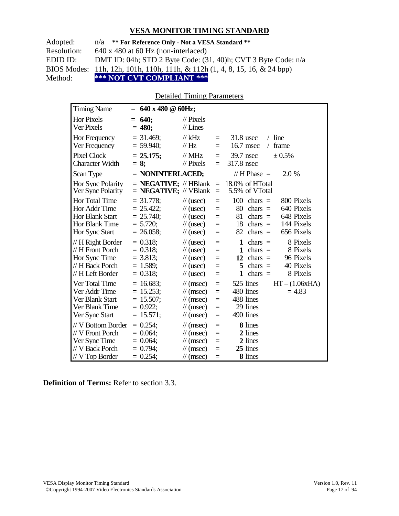| Adopted:    | $n/a$ ** For Reference Only - Not a VESA Standard **                                  |
|-------------|---------------------------------------------------------------------------------------|
| Resolution: | $640 \times 480$ at 60 Hz (non-interlaced)                                            |
| EDID ID:    | DMT ID: 04h; STD 2 Byte Code: (31, 40)h; CVT 3 Byte Code: n/a                         |
|             | BIOS Modes: 11h, 12h, 101h, 110h, 111h, & 112h $(1, 4, 8, 15, 16, \& 24 \text{ bpp})$ |
| Method:     | *** NOT CVT COMPLIANT ***                                                             |

## Detailed Timing Parameters

| <b>Timing Name</b>                                                                              | $= 640 \times 480 \text{ } \textcircled{a} 60 \text{Hz};$                  |                                                                                                                             |                                 |                                                                                                                                                                          |
|-------------------------------------------------------------------------------------------------|----------------------------------------------------------------------------|-----------------------------------------------------------------------------------------------------------------------------|---------------------------------|--------------------------------------------------------------------------------------------------------------------------------------------------------------------------|
| <b>Hor Pixels</b><br>Ver Pixels                                                                 | $= 640;$<br>$= 480;$                                                       | $\frac{1}{2}$ Pixels<br>$//$ Lines                                                                                          |                                 |                                                                                                                                                                          |
| Hor Frequency<br>Ver Frequency                                                                  | $=$ 31.469;<br>$= 59.940$ ;                                                | $//$ kHz<br>$\frac{1}{1}$ Hz                                                                                                | $\equiv$<br>$\equiv$            | $/$ line<br>$31.8$ usec<br>16.7 msec<br>frame<br>$\sqrt{2}$                                                                                                              |
| Pixel Clock<br><b>Character Width</b>                                                           | $= 25.175$ ;<br>$= 8$ ;                                                    | $//$ MHz<br>$\frac{1}{2}$ Pixels                                                                                            | $\equiv$<br>$\equiv$            | 39.7 nsec<br>± 0.5%<br>317.8 nsec                                                                                                                                        |
| Scan Type                                                                                       | $=$ NONINTERLACED;                                                         |                                                                                                                             |                                 | // H Phase $=$<br>2.0 %                                                                                                                                                  |
| Hor Sync Polarity<br>Ver Sync Polarity                                                          | $=$ <b>NEGATIVE</b> ; // HBlank $=$<br>$=$ <b>NEGATIVE</b> ; // VBlank     |                                                                                                                             | $\equiv$                        | 18.0% of HTotal<br>5.5% of VTotal                                                                                                                                        |
| Hor Total Time<br>Hor Addr Time<br><b>Hor Blank Start</b><br>Hor Blank Time<br>Hor Sync Start   | $= 31.778$ ;<br>$= 25.422$ ;<br>$= 25.740$ ;<br>$= 5.720$ ;<br>$= 26.058;$ | $\frac{1}{\sqrt{2}}$ (usec)<br>$\frac{1}{2}$ (usec)<br>$\frac{1}{2}$ (usec)<br>$\frac{1}{2}$ (usec)<br>$\frac{1}{2}$ (usec) | $=$<br>$=$<br>$=$<br>$=$<br>$=$ | 100<br>800 Pixels<br>$chars =$<br>80<br>640 Pixels<br>$chars =$<br>648 Pixels<br>81<br>chars $=$<br>144 Pixels<br>18<br>$chars =$<br>656 Pixels<br>82<br>$chars =$       |
| // H Right Border<br>// H Front Porch<br>Hor Sync Time<br>// H Back Porch<br>// H Left Border   | $= 0.318$ ;<br>$= 0.318$ ;<br>$= 3.813$ ;<br>$= 1.589$ ;<br>$= 0.318$ ;    | $\frac{1}{2}$ (usec)<br>$\frac{1}{2}$ (usec)<br>$\frac{1}{2}$ (usec)<br>$\frac{1}{2}$ (usec)<br>$\frac{1}{2}$ (usec)        | $=$<br>$=$<br>$=$<br>$=$<br>$=$ | 8 Pixels<br>1<br>chars $=$<br>$\mathbf{1}$<br>8 Pixels<br>$chars =$<br>96 Pixels<br>12 chars $=$<br>40 Pixels<br>5<br>$chars =$<br>8 Pixels<br>$\mathbf{1}$<br>$chars =$ |
| Ver Total Time<br>Ver Addr Time<br>Ver Blank Start<br>Ver Blank Time<br>Ver Sync Start          | $= 16.683$ ;<br>$= 15.253;$<br>$= 15.507;$<br>$= 0.922$ ;<br>$= 15.571;$   | $\mathcal{U}$ (msec)<br>$\frac{1}{\sqrt{2}}$ (msec)<br>$\mathcal{U}$ (msec)<br>$\mathcal{U}$ (msec)<br>$\mathcal{U}$ (msec) | $=$<br>$=$<br>$=$<br>$=$<br>$=$ | 525 lines<br>$HT - (1.06xHA)$<br>480 lines<br>$= 4.83$<br>488 lines<br>29 lines<br>490 lines                                                                             |
| // V Bottom Border<br>// V Front Porch<br>Ver Sync Time<br>// V Back Porch<br>$//$ V Top Border | $= 0.254$ ;<br>$= 0.064$ ;<br>$= 0.064$ ;<br>$= 0.794$ ;<br>$= 0.254$ ;    | $\mathcal{U}$ (msec)<br>$\mathcal{U}$ (msec)<br>$\mathcal{U}$ (msec)<br>$\mathcal{U}$ (msec)<br>$\mathcal{U}$ (msec)        | $=$<br>$=$<br>$=$<br>Ξ<br>$=$   | 8 lines<br>2 lines<br>2 lines<br>25 lines<br>8 lines                                                                                                                     |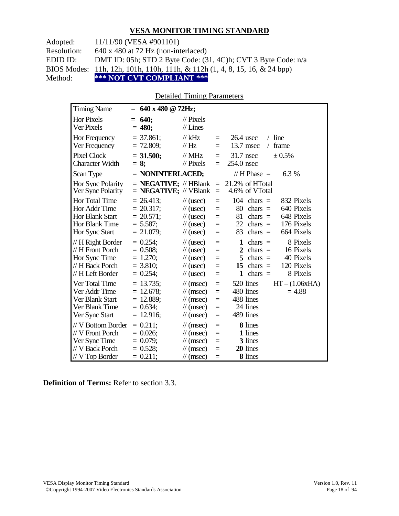Adopted: 11/11/90 (VESA #901101)

Resolution: 640 x 480 at 72 Hz (non-interlaced)

EDID ID: DMT ID: 05h; STD 2 Byte Code: (31, 4C)h; CVT 3 Byte Code: n/a

BIOS Modes: 11h, 12h, 101h, 110h, 111h, & 112h (1, 4, 8, 15, 16, & 24 bpp)

Method: **\*\*\* NOT CVT COMPLIANT \*\*\***

#### Detailed Timing Parameters

| <b>Timing Name</b>                                                                                   | 640 x 480 $@$ 72Hz;<br>$=$                                                 |                                                                                                                      |                                           |                                                                                                                                                                    |
|------------------------------------------------------------------------------------------------------|----------------------------------------------------------------------------|----------------------------------------------------------------------------------------------------------------------|-------------------------------------------|--------------------------------------------------------------------------------------------------------------------------------------------------------------------|
| <b>Hor Pixels</b><br><b>Ver Pixels</b>                                                               | 640:<br>$=$<br>$= 480;$                                                    | $\mathcal{U}$ Pixels<br>$//$ Lines                                                                                   |                                           |                                                                                                                                                                    |
| Hor Frequency<br>Ver Frequency                                                                       | $=$ 37.861;<br>$= 72.809$ ;                                                | $//$ kHz<br>$\frac{1}{1}$ Hz                                                                                         | $=$<br>$\equiv$                           | $/$ line<br>$26.4$ usec<br>13.7 msec<br>frame<br>$\sqrt{2}$                                                                                                        |
| <b>Pixel Clock</b><br><b>Character Width</b>                                                         | $= 31.500;$<br>$= 8$ ;                                                     | $//$ MHz<br>$//$ Pixels                                                                                              | $\equiv$<br>$\equiv$                      | 31.7 nsec<br>± 0.5%<br>254.0 nsec                                                                                                                                  |
| Scan Type                                                                                            | $=$ NONINTERLACED;                                                         |                                                                                                                      |                                           | 6.3 %<br>// H Phase $=$                                                                                                                                            |
| Hor Sync Polarity<br>Ver Sync Polarity                                                               | $=$ <b>NEGATIVE</b> ; // HBlank<br>$=$ <b>NEGATIVE</b> ; // VBlank         |                                                                                                                      | $\equiv$<br>$\equiv$                      | 21.2% of HTotal<br>4.6% of VTotal                                                                                                                                  |
| <b>Hor Total Time</b><br>Hor Addr Time<br><b>Hor Blank Start</b><br>Hor Blank Time<br>Hor Sync Start | $= 26.413$ ;<br>$= 20.317$ ;<br>$= 20.571$ ;<br>$= 5.587$ ;<br>$= 21.079;$ | $\frac{1}{2}$ (usec)<br>$\frac{1}{2}$ (usec)<br>$\frac{1}{2}$ (usec)<br>$\frac{1}{2}$ (usec)<br>$\frac{1}{2}$ (usec) | $=$<br>$=$<br>$=$<br>$\equiv$<br>$=$      | $104$ chars =<br>832 Pixels<br>640 Pixels<br>80<br>$chars =$<br>81<br>648 Pixels<br>$chars =$<br>176 Pixels<br>22<br>$chars =$<br>664 Pixels<br>83<br>$chars =$    |
| // H Right Border<br>// H Front Porch<br>Hor Sync Time<br>// H Back Porch<br>// H Left Border        | $= 0.254$ ;<br>$= 0.508;$<br>$= 1.270;$<br>$= 3.810$ ;<br>$= 0.254$ ;      | $\frac{1}{2}$ (usec)<br>$\frac{1}{2}$ (usec)<br>$\frac{1}{2}$ (usec)<br>$\frac{1}{2}$ (usec)<br>$\frac{1}{2}$ (usec) | $=$<br>$=$<br>$=$<br>$=$<br>$\equiv$      | $chars =$<br>8 Pixels<br>1<br>$chars =$<br>16 Pixels<br>2<br>5<br>$chars =$<br>40 Pixels<br>120 Pixels<br>$chars =$<br>15<br>chars $=$<br>8 Pixels<br>$\mathbf{1}$ |
| Ver Total Time<br>Ver Addr Time<br>Ver Blank Start<br>Ver Blank Time<br>Ver Sync Start               | $= 13.735$ ;<br>$= 12.678$ ;<br>$= 12.889;$<br>$= 0.634$ ;<br>$= 12.916$ ; | $\mathcal{U}$ (msec)<br>$\mathcal{U}$ (msec)<br>$\mathcal{U}$ (msec)<br>$\mathcal{U}$ (msec)<br>$\mathcal{U}$ (msec) | $\equiv$<br>$=$<br>$=$<br>$=$<br>$\equiv$ | $HT - (1.06xHA)$<br>520 lines<br>480 lines<br>$= 4.88$<br>488 lines<br>24 lines<br>489 lines                                                                       |
| // V Bottom Border<br>// V Front Porch<br>Ver Sync Time<br>// V Back Porch<br>// V Top Border        | $= 0.211$ ;<br>$= 0.026$<br>$= 0.079;$<br>$= 0.528;$<br>$= 0.211$ ;        | $\mathcal{U}$ (msec)<br>$\mathcal{U}$ (msec)<br>$\mathcal{U}$ (msec)<br>$\mathcal{U}$ (msec)<br>$\mathcal{U}$ (msec) | $=$<br>$=$<br>$=$<br>$=$<br>$\equiv$      | 8 lines<br>1 lines<br>3 lines<br>20 lines<br>8 lines                                                                                                               |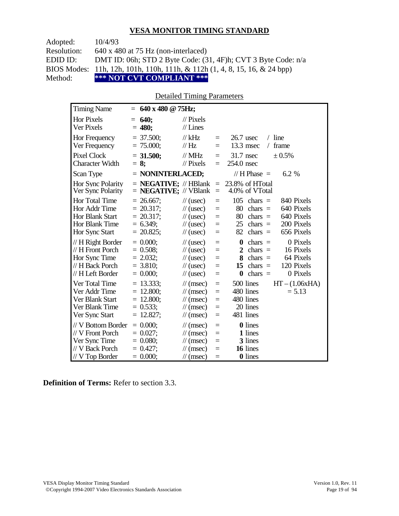| Adopted:    | 10/4/93                                                                    |
|-------------|----------------------------------------------------------------------------|
| Resolution: | $640 \times 480$ at 75 Hz (non-interlaced)                                 |
| EDID ID:    | DMT ID: 06h; STD 2 Byte Code: $(31, 4F)$ h; CVT 3 Byte Code: $n/a$         |
|             | BIOS Modes: 11h, 12h, 101h, 110h, 111h, & 112h (1, 4, 8, 15, 16, & 24 bpp) |
| Method:     | *** NOT CVT COMPLIANT ***                                                  |

## Detailed Timing Parameters

| <b>Timing Name</b>                                                                            | $= 640 \times 480 \text{ @ } 75 \text{Hz};$                                |                                                                                                                                         |                                 |                                                                                                                                                                                     |
|-----------------------------------------------------------------------------------------------|----------------------------------------------------------------------------|-----------------------------------------------------------------------------------------------------------------------------------------|---------------------------------|-------------------------------------------------------------------------------------------------------------------------------------------------------------------------------------|
| <b>Hor Pixels</b><br>Ver Pixels                                                               | 640:<br>$=$<br>$= 480;$                                                    | $//$ Pixels<br>$//$ Lines                                                                                                               |                                 |                                                                                                                                                                                     |
| Hor Frequency<br>Ver Frequency                                                                | $= 37.500$ ;<br>$= 75.000;$                                                | $//$ kHz<br>//Hz                                                                                                                        | $\equiv$<br>$=$                 | $26.7$ usec<br>$/$ line<br>$13.3$ msec<br>frame<br>$\sqrt{2}$                                                                                                                       |
| <b>Pixel Clock</b><br><b>Character Width</b>                                                  | $= 31.500$ ;<br>$= 8:$                                                     | $//$ MHz<br>$\frac{1}{2}$ Pixels                                                                                                        | $=$<br>$=$                      | $31.7$ nsec<br>$\pm 0.5\%$<br>254.0 nsec                                                                                                                                            |
| Scan Type                                                                                     | $=$ NONINTERLACED;                                                         |                                                                                                                                         |                                 | // H Phase $=$<br>6.2 %                                                                                                                                                             |
| Hor Sync Polarity<br>Ver Sync Polarity                                                        | $=$ <b>NEGATIVE;</b> // HBlank<br>$=$ <b>NEGATIVE</b> ; // VBlank          |                                                                                                                                         | $\equiv$<br>$=$                 | 23.8% of HTotal<br>4.0% of VTotal                                                                                                                                                   |
| Hor Total Time<br>Hor Addr Time<br>Hor Blank Start<br>Hor Blank Time<br>Hor Sync Start        | $= 26.667$ ;<br>$= 20.317$ ;<br>$= 20.317$ ;<br>$= 6.349$ ;<br>$= 20.825;$ | $\frac{1}{2}$ (usec)<br>$\frac{1}{2}$ (usec)<br>$\frac{1}{2}$ (usec)<br>$\frac{1}{2}$ (usec)<br>$\frac{1}{2}$ (usec)                    | $=$<br>$=$<br>$=$<br>$=$<br>$=$ | 105<br>840 Pixels<br>$chars =$<br>640 Pixels<br>80<br>$chars =$<br>640 Pixels<br>80<br>$chars =$<br>200 Pixels<br>$chars =$<br>25<br>656 Pixels<br>82<br>chars $=$                  |
| // H Right Border<br>// H Front Porch<br>Hor Sync Time<br>// H Back Porch<br>// H Left Border | $= 0.000;$<br>$= 0.508;$<br>$= 2.032;$<br>$=$ 3.810;<br>$= 0.000;$         | $\frac{1}{2}$ (usec)<br>$\frac{1}{2}$ (usec)<br>$\frac{1}{2}$ (usec)<br>$\frac{1}{2}$ (usec)<br>$\frac{1}{2}$ (usec)                    | $=$<br>$=$<br>$=$<br>$=$<br>$=$ | 0 Pixels<br>$\boldsymbol{0}$<br>chars $=$<br>$\overline{2}$<br>16 Pixels<br>$chars =$<br>64 Pixels<br>8<br>$chars =$<br>120 Pixels<br>chars $=$<br>15<br>chars $=$<br>0 Pixels<br>0 |
| Ver Total Time<br>Ver Addr Time<br>Ver Blank Start<br>Ver Blank Time<br>Ver Sync Start        | $= 13.333$ ;<br>$= 12.800;$<br>$= 12.800;$<br>$= 0.533;$<br>$= 12.827;$    | $\frac{1}{\tan(\theta)}$<br>$\frac{1}{\tan(\theta)}$<br>$\frac{1}{\tan(\theta)}$<br>$\frac{1}{\sqrt{2}}$ (msec)<br>$\mathcal{U}$ (msec) | $=$<br>$=$<br>$=$<br>$=$<br>$=$ | 500 lines<br>$HT - (1.06xHA)$<br>480 lines<br>$= 5.13$<br>480 lines<br>20 lines<br>481 lines                                                                                        |
| // V Bottom Border<br>// V Front Porch<br>Ver Sync Time<br>// V Back Porch<br>// V Top Border | $= 0.000$<br>$= 0.027$ ;<br>$= 0.080;$<br>$= 0.427$ ;<br>$= 0.000;$        | $\frac{1}{\tan(\theta)}$<br>$\frac{1}{\tan(\theta)}$<br>$\mathcal{U}$ (msec)<br>$\frac{1}{\pi}$ (msec)<br>$\mathcal{U}$ (msec)          | $=$<br>$=$<br>$=$<br>Ξ<br>$=$   | <b>0</b> lines<br>1 lines<br>3 lines<br>16 lines<br><b>0</b> lines                                                                                                                  |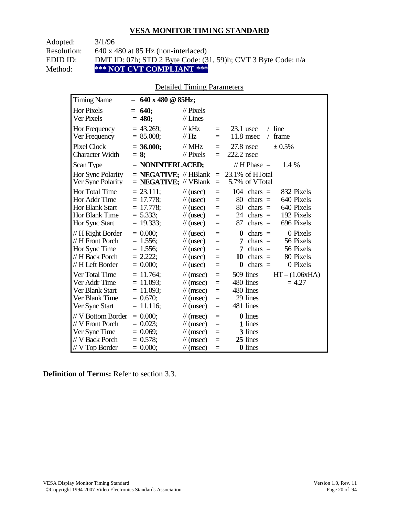Adopted: 3/1/96

Resolution: 640 x 480 at 85 Hz (non-interlaced)

EDID ID: DMT ID: 07h; STD 2 Byte Code: (31, 59)h; CVT 3 Byte Code: n/a<br>Method: \*\*\* NOT CVT COMPLIANT \*\*\*

\*\*\* NOT CVT COMPLIANT \*\*\*

# Detailed Timing Parameters

| <b>Timing Name</b>                                                                              | $= 640 \times 480 \text{ @ } 85 \text{Hz};$                                  |                                                                                                                             |                                      |                                                                                                                                                                      |
|-------------------------------------------------------------------------------------------------|------------------------------------------------------------------------------|-----------------------------------------------------------------------------------------------------------------------------|--------------------------------------|----------------------------------------------------------------------------------------------------------------------------------------------------------------------|
| <b>Hor Pixels</b><br>Ver Pixels                                                                 | 640;<br>$=$<br>$= 480;$                                                      | $\mathcal{U}$ Pixels<br>$//$ Lines                                                                                          |                                      |                                                                                                                                                                      |
| Hor Frequency<br>Ver Frequency                                                                  | $= 43.269$ ;<br>$= 85.008;$                                                  | // $kHz$<br>$\frac{1}{1}$ Hz                                                                                                | $\equiv$<br>$\equiv$                 | $/$ line<br>$23.1$ usec<br>11.8 msec<br>frame<br>$\sqrt{2}$                                                                                                          |
| <b>Pixel Clock</b><br><b>Character Width</b>                                                    | $= 36.000;$<br>$= 8$ ;                                                       | $//$ MHz<br>$//$ Pixels                                                                                                     | $\qquad \qquad =$<br>$\equiv$        | $27.8$ nsec<br>± 0.5%<br>222.2 nsec                                                                                                                                  |
| Scan Type                                                                                       | $=$ NONINTERLACED;                                                           |                                                                                                                             |                                      | // H Phase $=$<br>1.4 %                                                                                                                                              |
| Hor Sync Polarity<br>Ver Sync Polarity                                                          | $=$ <b>NEGATIVE</b> ; $\mathcal{N}$ HBlank<br>$=$ <b>NEGATIVE;</b> // VBlank |                                                                                                                             | $\equiv$<br>$\qquad \qquad =$        | 23.1% of HTotal<br>5.7% of VTotal                                                                                                                                    |
| Hor Total Time<br>Hor Addr Time<br><b>Hor Blank Start</b><br>Hor Blank Time<br>Hor Sync Start   | $= 23.111$ ;<br>$= 17.778$ ;<br>$= 17.778;$<br>$= 5.333;$<br>$= 19.333;$     | $\frac{1}{2}$ (usec)<br>$\frac{1}{2}$ (usec)<br>$\frac{1}{2}$ (usec)<br>$\frac{1}{2}$ (usec)<br>$\frac{1}{2}$ (usec)        | $=$<br>$\equiv$<br>$=$<br>$=$<br>$=$ | $104$ chars =<br>832 Pixels<br>640 Pixels<br>80<br>$chars =$<br>80<br>640 Pixels<br>$chars =$<br>192 Pixels<br>24 chars $=$<br>696 Pixels<br>87<br>$chars =$         |
| $// H$ Right Border<br>// H Front Porch<br>Hor Sync Time<br>// H Back Porch<br>// H Left Border | $= 0.000$<br>$= 1.556$ ;<br>$= 1.556;$<br>$= 2.222$ ;<br>$= 0.000;$          | $\frac{1}{2}$ (usec)<br>$\frac{1}{2}$ (usec)<br>$\frac{1}{2}$ (usec)<br>$\frac{1}{2}$ (usec)<br>$\frac{1}{2}$ (usec)        | $=$<br>$=$<br>$=$<br>$=$<br>$=$      | 0 Pixels<br>$\bf{0}$<br>$chars =$<br>56 Pixels<br>$chars =$<br>7<br>56 Pixels<br>7<br>chars $=$<br>10<br>$chars =$<br>80 Pixels<br>$\bf{0}$<br>chars $=$<br>0 Pixels |
| Ver Total Time<br>Ver Addr Time<br>Ver Blank Start<br>Ver Blank Time<br>Ver Sync Start          | $= 11.764$ ;<br>$= 11.093$ ;<br>$= 11.093$ ;<br>$= 0.670$ ;<br>$= 11.116;$   | $\frac{1}{\sqrt{2}}$ (msec)<br>$\mathcal{U}$ (msec)<br>$\mathcal{U}$ (msec)<br>$\mathcal{U}$ (msec)<br>$\mathcal{U}$ (msec) | $=$<br>$=$<br>$=$<br>$=$<br>$=$      | 509 lines<br>$HT - (1.06xHA)$<br>480 lines<br>$= 4.27$<br>480 lines<br>29 lines<br>481 lines                                                                         |
| // V Bottom Border<br>// V Front Porch<br>Ver Sync Time<br>// V Back Porch<br>$//$ V Top Border | $= 0.000;$<br>$= 0.023$ ;<br>$= 0.069$ ;<br>$= 0.578$ ;<br>$= 0.000;$        | $\frac{1}{\sqrt{2}}$ (msec)<br>$\mathcal{U}$ (msec)<br>$\mathcal{U}$ (msec)<br>$\mathcal{U}$ (msec)<br>$\mathcal{U}$ (msec) | $=$<br>$=$<br>$=$<br>$=$<br>$=$      | <b>0</b> lines<br>1 lines<br>3 lines<br>25 lines<br>0 lines                                                                                                          |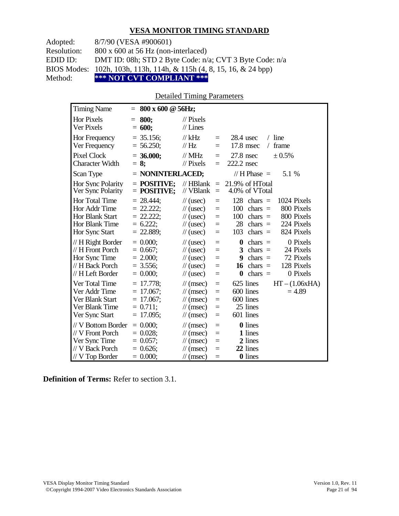Adopted: 8/7/90 (VESA #900601) Resolution: 800 x 600 at 56 Hz (non-interlaced) EDID ID: DMT ID: 08h; STD 2 Byte Code: n/a; CVT 3 Byte Code: n/a BIOS Modes: 102h, 103h, 113h, 114h, & 115h (4, 8, 15, 16, & 24 bpp) Method: **\*\*\* NOT CVT COMPLIANT \*\*\***

#### Detailed Timing Parameters

| <b>Timing Name</b>                                                                             | $=$ | $800 \times 600 \text{ @ } 56$ Hz;                                          |                                                                                                                                  |                                 |                                                                                                                                                                        |
|------------------------------------------------------------------------------------------------|-----|-----------------------------------------------------------------------------|----------------------------------------------------------------------------------------------------------------------------------|---------------------------------|------------------------------------------------------------------------------------------------------------------------------------------------------------------------|
| Hor Pixels<br>Ver Pixels                                                                       | $=$ | 800;<br>$= 600;$                                                            | $\frac{1}{2}$ Pixels<br>$//$ Lines                                                                                               |                                 |                                                                                                                                                                        |
| Hor Frequency<br>Ver Frequency                                                                 |     | $=$ 35.156;<br>$= 56.250;$                                                  | $//$ kHz<br>$\frac{1}{1}$ Hz                                                                                                     | $=$<br>$=$                      | line<br>$28.4$ usec<br>$\sqrt{2}$<br>17.8 msec<br>frame<br>$\sqrt{2}$                                                                                                  |
| <b>Pixel Clock</b><br><b>Character Width</b>                                                   |     | $= 36.000;$<br>$= 8:$                                                       | $//$ MHz<br>$\frac{1}{2}$ Pixels                                                                                                 | $=$<br>$=$                      | $27.8$ nsec<br>$\pm 0.5\%$<br>222.2 nsec                                                                                                                               |
| Scan Type                                                                                      |     | $=$ NONINTERLACED;                                                          |                                                                                                                                  |                                 | // $H$ Phase $=$<br>5.1 %                                                                                                                                              |
| Hor Sync Polarity<br>Ver Sync Polarity                                                         |     | $=$ POSITIVE:<br>$=$ POSITIVE;                                              | $//$ HBlank<br>// VBlank                                                                                                         | $\equiv$<br>$\equiv$            | 21.9% of HTotal<br>4.0% of VTotal                                                                                                                                      |
| Hor Total Time<br>Hor Addr Time<br><b>Hor Blank Start</b><br>Hor Blank Time<br>Hor Sync Start  |     | $= 28.444$ ;<br>$= 22.222$ ;<br>$= 22.222$ ;<br>$= 6.222$ ;<br>$= 22.889;$  | $\frac{1}{2}$ (usec)<br>$\frac{1}{2}$ (usec)<br>$\frac{1}{2}$ (usec)<br>$\frac{1}{2}$ (usec)<br>$\frac{1}{2}$ (usec)             | $=$<br>$=$<br>$=$<br>$=$<br>$=$ | 128<br>1024 Pixels<br>$chars =$<br>800 Pixels<br>100<br>$chars =$<br>800 Pixels<br>100<br>$chars =$<br>224 Pixels<br>28<br>chars $=$<br>824 Pixels<br>chars $=$<br>103 |
| // H Right Border<br>// H Front Porch<br>Hor Sync Time<br>// H Back Porch<br>// H Left Border  |     | $= 0.000$<br>$= 0.667$ ;<br>$= 2.000;$<br>$= 3.556$ ;<br>$= 0.000;$         | $\frac{1}{2}$ (usec)<br>$\frac{1}{2}$ (usec)<br>$\frac{1}{2}$ (usec)<br>$\frac{1}{2}$ (usec)<br>$\frac{1}{2}$ (usec)             | $=$<br>$=$<br>$=$<br>$=$<br>$=$ | 0 Pixels<br>$\bf{0}$<br>$chars =$<br>24 Pixels<br>3<br>$chars =$<br>72 Pixels<br>9<br>$chars =$<br>128 Pixels<br>$chars =$<br>16<br>$chars =$<br>0 Pixels<br>$\bf{0}$  |
| Ver Total Time<br>Ver Addr Time<br>Ver Blank Start<br>Ver Blank Time<br>Ver Sync Start         |     | $= 17.778$ ;<br>$= 17.067$ ;<br>$= 17.067$ ;<br>$= 0.711$ ;<br>$= 17.095$ ; | $\frac{1}{\tan(\theta)}$<br>$\frac{1}{\tan(\theta)}$<br>$\frac{1}{\pi}$ (msec)<br>$\mathcal{U}$ (msec)<br>$\frac{1}{\pi}$ (msec) | $=$<br>$=$<br>$=$<br>$=$<br>$=$ | 625 lines<br>$HT - (1.06xHA)$<br>600 lines<br>$= 4.89$<br>600 lines<br>25 lines<br>601 lines                                                                           |
| // V Bottom Border<br>// V Front Porch<br>Ver Sync Time<br>// V Back Porch<br>$//V$ Top Border |     | $= 0.000$<br>$= 0.028$ ;<br>$= 0.057$ ;<br>$= 0.626$ ;<br>$= 0.000;$        | $\mathcal{U}$ (msec)<br>$\mathcal{U}$ (msec)<br>$\frac{1}{\sqrt{2}}$ (msec)<br>$\frac{1}{\pi}$ (msec)<br>$\mathcal{U}$ (msec)    | $=$<br>$=$<br>$=$<br>$=$<br>$=$ | <b>0</b> lines<br>1 lines<br>2 lines<br>22 lines<br><b>0</b> lines                                                                                                     |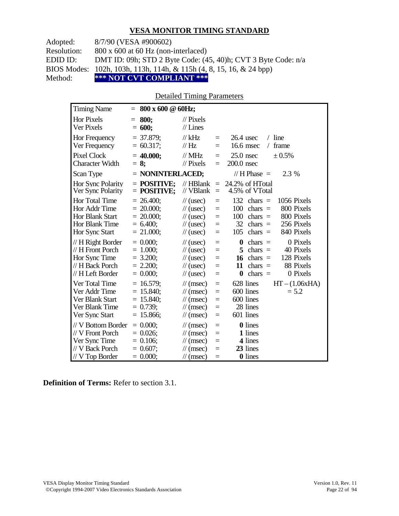Adopted: 8/7/90 (VESA #900602)

Resolution: 800 x 600 at 60 Hz (non-interlaced)

EDID ID: DMT ID: 09h; STD 2 Byte Code: (45, 40)h; CVT 3 Byte Code: n/a

BIOS Modes: 102h, 103h, 113h, 114h, & 115h (4, 8, 15, 16, & 24 bpp)

Method: **\*\*\* NOT CVT COMPLIANT \*\*\***

#### Detailed Timing Parameters

| <b>Timing Name</b>                                                                                   |            | $= 800 \times 600 \text{ } @60Hz;$                                         |                                                                                                                             |                                      |                                                                                                                                                                        |
|------------------------------------------------------------------------------------------------------|------------|----------------------------------------------------------------------------|-----------------------------------------------------------------------------------------------------------------------------|--------------------------------------|------------------------------------------------------------------------------------------------------------------------------------------------------------------------|
| <b>Hor Pixels</b><br><b>Ver Pixels</b>                                                               | $=$<br>$=$ | 800;<br>600;                                                               | $\frac{1}{2}$ Pixels<br>$//$ Lines                                                                                          |                                      |                                                                                                                                                                        |
| Hor Frequency<br>Ver Frequency                                                                       |            | $= 37.879$ ;<br>$= 60.317$ ;                                               | $//$ kHz<br>//Hz                                                                                                            | $=$<br>$=$                           | $/$ line<br>$26.4$ usec<br>16.6 msec<br>frame<br>$\sqrt{2}$                                                                                                            |
| <b>Pixel Clock</b><br><b>Character Width</b>                                                         | $= 8$ ;    | $= 40.000;$                                                                | $//$ MHz<br>$\frac{1}{2}$ Pixels                                                                                            | $=$<br>$=$                           | $25.0$ nsec<br>$\pm 0.5\%$<br>200.0 nsec                                                                                                                               |
| Scan Type                                                                                            |            | $=$ NONINTERLACED;                                                         |                                                                                                                             |                                      | // H Phase $=$<br>2.3 %                                                                                                                                                |
| Hor Sync Polarity<br>Ver Sync Polarity                                                               |            | $=$ POSITIVE:<br>$=$ POSITIVE;                                             | $//$ HBlank<br>// VBlank                                                                                                    | $\equiv$<br>$\equiv$                 | 24.2% of HTotal<br>4.5% of VTotal                                                                                                                                      |
| <b>Hor Total Time</b><br>Hor Addr Time<br><b>Hor Blank Start</b><br>Hor Blank Time<br>Hor Sync Start |            | $= 26.400$ ;<br>$= 20.000;$<br>$= 20.000;$<br>$= 6.400;$<br>$= 21.000;$    | $\frac{1}{2}$ (usec)<br>$\frac{1}{2}$ (usec)<br>$\frac{1}{2}$ (usec)<br>$\frac{1}{2}$ (usec)<br>$\frac{1}{2}$ (usec)        | $\equiv$<br>$=$<br>$=$<br>$=$<br>$=$ | 132<br>1056 Pixels<br>$chars =$<br>800 Pixels<br>100<br>$chars =$<br>800 Pixels<br>100<br>chars $=$<br>32<br>256 Pixels<br>chars $=$<br>840 Pixels<br>105<br>chars $=$ |
| // H Right Border<br>// H Front Porch<br>Hor Sync Time<br>// H Back Porch<br>// H Left Border        |            | $= 0.000$<br>$= 1.000;$<br>$= 3.200$ ;<br>$= 2.200$ ;<br>$= 0.000;$        | $\frac{1}{2}$ (usec)<br>$\frac{1}{2}$ (usec)<br>$\frac{1}{2}$ (usec)<br>$\frac{1}{2}$ (usec)<br>$\frac{1}{2}$ (usec)        | $=$<br>$=$<br>$=$<br>$=$<br>$=$      | 0 Pixels<br>$\bf{0}$<br>$chars =$<br>40 Pixels<br>5<br>$chars =$<br>128 Pixels<br>16<br>$chars =$<br>88 Pixels<br>11<br>$chars =$<br>chars $=$<br>0 Pixels<br>$\bf{0}$ |
| Ver Total Time<br>Ver Addr Time<br>Ver Blank Start<br>Ver Blank Time<br>Ver Sync Start               |            | $= 16.579$ ;<br>$= 15.840$ ;<br>$= 15.840$ ;<br>$= 0.739$ ;<br>$= 15.866;$ | $\mathcal{U}$ (msec)<br>$\mathcal{U}$ (msec)<br>$\mathcal{U}$ (msec)<br>$\mathcal{U}$ (msec)<br>$\mathcal{U}$ (msec)        | $\equiv$<br>$=$<br>$=$<br>$=$<br>$=$ | $HT - (1.06xHA)$<br>628 lines<br>600 lines<br>$= 5.2$<br>600 lines<br>28 lines<br>601 lines                                                                            |
| // V Bottom Border<br>// V Front Porch<br>Ver Sync Time<br>// V Back Porch<br>$//V$ Top Border       |            | $= 0.000;$<br>$= 0.026$<br>$= 0.106$ ;<br>$= 0.607$ ;<br>$= 0.000$         | $\mathcal{U}$ (msec)<br>$\mathcal{U}$ (msec)<br>$\mathcal{U}$ (msec)<br>$\mathcal{U}$ (msec)<br>$\frac{1}{\sqrt{2}}$ (msec) | $\equiv$<br>$=$<br>$=$<br>$=$<br>$=$ | 0 lines<br>1 lines<br>4 lines<br>23 lines<br>0 lines                                                                                                                   |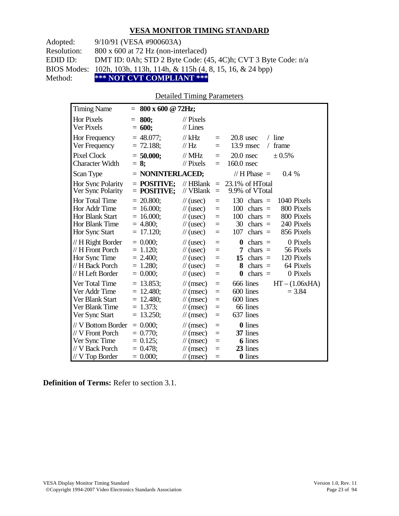Adopted: 9/10/91 (VESA #900603A)

Resolution: 800 x 600 at 72 Hz (non-interlaced)

EDID ID: DMT ID: 0Ah; STD 2 Byte Code: (45, 4C)h; CVT 3 Byte Code: n/a

BIOS Modes: 102h, 103h, 113h, 114h, & 115h (4, 8, 15, 16, & 24 bpp)

Method: **\*\*\* NOT CVT COMPLIANT \*\*\***

#### Detailed Timing Parameters

| <b>Timing Name</b>                                                                            | $= 800 \times 600 \text{ @ } 72 \text{Hz};$                                |                                                                                                                             |                                 |                                                                                                                                                                        |
|-----------------------------------------------------------------------------------------------|----------------------------------------------------------------------------|-----------------------------------------------------------------------------------------------------------------------------|---------------------------------|------------------------------------------------------------------------------------------------------------------------------------------------------------------------|
| Hor Pixels<br><b>Ver Pixels</b>                                                               | 800:<br>$=$<br>600;<br>$=$                                                 | $\mathcal{U}$ Pixels<br>$//$ Lines                                                                                          |                                 |                                                                                                                                                                        |
| Hor Frequency<br>Ver Frequency                                                                | $= 48.077$ ;<br>$= 72.188$ ;                                               | $//$ kHz<br>// Hz                                                                                                           | $\equiv$<br>$=$                 | $20.8$ usec<br>$/$ line<br>13.9 msec<br>frame<br>$\sqrt{2}$                                                                                                            |
| <b>Pixel Clock</b><br><b>Character Width</b>                                                  | $= 50.000;$<br>$= 8$ ;                                                     | $//$ MHz<br>$\frac{1}{2}$ Pixels                                                                                            | $=$<br>$=$                      | $20.0$ nsec<br>$\pm 0.5\%$<br>160.0 nsec                                                                                                                               |
| Scan Type                                                                                     | = NONINTERLACED;                                                           |                                                                                                                             |                                 | // H Phase $=$<br>$0.4\%$                                                                                                                                              |
| Hor Sync Polarity<br>Ver Sync Polarity                                                        | $=$ POSITIVE:<br>$=$ POSITIVE;                                             | $//$ HBlank<br>// VBlank                                                                                                    | $\equiv$<br>$=$                 | 23.1% of HTotal<br>9.9% of VTotal                                                                                                                                      |
| Hor Total Time<br>Hor Addr Time<br>Hor Blank Start<br>Hor Blank Time<br>Hor Sync Start        | $= 20.800;$<br>$= 16.000$ ;<br>$= 16.000$ ;<br>$= 4.800$ ;<br>$= 17.120$ ; | $\frac{1}{2}$ (usec)<br>$\frac{1}{2}$ (usec)<br>$\frac{1}{2}$ (usec)<br>$\frac{1}{2}$ (usec)<br>$\frac{1}{2}$ (usec)        | $=$<br>$=$<br>$=$<br>$=$<br>$=$ | 130<br>1040 Pixels<br>$chars =$<br>800 Pixels<br>100<br>chars $=$<br>100<br>800 Pixels<br>chars $=$<br>30<br>240 Pixels<br>$chars =$<br>107<br>$chars =$<br>856 Pixels |
| // H Right Border<br>// H Front Porch<br>Hor Sync Time<br>// H Back Porch<br>// H Left Border | $= 0.000;$<br>$= 1.120$ ;<br>$= 2.400$ ;<br>$= 1.280$ ;<br>$= 0.000;$      | $\frac{1}{2}$ (usec)<br>$\frac{1}{2}$ (usec)<br>$\frac{1}{2}$ (usec)<br>$\frac{1}{2}$ (usec)<br>$\frac{1}{2}$ (usec)        | $=$<br>$=$<br>$=$<br>$=$<br>$=$ | 0 Pixels<br>$chars =$<br>0<br>56 Pixels<br>7<br>$chars =$<br>120 Pixels<br>$chars =$<br>15<br>64 Pixels<br>$chars =$<br>8<br>chars $=$<br>0 Pixels<br>$\bf{0}$         |
| Ver Total Time<br>Ver Addr Time<br>Ver Blank Start<br>Ver Blank Time<br>Ver Sync Start        | $= 13.853$ ;<br>$= 12.480$ ;<br>$= 12.480$ ;<br>$= 1.373$ ;<br>$= 13.250;$ | $\mathcal{U}$ (msec)<br>$\mathcal{U}$ (msec)<br>$\mathcal{U}$ (msec)<br>$\mathcal{U}$ (msec)<br>$\mathcal{U}$ (msec)        | $=$<br>$=$<br>$=$<br>$=$<br>$=$ | 666 lines<br>$HT - (1.06xHA)$<br>600 lines<br>$= 3.84$<br>600 lines<br>66 lines<br>637 lines                                                                           |
| // V Bottom Border<br>// V Front Porch<br>Ver Sync Time<br>// V Back Porch<br>// V Top Border | $= 0.000;$<br>$= 0.770$<br>$= 0.125$ ;<br>$= 0.478$ ;<br>$= 0.000;$        | $\mathcal{U}$ (msec)<br>$\mathcal{U}$ (msec)<br>$\mathcal{U}$ (msec)<br>$\mathcal{U}$ (msec)<br>$\frac{1}{\sqrt{2}}$ (msec) | $=$<br>$=$<br>$=$<br>$=$<br>$=$ | 0 lines<br>37 lines<br>6 lines<br>23 lines<br>0 lines                                                                                                                  |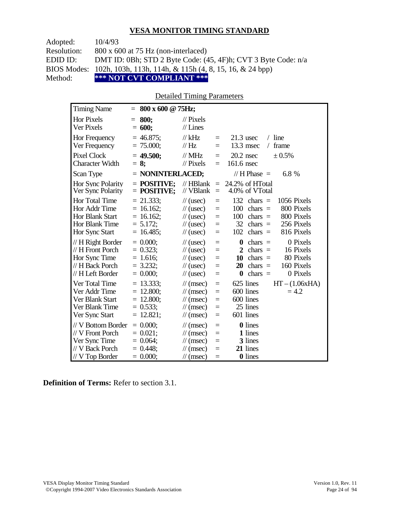| Adopted:    | 10/4/93                                                                        |
|-------------|--------------------------------------------------------------------------------|
| Resolution: | $800 \times 600$ at 75 Hz (non-interlaced)                                     |
| EDID ID:    | DMT ID: 0Bh; STD 2 Byte Code: (45, 4F)h; CVT 3 Byte Code: n/a                  |
|             | BIOS Modes: 102h, 103h, 113h, 114h, & 115h $(4, 8, 15, 16, \& 24 \text{ bpp})$ |
| Method:     | *** NOT CVT COMPLIANT ***                                                      |

## Detailed Timing Parameters

| <b>Timing Name</b>                                                                            | $800 \times 600 \text{ @ } 75 \text{Hz}$ ;<br>$=$                         |                                                                                                                      |                                 |                                                                                                                                                                                                   |
|-----------------------------------------------------------------------------------------------|---------------------------------------------------------------------------|----------------------------------------------------------------------------------------------------------------------|---------------------------------|---------------------------------------------------------------------------------------------------------------------------------------------------------------------------------------------------|
| <b>Hor Pixels</b><br>Ver Pixels                                                               | 800:<br>$=$<br>$= 600;$                                                   | $\frac{1}{2}$ Pixels<br>$//$ Lines                                                                                   |                                 |                                                                                                                                                                                                   |
| Hor Frequency<br>Ver Frequency                                                                | $= 46.875$ ;<br>$= 75.000;$                                               | $//$ kHz<br>//Hz                                                                                                     | $=$<br>$=$                      | $21.3$ usec<br>$/$ line<br>13.3 msec<br>frame<br>$\sqrt{2}$                                                                                                                                       |
| <b>Pixel Clock</b><br>Character Width                                                         | $= 49.500$ ;<br>$= 8:$                                                    | $//$ MHz<br>$\frac{1}{2}$ Pixels                                                                                     | $=$<br>$=$                      | $20.2$ nsec<br>$\pm 0.5\%$<br>$161.6$ nsec                                                                                                                                                        |
| Scan Type                                                                                     | = NONINTERLACED;                                                          |                                                                                                                      |                                 | // H Phase $=$<br>6.8 %                                                                                                                                                                           |
| Hor Sync Polarity<br>Ver Sync Polarity                                                        | $=$ POSITIVE:<br>$=$ POSITIVE;                                            | $//$ HBlank<br>// VBlank                                                                                             | $\equiv$<br>$\equiv$            | 24.2% of HTotal<br>4.0% of VTotal                                                                                                                                                                 |
| Hor Total Time<br>Hor Addr Time<br>Hor Blank Start<br>Hor Blank Time<br>Hor Sync Start        | $= 21.333;$<br>$= 16.162$ ;<br>$= 16.162$ ;<br>$= 5.172$ ;<br>$= 16.485;$ | $\frac{1}{2}$ (usec)<br>$\frac{1}{2}$ (usec)<br>$\frac{1}{2}$ (usec)<br>$\frac{1}{2}$ (usec)<br>$\frac{1}{2}$ (usec) | $=$<br>$=$<br>$=$<br>$=$<br>$=$ | 132<br>$chars =$<br>1056 Pixels<br>800 Pixels<br>100<br>chars $=$<br>800 Pixels<br>100<br>$chars =$<br>32<br>chars $=$<br>256 Pixels<br>816 Pixels<br>102<br>$chars =$                            |
| // H Right Border<br>// H Front Porch<br>Hor Sync Time<br>// H Back Porch<br>// H Left Border | $= 0.000;$<br>$= 0.323;$<br>$= 1.616;$<br>$= 3.232$ ;<br>$= 0.000;$       | $\frac{1}{2}$ (usec)<br>$\frac{1}{2}$ (usec)<br>$\frac{1}{2}$ (usec)<br>$\frac{1}{2}$ (usec)<br>$\frac{1}{2}$ (usec) | $=$<br>$=$<br>$=$<br>$=$<br>$=$ | 0 Pixels<br>$\boldsymbol{0}$<br>chars $=$<br>$\mathbf{2}$<br>16 Pixels<br>$chars =$<br>80 Pixels<br>10<br>$chars =$<br>chars $=$<br>160 Pixels<br>20<br>chars $=$<br>0 Pixels<br>$\boldsymbol{0}$ |
| Ver Total Time<br>Ver Addr Time<br>Ver Blank Start<br>Ver Blank Time<br>Ver Sync Start        | $= 13.333;$<br>$= 12.800;$<br>$= 12.800;$<br>$= 0.533;$<br>$= 12.821;$    | $\mathcal{U}$ (msec)<br>$\mathcal{U}$ (msec)<br>$\mathcal{U}$ (msec)<br>$\mathcal{U}$ (msec)<br>$\mathcal{U}$ (msec) | $=$<br>$=$<br>$=$<br>$=$<br>$=$ | 625 lines<br>$HT - (1.06xHA)$<br>600 lines<br>$= 4.2$<br>600 lines<br>25 lines<br>601 lines                                                                                                       |
| // V Bottom Border<br>// V Front Porch<br>Ver Sync Time<br>// V Back Porch<br>// V Top Border | $= 0.000$<br>$= 0.021$ ;<br>$= 0.064$ ;<br>$= 0.448$ ;<br>$= 0.000;$      | $\mathcal{U}$ (msec)<br>$\mathcal{U}$ (msec)<br>$\mathcal{U}$ (msec)<br>$\mathcal{U}$ (msec)<br>$\mathcal{U}$ (msec) | $=$<br>$=$<br>$=$<br>$=$<br>$=$ | <b>0</b> lines<br>1 lines<br>3 lines<br>21 lines<br><b>0</b> lines                                                                                                                                |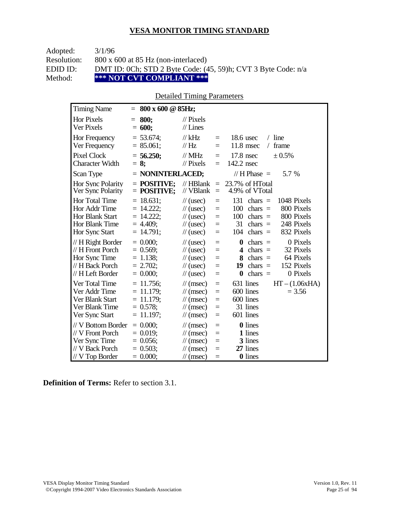| Adopted:    | 3/1/96                                                        |
|-------------|---------------------------------------------------------------|
| Resolution: | $800 \times 600$ at 85 Hz (non-interlaced)                    |
| EDID ID:    | DMT ID: 0Ch; STD 2 Byte Code: (45, 59)h; CVT 3 Byte Code: n/a |
| Method:     | *** NOT CVT COMPLIANT ***                                     |

## Detailed Timing Parameters

| <b>Timing Name</b>                                                                            | 800 x 600 @ 85Hz;<br>$=$                                                    |                                                                                                                                                                   |                                                                                                                                                                        |
|-----------------------------------------------------------------------------------------------|-----------------------------------------------------------------------------|-------------------------------------------------------------------------------------------------------------------------------------------------------------------|------------------------------------------------------------------------------------------------------------------------------------------------------------------------|
| <b>Hor Pixels</b><br>Ver Pixels                                                               | 800:<br>$=$<br>$= 600;$                                                     | $\frac{1}{2}$ Pixels<br>$//$ Lines                                                                                                                                |                                                                                                                                                                        |
| Hor Frequency<br>Ver Frequency                                                                | $= 53.674$ ;<br>$= 85.061;$                                                 | $//$ kHz<br>$=$<br>$\frac{1}{1}$ Hz<br>$\equiv$                                                                                                                   | $18.6$ usec<br>$/$ line<br>$11.8$ msec<br>frame<br>$\sqrt{2}$                                                                                                          |
| Pixel Clock<br><b>Character Width</b>                                                         | $= 56.250;$<br>$= 8$ ;                                                      | $\frac{1}{2}$ MHz<br>$\equiv$<br>// Pixels<br>$=$                                                                                                                 | $17.8$ nsec<br>± 0.5%<br>142.2 nsec                                                                                                                                    |
| Scan Type                                                                                     | = NONINTERLACED;                                                            |                                                                                                                                                                   | // H Phase $=$<br>5.7 %                                                                                                                                                |
| Hor Sync Polarity<br>Ver Sync Polarity                                                        | $=$ POSITIVE:<br>$=$ POSITIVE;                                              | $//$ HBlank<br>$\equiv$<br>// VBlank<br>$\equiv$                                                                                                                  | 23.7% of HTotal<br>4.9% of VTotal                                                                                                                                      |
| Hor Total Time<br>Hor Addr Time<br><b>Hor Blank Start</b><br>Hor Blank Time<br>Hor Sync Start | $= 18.631$ ;<br>$= 14.222$ ;<br>$= 14.222$ ;<br>$= 4.409$ ;<br>$= 14.791$ ; | $\frac{1}{2}$ (usec)<br>$=$<br>$\frac{1}{2}$ (usec)<br>$=$<br>$\frac{1}{2}$ (usec)<br>$\equiv$<br>$\frac{1}{2}$ (usec)<br>$\equiv$<br>$\frac{1}{2}$ (usec)<br>$=$ | 131<br>1048 Pixels<br>chars $=$<br>800 Pixels<br>100<br>$chars =$<br>800 Pixels<br>100<br>$chars =$<br>31<br>248 Pixels<br>chars $=$<br>832 Pixels<br>104<br>$chars =$ |
| // H Right Border<br>// H Front Porch<br>Hor Sync Time<br>// H Back Porch<br>// H Left Border | $= 0.000$<br>$= 0.569$ ;<br>$= 1.138$ ;<br>$= 2.702$ ;<br>$= 0.000;$        | $\frac{1}{2}$ (usec)<br>$=$<br>$\frac{1}{2}$ (usec)<br>$=$<br>$=$<br>$\frac{1}{2}$ (usec)<br>$\frac{1}{2}$ (usec)<br>$\equiv$<br>$\frac{1}{2}$ (usec)<br>$=$      | 0 Pixels<br>$\bf{0}$<br>$chars =$<br>32 Pixels<br>chars $=$<br>4<br>64 Pixels<br>8<br>$chars =$<br>152 Pixels<br>chars $=$<br>19<br>0 Pixels<br>chars $=$<br>$\bf{0}$  |
| Ver Total Time<br>Ver Addr Time<br>Ver Blank Start<br>Ver Blank Time<br>Ver Sync Start        | $= 11.756$ ;<br>$= 11.179;$<br>$= 11.179$ ;<br>$= 0.578;$<br>$= 11.197$ ;   | $\mathcal{U}$ (msec)<br>$\equiv$<br>$\mathcal{U}$ (msec)<br>$=$<br>$\mathcal{U}$ (msec)<br>$=$<br>$\mathcal{U}$ (msec)<br>$=$<br>$\mathcal{U}$ (msec)<br>$=$      | 631 lines<br>$HT - (1.06xHA)$<br>600 lines<br>$= 3.56$<br>600 lines<br>31 lines<br>601 lines                                                                           |
| // V Bottom Border<br>// V Front Porch<br>Ver Sync Time<br>// V Back Porch<br>// V Top Border | $= 0.000;$<br>$= 0.019$ ;<br>$= 0.056$ ;<br>$= 0.503$ ;<br>$= 0.000;$       | $\mathcal{U}$ (msec)<br>$\equiv$<br>$\mathcal{U}$ (msec)<br>$=$<br>$\mathcal{U}$ (msec)<br>$=$<br>$\mathcal{U}$ (msec)<br>$=$<br>$\mathcal{U}$ (msec)<br>$=$      | 0 lines<br>1 lines<br>3 lines<br>27 lines<br>0 lines                                                                                                                   |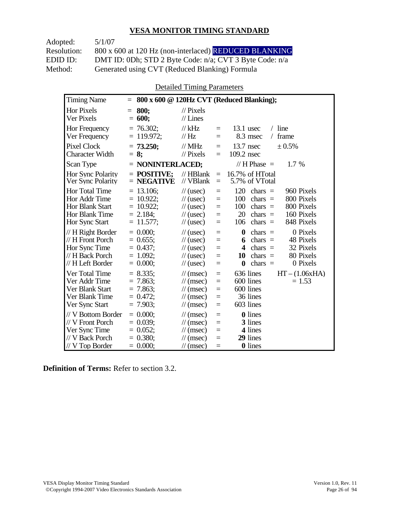Adopted: 5/1/07

Resolution: 800 x 600 at 120 Hz (non-interlaced) REDUCED BLANKING EDID ID: DMT ID: 0Dh; STD 2 Byte Code: n/a; CVT 3 Byte Code: n/a<br>Method: Generated using CVT (Reduced Blanking) Formula Generated using CVT (Reduced Blanking) Formula

Detailed Timing Parameters

| <b>Timing Name</b>                                                                              | $=$                                                                         |                                                                                                                      |                                 | 800 x 600 @ 120Hz CVT (Reduced Blanking);                                                                                                                             |
|-------------------------------------------------------------------------------------------------|-----------------------------------------------------------------------------|----------------------------------------------------------------------------------------------------------------------|---------------------------------|-----------------------------------------------------------------------------------------------------------------------------------------------------------------------|
| <b>Hor Pixels</b><br>Ver Pixels                                                                 | 800:<br>$=$<br>$= 600;$                                                     | $\mathcal{U}$ Pixels<br>$//$ Lines                                                                                   |                                 |                                                                                                                                                                       |
| Hor Frequency<br>Ver Frequency                                                                  | $= 76.302$ ;<br>$= 119.972;$                                                | $//$ kHz<br>$\mathcal{U}$ Hz                                                                                         | $=$<br>$=$                      | $13.1$ usec<br>$/$ line<br>8.3 msec<br>frame<br>$\sqrt{2}$                                                                                                            |
| <b>Pixel Clock</b><br><b>Character Width</b>                                                    | $= 73.250$ ;<br>$= 8:$                                                      | $//$ MHz<br>$\mathcal{U}$ Pixels                                                                                     | $\equiv$<br>$=$                 | $13.7$ nsec<br>$\pm 0.5\%$<br>109.2 nsec                                                                                                                              |
| Scan Type                                                                                       | $=$ NONINTERLACED;                                                          |                                                                                                                      |                                 | // H Phase $=$<br>1.7 %                                                                                                                                               |
| <b>Hor Sync Polarity</b><br>Ver Sync Polarity                                                   | $=$ POSITIVE:<br>$=$ NEGATIVE                                               | $//$ HBlank<br>// VBlank                                                                                             | $=$<br>$\equiv$                 | 16.7% of HTotal<br>5.7% of VTotal                                                                                                                                     |
| Hor Total Time<br>Hor Addr Time<br>Hor Blank Start<br>Hor Blank Time<br>Hor Sync Start          | $= 13.106$ ;<br>$= 10.922$ ;<br>$= 10.922$ ;<br>$= 2.184$ ;<br>$= 11.577$ ; | $\frac{1}{2}$ (usec)<br>$\frac{1}{2}$ (usec)<br>$\frac{1}{2}$ (usec)<br>$\frac{1}{2}$ (usec)<br>$\frac{1}{2}$ (usec) | $=$<br>$=$<br>$=$<br>$=$<br>$=$ | 120<br>960 Pixels<br>chars $=$<br>100<br>800 Pixels<br>chars $=$<br>100<br>800 Pixels<br>$chars =$<br>20<br>chars $=$<br>160 Pixels<br>848 Pixels<br>106<br>$chars =$ |
| // H Right Border<br>// H Front Porch<br>Hor Sync Time<br>// H Back Porch<br>// H Left Border   | $= 0.000$<br>$= 0.655$ ;<br>$= 0.437$ :<br>$= 1.092$<br>$= 0.000;$          | $\frac{1}{2}$ (usec)<br>$\frac{1}{2}$ (usec)<br>$\frac{1}{2}$ (usec)<br>$\frac{1}{2}$ (usec)<br>$\frac{1}{2}$ (usec) | $=$<br>$=$<br>$=$<br>$=$<br>$=$ | $\bf{0}$<br>0 Pixels<br>chars $=$<br>48 Pixels<br>$chars =$<br>6<br>32 Pixels<br>4<br>$chars =$<br>80 Pixels<br>10<br>chars $=$<br>0 Pixels<br>$\bf{0}$<br>chars $=$  |
| Ver Total Time<br>Ver Addr Time<br>Ver Blank Start<br>Ver Blank Time<br>Ver Sync Start          | $= 8.335$<br>$= 7.863$<br>$= 7.863$ ;<br>$= 0.472$<br>$= 7.903$ ;           | $\mathcal{U}$ (msec)<br>$\mathcal{U}$ (msec)<br>$\mathcal{U}$ (msec)<br>$\mathcal{U}$ (msec)<br>$\mathcal{U}$ (msec) | $=$<br>$=$<br>$=$<br>$=$<br>$=$ | $HT - (1.06xHA)$<br>636 lines<br>600 lines<br>$= 1.53$<br>600 lines<br>36 lines<br>603 lines                                                                          |
| // V Bottom Border<br>// V Front Porch<br>Ver Sync Time<br>// V Back Porch<br>$//$ V Top Border | $= 0.000$<br>$= 0.039$<br>$= 0.052$ ;<br>$= 0.380;$<br>$= 0.000;$           | $\mathcal{U}$ (msec)<br>$\mathcal{U}$ (msec)<br>$\mathcal{U}$ (msec)<br>$\mathcal{U}$ (msec)<br>$\mathcal{U}$ (msec) | $=$<br>$=$<br>$=$<br>$=$<br>$=$ | <b>0</b> lines<br>3 lines<br>4 lines<br>29 lines<br><b>0</b> lines                                                                                                    |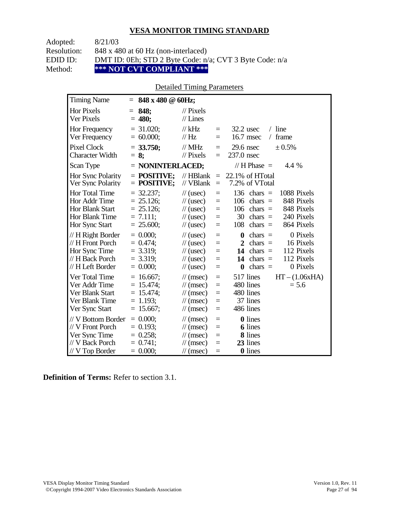Adopted: 8/21/03

Resolution: 848 x 480 at 60 Hz (non-interlaced)

EDID ID: DMT ID: 0Eh; STD 2 Byte Code: n/a; CVT 3 Byte Code: n/a<br>Method: \*\*\* NOT CVT COMPLIANT \*\*\*

**\*\*\* NOT CVT COMPLIANT \*\*\*** 

# Detailed Timing Parameters

| <b>Timing Name</b>                                                                              | $=$ 848 x 480 @ 60Hz;                                                      |                                                                                                                                                      |                                                                                                                                                                                                                         |
|-------------------------------------------------------------------------------------------------|----------------------------------------------------------------------------|------------------------------------------------------------------------------------------------------------------------------------------------------|-------------------------------------------------------------------------------------------------------------------------------------------------------------------------------------------------------------------------|
| <b>Hor Pixels</b><br>Ver Pixels                                                                 | 848;<br>$=$<br>$= 480;$                                                    | $\frac{1}{2}$ Pixels<br>$//$ Lines                                                                                                                   |                                                                                                                                                                                                                         |
| Hor Frequency<br>Ver Frequency                                                                  | $= 31.020;$<br>$= 60.000;$                                                 | // $kHz$<br>// Hz                                                                                                                                    | $/$ line<br>$32.2$ usec<br>$\equiv$<br>16.7 msec<br>frame<br>$\sqrt{2}$<br>$=$                                                                                                                                          |
| <b>Pixel Clock</b><br><b>Character Width</b>                                                    | $= 33.750;$<br>$= 8;$                                                      | $//$ MHz<br>$//$ Pixels                                                                                                                              | $29.6$ nsec<br>± 0.5%<br>$=$<br>237.0 nsec<br>$=$                                                                                                                                                                       |
| Scan Type                                                                                       | = NONINTERLACED;                                                           |                                                                                                                                                      | // H Phase $=$<br>4.4 %                                                                                                                                                                                                 |
| <b>Hor Sync Polarity</b><br>Ver Sync Polarity                                                   | $=$ POSITIVE;<br>$=$ POSITIVE;                                             | $\mathcal{U}$ HBlank<br>// VBlank                                                                                                                    | $22.1\%$ of HTotal<br>$=$<br>7.2% of VTotal<br>$=$                                                                                                                                                                      |
| Hor Total Time<br>Hor Addr Time<br>Hor Blank Start<br>Hor Blank Time<br>Hor Sync Start          | $= 32.237$ ;<br>$= 25.126$ ;<br>$= 25.126$ ;<br>$= 7.111$ ;<br>$= 25.600;$ | $\frac{1}{2}$ (usec)<br>$\frac{1}{2}$ (usec)<br>$\frac{1}{2}$ (usec)<br>$\frac{1}{2}$ (usec)<br>$\frac{1}{2}$ (usec)                                 | 136 chars $=$<br>1088 Pixels<br>$=$<br>$chars =$<br>848 Pixels<br>106<br>$=$<br>848 Pixels<br>106<br>$chars =$<br>$=$<br>240 Pixels<br>30<br>chars $=$<br>$=$<br>864 Pixels<br>108<br>chars $=$<br>$=$                  |
| // H Right Border<br>// H Front Porch<br>Hor Sync Time<br>// H Back Porch<br>// H Left Border   | $= 0.000;$<br>$= 0.474$ ;<br>$= 3.319;$<br>$= 3.319$ ;<br>$= 0.000;$       | $\frac{1}{2}$ (usec)<br>$\frac{1}{2}$ (usec)<br>$\frac{1}{2}$ (usec)<br>$\frac{1}{2}$ (usec)<br>$\frac{1}{2}$ (usec)                                 | 0 Pixels<br>$\bf{0}$<br>chars $=$<br>$=$<br>16 Pixels<br>$\mathbf{2}$<br>$chars =$<br>$=$<br>$=$<br>112 Pixels<br>14 chars $=$<br>112 Pixels<br>14 chars $=$<br>$=$<br>0 Pixels<br>chars $=$<br>$\boldsymbol{0}$<br>$=$ |
| Ver Total Time<br>Ver Addr Time<br>Ver Blank Start<br>Ver Blank Time<br>Ver Sync Start          | $= 16.667;$<br>$= 15.474$ ;<br>$= 15.474$ ;<br>$= 1.193$ ;<br>$= 15.667;$  | $\frac{1}{\sqrt{2}}$ (msec)<br>$\frac{1}{\sqrt{2}}$ (msec)<br>$\frac{1}{\sqrt{2}}$ (msec)<br>$\frac{1}{\tan(\theta)}$<br>$\frac{1}{\sqrt{2}}$ (msec) | 517 lines<br>$HT - (1.06xHA)$<br>$=$<br>480 lines<br>$= 5.6$<br>$=$<br>480 lines<br>$=$<br>37 lines<br>$=$<br>486 lines<br>$=$                                                                                          |
| // V Bottom Border<br>// V Front Porch<br>Ver Sync Time<br>// V Back Porch<br>$//$ V Top Border | $= 0.000;$<br>$= 0.193$ ;<br>$= 0.258;$<br>$= 0.741$ ;<br>$= 0.000;$       | $\frac{1}{\sqrt{2}}$ (msec)<br>$\frac{1}{\sqrt{2}}$ (msec)<br>$\frac{1}{\sqrt{2}}$ (msec)<br>$\frac{1}{\pi}$ (msec)<br>$\frac{1}{\pi}$ (msec)        | <b>0</b> lines<br>$=$<br><b>6</b> lines<br>$=$<br>8 lines<br>$=$<br>23 lines<br>$=$<br>0 lines<br>$=$                                                                                                                   |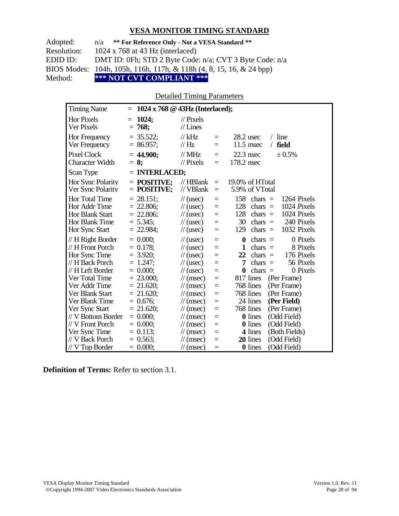| Adopted:    | n/a ** For Reference Only - Not a VESA Standard **                             |
|-------------|--------------------------------------------------------------------------------|
| Resolution: | $1024 \times 768$ at 43 Hz (interlaced)                                        |
| EDID ID:    | DMT ID: 0Fh; STD 2 Byte Code: n/a; CVT 3 Byte Code: n/a                        |
|             | BIOS Modes: 104h, 105h, 116h, 117h, & 118h $(4, 8, 15, 16, \& 24 \text{ bpp})$ |
| Method:     | *** NOT CVT COMPLIANT ***                                                      |

Detailed Timing Parameters

| <b>Timing Name</b>                                                                     | $1024 \times 768 \otimes 43Hz$ (Interlaced);<br>$=$                       |                                                                                                                      |                                 |                                                                                                                                                                           |
|----------------------------------------------------------------------------------------|---------------------------------------------------------------------------|----------------------------------------------------------------------------------------------------------------------|---------------------------------|---------------------------------------------------------------------------------------------------------------------------------------------------------------------------|
| <b>Hor Pixels</b><br>Ver Pixels                                                        | 1024;<br>$=$<br>$= 768;$                                                  | $\mathcal{U}$ Pixels<br>$//$ Lines                                                                                   |                                 |                                                                                                                                                                           |
| Hor Frequency<br>Ver Frequency                                                         | $= 35.522$ ;<br>$= 86.957;$                                               | $//$ kHz<br>$\mathcal{U}$ Hz                                                                                         | $=$<br>$=$                      | $/$ line<br>28.2 usec<br>$11.5$ msec<br>field<br>$\sqrt{2}$                                                                                                               |
| <b>Pixel Clock</b><br><b>Character Width</b>                                           | $= 44.900$ ;<br>$= 8$ ;                                                   | $//$ MHz<br>$\frac{1}{2}$ Pixels                                                                                     | $=$<br>$=$                      | $22.3$ nsec<br>± 0.5%<br>178.2 nsec                                                                                                                                       |
| Scan Type                                                                              | $=$ INTERLACED;                                                           |                                                                                                                      |                                 |                                                                                                                                                                           |
| Hor Sync Polarity<br>Ver Sync Polarity                                                 | $=$ POSITIVE:<br>$=$ POSITIVE;                                            | $//$ HBlank<br>// VBlank                                                                                             | $\equiv$<br>$\equiv$            | 19.0% of HTotal<br>5.9% of VTotal                                                                                                                                         |
| Hor Total Time<br>Hor Addr Time<br>Hor Blank Start<br>Hor Blank Time<br>Hor Sync Start | $= 28.151$ ;<br>$= 22.806$ ;<br>$= 22.806;$<br>$= 5.345$ ;<br>$= 22.984;$ | $\frac{1}{2}$ (usec)<br>$\frac{1}{2}$ (usec)<br>$\frac{1}{2}$ (usec)<br>$\frac{1}{2}$ (usec)<br>$\frac{1}{2}$ (usec) | $=$<br>$=$<br>$=$<br>$=$<br>$=$ | 158<br>1264 Pixels<br>chars $=$<br>128<br>chars $=$<br>1024 Pixels<br>128<br>1024 Pixels<br>chars $=$<br>240 Pixels<br>30<br>chars $=$<br>chars $=$<br>1032 Pixels<br>129 |
| // H Right Border<br>// H Front Porch<br>Hor Sync Time                                 | $= 0.000$<br>$= 0.178$ ;<br>$= 3.920$ ;                                   | $\frac{1}{2}$ (usec)<br>$\frac{1}{2}$ (usec)<br>$\frac{1}{2}$ (usec)                                                 | $=$<br>$=$<br>$=$               | 0 Pixels<br>chars $=$<br>0<br>8 Pixels<br>1<br>chars $=$<br>176 Pixels<br>22<br>$chars =$                                                                                 |
| // H Back Porch<br>// H Left Border                                                    | $= 1.247$ ;<br>$= 0.000$                                                  | $\frac{1}{2}$ (usec)<br>$\frac{1}{2}$ (usec)                                                                         | $=$<br>$=$                      | 56 Pixels<br>7<br>chars $=$<br>$\bf{0}$<br>$\text{chars}$ =<br>0 Pixels                                                                                                   |
| Ver Total Time                                                                         | $= 23.000;$                                                               | $\frac{1}{\sqrt{2}}$ (msec)                                                                                          | $=$                             | 817 lines<br>(Per Frame)                                                                                                                                                  |
| Ver Addr Time<br>Ver Blank Start                                                       | $= 21.620$ ;<br>$= 21.620$ ;                                              | $\mathcal{U}$ (msec)<br>$\frac{1}{\pi}$ (msec)                                                                       | $=$<br>$=$                      | 768 lines<br>(Per Frame)<br>768 lines<br>(Per Frame)                                                                                                                      |
| Ver Blank Time                                                                         | $= 0.676;$                                                                | $\frac{1}{\pi}$ (msec)                                                                                               | $=$                             | 24 lines<br>(Per Field)                                                                                                                                                   |
| Ver Sync Start                                                                         | $= 21.620$ ;                                                              | $\frac{1}{\pi}$ (msec)                                                                                               | $=$                             | 768 lines<br>(Per Frame)                                                                                                                                                  |
| // V Bottom Border                                                                     | $= 0.000;$                                                                | $\frac{1}{\pi}$ (msec)                                                                                               | $=$                             | 0 lines<br>(Odd Field)                                                                                                                                                    |
| // V Front Porch<br>Ver Sync Time                                                      | $= 0.000;$<br>$= 0.113;$                                                  | $\frac{1}{\sqrt{2}}$ (msec)<br>$\frac{1}{\sqrt{2}}$ (msec)                                                           | $=$<br>$=$                      | (Odd Field)<br>0 lines<br>4 lines<br>(Both Fields)                                                                                                                        |
| // V Back Porch                                                                        | $= 0.563$ ;                                                               | $\frac{1}{\pi}$ (msec)                                                                                               | $=$                             | 20 lines<br>(Odd Field)                                                                                                                                                   |
| $//$ V Top Border                                                                      | $= 0.000;$                                                                | $\mathcal{U}$ (msec)                                                                                                 | $=$                             | <b>0</b> lines<br>(Odd Field)                                                                                                                                             |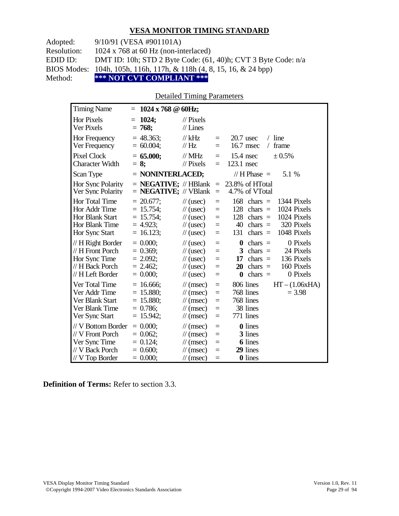Adopted: 9/10/91 (VESA #901101A)

Resolution: 1024 x 768 at 60 Hz (non-interlaced)

EDID ID: DMT ID: 10h; STD 2 Byte Code: (61, 40)h; CVT 3 Byte Code: n/a

BIOS Modes: 104h, 105h, 116h, 117h, & 118h (4, 8, 15, 16, & 24 bpp)

Method: **\*\*\* NOT CVT COMPLIANT \*\*\***

#### Detailed Timing Parameters

| <b>Timing Name</b>                                                                              |     | $= 1024 \times 768 \text{ } \textcircled{a} 60 \text{Hz};$                    |                                                                                                                             |                                      |                                                                                                                                                                           |
|-------------------------------------------------------------------------------------------------|-----|-------------------------------------------------------------------------------|-----------------------------------------------------------------------------------------------------------------------------|--------------------------------------|---------------------------------------------------------------------------------------------------------------------------------------------------------------------------|
| <b>Hor Pixels</b><br>Ver Pixels                                                                 | $=$ | 1024;<br>$= 768;$                                                             | $\frac{1}{2}$ Pixels<br>$//$ Lines                                                                                          |                                      |                                                                                                                                                                           |
| Hor Frequency<br>Ver Frequency                                                                  |     | $= 48.363$ ;<br>$= 60.004$ ;                                                  | $//$ kHz<br>//Hz                                                                                                            | $\equiv$<br>$=$                      | $/$ line<br>$20.7$ usec<br>16.7 msec<br>frame<br>$\sqrt{2}$                                                                                                               |
| <b>Pixel Clock</b><br><b>Character Width</b>                                                    |     | $= 65.000;$<br>$= 8$ ;                                                        | $//$ MHz<br>$\frac{1}{2}$ Pixels                                                                                            | $\equiv$<br>$\equiv$                 | $15.4$ nsec<br>± 0.5%<br>123.1 nsec                                                                                                                                       |
| Scan Type                                                                                       |     | $=$ NONINTERLACED;                                                            |                                                                                                                             |                                      | // $H$ Phase $=$<br>5.1 %                                                                                                                                                 |
| Hor Sync Polarity<br>Ver Sync Polarity                                                          |     | $=$ <b>NEGATIVE</b> ; $\mathcal{N}$ HBlank<br>$=$ <b>NEGATIVE</b> ; // VBlank |                                                                                                                             | $\equiv$<br>$\equiv$                 | 23.8% of HTotal<br>4.7% of VTotal                                                                                                                                         |
| <b>Hor Total Time</b><br>Hor Addr Time<br>Hor Blank Start<br>Hor Blank Time<br>Hor Sync Start   |     | $= 20.677$ ;<br>$= 15.754$ ;<br>$= 15.754$ ;<br>$= 4.923;$<br>$= 16.123;$     | $\frac{1}{2}$ (usec)<br>$\frac{1}{2}$ (usec)<br>$\frac{1}{2}$ (usec)<br>$\frac{1}{2}$ (usec)<br>$\frac{1}{2}$ (usec)        | $\equiv$<br>$=$<br>$=$<br>$=$<br>$=$ | 168<br>chars $=$<br>1344 Pixels<br>128<br>1024 Pixels<br>$chars =$<br>128<br>1024 Pixels<br>$chars =$<br>320 Pixels<br>40<br>chars $=$<br>1048 Pixels<br>131<br>chars $=$ |
| // H Right Border<br>// H Front Porch<br>Hor Sync Time<br>// H Back Porch<br>// H Left Border   |     | $= 0.000;$<br>$= 0.369$ ;<br>$= 2.092$ ;<br>$= 2.462$ ;<br>$= 0.000$          | $\frac{1}{2}$ (usec)<br>$\frac{1}{2}$ (usec)<br>$\frac{1}{2}$ (usec)<br>$\frac{1}{2}$ (usec)<br>$\frac{1}{2}$ (usec)        | $=$<br>$=$<br>$=$<br>$=$<br>$=$      | 0 Pixels<br>$\bf{0}$<br>$chars =$<br>3<br>chars $=$<br>24 Pixels<br>136 Pixels<br>17<br>$chars =$<br>160 Pixels<br>20<br>$chars =$<br>chars $=$<br>0 Pixels<br>$\bf{0}$   |
| Ver Total Time<br>Ver Addr Time<br>Ver Blank Start<br>Ver Blank Time<br>Ver Sync Start          |     | $= 16.666$ ;<br>$= 15.880;$<br>$= 15.880;$<br>$= 0.786$ ;<br>$= 15.942;$      | $\mathcal{U}$ (msec)<br>$\mathcal{U}$ (msec)<br>$\mathcal{U}$ (msec)<br>$\mathcal{U}$ (msec)<br>$\mathcal{U}$ (msec)        | $=$<br>$=$<br>$=$<br>$=$<br>$\equiv$ | $HT - (1.06xHA)$<br>806 lines<br>768 lines<br>$= 3.98$<br>768 lines<br>38 lines<br>771 lines                                                                              |
| // V Bottom Border<br>// V Front Porch<br>Ver Sync Time<br>// V Back Porch<br>$//$ V Top Border |     | $= 0.000;$<br>$= 0.062$ ;<br>$= 0.124$ ;<br>$= 0.600;$<br>$= 0.000;$          | $\mathcal{U}$ (msec)<br>$\mathcal{U}$ (msec)<br>$\frac{1}{\sqrt{2}}$ (msec)<br>$\mathcal{U}$ (msec)<br>$\mathcal{U}$ (msec) | $=$<br>$=$<br>$=$<br>$=$<br>$=$      | <b>0</b> lines<br>3 lines<br><b>6</b> lines<br>29 lines<br>0 lines                                                                                                        |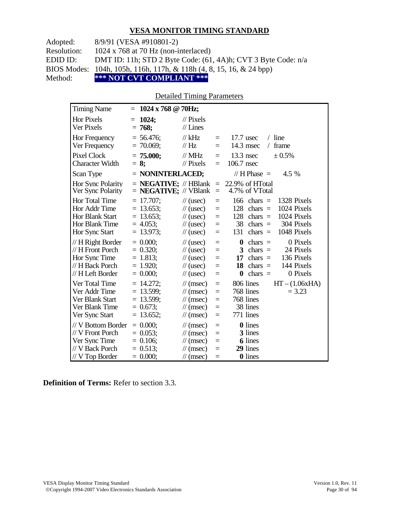Adopted: 8/9/91 (VESA #910801-2)

Resolution: 1024 x 768 at 70 Hz (non-interlaced)

EDID ID: DMT ID: 11h; STD 2 Byte Code: (61, 4A)h; CVT 3 Byte Code: n/a

BIOS Modes: 104h, 105h, 116h, 117h, & 118h (4, 8, 15, 16, & 24 bpp)

Method: **\*\*\* NOT CVT COMPLIANT \*\*\***

#### Detailed Timing Parameters

| <b>Timing Name</b>                                                                            | $= 1024 \times 768 \text{ @ } 70 \text{Hz};$                               |                                                                                                                                                                                                                                                                      |                                                                        |
|-----------------------------------------------------------------------------------------------|----------------------------------------------------------------------------|----------------------------------------------------------------------------------------------------------------------------------------------------------------------------------------------------------------------------------------------------------------------|------------------------------------------------------------------------|
| <b>Hor Pixels</b><br>Ver Pixels                                                               | 1024;<br>$=$<br>$= 768;$                                                   | $\mathcal{U}$ Pixels<br>$//$ Lines                                                                                                                                                                                                                                   |                                                                        |
| Hor Frequency<br>Ver Frequency                                                                | $= 56.476$ ;<br>$= 70.069$ ;                                               | $//$ kHz<br>$17.7$ usec<br>$/$ line<br>$=$<br>14.3 msec<br>frame<br>// $Hz$<br>$\sqrt{2}$<br>$=$                                                                                                                                                                     |                                                                        |
| <b>Pixel Clock</b><br><b>Character Width</b>                                                  | $= 75.000;$<br>$= 8$ ;                                                     | $\mathcal{N}$ MHz<br>$13.3$ nsec<br>$\pm 0.5\%$<br>$=$<br>106.7 nsec<br>$\frac{1}{2}$ Pixels<br>$=$                                                                                                                                                                  |                                                                        |
| Scan Type                                                                                     | $=$ NONINTERLACED;                                                         | // $H$ Phase $=$                                                                                                                                                                                                                                                     | 4.5 %                                                                  |
| Hor Sync Polarity<br>Ver Sync Polarity                                                        | $=$ <b>NEGATIVE</b> ; // HBlank<br>$=$ <b>NEGATIVE</b> ; // VBlank         | 22.9% of HTotal<br>$=$<br>4.7% of VTotal<br>$\equiv$                                                                                                                                                                                                                 |                                                                        |
| <b>Hor Total Time</b><br>Hor Addr Time<br>Hor Blank Start<br>Hor Blank Time<br>Hor Sync Start | $= 17.707$ ;<br>$= 13.653$ ;<br>$= 13.653$ ;<br>$= 4.053$ ;<br>$= 13.973;$ | 166<br>$chars =$<br>$\frac{1}{2}$ (usec)<br>$=$<br>128<br>$chars =$<br>$\frac{1}{2}$ (usec)<br>$\equiv$<br>128<br>$\frac{1}{2}$ (usec)<br>$chars =$<br>$=$<br>38<br>chars $=$<br>$\frac{1}{2}$ (usec)<br>$\equiv$<br>131<br>chars $=$<br>$\frac{1}{2}$ (usec)<br>$=$ | 1328 Pixels<br>1024 Pixels<br>1024 Pixels<br>304 Pixels<br>1048 Pixels |
| // H Right Border<br>// H Front Porch<br>Hor Sync Time<br>// H Back Porch<br>// H Left Border | $= 0.000$ ;<br>$= 0.320$ ;<br>$= 1.813$ ;<br>$= 1.920$ ;<br>$= 0.000;$     | $\bf{0}$<br>$chars =$<br>$\frac{1}{2}$ (usec)<br>$=$<br>$chars =$<br>$\frac{1}{2}$ (usec)<br>3<br>$=$<br>$\frac{1}{2}$ (usec)<br>17<br>chars $=$<br>$=$<br>18<br>$chars =$<br>$\frac{1}{2}$ (usec)<br>$=$<br>$\bf{0}$<br>$chars =$<br>$\frac{1}{2}$ (usec)<br>$=$    | 0 Pixels<br>24 Pixels<br>136 Pixels<br>144 Pixels<br>0 Pixels          |
| Ver Total Time<br>Ver Addr Time<br>Ver Blank Start<br>Ver Blank Time<br>Ver Sync Start        | $= 14.272$ ;<br>$= 13.599$ ;<br>$= 13.599$ ;<br>$= 0.673$ ;<br>$= 13.652;$ | 806 lines<br>$\mathcal{U}$ (msec)<br>$\equiv$<br>768 lines<br>$\mathcal{U}$ (msec)<br>$=$<br>768 lines<br>$\mathcal{U}$ (msec)<br>$=$<br>38 lines<br>$\mathcal{U}$ (msec)<br>$=$<br>771 lines<br>$\mathcal{U}$ (msec)<br>$=$                                         | $HT - (1.06xHA)$<br>$= 3.23$                                           |
| // V Bottom Border<br>// V Front Porch<br>Ver Sync Time<br>// V Back Porch<br>// V Top Border | $= 0.000;$<br>$= 0.053$ ;<br>$= 0.106$ ;<br>$= 0.513$ ;<br>$= 0.000$       | <b>0</b> lines<br>$\frac{1}{\sqrt{2}}$ (msec)<br>$=$<br>3 lines<br>$\mathcal{U}$ (msec)<br>$=$<br><b>6</b> lines<br>$\mathcal{U}$ (msec)<br>$=$<br>29 lines<br>$\mathcal{U}$ (msec)<br>$=$<br>0 lines<br>$\frac{1}{\sqrt{2}}$ (msec)<br>$=$                          |                                                                        |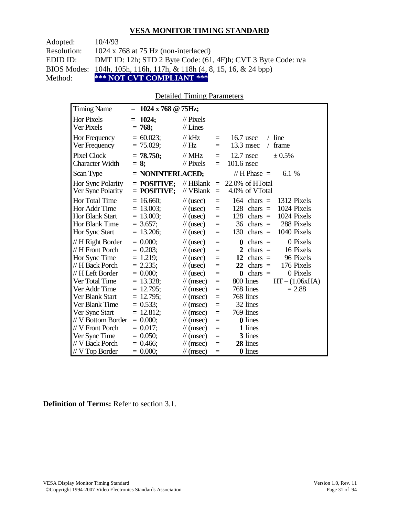| Adopted:    | 10/4/93                                                                        |
|-------------|--------------------------------------------------------------------------------|
| Resolution: | 1024 x 768 at 75 Hz (non-interlaced)                                           |
| EDID ID:    | DMT ID: 12h; STD 2 Byte Code: $(61, 4F)$ h; CVT 3 Byte Code: $n/a$             |
|             | BIOS Modes: 104h, 105h, 116h, 117h, & 118h $(4, 8, 15, 16, \& 24 \text{ bpp})$ |
| Method:     | *** NOT CVT COMPLIANT ***                                                      |

## Detailed Timing Parameters

| <b>Timing Name</b>                                                                     | $= 1024 \times 768 \text{ @ } 75 \text{Hz};$                               |                                                                                                                      |                                 |                                                                                                                                                                        |
|----------------------------------------------------------------------------------------|----------------------------------------------------------------------------|----------------------------------------------------------------------------------------------------------------------|---------------------------------|------------------------------------------------------------------------------------------------------------------------------------------------------------------------|
| <b>Hor Pixels</b><br>Ver Pixels                                                        | 1024;<br>$=$<br>$= 768;$                                                   | $\frac{1}{2}$ Pixels<br>$//$ Lines                                                                                   |                                 |                                                                                                                                                                        |
| Hor Frequency<br>Ver Frequency                                                         | $= 60.023$ ;<br>$= 75.029;$                                                | $//$ kHz<br>// Hz                                                                                                    | $=$<br>$=$                      | $16.7$ usec<br>$/$ line<br>$13.3$ msec<br>frame<br>$\sqrt{2}$                                                                                                          |
| <b>Pixel Clock</b><br><b>Character Width</b>                                           | $= 78.750$ ;<br>$= 8$ ;                                                    | $//$ MHz<br>$\frac{1}{2}$ Pixels                                                                                     | $=$<br>$=$                      | ± 0.5%<br>$12.7$ nsec<br>101.6 nsec                                                                                                                                    |
| Scan Type                                                                              | = NONINTERLACED;                                                           |                                                                                                                      |                                 | // H Phase $=$<br>6.1 \%                                                                                                                                               |
| Hor Sync Polarity<br>Ver Sync Polarity                                                 | $=$ POSITIVE:<br>$=$ POSITIVE;                                             | $//$ HBlank<br>// VBlank                                                                                             | $\equiv$<br>$\equiv$            | 22.0% of HTotal<br>4.0% of VTotal                                                                                                                                      |
| Hor Total Time<br>Hor Addr Time<br>Hor Blank Start<br>Hor Blank Time<br>Hor Sync Start | $= 16.660;$<br>$= 13.003$ ;<br>$= 13.003$ ;<br>$= 3.657$ ;<br>$= 13.206$ ; | $\frac{1}{2}$ (usec)<br>$\frac{1}{2}$ (usec)<br>$\frac{1}{2}$ (usec)<br>$\frac{1}{2}$ (usec)<br>$\frac{1}{2}$ (usec) | $=$<br>$=$<br>$=$<br>$=$<br>$=$ | 1312 Pixels<br>$164$ chars =<br>1024 Pixels<br>128<br>$chars =$<br>128<br>1024 Pixels<br>$chars =$<br>288 Pixels<br>36<br>$chars =$<br>1040 Pixels<br>130<br>$chars =$ |
| // H Right Border<br>// H Front Porch<br>Hor Sync Time                                 | $= 0.000$<br>$= 0.203$ ;<br>$= 1.219$ ;                                    | $\frac{1}{2}$ (usec)<br>$\frac{1}{2}$ (usec)<br>$\frac{1}{2}$ (usec)                                                 | $=$<br>$=$<br>$=$               | 0 Pixels<br>$chars =$<br>0<br>2<br>$chars =$<br>16 Pixels<br>12<br>96 Pixels<br>$chars =$                                                                              |
| // H Back Porch<br>// H Left Border                                                    | $= 2.235$ ;<br>$= 0.000;$                                                  | $\frac{1}{2}$ (usec)<br>$\frac{1}{2}$ (usec)                                                                         | $=$<br>$=$                      | 22<br>176 Pixels<br>chars $=$<br>0 Pixels<br>$chars =$<br>0                                                                                                            |
| Ver Total Time<br>Ver Addr Time<br>Ver Blank Start                                     | $= 13.328$ ;<br>$= 12.795$ ;<br>$= 12.795$ ;                               | $\mathcal{U}$ (msec)<br>$\frac{1}{\pi}$ (msec)<br>$\frac{1}{\sqrt{2}}$ (msec)                                        | $=$<br>$=$<br>$=$               | 800 lines<br>$HT - (1.06xHA)$<br>768 lines<br>$= 2.88$<br>768 lines                                                                                                    |
| Ver Blank Time                                                                         | $= 0.533;$                                                                 | $\mathcal{U}$ (msec)                                                                                                 | $=$                             | 32 lines                                                                                                                                                               |
| Ver Sync Start                                                                         | $= 12.812$ ;                                                               | $\mathcal{U}$ (msec)                                                                                                 | $=$                             | 769 lines                                                                                                                                                              |
| // V Bottom Border                                                                     | $= 0.000;$                                                                 | $\mathcal{U}$ (msec)                                                                                                 | $=$                             | <b>0</b> lines                                                                                                                                                         |
| // V Front Porch                                                                       | $= 0.017$ ;                                                                | $\frac{1}{\sqrt{2}}$ (msec)                                                                                          | $=$                             | 1 lines                                                                                                                                                                |
| Ver Sync Time<br>// V Back Porch                                                       | $= 0.050;$                                                                 | $\frac{1}{\sqrt{2}}$ (msec)                                                                                          | $=$                             | 3 lines<br>28 lines                                                                                                                                                    |
| $//V$ Top Border                                                                       | $= 0.466$ ;<br>$= 0.000$                                                   | $\mathcal{U}$ (msec)<br>$\frac{1}{\sqrt{2}}$ (msec)                                                                  | $=$<br>$=$                      | <b>0</b> lines                                                                                                                                                         |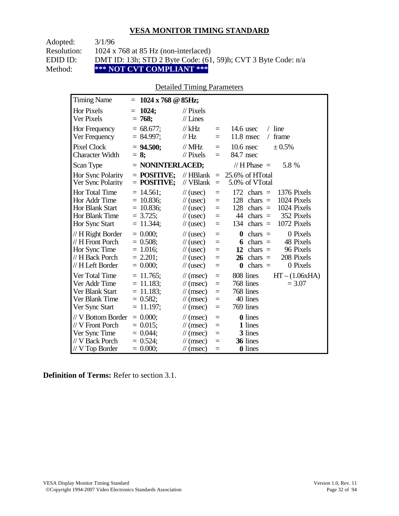Adopted: 3/1/96

Resolution: 1024 x 768 at 85 Hz (non-interlaced)

EDID ID: DMT ID: 13h; STD 2 Byte Code: (61, 59)h; CVT 3 Byte Code: n/a<br>Method: \*\*\* NOT CVT COMPLIANT \*\*\*

**\*\*\* NOT CVT COMPLIANT \*\*\*** 

# Detailed Timing Parameters

| <b>Timing Name</b>                                                                             | $1024 \times 768$ @ 85Hz;<br>$=$                                            |                                                                                                                                                                                                                                                                                                                                      |
|------------------------------------------------------------------------------------------------|-----------------------------------------------------------------------------|--------------------------------------------------------------------------------------------------------------------------------------------------------------------------------------------------------------------------------------------------------------------------------------------------------------------------------------|
| <b>Hor Pixels</b><br>Ver Pixels                                                                | 1024;<br>$=$<br>$= 768;$                                                    | $\frac{1}{2}$ Pixels<br>$//$ Lines                                                                                                                                                                                                                                                                                                   |
| Hor Frequency<br>Ver Frequency                                                                 | $= 68.677$ ;<br>$= 84.997$ ;                                                | // $kHz$<br>$/$ line<br>$14.6$ usec<br>$\equiv$<br>11.8 msec<br>frame<br>// $Hz$<br>$\sqrt{2}$<br>$\equiv$                                                                                                                                                                                                                           |
| <b>Pixel Clock</b><br><b>Character Width</b>                                                   | $= 94.500;$<br>$= 8$ ;                                                      | $//$ MHz<br>$10.6$ nsec<br>$\pm 0.5\%$<br>$\equiv$<br>84.7 nsec<br>$\frac{1}{2}$ Pixels<br>$=$                                                                                                                                                                                                                                       |
| Scan Type                                                                                      | = NONINTERLACED;                                                            | 5.8 %<br>// H Phase $=$                                                                                                                                                                                                                                                                                                              |
| Hor Sync Polarity<br>Ver Sync Polarity                                                         | $=$ POSITIVE:<br>$=$ POSITIVE;                                              | $\mathcal{U}$ HBlank<br>25.6% of HTotal<br>$\equiv$<br>// VBlank<br>5.0% of VTotal<br>$\equiv$                                                                                                                                                                                                                                       |
| Hor Total Time<br>Hor Addr Time<br><b>Hor Blank Start</b><br>Hor Blank Time<br>Hor Sync Start  | $= 14.561$ ;<br>$= 10.836$ ;<br>$= 10.836$ ;<br>$= 3.725$ ;<br>$= 11.344$ ; | 172<br>1376 Pixels<br>$\frac{1}{2}$ (usec)<br>chars $=$<br>$=$<br>1024 Pixels<br>128<br>$chars =$<br>$\frac{1}{2}$ (usec)<br>$=$<br>128<br>1024 Pixels<br>$\frac{1}{2}$ (usec)<br>$chars =$<br>$=$<br>$chars =$<br>352 Pixels<br>44<br>$\frac{1}{2}$ (usec)<br>$=$<br>$chars =$<br>1072 Pixels<br>134<br>$\frac{1}{2}$ (usec)<br>$=$ |
| // H Right Border<br>// H Front Porch<br>Hor Sync Time<br>// H Back Porch<br>// H Left Border  | $= 0.000$<br>$= 0.508$ ;<br>$= 1.016$ ;<br>$= 2.201$ ;<br>$= 0.000$         | 0 Pixels<br>$chars =$<br>$\frac{1}{2}$ (usec)<br>0<br>$=$<br>$chars =$<br>48 Pixels<br>$\frac{1}{2}$ (usec)<br>6<br>$=$<br>96 Pixels<br>$\frac{1}{2}$ (usec)<br>12<br>$chars =$<br>$=$<br>208 Pixels<br>26<br>$chars =$<br>$\frac{1}{2}$ (usec)<br>$=$<br>chars $=$<br>0 Pixels<br>$\frac{1}{2}$ (usec)<br>$\bf{0}$<br>$=$           |
| Ver Total Time<br>Ver Addr Time<br>Ver Blank Start<br>Ver Blank Time<br>Ver Sync Start         | $= 11.765$ ;<br>$= 11.183$ ;<br>$= 11.183$ ;<br>$= 0.582;$<br>$= 11.197$ ;  | 808 lines<br>$HT - (1.06xHA)$<br>$\mathcal{U}$ (msec)<br>$=$<br>768 lines<br>$= 3.07$<br>$\mathcal{U}$ (msec)<br>$=$<br>768 lines<br>$\mathcal{U}$ (msec)<br>$=$<br>40 lines<br>$\mathcal{U}$ (msec)<br>$=$<br>769 lines<br>$\mathcal{U}$ (msec)<br>$=$                                                                              |
| // V Bottom Border<br>// V Front Porch<br>Ver Sync Time<br>// V Back Porch<br>$//V$ Top Border | $= 0.000;$<br>$= 0.015$ ;<br>$= 0.044$ ;<br>$= 0.524$ ;<br>$= 0.000;$       | <b>0</b> lines<br>$\mathcal{U}$ (msec)<br>$=$<br>1 lines<br>$\mathcal{U}$ (msec)<br>$=$<br>3 lines<br>$\mathcal{U}$ (msec)<br>$=$<br>36 lines<br>$\frac{1}{\sqrt{2}}$ (msec)<br>$=$<br>0 lines<br>$\mathcal{U}$ (msec)<br>$\equiv$                                                                                                   |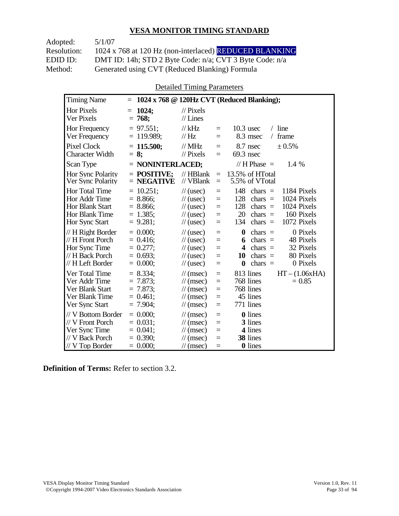Adopted: 5/1/07 Resolution: 1024 x 768 at 120 Hz (non-interlaced) REDUCED BLANKING EDID ID: DMT ID: 14h; STD 2 Byte Code: n/a; CVT 3 Byte Code: n/a<br>Method: Generated using CVT (Reduced Blanking) Formula Generated using CVT (Reduced Blanking) Formula

Detailed Timing Parameters

| <b>Timing Name</b>                                                                              | $\equiv$                                                                |                                                                                                                             |                                 | 1024 x 768 @ 120Hz CVT (Reduced Blanking);                                                                                                                                   |
|-------------------------------------------------------------------------------------------------|-------------------------------------------------------------------------|-----------------------------------------------------------------------------------------------------------------------------|---------------------------------|------------------------------------------------------------------------------------------------------------------------------------------------------------------------------|
| Hor Pixels<br>Ver Pixels                                                                        | 1024;<br>$=$<br>$= 768;$                                                | $//$ Pixels<br>$//$ Lines                                                                                                   |                                 |                                                                                                                                                                              |
| Hor Frequency<br>Ver Frequency                                                                  | $= 97.551$ ;<br>$= 119.989$ ;                                           | $//$ kHz<br>// Hz                                                                                                           | $\equiv$<br>$=$                 | $/$ line<br>$10.3$ usec<br>8.3 msec<br>frame<br>$\sqrt{2}$                                                                                                                   |
| Pixel Clock<br><b>Character Width</b>                                                           | $= 115.500$ ;<br>$= 8:$                                                 | $//$ MHz<br>$//$ Pixels                                                                                                     | $=$<br>$=$                      | 8.7 nsec<br>± 0.5%<br>69.3 nsec                                                                                                                                              |
| Scan Type                                                                                       | $=$ NONINTERLACED;                                                      |                                                                                                                             |                                 | // H Phase $=$<br>1.4 %                                                                                                                                                      |
| Hor Sync Polarity<br>Ver Sync Polarity                                                          | $=$ POSITIVE:<br>$=$ NEGATIVE                                           | $//$ HBlank<br>$//$ VBlank                                                                                                  | $\equiv$<br>$=$                 | 13.5% of HTotal<br>5.5% of VTotal                                                                                                                                            |
| Hor Total Time<br>Hor Addr Time<br>Hor Blank Start<br>Hor Blank Time<br>Hor Sync Start          | $= 10.251;$<br>$= 8.866$ ;<br>$= 8.866$ ;<br>$= 1.385$ ;<br>$= 9.281$ ; | $\frac{1}{2}$ (usec)<br>$\frac{1}{2}$ (usec)<br>$\frac{1}{2}$ (usec)<br>$\frac{1}{2}$ (usec)<br>$\frac{1}{2}$ (usec)        | $=$<br>$=$<br>$=$<br>$=$<br>$=$ | 148<br>chars $=$<br>1184 Pixels<br>1024 Pixels<br>128<br>chars $=$<br>1024 Pixels<br>128<br>chars $=$<br>20<br>160 Pixels<br>chars $=$<br>1072 Pixels<br>134<br>chars $=$    |
| // H Right Border<br>// H Front Porch<br>Hor Sync Time<br>// H Back Porch<br>// H Left Border   | $= 0.000$<br>$= 0.416$ ;<br>$= 0.277;$<br>$= 0.693$ ;<br>$= 0.000;$     | $\frac{1}{2}$ (usec)<br>$\frac{1}{2}$ (usec)<br>$\frac{1}{2}$ (usec)<br>$\frac{1}{2}$ (usec)<br>$\frac{1}{2}$ (usec)        | $=$<br>$=$<br>$=$<br>$=$<br>$=$ | $\boldsymbol{0}$<br>0 Pixels<br>chars $=$<br>chars $=$<br>48 Pixels<br>6<br>32 Pixels<br>$chars =$<br>4<br>80 Pixels<br>10<br>$chars =$<br>$\bf{0}$<br>chars $=$<br>0 Pixels |
| Ver Total Time<br>Ver Addr Time<br>Ver Blank Start<br>Ver Blank Time<br>Ver Sync Start          | $= 8.334$ ;<br>$= 7.873$ ;<br>$= 7.873$ ;<br>$= 0.461$ ;<br>$= 7.904$ ; | $\mathcal{U}$ (msec)<br>$\mathcal{U}$ (msec)<br>$\mathcal{U}$ (msec)<br>$\mathcal{U}$ (msec)<br>$\mathcal{U}$ (msec)        | $=$<br>$=$<br>$=$<br>$=$<br>$=$ | $HT - (1.06xHA)$<br>813 lines<br>768 lines<br>$= 0.85$<br>768 lines<br>45 lines<br>771 lines                                                                                 |
| // V Bottom Border<br>// V Front Porch<br>Ver Sync Time<br>// V Back Porch<br>$//$ V Top Border | $= 0.000$<br>$= 0.031$ ;<br>$= 0.041$ ;<br>$= 0.390$ ;<br>$= 0.000;$    | $\mathcal{U}$ (msec)<br>$\mathcal{U}$ (msec)<br>$\frac{1}{\sqrt{2}}$ (msec)<br>$\mathcal{U}$ (msec)<br>$\mathcal{U}$ (msec) | $=$<br>$=$<br>$=$<br>$=$<br>$=$ | <b>0</b> lines<br>3 lines<br>4 lines<br>38 lines<br><b>0</b> lines                                                                                                           |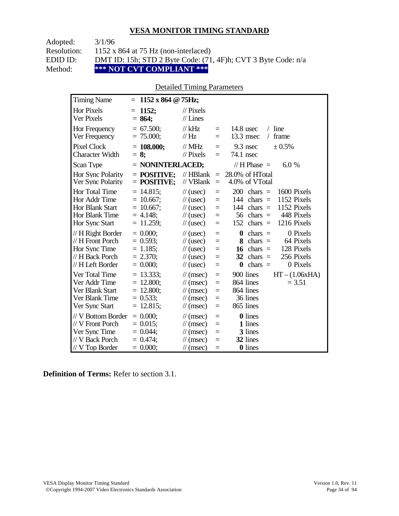Adopted: 3/1/96

Resolution: 1152 x 864 at 75 Hz (non-interlaced)

EDID ID: DMT ID: 15h; STD 2 Byte Code: (71, 4F)h; CVT 3 Byte Code: n/a<br>Method: \*\*\* NOT CVT COMPLIANT \*\*\*

**\*\*\* NOT CVT COMPLIANT \*\*\*** 

# Detailed Timing Parameters

| <b>Timing Name</b>                                                                             | $= 1152 \times 864 \text{ } \textcircled{g}$ 75Hz;                         |                                                                                                                                                                                                                                                                                                                                      |
|------------------------------------------------------------------------------------------------|----------------------------------------------------------------------------|--------------------------------------------------------------------------------------------------------------------------------------------------------------------------------------------------------------------------------------------------------------------------------------------------------------------------------------|
| <b>Hor Pixels</b><br><b>Ver Pixels</b>                                                         | 1152;<br>$=$<br>$= 864;$                                                   | $\mathcal{U}$ Pixels<br>$//$ Lines                                                                                                                                                                                                                                                                                                   |
| Hor Frequency<br>Ver Frequency                                                                 | $= 67.500$ ;<br>$= 75.000;$                                                | $/$ line<br>// $kHz$<br>$14.8$ usec<br>$\equiv$<br>13.3 msec<br>frame<br>// $Hz$<br>$=$<br>$\sqrt{2}$                                                                                                                                                                                                                                |
| Pixel Clock<br><b>Character Width</b>                                                          | $= 108.000;$<br>$= 8$ ;                                                    | // $MHz$<br>$9.3$ nsec<br>± 0.5%<br>$\equiv$<br>$\frac{1}{2}$ Pixels<br>74.1 nsec<br>$=$                                                                                                                                                                                                                                             |
| Scan Type                                                                                      | $=$ NONINTERLACED;                                                         | // H Phase $=$<br>6.0 %                                                                                                                                                                                                                                                                                                              |
| Hor Sync Polarity<br>Ver Sync Polarity                                                         | $=$ POSITIVE:<br>$=$ POSITIVE;                                             | $//$ HBlank<br>28.0% of HTotal<br>$\equiv$<br>// VBlank<br>4.0% of VTotal<br>$=$                                                                                                                                                                                                                                                     |
| <b>Hor Total Time</b><br>Hor Addr Time<br>Hor Blank Start<br>Hor Blank Time<br>Hor Sync Start  | $= 14.815$ ;<br>$= 10.667$ ;<br>$= 10.667$ ;<br>$= 4.148$ ;<br>$= 11.259;$ | 200<br>1600 Pixels<br>$\frac{1}{2}$ (usec)<br>$chars =$<br>$=$<br>1152 Pixels<br>144<br>chars $=$<br>$\frac{1}{2}$ (usec)<br>$=$<br>144<br>1152 Pixels<br>$\frac{1}{2}$ (usec)<br>$chars =$<br>$=$<br>56<br>448 Pixels<br>$chars =$<br>$\frac{1}{2}$ (usec)<br>$=$<br>152<br>$chars =$<br>1216 Pixels<br>$\frac{1}{2}$ (usec)<br>$=$ |
| // H Right Border<br>// H Front Porch<br>Hor Sync Time<br>// H Back Porch<br>// H Left Border  | $= 0.000;$<br>$= 0.593$ ;<br>$= 1.185$ ;<br>$= 2.370$ ;<br>$= 0.000;$      | 0 Pixels<br>$\frac{1}{2}$ (usec)<br>$\bf{0}$<br>$chars =$<br>$=$<br>64 Pixels<br>8<br>$chars =$<br>$\frac{1}{2}$ (usec)<br>$=$<br>16<br>128 Pixels<br>$\frac{1}{2}$ (usec)<br>$=$<br>$chars =$<br>32<br>256 Pixels<br>$chars =$<br>$\frac{1}{2}$ (usec)<br>$=$<br>chars $=$<br>0 Pixels<br>$\bf{0}$<br>$\frac{1}{2}$ (usec)<br>$=$   |
| Ver Total Time<br>Ver Addr Time<br>Ver Blank Start<br>Ver Blank Time<br>Ver Sync Start         | $= 13.333;$<br>$= 12.800;$<br>$= 12.800;$<br>$= 0.533$ ;<br>$= 12.815$ ;   | 900 lines<br>$HT - (1.06xHA)$<br>$\mathcal{U}$ (msec)<br>$\equiv$<br>864 lines<br>$= 3.51$<br>$\mathcal{U}$ (msec)<br>$=$<br>864 lines<br>$\mathcal{U}$ (msec)<br>$=$<br>36 lines<br>$\mathcal{U}$ (msec)<br>$=$<br>865 lines<br>$\mathcal{U}$ (msec)<br>$=$                                                                         |
| // V Bottom Border<br>// V Front Porch<br>Ver Sync Time<br>// V Back Porch<br>$//V$ Top Border | $= 0.000;$<br>$= 0.015$ ;<br>$= 0.044$ ;<br>$= 0.474$ ;<br>$= 0.000$       | <b>0</b> lines<br>$\mathcal{U}$ (msec)<br>$=$<br>1 lines<br>$\mathcal{U}$ (msec)<br>$=$<br>3 lines<br>$\mathcal{U}$ (msec)<br>$=$<br>32 lines<br>$\mathcal{U}$ (msec)<br>$=$<br>0 lines<br>$\frac{1}{\tan(\theta)}$<br>$=$                                                                                                           |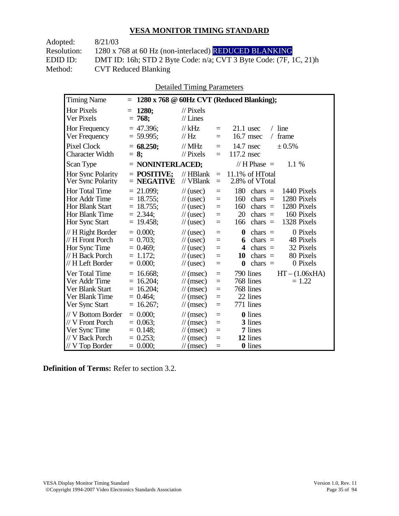| Adopted:           | 8/21/03                                                           |
|--------------------|-------------------------------------------------------------------|
| <b>Resolution:</b> | 1280 x 768 at 60 Hz (non-interlaced) REDUCED BLANKING             |
| EDID ID:           | DMT ID: 16h; STD 2 Byte Code: n/a; CVT 3 Byte Code: (7F, 1C, 21)h |
| Method:            | <b>CVT Reduced Blanking</b>                                       |

Detailed Timing Parameters

| <b>Timing Name</b>                                                                              | $=$                                                                         |                                                                                                                                                                        | 1280 x 768 @ 60Hz CVT (Reduced Blanking);                                                                                                                                 |
|-------------------------------------------------------------------------------------------------|-----------------------------------------------------------------------------|------------------------------------------------------------------------------------------------------------------------------------------------------------------------|---------------------------------------------------------------------------------------------------------------------------------------------------------------------------|
| <b>Hor Pixels</b><br>Ver Pixels                                                                 | 1280;<br>$=$<br>$= 768;$                                                    | $\frac{1}{2}$ Pixels<br>$//$ Lines                                                                                                                                     |                                                                                                                                                                           |
| Hor Frequency<br>Ver Frequency                                                                  | $= 47.396$ ;<br>$= 59.995;$                                                 | $//$ kHz<br>$=$<br>$\mathcal{U}$ Hz<br>$=$                                                                                                                             | $21.1$ usec<br>$/$ line<br>16.7 msec<br>frame<br>$\sqrt{2}$                                                                                                               |
| <b>Pixel Clock</b><br><b>Character Width</b>                                                    | $= 68.250;$<br>$= 8:$                                                       | $//$ MHz<br>$=$<br>$\frac{1}{2}$ Pixels<br>$=$                                                                                                                         | $14.7$ nsec<br>± 0.5%<br>117.2 nsec                                                                                                                                       |
| Scan Type                                                                                       | $=$ NONINTERLACED;                                                          |                                                                                                                                                                        | // H Phase $=$<br>1.1%                                                                                                                                                    |
| Hor Sync Polarity<br>Ver Sync Polarity                                                          | $=$ POSITIVE:<br>$=$ NEGATIVE                                               | $//$ HBlank<br>$\equiv$<br>// VBlank<br>$=$                                                                                                                            | 11.1% of HTotal<br>2.8% of VTotal                                                                                                                                         |
| Hor Total Time<br>Hor Addr Time<br><b>Hor Blank Start</b><br>Hor Blank Time<br>Hor Sync Start   | $= 21.099;$<br>$= 18.755$ ;<br>$= 18.755$ ;<br>$= 2.344$ ;<br>$= 19.458$ ;  | $\frac{1}{2}$ (usec)<br>$\equiv$<br>$\frac{1}{2}$ (usec)<br>$=$<br>$\frac{1}{2}$ (usec)<br>$\equiv$<br>$\frac{1}{2}$ (usec)<br>$\equiv$<br>$\frac{1}{2}$ (usec)<br>$=$ | 180<br>chars $=$<br>1440 Pixels<br>1280 Pixels<br>160<br>chars $=$<br>1280 Pixels<br>160<br>chars $=$<br>20<br>160 Pixels<br>chars $=$<br>chars $=$<br>1328 Pixels<br>166 |
| // H Right Border<br>// H Front Porch<br>Hor Sync Time<br>// H Back Porch<br>// H Left Border   | $= 0.000;$<br>$= 0.703$ ;<br>$= 0.469$ ;<br>$= 1.172$ ;<br>$= 0.000;$       | $\frac{1}{2}$ (usec)<br>$=$<br>$\frac{1}{2}$ (usec)<br>$=$<br>$\frac{1}{2}$ (usec)<br>$=$<br>$\frac{1}{2}$ (usec)<br>$=$<br>$\frac{1}{2}$ (usec)<br>$=$                | $\bf{0}$<br>0 Pixels<br>chars $=$<br>chars $=$<br>48 Pixels<br>6<br>32 Pixels<br>4<br>$chars =$<br>80 Pixels<br>chars $=$<br>10<br>$\bf{0}$<br>chars $=$<br>0 Pixels      |
| Ver Total Time<br>Ver Addr Time<br>Ver Blank Start<br>Ver Blank Time<br>Ver Sync Start          | $= 16.668$ ;<br>$= 16.204$ ;<br>$= 16.204$ ;<br>$= 0.464$ ;<br>$= 16.267$ ; | $\mathcal{U}$ (msec)<br>$=$<br>$\mathcal{U}$ (msec)<br>$=$<br>$\mathcal{U}$ (msec)<br>$=$<br>$\mathcal{U}$ (msec)<br>$=$<br>$\mathcal{U}$ (msec)<br>$=$                | 790 lines<br>$HT - (1.06xHA)$<br>768 lines<br>$= 1.22$<br>768 lines<br>22 lines<br>771 lines                                                                              |
| // V Bottom Border<br>// V Front Porch<br>Ver Sync Time<br>// V Back Porch<br>$// V$ Top Border | $= 0.000$<br>$= 0.063$<br>$= 0.148$ ;<br>$= 0.253$ ;<br>$= 0.000;$          | $\mathcal{U}$ (msec)<br>$=$<br>$\mathcal{U}$ (msec)<br>$=$<br>$\mathcal{U}$ (msec)<br>$=$<br>$\mathcal{U}$ (msec)<br>$=$<br>$\mathcal{U}$ (msec)<br>$=$                | <b>0</b> lines<br>3 lines<br>7 lines<br>12 lines<br><b>0</b> lines                                                                                                        |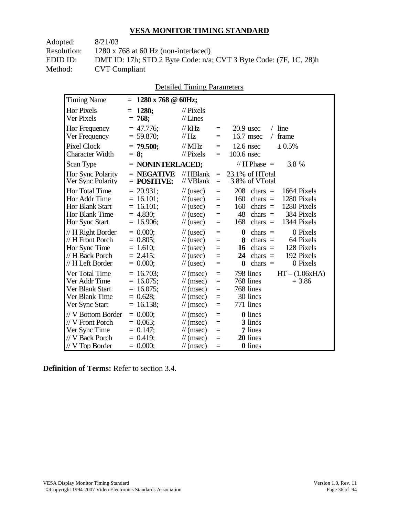| 8/21/03                                                                |
|------------------------------------------------------------------------|
| $1280 \times 768$ at 60 Hz (non-interlaced)                            |
| DMT ID: 17h; STD 2 Byte Code: $n/a$ ; CVT 3 Byte Code: $(7F, 1C, 28)h$ |
| <b>CVT</b> Compliant                                                   |
|                                                                        |

| <b>Timing Name</b>                                                                                   | $1280 \times 768$ @ 60Hz;<br>$=$                                               |                                                                                                                             |                                 |                                                                                                                                                                                 |
|------------------------------------------------------------------------------------------------------|--------------------------------------------------------------------------------|-----------------------------------------------------------------------------------------------------------------------------|---------------------------------|---------------------------------------------------------------------------------------------------------------------------------------------------------------------------------|
| <b>Hor Pixels</b><br>Ver Pixels                                                                      | 1280;<br>$=$<br>$= 768$                                                        | $\frac{1}{2}$ Pixels<br>$//$ Lines                                                                                          |                                 |                                                                                                                                                                                 |
| Hor Frequency<br>Ver Frequency                                                                       | $= 47.776$ ;<br>$= 59.870$ ;                                                   | $//$ kHz<br>// Hz                                                                                                           | $=$<br>$=$                      | $/$ line<br>$20.9$ usec<br>16.7 msec<br>frame                                                                                                                                   |
| <b>Pixel Clock</b><br><b>Character Width</b>                                                         | $= 79.500;$<br>$= 8:$                                                          | $//$ MHz<br>$//$ Pixels                                                                                                     | $=$<br>$=$                      | ± 0.5%<br>$12.6$ nsec<br>100.6 nsec                                                                                                                                             |
| Scan Type                                                                                            | = NONINTERLACED;                                                               |                                                                                                                             |                                 | // $H$ Phase $=$<br>3.8 %                                                                                                                                                       |
| Hor Sync Polarity<br>Ver Sync Polarity                                                               | $=$ NEGATIVE<br>$=$ POSITIVE;                                                  | $//$ HBlank<br>// VBlank                                                                                                    | $=$<br>$=$                      | 23.1% of HTotal<br>3.8% of VTotal                                                                                                                                               |
| <b>Hor Total Time</b><br>Hor Addr Time<br><b>Hor Blank Start</b><br>Hor Blank Time<br>Hor Sync Start | $= 20.931$ ;<br>$= 16.101;$<br>$= 16.101$ ;<br>$= 4.830;$<br>$= 16.906$ ;      | $\frac{1}{2}$ (usec)<br>$\frac{1}{2}$ (usec)<br>$\frac{1}{2}$ (usec)<br>$\frac{1}{2}$ (usec)<br>$\frac{1}{2}$ (usec)        | $=$<br>$=$<br>$=$<br>$=$<br>$=$ | 208<br>chars $=$<br>1664 Pixels<br>1280 Pixels<br>160<br>chars $=$<br>160<br>1280 Pixels<br>chars $=$<br>384 Pixels<br>48<br>chars $=$<br>1344 Pixels<br>168<br>chars $=$       |
| // H Right Border<br>// H Front Porch<br>Hor Sync Time<br>// H Back Porch<br>// H Left Border        | $= 0.000;$<br>$= 0.805$ ;<br>$= 1.610;$<br>$= 2.415$ ;<br>$= 0.000;$           | $\frac{1}{2}$ (usec)<br>$\frac{1}{2}$ (usec)<br>$\frac{1}{2}$ (usec)<br>$\frac{1}{2}$ (usec)<br>$\frac{1}{2}$ (usec)        | $=$<br>$=$<br>$=$<br>$=$<br>$=$ | $\bf{0}$<br>0 Pixels<br>$chars =$<br>64 Pixels<br>chars $=$<br>8<br>128 Pixels<br>16<br>$chars =$<br>192 Pixels<br>24<br>chars $=$<br>0 Pixels<br>$\boldsymbol{0}$<br>chars $=$ |
| Ver Total Time<br>Ver Addr Time<br>Ver Blank Start<br>Ver Blank Time<br>Ver Sync Start               | 16.703;<br>$=$<br>$= 16.075$ ;<br>$= 16.075$ ;<br>$= 0.628;$<br>16.138;<br>$=$ | $\mathcal{U}$ (msec)<br>$\mathcal{U}$ (msec)<br>$\mathcal{U}$ (msec)<br>$\mathcal{U}$ (msec)<br>$\frac{1}{\sqrt{2}}$ (msec) | $=$<br>$=$<br>$=$<br>$=$<br>$=$ | 798 lines<br>$HT - (1.06xHA)$<br>768 lines<br>$= 3.86$<br>768 lines<br>30 lines<br>771 lines                                                                                    |
| // V Bottom Border<br>// V Front Porch<br>Ver Sync Time<br>// V Back Porch<br>// V Top Border        | $= 0.000;$<br>$= 0.063$ ;<br>$= 0.147$ ;<br>$= 0.419$ ;<br>$= 0.000;$          | $\mathcal{U}$ (msec)<br>$\mathcal{U}$ (msec)<br>$\mathcal{U}$ (msec)<br>$\mathcal{U}$ (msec)<br>$\mathcal{U}$ (msec)        | $=$<br>$=$<br>$=$<br>$=$<br>$=$ | 0 lines<br>3 lines<br>7 lines<br>20 lines<br>0 lines                                                                                                                            |

Detailed Timing Parameters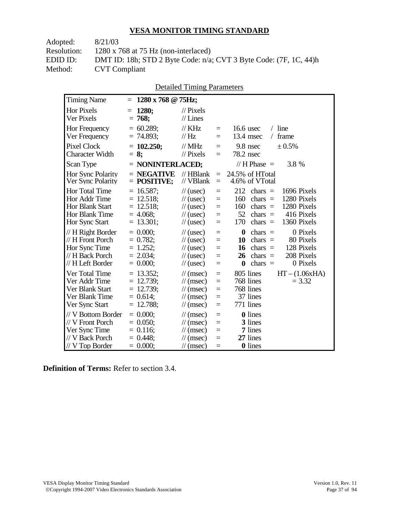| Adopted:           | 8/21/03                                                              |
|--------------------|----------------------------------------------------------------------|
| <b>Resolution:</b> | $1280 \times 768$ at 75 Hz (non-interlaced)                          |
| EDID ID:           | DMT ID: 18h; STD 2 Byte Code: $n/a$ ; CVT 3 Byte Code: (7F, 1C, 44)h |
| Method:            | <b>CVT</b> Compliant                                                 |

|                                                                                               |                                                                           | <b>Detailed Timing Parameters</b>                                                                                    |                                      |                                                                                                                                                                                |
|-----------------------------------------------------------------------------------------------|---------------------------------------------------------------------------|----------------------------------------------------------------------------------------------------------------------|--------------------------------------|--------------------------------------------------------------------------------------------------------------------------------------------------------------------------------|
| <b>Timing Name</b>                                                                            | $= 1280 \times 768 \text{ @ } 75 \text{Hz};$                              |                                                                                                                      |                                      |                                                                                                                                                                                |
| <b>Hor Pixels</b><br>Ver Pixels                                                               | <b>1280;</b><br>$=$<br>$= 768;$                                           | $\mathcal{U}$ Pixels<br>$//$ Lines                                                                                   |                                      |                                                                                                                                                                                |
| Hor Frequency<br>Ver Frequency                                                                | $= 60.289;$<br>$= 74.893;$                                                | $//$ KHz<br>// Hz                                                                                                    | $\equiv$<br>$=$                      | $/$ line<br>16.6 usec<br>13.4 msec<br>frame<br>$\sqrt{2}$                                                                                                                      |
| <b>Pixel Clock</b><br><b>Character Width</b>                                                  | $= 102.250;$<br>$= 8:$                                                    | $//$ MHz<br>$\frac{1}{2}$ Pixels                                                                                     | $=$<br>$=$                           | 9.8 nsec<br>$\pm 0.5\%$<br>78.2 nsec                                                                                                                                           |
| Scan Type                                                                                     | $=$ NONINTERLACED;                                                        |                                                                                                                      |                                      | // H Phase $=$<br>3.8 %                                                                                                                                                        |
| Hor Sync Polarity<br>Ver Sync Polarity                                                        | $=$ NEGATIVE<br>$=$ POSITIVE;                                             | $//$ HBlank<br>// VBlank                                                                                             | $\equiv$<br>$\equiv$                 | 24.5% of HTotal<br>4.6% of VTotal                                                                                                                                              |
| Hor Total Time<br>Hor Addr Time<br>Hor Blank Start<br>Hor Blank Time<br>Hor Sync Start        | $= 16.587$ ;<br>$= 12.518;$<br>$= 12.518$ ;<br>$= 4.068$ ;<br>$= 13.301;$ | $\frac{1}{2}$ (usec)<br>$\frac{1}{2}$ (usec)<br>$\frac{1}{2}$ (usec)<br>$\frac{1}{2}$ (usec)<br>$\frac{1}{2}$ (usec) | $=$<br>$\equiv$<br>$=$<br>$=$<br>$=$ | 212<br>1696 Pixels<br>$chars =$<br>1280 Pixels<br>160<br>chars $=$<br>160<br>1280 Pixels<br>$chars =$<br>$52 \text{ chars} =$<br>416 Pixels<br>170<br>1360 Pixels<br>chars $=$ |
| // H Right Border<br>// H Front Porch<br>Hor Sync Time<br>// H Back Porch<br>// H Left Border | $= 0.000$<br>$= 0.782;$<br>$= 1.252;$<br>$= 2.034$ ;<br>$= 0.000;$        | $\frac{1}{2}$ (usec)<br>$\frac{1}{2}$ (usec)<br>$\frac{1}{2}$ (usec)<br>$\frac{1}{2}$ (usec)<br>$\frac{1}{2}$ (usec) | $=$<br>$=$<br>$=$<br>$=$<br>$\equiv$ | $\bf{0}$<br>0 Pixels<br>chars $=$<br>80 Pixels<br>10<br>chars $=$<br>128 Pixels<br>16 chars $=$<br>208 Pixels<br>$26$ chars =<br>0 Pixels<br>$\bf{0}$<br>chars $=$             |
| Ver Total Time<br>Ver Addr Time<br>Ver Blank Start<br>Ver Blank Time<br>Ver Sync Start        | $= 13.352$ ;<br>$= 12.739;$<br>$= 12.739;$<br>$= 0.614$ ;<br>$= 12.788;$  | $\mathcal{U}$ (msec)<br>$\mathcal{U}$ (msec)<br>$\mathcal{U}$ (msec)<br>$\mathcal{U}$ (msec)<br>$\mathcal{U}$ (msec) | $=$<br>$=$<br>$=$<br>$=$<br>$=$      | 805 lines<br>$HT - (1.06xHA)$<br>768 lines<br>$= 3.32$<br>768 lines<br>37 lines<br>771 lines                                                                                   |
| // V Bottom Border<br>// V Front Porch<br>Ver Sync Time<br>// V Back Porch                    | $= 0.000;$<br>$= 0.050$ ;<br>$= 0.116$ ;<br>$= 0.448$                     | $\mathcal{U}$ (msec)<br>$\mathcal{U}$ (msec)<br>$\mathcal{U}$ (msec)<br>$\mathcal{U}$ (msec)                         | $=$<br>$=$<br>$=$<br>$=$             | <b>0</b> lines<br>3 lines<br>7 lines<br>27 lines                                                                                                                               |

**Definition of Terms:** Refer to section 3.4.

 $\frac{1}{\sqrt{V}}$  Top Border = 0.000;  $\frac{1}{\sqrt{V}}$  (msec) = 0 lines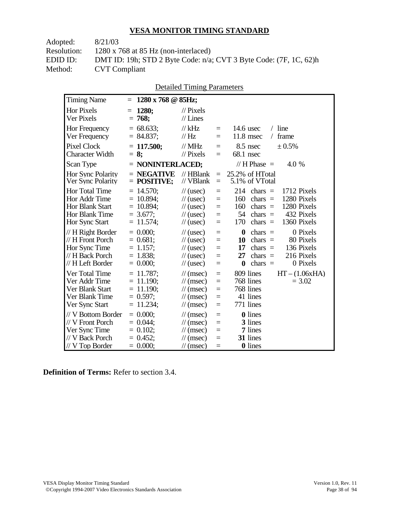| Adopted:           | 8/21/03                                                                |
|--------------------|------------------------------------------------------------------------|
| <b>Resolution:</b> | $1280 \times 768$ at 85 Hz (non-interlaced)                            |
| EDID ID:           | DMT ID: 19h; STD 2 Byte Code: $n/a$ ; CVT 3 Byte Code: $(7F, 1C, 62)h$ |
| Method:            | <b>CVT</b> Compliant                                                   |

|                                                                                               |                                                                               | DUMINI TIIIIIIL TATAMUUTS                                                                                                          |                                 |                                                                                                                                                                           |
|-----------------------------------------------------------------------------------------------|-------------------------------------------------------------------------------|------------------------------------------------------------------------------------------------------------------------------------|---------------------------------|---------------------------------------------------------------------------------------------------------------------------------------------------------------------------|
| <b>Timing Name</b>                                                                            | $1280 \times 768$ @ 85Hz;<br>$=$                                              |                                                                                                                                    |                                 |                                                                                                                                                                           |
| <b>Hor Pixels</b><br>Ver Pixels                                                               | 1280;<br>768;<br>$=$                                                          | $\frac{1}{2}$ Pixels<br>$//$ Lines                                                                                                 |                                 |                                                                                                                                                                           |
| Hor Frequency<br>Ver Frequency                                                                | $= 68.633;$<br>$= 84.837;$                                                    | $//$ kHz<br>// Hz                                                                                                                  | $=$<br>$=$                      | $/$ line<br>$14.6$ usec<br>$11.8$ msec<br>/ frame                                                                                                                         |
| <b>Pixel Clock</b><br><b>Character Width</b>                                                  | $= 117.500$ ;<br>$= 8$ ;                                                      | $//$ MHz<br>$//$ Pixels                                                                                                            | $=$<br>$=$                      | $8.5$ nsec<br>± 0.5%<br>68.1 nsec                                                                                                                                         |
| Scan Type                                                                                     | $=$ NONINTERLACED;                                                            |                                                                                                                                    |                                 | // H Phase $=$<br>4.0 %                                                                                                                                                   |
| Hor Sync Polarity<br>Ver Sync Polarity                                                        | $=$ NEGATIVE<br>$=$ POSITIVE;                                                 | // HBlank<br>// VBlank                                                                                                             | $=$<br>$=$                      | 25.2% of HTotal<br>5.1% of VTotal                                                                                                                                         |
| Hor Total Time<br>Hor Addr Time<br><b>Hor Blank Start</b><br>Hor Blank Time<br>Hor Sync Start | $= 14.570$ ;<br>$= 10.894$ ;<br>$= 10.894;$<br>$= 3.677$ ;<br>$= 11.574$ ;    | $\frac{1}{2}$ (usec)<br>$\frac{1}{2}$ (usec)<br>$\frac{1}{2}$ (usec)<br>$\frac{1}{2}$ (usec)<br>$\frac{1}{2}$ (usec)               | $=$<br>$=$<br>$=$<br>$=$<br>$=$ | 214<br>1712 Pixels<br>$chars =$<br>1280 Pixels<br>160<br>$chars =$<br>160<br>1280 Pixels<br>chars $=$<br>432 Pixels<br>54<br>chars $=$<br>170<br>chars $=$<br>1360 Pixels |
| // H Right Border<br>// H Front Porch<br>Hor Sync Time<br>// H Back Porch<br>// H Left Border | $= 0.000;$<br>$= 0.681;$<br>$= 1.157;$<br>$= 1.838;$<br>$= 0.000;$            | $\frac{1}{2}$ (usec)<br>$\frac{1}{2}$ (usec)<br>$\frac{1}{2}$ (usec)<br>$\frac{1}{2}$ (usec)<br>$\frac{1}{2}$ (usec)               | $=$<br>$=$<br>$=$<br>$=$<br>$=$ | 0 Pixels<br>0<br>$chars =$<br>80 Pixels<br>10<br>chars $=$<br>136 Pixels<br>17<br>$chars =$<br>216 Pixels<br>27<br>chars $=$<br>0 Pixels<br>$\bf{0}$<br>chars $=$         |
| Ver Total Time<br>Ver Addr Time<br>Ver Blank Start<br>Ver Blank Time<br>Ver Sync Start        | $= 11.787$ ;<br>$= 11.190$ ;<br>$= 11.190$ ;<br>$= 0.597$ ;<br>11.234;<br>$=$ | $\mathcal{U}$ (msec)<br>$\mathcal{U}$ (msec)<br>$\frac{1}{\sqrt{2}}$ (msec)<br>$\mathcal{U}$ (msec)<br>$\frac{1}{\sqrt{2}}$ (msec) | $=$<br>$=$<br>$=$<br>$=$<br>$=$ | 809 lines<br>$HT - (1.06xHA)$<br>768 lines<br>$= 3.02$<br>768 lines<br>41 lines<br>771 lines                                                                              |
| // V Bottom Border<br>// V Front Porch<br>Ver Sync Time<br>// V Back Porch<br>// V Top Border | $= 0.000$<br>$= 0.044$ ;<br>$= 0.102;$<br>$= 0.452$ ;<br>$= 0.000;$           | $\mathcal{U}$ (msec)<br>$\mathcal{U}$ (msec)<br>$\frac{1}{\sqrt{2}}$ (msec)<br>$\mathcal{U}$ (msec)<br>$\mathcal{U}$ (msec)        | $=$<br>$=$<br>$=$<br>$=$<br>$=$ | <b>0</b> lines<br>3 lines<br>7 lines<br>31 lines<br>0 lines                                                                                                               |

Detailed Timing Parameters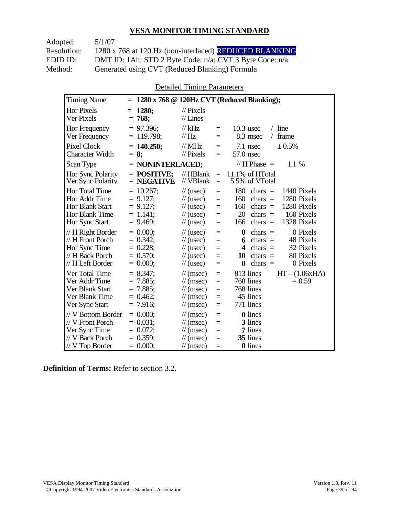Adopted: 5/1/07

Resolution: 1280 x 768 at 120 Hz (non-interlaced) REDUCED BLANKING EDID ID: DMT ID: 1Ah; STD 2 Byte Code: n/a; CVT 3 Byte Code: n/a<br>Method: Generated using CVT (Reduced Blanking) Formula Generated using CVT (Reduced Blanking) Formula

Detailed Timing Parameters

| <b>Timing Name</b>                                                                                   | $\equiv$                                                                 |                                                                                                                                    |                                 | 1280 x 768 @ 120Hz CVT (Reduced Blanking);                                                                                                                                           |
|------------------------------------------------------------------------------------------------------|--------------------------------------------------------------------------|------------------------------------------------------------------------------------------------------------------------------------|---------------------------------|--------------------------------------------------------------------------------------------------------------------------------------------------------------------------------------|
| <b>Hor Pixels</b><br>Ver Pixels                                                                      | 1280:<br>$= 768;$                                                        | $\frac{1}{2}$ Pixels<br>$//$ Lines                                                                                                 |                                 |                                                                                                                                                                                      |
| <b>Hor Frequency</b><br>Ver Frequency                                                                | $= 97.396$ ;<br>$= 119.798$ ;                                            | $//$ kHz<br>$\mathcal{U}$ Hz                                                                                                       | $=$<br>$=$                      | $10.3$ usec<br>$/$ line<br>8.3 msec<br>frame<br>$\sqrt{2}$                                                                                                                           |
| <b>Pixel Clock</b><br><b>Character Width</b>                                                         | $= 140.250$ ;<br>$= 8:$                                                  | $//$ MHz<br>$\frac{1}{2}$ Pixels                                                                                                   | $=$<br>$=$                      | $7.1$ nsec<br>± 0.5%<br>57.0 nsec                                                                                                                                                    |
| Scan Type                                                                                            | $=$ NONINTERLACED;                                                       |                                                                                                                                    |                                 | // $H$ Phase $=$<br>1.1 %                                                                                                                                                            |
| Hor Sync Polarity<br>Ver Sync Polarity                                                               | $=$ POSITIVE:<br>$=$ NEGATIVE                                            | $//$ HBlank<br>// VBlank                                                                                                           | $=$<br>$=$                      | 11.1% of HTotal<br>5.5% of VTotal                                                                                                                                                    |
| <b>Hor Total Time</b><br>Hor Addr Time<br><b>Hor Blank Start</b><br>Hor Blank Time<br>Hor Sync Start | $= 10.267$ ;<br>$= 9.127$ ;<br>$= 9.127$ ;<br>$= 1.141$ ;<br>$= 9.469$ ; | $\frac{1}{2}$ (usec)<br>$\frac{1}{2}$ (usec)<br>$\frac{1}{2}$ (usec)<br>$\frac{1}{2}$ (usec)<br>$\frac{1}{2}$ (usec)               | $=$<br>$=$<br>$=$<br>$=$<br>$=$ | 180<br>chars $=$<br>1440 Pixels<br>1280 Pixels<br>160<br>chars $=$<br>1280 Pixels<br>160<br>chars $=$<br>20<br>160 Pixels<br>$chars =$<br>1328 Pixels<br>$chars =$<br>166            |
| // H Right Border<br>// H Front Porch<br>Hor Sync Time<br>// H Back Porch<br>// H Left Border        | $= 0.000$<br>$= 0.342$ ;<br>$= 0.228;$<br>$= 0.570$ ;<br>$= 0.000;$      | $\frac{1}{2}$ (usec)<br>$\frac{1}{2}$ (usec)<br>$\frac{1}{2}$ (usec)<br>$\frac{1}{2}$ (usec)<br>$\frac{1}{2}$ (usec)               | $=$<br>$=$<br>$=$<br>$=$<br>$=$ | $\boldsymbol{0}$<br>0 Pixels<br>chars $=$<br>48 Pixels<br>$chars =$<br>6<br>32 Pixels<br>4<br>$chars =$<br>80 Pixels<br>$chars =$<br>10<br>0 Pixels<br>$\boldsymbol{0}$<br>$chars =$ |
| Ver Total Time<br>Ver Addr Time<br>Ver Blank Start<br>Ver Blank Time<br>Ver Sync Start               | $= 8.347$ ;<br>$= 7.885$ ;<br>$= 7.885$ ;<br>$= 0.462$ ;<br>$= 7.916$ ;  | $\mathcal{U}$ (msec)<br>$\frac{1}{\sqrt{2}}$ (msec)<br>$\mathcal{U}$ (msec)<br>$\mathcal{U}$ (msec)<br>$\frac{1}{\sqrt{2}}$ (msec) | $=$<br>$=$<br>$=$<br>$=$<br>$=$ | 813 lines<br>$HT - (1.06xHA)$<br>768 lines<br>$= 0.59$<br>768 lines<br>45 lines<br>771 lines                                                                                         |
| // V Bottom Border<br>// V Front Porch<br>Ver Sync Time<br>// V Back Porch<br>$//$ V Top Border      | $= 0.000$<br>$= 0.031$ :<br>$= 0.072$ ;<br>$= 0.359$ ;<br>$= 0.000;$     | $\mathcal{U}$ (msec)<br>$\frac{1}{\sqrt{2}}$ (msec)<br>$\mathcal{U}$ (msec)<br>$\mathcal{U}$ (msec)<br>$\mathcal{U}$ (msec)        | $=$<br>$=$<br>$=$<br>$=$<br>$=$ | <b>0</b> lines<br>3 lines<br>7 lines<br>35 lines<br>0 lines                                                                                                                          |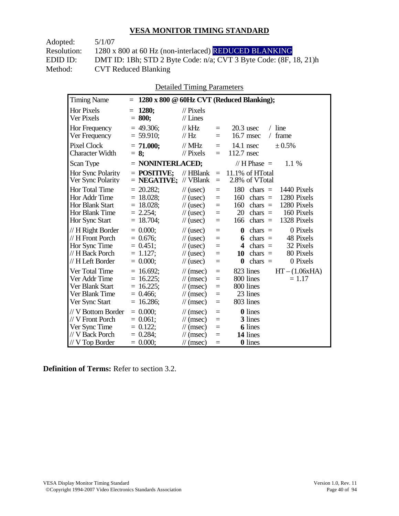Adopted: 5/1/07 Resolution: 1280 x 800 at 60 Hz (non-interlaced) REDUCED BLANKING EDID ID: DMT ID: 1Bh; STD 2 Byte Code: n/a; CVT 3 Byte Code: (8F, 18, 21)h<br>Method: CVT Reduced Blanking CVT Reduced Blanking

Detailed Timing Parameters

| <b>Timing Name</b>                                                                              | $=$                                                                         |                                                                                                                      |                                 | 1280 x 800 @ 60Hz CVT (Reduced Blanking);                                                                                                                                            |
|-------------------------------------------------------------------------------------------------|-----------------------------------------------------------------------------|----------------------------------------------------------------------------------------------------------------------|---------------------------------|--------------------------------------------------------------------------------------------------------------------------------------------------------------------------------------|
| <b>Hor Pixels</b><br>Ver Pixels                                                                 | 1280:<br>$=$<br>$= 800;$                                                    | $\mathcal{U}$ Pixels<br>$//$ Lines                                                                                   |                                 |                                                                                                                                                                                      |
| Hor Frequency<br>Ver Frequency                                                                  | 49.306;<br>$= 59.910$ ;                                                     | // $kHz$<br>$\frac{1}{1}$ Hz                                                                                         | $=$<br>$=$                      | $20.3$ usec<br>$/$ line<br>16.7 msec<br>frame<br>$\sqrt{2}$                                                                                                                          |
| <b>Pixel Clock</b><br><b>Character Width</b>                                                    | $= 71.000;$<br>$= 8:$                                                       | $//$ MHz<br>$\mathcal{U}$ Pixels                                                                                     | $=$<br>$=$                      | $14.1$ nsec<br>± 0.5%<br>112.7 nsec                                                                                                                                                  |
| Scan Type                                                                                       | $=$ NONINTERLACED;                                                          |                                                                                                                      |                                 | // H Phase $=$<br>1.1%                                                                                                                                                               |
| Hor Sync Polarity<br>Ver Sync Polarity                                                          | $=$ POSITIVE:<br>$=$ NEGATIVE;                                              | $//$ HBlank<br>// VBlank                                                                                             | $\equiv$<br>$=$                 | 11.1% of HTotal<br>2.8% of VTotal                                                                                                                                                    |
| Hor Total Time<br>Hor Addr Time<br><b>Hor Blank Start</b><br>Hor Blank Time<br>Hor Sync Start   | $= 20.282$ ;<br>$= 18.028$ ;<br>$= 18.028$ ;<br>$= 2.254$ ;<br>18.704;<br>Ξ | $\frac{1}{2}$ (usec)<br>$\frac{1}{2}$ (usec)<br>$\frac{1}{2}$ (usec)<br>$\frac{1}{2}$ (usec)<br>$\frac{1}{2}$ (usec) | $=$<br>$=$<br>$=$<br>$=$<br>$=$ | 180<br>chars $=$<br>1440 Pixels<br>1280 Pixels<br>160<br>chars $=$<br>1280 Pixels<br>160<br>$chars =$<br>20<br>160 Pixels<br>chars $=$<br>1328 Pixels<br>166<br>chars $=$            |
| $// H$ Right Border<br>// H Front Porch<br>Hor Sync Time<br>// H Back Porch<br>// H Left Border | $= 0.000$<br>$= 0.676$ ;<br>$= 0.451$ ;<br>$= 1.127$ ;<br>$= 0.000;$        | $\frac{1}{2}$ (usec)<br>$\frac{1}{2}$ (usec)<br>$\frac{1}{2}$ (usec)<br>$\frac{1}{2}$ (usec)<br>$\frac{1}{2}$ (usec) | $=$<br>$=$<br>$=$<br>$=$<br>$=$ | 0 Pixels<br>$\boldsymbol{0}$<br>$chars =$<br>48 Pixels<br>$chars =$<br>6<br>32 Pixels<br>4<br>chars $=$<br>80 Pixels<br>10<br>$chars =$<br>0 Pixels<br>$\boldsymbol{0}$<br>$chars =$ |
| Ver Total Time<br>Ver Addr Time<br>Ver Blank Start<br>Ver Blank Time<br>Ver Sync Start          | $= 16.692$ ;<br>$= 16.225$ ;<br>$= 16.225$ ;<br>0.466;<br>16.286;           | $\mathcal{U}$ (msec)<br>$\mathcal{U}$ (msec)<br>$\mathcal{U}$ (msec)<br>$\mathcal{U}$ (msec)<br>$\mathcal{U}$ (msec) | $=$<br>$=$<br>$=$<br>$=$<br>$=$ | 823 lines<br>$HT - (1.06xHA)$<br>800 lines<br>$= 1.17$<br>800 lines<br>23 lines<br>803 lines                                                                                         |
| // V Bottom Border<br>// V Front Porch<br>Ver Sync Time<br>// V Back Porch<br>$//$ V Top Border | $= 0.000$<br>$0.061$ ;<br>$=$<br>$= 0.122$ ;<br>$= 0.284$<br>$= 0.000;$     | $\mathcal{U}$ (msec)<br>$\mathcal{U}$ (msec)<br>$\mathcal{U}$ (msec)<br>$\mathcal{U}$ (msec)<br>$\mathcal{U}$ (msec) | $=$<br>$=$<br>$=$<br>$=$<br>$=$ | 0 lines<br>3 lines<br><b>6</b> lines<br>14 lines<br>0 lines                                                                                                                          |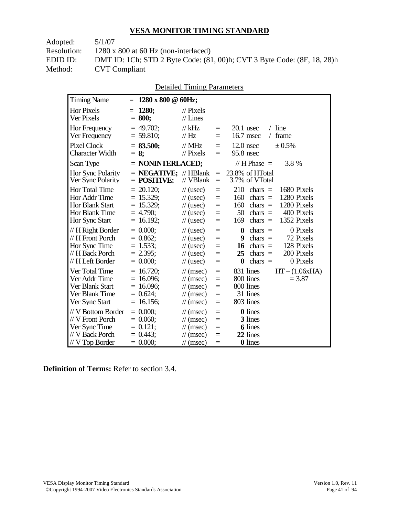Adopted: 5/1/07

Resolution: 1280 x 800 at 60 Hz (non-interlaced)

EDID ID: DMT ID: 1Ch; STD 2 Byte Code: (81, 00)h; CVT 3 Byte Code: (8F, 18, 28)h<br>Method: CVT Compliant **CVT Compliant** 

| <b>Detailed Timing Parameters</b> |
|-----------------------------------|
|-----------------------------------|

| <b>Timing Name</b>                                                                            | $1280 \times 800 \& 60$ Hz;<br>$=$                                          |                                                                                                                      |                                 |                                                                                                                                                                           |
|-----------------------------------------------------------------------------------------------|-----------------------------------------------------------------------------|----------------------------------------------------------------------------------------------------------------------|---------------------------------|---------------------------------------------------------------------------------------------------------------------------------------------------------------------------|
| <b>Hor Pixels</b><br>Ver Pixels                                                               | 1280;<br>$=$<br>$= 800;$                                                    | $\mathcal{U}$ Pixels<br>$//$ Lines                                                                                   |                                 |                                                                                                                                                                           |
| Hor Frequency<br>Ver Frequency                                                                | $= 49.702$ ;<br>$= 59.810$ ;                                                | // $kHz$<br>$\frac{1}{1}$ Hz                                                                                         | $=$<br>$=$                      | $20.1$ usec<br>$/$ line<br>16.7 msec<br>frame<br>$\sqrt{2}$                                                                                                               |
| <b>Pixel Clock</b><br><b>Character Width</b>                                                  | $= 83.500;$<br>$= 8$ ;                                                      | $\mathcal{U}$ MHz<br>$//$ Pixels                                                                                     | $=$<br>$=$                      | $12.0$ nsec<br>± 0.5%<br>95.8 nsec                                                                                                                                        |
| Scan Type                                                                                     | $=$ NONINTERLACED;                                                          |                                                                                                                      |                                 | // H Phase $=$<br>3.8 %                                                                                                                                                   |
| Hor Sync Polarity<br>Ver Sync Polarity                                                        | $=$ <b>NEGATIVE</b> ; // HBlank<br>$=$ POSITIVE;                            | // VBlank                                                                                                            | $=$<br>$=$                      | 23.8% of HTotal<br>3.7% of VTotal                                                                                                                                         |
| Hor Total Time<br>Hor Addr Time<br><b>Hor Blank Start</b><br>Hor Blank Time<br>Hor Sync Start | $= 20.120$ ;<br>$= 15.329$ ;<br>$= 15.329$ ;<br>$= 4.790$ ;<br>$= 16.192$ ; | $\frac{1}{2}$ (usec)<br>$\frac{1}{2}$ (usec)<br>$\frac{1}{2}$ (usec)<br>$\frac{1}{2}$ (usec)<br>$\frac{1}{2}$ (usec) | $=$<br>$=$<br>$=$<br>$=$<br>$=$ | 210<br>1680 Pixels<br>$chars =$<br>160<br>chars $=$<br>1280 Pixels<br>1280 Pixels<br>160<br>chars $=$<br>50<br>400 Pixels<br>chars $=$<br>1352 Pixels<br>169<br>$chars =$ |
| // H Right Border<br>// H Front Porch<br>Hor Sync Time<br>// H Back Porch<br>// H Left Border | $= 0.000$<br>$= 0.862$ ;<br>$= 1.533;$<br>$= 2.395;$<br>$= 0.000;$          | $\frac{1}{2}$ (usec)<br>$\frac{1}{2}$ (usec)<br>$\frac{1}{2}$ (usec)<br>$\frac{1}{2}$ (usec)<br>$\frac{1}{2}$ (usec) | $=$<br>$=$<br>$=$<br>$=$<br>$=$ | 0 Pixels<br>chars $=$<br>0<br>72 Pixels<br>9<br>$chars =$<br>128 Pixels<br>16<br>chars $=$<br>200 Pixels<br>25<br>chars $=$<br>0 Pixels<br>chars $=$<br>0                 |
| Ver Total Time<br>Ver Addr Time<br>Ver Blank Start<br>Ver Blank Time<br>Ver Sync Start        | $= 16.720$ ;<br>$= 16.096$ ;<br>$= 16.096$ ;<br>$= 0.624;$<br>$= 16.156$ ;  | $\mathcal{U}$ (msec)<br>$\mathcal{U}$ (msec)<br>$\mathcal{U}$ (msec)<br>$\mathcal{U}$ (msec)<br>$\mathcal{U}$ (msec) | $=$<br>$=$<br>$=$<br>$=$<br>$=$ | $HT - (1.06xHA)$<br>831 lines<br>800 lines<br>$= 3.87$<br>800 lines<br>31 lines<br>803 lines                                                                              |
| // V Bottom Border<br>// V Front Porch<br>Ver Sync Time<br>// V Back Porch<br>// V Top Border | $= 0.000;$<br>$= 0.060;$<br>$= 0.121$ ;<br>$= 0.443$<br>$= 0.000;$          | $\mathcal{U}$ (msec)<br>$\mathcal{U}$ (msec)<br>$\mathcal{U}$ (msec)<br>$\mathcal{U}$ (msec)<br>$\mathcal{U}$ (msec) | $=$<br>$=$<br>$=$<br>$=$<br>$=$ | 0 lines<br>3 lines<br><b>6</b> lines<br>22 lines<br>0 lines                                                                                                               |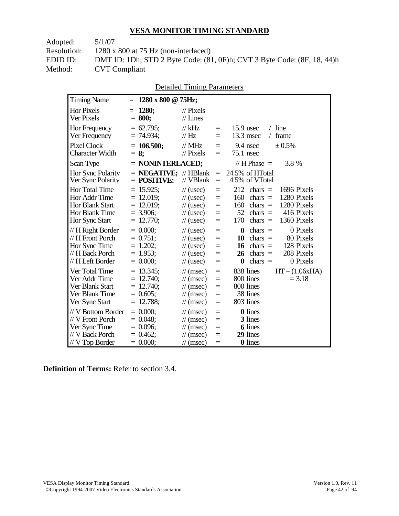Adopted: 5/1/07

Resolution: 1280 x 800 at 75 Hz (non-interlaced)

EDID ID: DMT ID: 1Dh; STD 2 Byte Code: (81, 0F)h; CVT 3 Byte Code: (8F, 18, 44)h<br>Method: CVT Compliant **CVT Compliant** 

| <b>Detailed Timing Parameters</b> |
|-----------------------------------|
|-----------------------------------|

| <b>Timing Name</b>                                                                             | $1280 \times 800 \text{ @ } 75 \text{Hz};$<br>$=$                          |                                                                                                                      |                                 |                                                                                                                                                                           |
|------------------------------------------------------------------------------------------------|----------------------------------------------------------------------------|----------------------------------------------------------------------------------------------------------------------|---------------------------------|---------------------------------------------------------------------------------------------------------------------------------------------------------------------------|
| <b>Hor Pixels</b><br>Ver Pixels                                                                | <b>1280:</b><br>$=$<br>$= 800;$                                            | $\mathcal{U}$ Pixels<br>$//$ Lines                                                                                   |                                 |                                                                                                                                                                           |
| Hor Frequency<br>Ver Frequency                                                                 | $= 62.795$ ;<br>$= 74.934$ ;                                               | $//$ kHz<br>$\frac{1}{1}$ Hz                                                                                         | $=$<br>Ξ                        | $/$ line<br>$15.9$ usec<br>13.3 msec<br>frame<br>$\sqrt{2}$                                                                                                               |
| <b>Pixel Clock</b><br><b>Character Width</b>                                                   | $= 106.500$ ;<br>$= 8$ ;                                                   | $//$ MHz<br>$//$ Pixels                                                                                              | $=$<br>$=$                      | ± 0.5%<br>9.4 nsec<br>75.1 nsec                                                                                                                                           |
| Scan Type                                                                                      | $=$ NONINTERLACED;                                                         |                                                                                                                      |                                 | // H Phase $=$<br>3.8 %                                                                                                                                                   |
| Hor Sync Polarity<br>Ver Sync Polarity                                                         | $=$ <b>NEGATIVE</b> ; // HBlank<br>$=$ POSITIVE;                           | // VBlank                                                                                                            | $=$<br>$=$                      | 24.5% of HTotal<br>4.5% of VTotal                                                                                                                                         |
| Hor Total Time<br>Hor Addr Time<br><b>Hor Blank Start</b><br>Hor Blank Time<br>Hor Sync Start  | $= 15.925$ ;<br>$= 12.019;$<br>$= 12.019$ ;<br>$= 3.906$ ;<br>$= 12.770$ ; | $\frac{1}{2}$ (usec)<br>$\frac{1}{2}$ (usec)<br>$\frac{1}{2}$ (usec)<br>$\frac{1}{2}$ (usec)<br>$\frac{1}{2}$ (usec) | $=$<br>$=$<br>$=$<br>$=$<br>$=$ | 212<br>1696 Pixels<br>$chars =$<br>1280 Pixels<br>160<br>chars $=$<br>160<br>1280 Pixels<br>chars $=$<br>52<br>416 Pixels<br>chars $=$<br>170<br>chars $=$<br>1360 Pixels |
| // H Right Border<br>// H Front Porch<br>Hor Sync Time<br>// H Back Porch<br>// H Left Border  | $= 0.000$<br>$= 0.751$ ;<br>$= 1.202$ ;<br>$= 1.953$ ;<br>$= 0.000;$       | $\frac{1}{2}$ (usec)<br>$\frac{1}{2}$ (usec)<br>$\frac{1}{2}$ (usec)<br>$\frac{1}{2}$ (usec)<br>$\frac{1}{2}$ (usec) | $=$<br>$=$<br>$=$<br>$=$<br>$=$ | 0 Pixels<br>$\bf{0}$<br>chars $=$<br>80 Pixels<br>10<br>$chars =$<br>128 Pixels<br>16<br>chars $=$<br>208 Pixels<br>26<br>$chars =$<br>0 Pixels<br>chars $=$<br>0         |
| Ver Total Time<br>Ver Addr Time<br>Ver Blank Start<br>Ver Blank Time<br>Ver Sync Start         | $= 13.345$ ;<br>$= 12.740;$<br>$= 12.740$ ;<br>$= 0.605$ ;<br>12.788;      | $\mathcal{U}$ (msec)<br>$\mathcal{U}$ (msec)<br>$\mathcal{U}$ (msec)<br>$\mathcal{U}$ (msec)<br>$\mathcal{U}$ (msec) | $=$<br>$=$<br>$=$<br>$=$<br>$=$ | 838 lines<br>$HT - (1.06xHA)$<br>800 lines<br>$= 3.18$<br>800 lines<br>38 lines<br>803 lines                                                                              |
| // V Bottom Border<br>// V Front Porch<br>Ver Sync Time<br>// V Back Porch<br>$//V$ Top Border | $= 0.000;$<br>$= 0.048$<br>$= 0.096$ ;<br>$= 0.462$<br>$= 0.000;$          | $\mathcal{U}$ (msec)<br>$\mathcal{U}$ (msec)<br>$\mathcal{U}$ (msec)<br>$\mathcal{U}$ (msec)<br>$\mathcal{U}$ (msec) | $=$<br>$=$<br>$=$<br>$=$<br>$=$ | 0 lines<br>3 lines<br><b>6</b> lines<br>29 lines<br>0 lines                                                                                                               |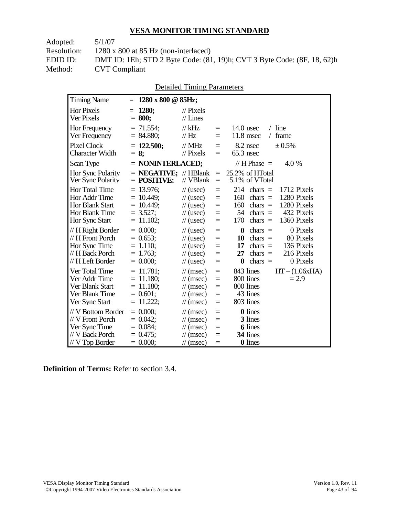Adopted: 5/1/07 Resolution: 1280 x 800 at 85 Hz (non-interlaced) EDID ID: DMT ID: 1Eh; STD 2 Byte Code: (81, 19)h; CVT 3 Byte Code: (8F, 18, 62)h<br>Method: CVT Compliant **CVT Compliant** 

|  | <b>Detailed Timing Parameters</b> |
|--|-----------------------------------|
|  |                                   |

| <b>Timing Name</b>                                                                                   | $1280 \times 800 \text{ @ } 85 \text{Hz};$<br>$=$                        |                                                                                                                      |                                           |                                                                                                                                                                           |
|------------------------------------------------------------------------------------------------------|--------------------------------------------------------------------------|----------------------------------------------------------------------------------------------------------------------|-------------------------------------------|---------------------------------------------------------------------------------------------------------------------------------------------------------------------------|
| <b>Hor Pixels</b><br>Ver Pixels                                                                      | 1280:<br>$=$<br>$= 800;$                                                 | $\mathcal{U}$ Pixels<br>$//$ Lines                                                                                   |                                           |                                                                                                                                                                           |
| Hor Frequency<br>Ver Frequency                                                                       | $= 71.554$ ;<br>$= 84.880;$                                              | $//$ kHz<br>$\frac{1}{1}$ Hz                                                                                         | $=$<br>$=$                                | $/$ line<br>$14.0$ usec<br>$11.8$ msec<br>frame<br>$\sqrt{2}$                                                                                                             |
| <b>Pixel Clock</b><br><b>Character Width</b>                                                         | $= 122.500;$<br>$= 8$ ;                                                  | $//$ MHz<br>$\frac{1}{2}$ Pixels                                                                                     | $=$<br>$=$                                | ± 0.5%<br>8.2 nsec<br>$65.3$ nsec                                                                                                                                         |
| Scan Type                                                                                            | $=$ NONINTERLACED;                                                       |                                                                                                                      |                                           | // H Phase $=$<br>4.0 %                                                                                                                                                   |
| Hor Sync Polarity<br>Ver Sync Polarity                                                               | $=$ <b>NEGATIVE:</b> // HBlank<br>$=$ POSITIVE;                          | // VBlank                                                                                                            | $\equiv$<br>$\equiv$                      | 25.2% of HTotal<br>5.1% of VTotal                                                                                                                                         |
| <b>Hor Total Time</b><br>Hor Addr Time<br><b>Hor Blank Start</b><br>Hor Blank Time<br>Hor Sync Start | $= 13.976$ ;<br>$= 10.449;$<br>$= 10.449$ ;<br>$= 3.527;$<br>$= 11.102;$ | $\frac{1}{2}$ (usec)<br>$\frac{1}{2}$ (usec)<br>$\frac{1}{2}$ (usec)<br>$\frac{1}{2}$ (usec)<br>$\frac{1}{2}$ (usec) | $=$<br>$=$<br>$=$<br>$=$<br>$=$           | 1712 Pixels<br>214<br>$chars =$<br>1280 Pixels<br>160<br>$chars =$<br>160<br>1280 Pixels<br>$chars =$<br>432 Pixels<br>54<br>chars $=$<br>170<br>chars $=$<br>1360 Pixels |
| // H Right Border<br>// H Front Porch<br>Hor Sync Time<br>// H Back Porch<br>// H Left Border        | $= 0.000$<br>$= 0.653$ ;<br>$= 1.110$ ;<br>$= 1.763$ ;<br>$= 0.000;$     | $\frac{1}{2}$ (usec)<br>$\frac{1}{2}$ (usec)<br>$\frac{1}{2}$ (usec)<br>$\frac{1}{2}$ (usec)<br>$\frac{1}{2}$ (usec) | $=$<br>$=$<br>$=$<br>$=$<br>$=$           | 0 Pixels<br>$\bf{0}$<br>$chars =$<br>10<br>$chars =$<br>80 Pixels<br>136 Pixels<br>17<br>chars $=$<br>216 Pixels<br>27<br>chars $=$<br>chars $=$<br>0 Pixels<br>0         |
| Ver Total Time<br>Ver Addr Time<br>Ver Blank Start<br>Ver Blank Time<br>Ver Sync Start               | $= 11.781;$<br>$= 11.180$ ;<br>$= 11.180$ ;<br>$= 0.601;$<br>$11.222$ ;  | $\mathcal{U}$ (msec)<br>$\mathcal{U}$ (msec)<br>$\mathcal{U}$ (msec)<br>$\mathcal{U}$ (msec)<br>$\mathcal{U}$ (msec) | $\equiv$<br>$\equiv$<br>$=$<br>$=$<br>$=$ | 843 lines<br>$HT - (1.06xHA)$<br>800 lines<br>$= 2.9$<br>800 lines<br>43 lines<br>803 lines                                                                               |
| // V Bottom Border<br>// V Front Porch<br>Ver Sync Time<br>// V Back Porch<br>$//$ V Top Border      | $= 0.000;$<br>$= 0.042$<br>$= 0.084$ ;<br>$= 0.475$ ;<br>$= 0.000;$      | $\mathcal{U}$ (msec)<br>$\mathcal{U}$ (msec)<br>$\mathcal{U}$ (msec)<br>$\mathcal{U}$ (msec)<br>$\mathcal{N}(msec)$  | $=$<br>$=$<br>$=$<br>$=$<br>$=$           | 0 lines<br>3 lines<br><b>6</b> lines<br>34 lines<br>0 lines                                                                                                               |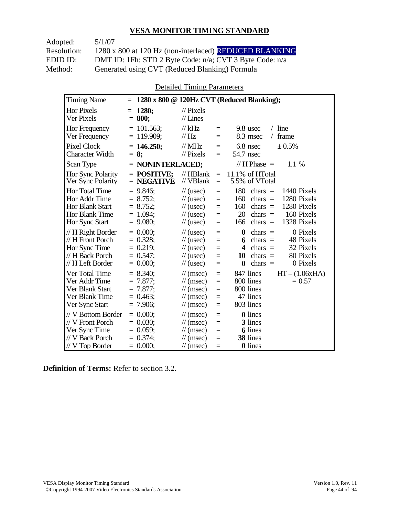| Adopted:    | 5/1/07                                                  |
|-------------|---------------------------------------------------------|
| Resolution: | 1280 x 800 at 120 Hz (non-interlaced) REDUCED BLANKING  |
| EDID ID:    | DMT ID: 1Fh; STD 2 Byte Code: n/a; CVT 3 Byte Code: n/a |
| Method:     | Generated using CVT (Reduced Blanking) Formula          |

Detailed Timing Parameters

| <b>Timing Name</b>                                                                              | $=$                                                                    |                                                                                                                             |                                      | $1280 \times 800 \odot 120$ Hz CVT (Reduced Blanking);                                                                                                                    |
|-------------------------------------------------------------------------------------------------|------------------------------------------------------------------------|-----------------------------------------------------------------------------------------------------------------------------|--------------------------------------|---------------------------------------------------------------------------------------------------------------------------------------------------------------------------|
| <b>Hor Pixels</b><br>Ver Pixels                                                                 | 1280;<br>II.<br>$= 800:$                                               | $\frac{1}{2}$ Pixels<br>$//$ Lines                                                                                          |                                      |                                                                                                                                                                           |
| Hor Frequency<br>Ver Frequency                                                                  | $= 101.563$ ;<br>$= 119.909$ ;                                         | $//$ kHz<br>// Hz                                                                                                           | $=$<br>$=$                           | $/$ line<br>9.8 usec<br>frame<br>8.3 msec<br>$\sqrt{2}$                                                                                                                   |
| <b>Pixel Clock</b><br><b>Character Width</b>                                                    | $= 146.250$ ;<br>$= 8:$                                                | $//$ MHz<br>$//$ Pixels                                                                                                     | $=$<br>$=$                           | 6.8 nsec<br>± 0.5%<br>54.7 nsec                                                                                                                                           |
| Scan Type                                                                                       | = NONINTERLACED;                                                       |                                                                                                                             |                                      | // H Phase $=$<br>1.1 %                                                                                                                                                   |
| Hor Sync Polarity<br>Ver Sync Polarity                                                          | $=$ POSITIVE;<br>$=$ NEGATIVE                                          | $//$ HBlank<br>// VBlank                                                                                                    | $\equiv$<br>$=$                      | 11.1% of HTotal<br>5.5% of VTotal                                                                                                                                         |
| Hor Total Time<br>Hor Addr Time<br><b>Hor Blank Start</b><br>Hor Blank Time<br>Hor Sync Start   | $= 9.846$ ;<br>$= 8.752;$<br>$= 8.752;$<br>$= 1.094$ ;<br>$= 9.080$ ;  | $\frac{1}{2}$ (usec)<br>$\frac{1}{2}$ (usec)<br>$\frac{1}{2}$ (usec)<br>$\frac{1}{2}$ (usec)<br>$\frac{1}{2}$ (usec)        | $=$<br>$=$<br>$\equiv$<br>$=$<br>$=$ | 180<br>chars $=$<br>1440 Pixels<br>1280 Pixels<br>160<br>chars $=$<br>160<br>1280 Pixels<br>chars $=$<br>20<br>160 Pixels<br>$chars =$<br>1328 Pixels<br>166<br>chars $=$ |
| // H Right Border<br>// H Front Porch<br>Hor Sync Time<br>// H Back Porch<br>// H Left Border   | $= 0.000$<br>$= 0.328$ ;<br>$= 0.219$ ;<br>$= 0.547$ ;<br>$= 0.000;$   | $\frac{1}{2}$ (usec)<br>$\frac{1}{2}$ (usec)<br>$\frac{1}{2}$ (usec)<br>$\frac{1}{2}$ (usec)<br>$\frac{1}{2}$ (usec)        | $=$<br>$=$<br>$=$<br>$\equiv$<br>$=$ | 0 Pixels<br>$\bf{0}$<br>$chars =$<br>48 Pixels<br>chars $=$<br>6<br>32 Pixels<br>4<br>chars $=$<br>80 Pixels<br>chars $=$<br>10<br>0 Pixels<br>$\bf{0}$<br>chars $=$      |
| Ver Total Time<br>Ver Addr Time<br>Ver Blank Start<br>Ver Blank Time<br>Ver Sync Start          | $= 8.340;$<br>$= 7.877$ ;<br>$= 7.877$ ;<br>$= 0.463$ ;<br>$= 7.906$ ; | $\frac{1}{\sqrt{2}}$ (msec)<br>$\mathcal{U}$ (msec)<br>$\mathcal{U}$ (msec)<br>$\mathcal{U}$ (msec)<br>$\mathcal{U}$ (msec) | $=$<br>$=$<br>$=$<br>$=$<br>$=$      | 847 lines<br>$HT - (1.06xHA)$<br>800 lines<br>$= 0.57$<br>800 lines<br>47 lines<br>803 lines                                                                              |
| // V Bottom Border<br>// V Front Porch<br>Ver Sync Time<br>// V Back Porch<br>$//$ V Top Border | $= 0.000$<br>$= 0.030$ ;<br>$= 0.059$ ;<br>$= 0.374$ ;<br>$= 0.000;$   | $\mathcal{U}$ (msec)<br>$\mathcal{U}$ (msec)<br>$\frac{1}{\sqrt{2}}$ (msec)<br>$\mathcal{U}$ (msec)<br>$\mathcal{U}$ (msec) | $=$<br>$=$<br>$=$<br>$=$<br>$=$      | <b>0</b> lines<br>3 lines<br><b>6</b> lines<br>38 lines<br><b>0</b> lines                                                                                                 |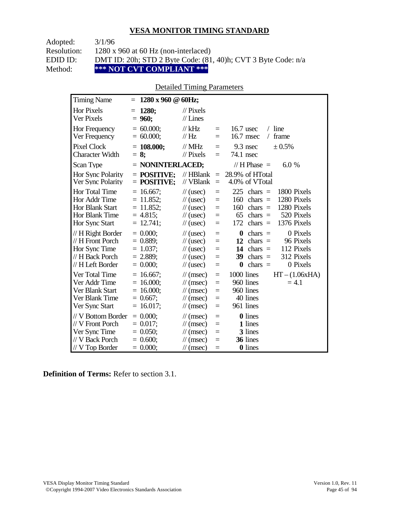| Adopted:    | 3/1/96                                                        |
|-------------|---------------------------------------------------------------|
| Resolution: | $1280 \times 960$ at 60 Hz (non-interlaced)                   |
| EDID ID:    | DMT ID: 20h; STD 2 Byte Code: (81, 40)h; CVT 3 Byte Code: n/a |
| Method:     | *** NOT CVT COMPLIANT ***                                     |

#### Detailed Timing Parameters

| <b>Timing Name</b>                                                                              | $1280 \times 960 \text{ } \textcircled{a}$ 60Hz;<br>$=$                    |                                                                                                                                    |                                 |                                                                                                                                                                           |
|-------------------------------------------------------------------------------------------------|----------------------------------------------------------------------------|------------------------------------------------------------------------------------------------------------------------------------|---------------------------------|---------------------------------------------------------------------------------------------------------------------------------------------------------------------------|
| <b>Hor Pixels</b><br>Ver Pixels                                                                 | 1280;<br>Ξ<br>$= 960;$                                                     | $\mathcal{U}$ Pixels<br>$//$ Lines                                                                                                 |                                 |                                                                                                                                                                           |
| Hor Frequency<br>Ver Frequency                                                                  | $= 60.000;$<br>$= 60.000;$                                                 | $//$ kHz<br>$\frac{1}{1}$ Hz                                                                                                       | $=$<br>$=$                      | $/$ line<br>16.7 usec<br>16.7 msec<br>frame<br>$\sqrt{2}$                                                                                                                 |
| Pixel Clock<br><b>Character Width</b>                                                           | $= 108.000;$<br>$= 8$ ;                                                    | $\frac{1}{1}$ MHz<br>$\frac{1}{2}$ Pixels                                                                                          | $=$<br>$=$                      | $9.3$ nsec<br>$\pm 0.5\%$<br>74.1 nsec                                                                                                                                    |
| Scan Type                                                                                       | $=$ NONINTERLACED;                                                         |                                                                                                                                    |                                 | // H Phase $=$<br>6.0%                                                                                                                                                    |
| Hor Sync Polarity<br>Ver Sync Polarity                                                          | $=$ POSITIVE:<br>$=$ POSITIVE;                                             | $//$ HBlank<br>// VBlank                                                                                                           | $\equiv$<br>$=$                 | 28.9% of HTotal<br>4.0% of VTotal                                                                                                                                         |
| Hor Total Time<br>Hor Addr Time<br><b>Hor Blank Start</b><br>Hor Blank Time<br>Hor Sync Start   | $= 16.667$ ;<br>$= 11.852$ ;<br>$= 11.852$ ;<br>$= 4.815$ ;<br>$= 12.741;$ | $\frac{1}{2}$ (usec)<br>$\frac{1}{2}$ (usec)<br>$\frac{1}{2}$ (usec)<br>$\frac{1}{2}$ (usec)<br>$\frac{1}{2}$ (usec)               | $=$<br>$=$<br>$=$<br>$=$<br>$=$ | 225<br>$chars =$<br>1800 Pixels<br>1280 Pixels<br>160<br>chars $=$<br>1280 Pixels<br>160<br>chars $=$<br>520 Pixels<br>65<br>chars $=$<br>172<br>1376 Pixels<br>$chars =$ |
| // H Right Border<br>// H Front Porch<br>Hor Sync Time<br>// H Back Porch<br>// H Left Border   | $= 0.000;$<br>$= 0.889$ ;<br>$= 1.037$ ;<br>$= 2.889$ ;<br>$= 0.000;$      | $\frac{1}{2}$ (usec)<br>$\frac{1}{2}$ (usec)<br>$\frac{1}{2}$ (usec)<br>$\frac{1}{2}$ (usec)<br>$\frac{1}{2}$ (usec)               | $=$<br>$=$<br>$=$<br>$=$<br>$=$ | $\boldsymbol{0}$<br>0 Pixels<br>$chars =$<br>12<br>96 Pixels<br>$chars =$<br>112 Pixels<br>14 chars $=$<br>312 Pixels<br>39<br>chars $=$<br>0 Pixels<br>0<br>$chars =$    |
| Ver Total Time<br>Ver Addr Time<br>Ver Blank Start<br>Ver Blank Time<br>Ver Sync Start          | $= 16.667$ ;<br>$= 16.000;$<br>$= 16.000;$<br>$= 0.667$ ;<br>$= 16.017;$   | $\mathcal{U}$ (msec)<br>$\mathcal{U}$ (msec)<br>$\mathcal{U}$ (msec)<br>$\mathcal{U}$ (msec)<br>$\mathcal{U}$ (msec)               | $=$<br>$=$<br>$=$<br>$=$<br>$=$ | 1000 lines<br>$HT - (1.06xHA)$<br>960 lines<br>$= 4.1$<br>960 lines<br>40 lines<br>961 lines                                                                              |
| // V Bottom Border<br>// V Front Porch<br>Ver Sync Time<br>// V Back Porch<br>$//$ V Top Border | $= 0.000$<br>$= 0.017$ ;<br>$= 0.050$ ;<br>$= 0.600;$<br>$= 0.000;$        | $\mathcal{U}$ (msec)<br>$\mathcal{U}$ (msec)<br>$\mathcal{U}$ (msec)<br>$\frac{1}{\sqrt{2}}$ (msec)<br>$\frac{1}{\sqrt{2}}$ (msec) | $=$<br>$=$<br>$=$<br>$=$<br>$=$ | <b>0</b> lines<br>1 lines<br>3 lines<br>36 lines<br><b>0</b> lines                                                                                                        |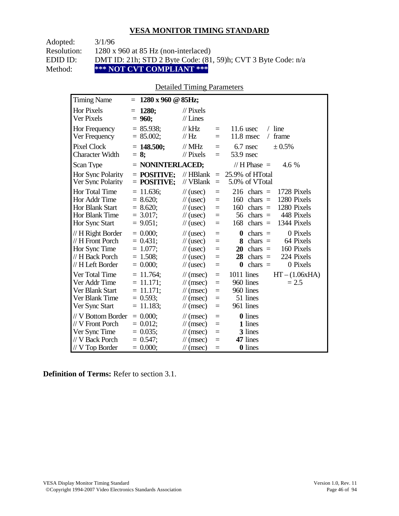| Adopted:    | 3/1/96                                                        |
|-------------|---------------------------------------------------------------|
| Resolution: | $1280 \times 960$ at 85 Hz (non-interlaced)                   |
| EDID ID:    | DMT ID: 21h; STD 2 Byte Code: (81, 59)h; CVT 3 Byte Code: n/a |
| Method:     | *** NOT CVT COMPLIANT ***                                     |

### Detailed Timing Parameters

| <b>Timing Name</b>                                                                              | $1280 \times 960 \text{ @ } 85 \text{Hz};$<br>$=$                         |                                                                                                                             |                                 |                                                                                                                                                                           |
|-------------------------------------------------------------------------------------------------|---------------------------------------------------------------------------|-----------------------------------------------------------------------------------------------------------------------------|---------------------------------|---------------------------------------------------------------------------------------------------------------------------------------------------------------------------|
| <b>Hor Pixels</b><br>Ver Pixels                                                                 | 1280;<br>$=$<br>$= 960;$                                                  | $\mathcal{U}$ Pixels<br>$//$ Lines                                                                                          |                                 |                                                                                                                                                                           |
| Hor Frequency<br>Ver Frequency                                                                  | $= 85.938$ ;<br>$= 85.002$ ;                                              | $//$ kHz<br>$\frac{1}{1}$ Hz                                                                                                | $=$<br>$=$                      | $/$ line<br>11.6 usec<br>11.8 msec<br>frame<br>$\sqrt{2}$                                                                                                                 |
| <b>Pixel Clock</b><br><b>Character Width</b>                                                    | $= 148.500;$<br>$= 8$ ;                                                   | $\frac{1}{1}$ MHz<br>$//$ Pixels                                                                                            | $=$<br>$=$                      | $6.7$ nsec<br>± 0.5%<br>53.9 nsec                                                                                                                                         |
| Scan Type                                                                                       | $=$ NONINTERLACED;                                                        |                                                                                                                             |                                 | // H Phase $=$<br>4.6 %                                                                                                                                                   |
| Hor Sync Polarity<br>Ver Sync Polarity                                                          | $=$ POSITIVE:<br>$=$ POSITIVE;                                            | $\mathcal{U}$ HBlank<br>// VBlank                                                                                           | $\equiv$<br>$\equiv$            | 25.9% of HTotal<br>5.0% of VTotal                                                                                                                                         |
| Hor Total Time<br>Hor Addr Time<br><b>Hor Blank Start</b><br>Hor Blank Time<br>Hor Sync Start   | $= 11.636$ ;<br>$= 8.620;$<br>$= 8.620;$<br>$= 3.017$ ;<br>$= 9.051$ ;    | $\frac{1}{2}$ (usec)<br>$\frac{1}{2}$ (usec)<br>$\frac{1}{2}$ (usec)<br>$\frac{1}{2}$ (usec)<br>$\frac{1}{2}$ (usec)        | $=$<br>$=$<br>$=$<br>$=$<br>$=$ | 216<br>$chars =$<br>1728 Pixels<br>1280 Pixels<br>160<br>chars $=$<br>1280 Pixels<br>160<br>$chars =$<br>448 Pixels<br>56<br>chars $=$<br>168<br>chars $=$<br>1344 Pixels |
| // H Right Border<br>// H Front Porch<br>Hor Sync Time<br>// H Back Porch<br>// H Left Border   | $= 0.000$<br>$= 0.431$ ;<br>$= 1.077;$<br>$= 1.508$ ;<br>$= 0.000;$       | $\frac{1}{2}$ (usec)<br>$\frac{1}{2}$ (usec)<br>$\frac{1}{2}$ (usec)<br>$\frac{1}{2}$ (usec)<br>$\frac{1}{2}$ (usec)        | $=$<br>$=$<br>$=$<br>$=$<br>$=$ | 0 Pixels<br>0<br>$chars =$<br>64 Pixels<br>8<br>$chars =$<br>160 Pixels<br>20<br>$chars =$<br>224 Pixels<br>28<br>chars $=$<br>0 Pixels<br>chars $=$<br>$\boldsymbol{0}$  |
| Ver Total Time<br>Ver Addr Time<br>Ver Blank Start<br>Ver Blank Time<br>Ver Sync Start          | $= 11.764$ ;<br>$= 11.171;$<br>$= 11.171$ ;<br>$= 0.593$ ;<br>$= 11.183;$ | $\mathcal{U}$ (msec)<br>$\mathcal{U}$ (msec)<br>$\mathcal{U}$ (msec)<br>$\frac{1}{\sqrt{2}}$ (msec)<br>$\mathcal{U}$ (msec) | $=$<br>$=$<br>$=$<br>$=$<br>$=$ | 1011 lines<br>$HT - (1.06xHA)$<br>960 lines<br>$= 2.5$<br>960 lines<br>51 lines<br>961 lines                                                                              |
| // V Bottom Border<br>// V Front Porch<br>Ver Sync Time<br>// V Back Porch<br>$//$ V Top Border | $= 0.000$<br>$= 0.012$ ;<br>$= 0.035$ ;<br>$= 0.547$ ;<br>$= 0.000;$      | $\mathcal{U}$ (msec)<br>$\mathcal{U}$ (msec)<br>$\mathcal{U}$ (msec)<br>$\mathcal{U}$ (msec)<br>$\frac{1}{\sqrt{2}}$ (msec) | $=$<br>$=$<br>$=$<br>$=$<br>$=$ | <b>0</b> lines<br>1 lines<br>3 lines<br>47 lines<br><b>0</b> lines                                                                                                        |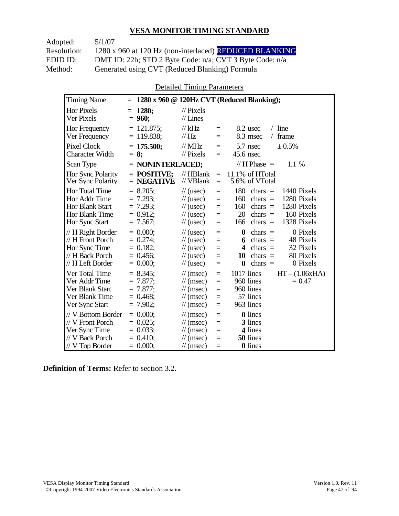| Adopted:    | 5/1/07                                                  |
|-------------|---------------------------------------------------------|
| Resolution: | 1280 x 960 at 120 Hz (non-interlaced) REDUCED BLANKING  |
| EDID ID:    | DMT ID: 22h; STD 2 Byte Code: n/a; CVT 3 Byte Code: n/a |
| Method:     | Generated using CVT (Reduced Blanking) Formula          |

Detailed Timing Parameters

| <b>Timing Name</b>                                                                                   | $=$                                                                     |                                                                                                                      |                                           | 1280 x 960 @ 120Hz CVT (Reduced Blanking);                                                                                                                                |
|------------------------------------------------------------------------------------------------------|-------------------------------------------------------------------------|----------------------------------------------------------------------------------------------------------------------|-------------------------------------------|---------------------------------------------------------------------------------------------------------------------------------------------------------------------------|
| <b>Hor Pixels</b><br>Ver Pixels                                                                      | <b>1280;</b><br>$=$<br>$= 960;$                                         | $\frac{1}{2}$ Pixels<br>$//$ Lines                                                                                   |                                           |                                                                                                                                                                           |
| Hor Frequency<br>Ver Frequency                                                                       | $= 121.875$ ;<br>$= 119.838$ ;                                          | $//$ kHz<br>$\mathcal{U}$ Hz                                                                                         | $\equiv$<br>$=$                           | $/$ line<br>$8.2$ usec<br>8.3 msec<br>frame<br>$\sqrt{2}$                                                                                                                 |
| <b>Pixel Clock</b><br><b>Character Width</b>                                                         | $= 175.500$ ;<br>$= 8:$                                                 | $//$ MHz<br>$\mathcal{U}$ Pixels                                                                                     | $=$<br>$=$                                | 5.7 nsec<br>± 0.5%<br>$45.6$ nsec                                                                                                                                         |
| Scan Type                                                                                            | $=$ NONINTERLACED;                                                      |                                                                                                                      |                                           | // H Phase $=$<br>1.1 %                                                                                                                                                   |
| Hor Sync Polarity<br>Ver Sync Polarity                                                               | $=$ POSITIVE:<br>$=$ NEGATIVE                                           | $//$ HBlank<br>// VBlank                                                                                             | $\equiv$<br>$=$                           | 11.1% of HTotal<br>5.6% of VTotal                                                                                                                                         |
| <b>Hor Total Time</b><br>Hor Addr Time<br><b>Hor Blank Start</b><br>Hor Blank Time<br>Hor Sync Start | $= 8.205$ ;<br>$= 7.293$<br>$= 7.293$ ;<br>$= 0.912$ ;<br>$= 7.567$ ;   | $\frac{1}{2}$ (usec)<br>$\frac{1}{2}$ (usec)<br>$\frac{1}{2}$ (usec)<br>$\frac{1}{2}$ (usec)<br>$\frac{1}{2}$ (usec) | $\equiv$<br>$=$<br>$\equiv$<br>$=$<br>$=$ | 180<br>1440 Pixels<br>chars $=$<br>160<br>1280 Pixels<br>$chars =$<br>160<br>1280 Pixels<br>$chars =$<br>20<br>chars $=$<br>160 Pixels<br>1328 Pixels<br>166<br>chars $=$ |
| // H Right Border<br>// H Front Porch<br>Hor Sync Time<br>// H Back Porch<br>// H Left Border        | $= 0.000$<br>$= 0.274$ ;<br>$= 0.182$ ;<br>$= 0.456$<br>$= 0.000;$      | $\frac{1}{2}$ (usec)<br>$\frac{1}{2}$ (usec)<br>$\frac{1}{2}$ (usec)<br>$\frac{1}{2}$ (usec)<br>$\frac{1}{2}$ (usec) | $=$<br>$=$<br>$=$<br>$=$<br>$=$           | $\bf{0}$<br>0 Pixels<br>chars $=$<br>48 Pixels<br>$chars =$<br>6<br>32 Pixels<br>4<br>$chars =$<br>chars $=$<br>80 Pixels<br>10<br>$\bf{0}$<br>chars $=$<br>0 Pixels      |
| Ver Total Time<br>Ver Addr Time<br>Ver Blank Start<br>Ver Blank Time<br>Ver Sync Start               | $= 8.345$ ;<br>$= 7.877$ ;<br>$= 7.877$ ;<br>$= 0.468$ ;<br>$= 7.902$ ; | $\mathcal{U}$ (msec)<br>$\mathcal{U}$ (msec)<br>$\mathcal{U}$ (msec)<br>$\mathcal{U}$ (msec)<br>$\mathcal{U}$ (msec) | $=$<br>$=$<br>$=$<br>$=$<br>$\equiv$      | 1017 lines<br>$HT - (1.06xHA)$<br>960 lines<br>$= 0.47$<br>960 lines<br>57 lines<br>963 lines                                                                             |
| // V Bottom Border<br>// V Front Porch<br>Ver Sync Time<br>// V Back Porch<br>$//$ V Top Border      | $= 0.000$<br>$= 0.025$ ;<br>$= 0.033;$<br>$= 0.410$ ;<br>$= 0.000;$     | $\mathcal{U}$ (msec)<br>$\mathcal{U}$ (msec)<br>$\mathcal{U}$ (msec)<br>$\mathcal{U}$ (msec)<br>$\mathcal{U}$ (msec) | $=$<br>$=$<br>$=$<br>$=$<br>$=$           | 0 lines<br>3 lines<br>4 lines<br>50 lines<br><b>0</b> lines                                                                                                               |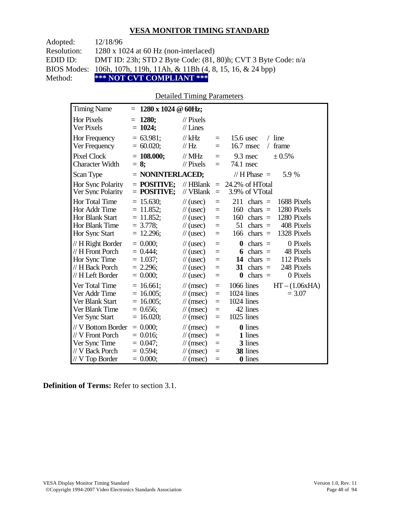| Adopted:    | 12/18/96                                                            |
|-------------|---------------------------------------------------------------------|
| Resolution: | $1280 \times 1024$ at 60 Hz (non-interlaced)                        |
| EDID ID:    | DMT ID: 23h; STD 2 Byte Code: (81, 80)h; CVT 3 Byte Code: n/a       |
|             | BIOS Modes: 106h, 107h, 119h, 11Ah, & 11Bh (4, 8, 15, 16, & 24 bpp) |
| Method:     | *** NOT CVT COMPLIANT ***                                           |

#### Detailed Timing Parameters

| <b>Timing Name</b>                                                                            | 1280 x 1024 @ 60Hz;<br>$=$                                                 |                                                                                                                                    |                                           |                                                                                                                                                                                 |
|-----------------------------------------------------------------------------------------------|----------------------------------------------------------------------------|------------------------------------------------------------------------------------------------------------------------------------|-------------------------------------------|---------------------------------------------------------------------------------------------------------------------------------------------------------------------------------|
| <b>Hor Pixels</b><br>Ver Pixels                                                               | 1280;<br>$=$<br>$= 1024;$                                                  | $\frac{1}{2}$ Pixels<br>$//$ Lines                                                                                                 |                                           |                                                                                                                                                                                 |
| Hor Frequency<br>Ver Frequency                                                                | $= 63.981$ ;<br>$= 60.020;$                                                | // $kHz$<br>//Hz                                                                                                                   | $\equiv$<br>$=$                           | $/$ line<br>$15.6$ usec<br>16.7 msec<br>frame<br>$\sqrt{2}$                                                                                                                     |
| <b>Pixel Clock</b><br><b>Character Width</b>                                                  | $= 108.000;$<br>$= 8$ ;                                                    | $\frac{1}{1}$ MHz<br>$\mathcal{U}$ Pixels                                                                                          | $=$<br>$=$                                | $\pm 0.5\%$<br>$9.3$ nsec<br>74.1 nsec                                                                                                                                          |
| Scan Type                                                                                     | $=$ NONINTERLACED;                                                         |                                                                                                                                    |                                           | // $H$ Phase $=$<br>5.9 %                                                                                                                                                       |
| Hor Sync Polarity<br>Ver Sync Polarity                                                        | $=$ POSITIVE;<br>$=$ POSITIVE;                                             | $//$ HBlank<br>// VBlank                                                                                                           | $=$<br>$\equiv$                           | 24.2% of HTotal<br>3.9% of VTotal                                                                                                                                               |
| <b>Hor Total Time</b><br>Hor Addr Time<br>Hor Blank Start<br>Hor Blank Time<br>Hor Sync Start | $= 15.630$ ;<br>$= 11.852$ ;<br>$= 11.852;$<br>$= 3.778$ ;<br>$= 12.296$ ; | $\frac{1}{2}$ (usec)<br>$\frac{1}{\sqrt{2}}$ (usec)<br>$\frac{1}{2}$ (usec)<br>$\frac{1}{\sqrt{2}}$ (usec)<br>$\frac{1}{2}$ (usec) | $=$<br>$=$<br>$=$<br>$=$<br>$=$           | 211<br>$chars =$<br>1688 Pixels<br>1280 Pixels<br>160<br>$chars =$<br>1280 Pixels<br>160<br>$chars =$<br>51<br>408 Pixels<br>$chars =$<br>1328 Pixels<br>166<br>$chars =$       |
| // H Right Border<br>// H Front Porch<br>Hor Sync Time<br>// H Back Porch<br>// H Left Border | $= 0.000;$<br>$= 0.444$ :<br>$= 1.037;$<br>$= 2.296$ ;<br>$= 0.000;$       | $\frac{1}{2}$ (usec)<br>$\frac{1}{\sqrt{2}}$ (usec)<br>$\frac{1}{2}$ (usec)<br>$\frac{1}{2}$ (usec)<br>$\frac{1}{2}$ (usec)        | $=$<br>$=$<br>$=$<br>$=$<br>$=$           | 0 Pixels<br>$\boldsymbol{0}$<br>$chars =$<br>$chars =$<br>48 Pixels<br>6<br>112 Pixels<br>14<br>$chars =$<br>248 Pixels<br>chars $=$<br>31<br>0 Pixels<br>$\bf{0}$<br>$chars =$ |
| Ver Total Time<br>Ver Addr Time<br>Ver Blank Start<br>Ver Blank Time<br>Ver Sync Start        | $= 16.661$ ;<br>$= 16.005$ ;<br>$= 16.005$ ;<br>$= 0.656$ ;<br>$= 16.020;$ | $\mathcal{U}$ (msec)<br>$\mathcal{U}$ (msec)<br>$\mathcal{U}$ (msec)<br>$\mathcal{U}$ (msec)<br>$\frac{1}{\sqrt{2}}$ (msec)        | $\equiv$<br>$=$<br>$=$<br>$\equiv$<br>$=$ | 1066 lines<br>$HT - (1.06xHA)$<br>1024 lines<br>$= 3.07$<br>1024 lines<br>42 lines<br>1025 lines                                                                                |
| // V Bottom Border<br>// V Front Porch<br>Ver Sync Time<br>// V Back Porch<br>// V Top Border | $= 0.000$<br>$= 0.016$ ;<br>$= 0.047$ ;<br>$= 0.594$ ;<br>$= 0.000;$       | $\mathcal{U}$ (msec)<br>$\mathcal{U}$ (msec)<br>$\frac{1}{\sqrt{2}}$ (msec)<br>$\frac{1}{\tan(\theta)}$<br>$\mathcal{U}$ (msec)    | $\equiv$<br>$=$<br>$=$<br>$=$<br>$=$      | 0 lines<br>1 lines<br>3 lines<br>38 lines<br><b>0</b> lines                                                                                                                     |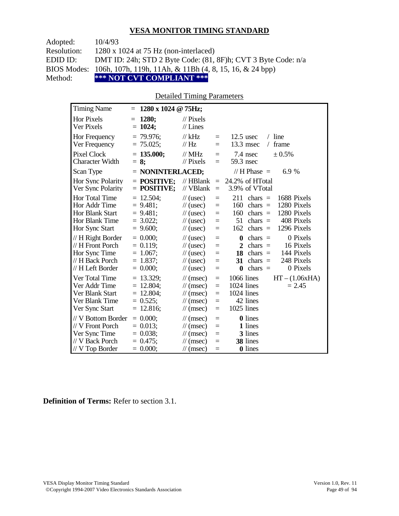| Adopted:           | 10/4/93                                                                        |
|--------------------|--------------------------------------------------------------------------------|
| <b>Resolution:</b> | $1280 \times 1024$ at 75 Hz (non-interlaced)                                   |
| EDID ID:           | DMT ID: 24h; STD 2 Byte Code: (81, 8F)h; CVT 3 Byte Code: n/a                  |
|                    | BIOS Modes: 106h, 107h, 119h, 11Ah, & 11Bh $(4, 8, 15, 16, \& 24 \text{ bpp})$ |
| Method:            | *** NOT CVT COMPLIANT ***                                                      |

#### Detailed Timing Parameters

| <b>Timing Name</b>                                                                            | 1280 x 1024 @ 75Hz;<br>$=$                                                 |                                                                                                                                             |                                 |                                                                                                                                                                                            |
|-----------------------------------------------------------------------------------------------|----------------------------------------------------------------------------|---------------------------------------------------------------------------------------------------------------------------------------------|---------------------------------|--------------------------------------------------------------------------------------------------------------------------------------------------------------------------------------------|
| Hor Pixels<br>Ver Pixels                                                                      | 1280;<br>$=$<br>$= 1024;$                                                  | $\frac{1}{2}$ Pixels<br>$//$ Lines                                                                                                          |                                 |                                                                                                                                                                                            |
| Hor Frequency<br>Ver Frequency                                                                | $= 79.976$ ;<br>$= 75.025$ ;                                               | $//$ kHz<br>// $Hz$                                                                                                                         | $\quad \  \  =$<br>$=$          | $12.5$ usec<br>$/$ line<br>13.3 msec<br>frame                                                                                                                                              |
| Pixel Clock<br><b>Character Width</b>                                                         | $= 135.000;$<br>$= 8$ ;                                                    | $//$ MHz<br>$//$ Pixels                                                                                                                     | $=$<br>$=$                      | ± 0.5%<br>7.4 nsec<br>59.3 nsec                                                                                                                                                            |
| Scan Type                                                                                     | $=$ NONINTERLACED;                                                         |                                                                                                                                             |                                 | // $H$ Phase $=$<br>6.9 %                                                                                                                                                                  |
| <b>Hor Sync Polarity</b><br>Ver Sync Polarity                                                 | $=$ POSITIVE:<br>$=$ POSITIVE;                                             | $//$ HBlank<br>// VBlank                                                                                                                    | $\quad \  \  =$<br>$\quad =$    | 24.2% of HTotal<br>3.9% of VTotal                                                                                                                                                          |
| Hor Total Time<br>Hor Addr Time<br><b>Hor Blank Start</b><br>Hor Blank Time<br>Hor Sync Start | $= 12.504$ ;<br>$= 9.481;$<br>$= 9.481$ ;<br>$= 3.022;$<br>$= 9.600;$      | $\frac{1}{2}$ (usec)<br>$\frac{1}{2}$ (usec)<br>$\frac{1}{\sqrt{2}}$ (usec)<br>$\frac{1}{2}$ (usec)<br>$\frac{1}{2}$ (usec)                 | $=$<br>$=$<br>$=$<br>$=$<br>$=$ | 211<br>1688 Pixels<br>$chars =$<br>160<br>1280 Pixels<br>chars $=$<br>1280 Pixels<br>160<br>chars $=$<br>408 Pixels<br>51<br>chars $=$<br>1296 Pixels<br>162<br>$chars =$                  |
| // H Right Border<br>// H Front Porch<br>Hor Sync Time<br>// H Back Porch<br>// H Left Border | $= 0.000$<br>$= 0.119$ ;<br>$= 1.067$ ;<br>$= 1.837;$<br>$= 0.000;$        | $\frac{1}{\sqrt{2}}$ (usec)<br>$\frac{1}{2}$ (usec)<br>$\frac{1}{2}$ (usec)<br>$\frac{1}{2}$ (usec)<br>$\frac{1}{2}$ (usec)                 | $=$<br>$=$<br>$=$<br>$=$<br>$=$ | 0 Pixels<br>$\boldsymbol{0}$<br>$chars =$<br>$\mathbf{2}$<br>16 Pixels<br>chars $=$<br>144 Pixels<br>18<br>$chars =$<br>31<br>248 Pixels<br>chars $=$<br>$\bf{0}$<br>chars $=$<br>0 Pixels |
| Ver Total Time<br>Ver Addr Time<br>Ver Blank Start<br>Ver Blank Time<br>Ver Sync Start        | $= 13.329$ ;<br>$= 12.804$ ;<br>$= 12.804$ ;<br>$= 0.525$ ;<br>$= 12.816;$ | $\mathcal{U}$ (msec)<br>$\frac{1}{\tan(\theta)}$<br>$\mathcal{U}$ (msec)<br>$\mathcal{U}$ (msec)<br>$\mathcal{U}$ (msec)                    | $=$<br>$=$<br>$=$<br>$=$<br>$=$ | 1066 lines<br>$HT - (1.06xHA)$<br>1024 lines<br>$= 2.45$<br>$1024$ lines<br>42 lines<br>1025 lines                                                                                         |
| // V Bottom Border<br>// V Front Porch<br>Ver Sync Time<br>// V Back Porch<br>// V Top Border | $= 0.000;$<br>$= 0.013$ ;<br>$= 0.038;$<br>$= 0.475$ ;<br>$= 0.000;$       | $\frac{1}{\tan(\theta)}$<br>$\frac{1}{\sqrt{2}}$ (msec)<br>$\frac{1}{\tan(\theta)}$<br>$\frac{1}{\tan(\theta)}$<br>$\frac{1}{\tan(\theta)}$ | $=$<br>$=$<br>$=$<br>$=$<br>$=$ | 0 lines<br>1 lines<br>3 lines<br>38 lines<br>0 lines                                                                                                                                       |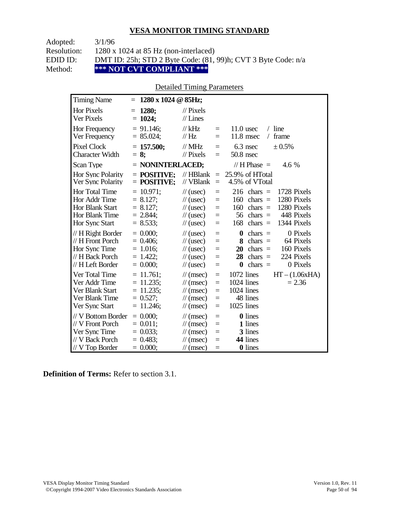| Adopted:    | 3/1/96                                                             |
|-------------|--------------------------------------------------------------------|
| Resolution: | $1280 \times 1024$ at 85 Hz (non-interlaced)                       |
| EDID ID:    | DMT ID: 25h; STD 2 Byte Code: $(81, 99)$ h; CVT 3 Byte Code: $n/a$ |
| Method:     | *** NOT CVT COMPLIANT ***                                          |

### Detailed Timing Parameters

| <b>Timing Name</b>                                                                             | $1280 \times 1024$ @ 85Hz;<br>$=$                                           |                                                                                                                                    |                                      |                                                                                                                                                                           |
|------------------------------------------------------------------------------------------------|-----------------------------------------------------------------------------|------------------------------------------------------------------------------------------------------------------------------------|--------------------------------------|---------------------------------------------------------------------------------------------------------------------------------------------------------------------------|
| <b>Hor Pixels</b><br>Ver Pixels                                                                | 1280;<br>$=$<br>$= 1024;$                                                   | $\mathcal{U}$ Pixels<br>$//$ Lines                                                                                                 |                                      |                                                                                                                                                                           |
| Hor Frequency<br>Ver Frequency                                                                 | $= 91.146$ ;<br>$= 85.024;$                                                 | $//$ kHz<br>$\frac{1}{1}$ Hz                                                                                                       | $=$<br>$=$                           | $11.0$ usec<br>$/$ line<br>11.8 msec<br>frame<br>$\sqrt{2}$                                                                                                               |
| <b>Pixel Clock</b><br><b>Character Width</b>                                                   | $= 157.500;$<br>$= 8$ ;                                                     | $//$ MHz<br>$\frac{1}{2}$ Pixels                                                                                                   | $=$<br>$\equiv$                      | 6.3 nsec<br>± 0.5%<br>$50.8$ nsec                                                                                                                                         |
| Scan Type                                                                                      | $=$ NONINTERLACED;                                                          |                                                                                                                                    |                                      | // H Phase $=$<br>4.6 %                                                                                                                                                   |
| Hor Sync Polarity<br>Ver Sync Polarity                                                         | $=$ POSITIVE:<br>$=$ POSITIVE;                                              | $//$ HBlank<br>// VBlank                                                                                                           | $\equiv$<br>$=$                      | 25.9% of HTotal<br>4.5% of VTotal                                                                                                                                         |
| Hor Total Time<br>Hor Addr Time<br><b>Hor Blank Start</b><br>Hor Blank Time<br>Hor Sync Start  | $= 10.971$ ;<br>$= 8.127$ ;<br>$= 8.127$ ;<br>$= 2.844$<br>$= 8.533;$       | $\frac{1}{2}$ (usec)<br>$\frac{1}{\sqrt{2}}$ (usec)<br>$\frac{1}{2}$ (usec)<br>$\frac{1}{\sqrt{2}}$ (usec)<br>$\frac{1}{2}$ (usec) | $=$<br>$=$<br>$=$<br>$=$<br>$=$      | 216<br>1728 Pixels<br>$chars =$<br>1280 Pixels<br>160<br>$chars =$<br>1280 Pixels<br>160<br>$chars =$<br>448 Pixels<br>56<br>chars $=$<br>1344 Pixels<br>168<br>$chars =$ |
| // H Right Border<br>// H Front Porch<br>Hor Sync Time<br>// H Back Porch<br>// H Left Border  | $= 0.000$<br>$= 0.406$ ;<br>$= 1.016$ ;<br>$= 1.422$ ;<br>$= 0.000;$        | $\frac{1}{2}$ (usec)<br>$\frac{1}{2}$ (usec)<br>$\frac{1}{2}$ (usec)<br>$\frac{1}{2}$ (usec)<br>$\frac{1}{2}$ (usec)               | $=$<br>$=$<br>$=$<br>$=$<br>$=$      | 0 Pixels<br>$\boldsymbol{0}$<br>$chars =$<br>8<br>64 Pixels<br>$chars =$<br>20<br>160 Pixels<br>$chars =$<br>224 Pixels<br>28<br>chars $=$<br>$chars =$<br>0 Pixels<br>0  |
| Ver Total Time<br>Ver Addr Time<br>Ver Blank Start<br>Ver Blank Time<br>Ver Sync Start         | $= 11.761$ ;<br>$= 11.235$ ;<br>$= 11.235$ ;<br>$= 0.527$ ;<br>$= 11.246$ ; | $\mathcal{U}$ (msec)<br>$\mathcal{U}$ (msec)<br>$\mathcal{U}$ (msec)<br>$\mathcal{U}$ (msec)<br>$\mathcal{U}$ (msec)               | $\equiv$<br>$=$<br>$=$<br>$=$<br>$=$ | 1072 lines<br>$HT - (1.06xHA)$<br>1024 lines<br>$= 2.36$<br>1024 lines<br>48 lines<br>1025 lines                                                                          |
| // V Bottom Border<br>// V Front Porch<br>Ver Sync Time<br>// V Back Porch<br>$//V$ Top Border | $= 0.000$<br>$= 0.011$ ;<br>$= 0.033$ ;<br>$= 0.483$ ;<br>$= 0.000;$        | $\mathcal{U}$ (msec)<br>$\mathcal{U}$ (msec)<br>$\frac{1}{\tan(\theta)}$<br>$\mathcal{U}$ (msec)<br>$\frac{1}{\sqrt{2}}$ (msec)    | $=$<br>$=$<br>$=$<br>$=$<br>$=$      | <b>0</b> lines<br>1 lines<br>3 lines<br>44 lines<br><b>0</b> lines                                                                                                        |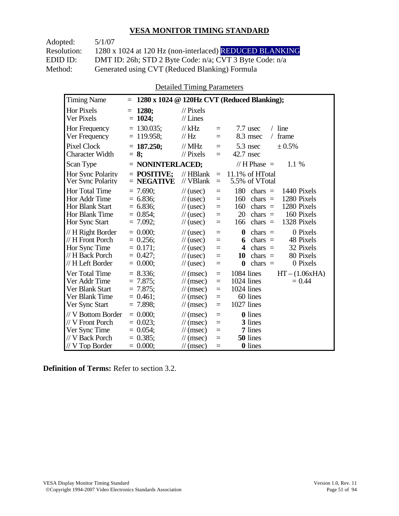Adopted: 5/1/07 Resolution: 1280 x 1024 at 120 Hz (non-interlaced) REDUCED BLANKING EDID ID: DMT ID: 26h; STD 2 Byte Code: n/a; CVT 3 Byte Code: n/a<br>Method: Generated using CVT (Reduced Blanking) Formula Generated using CVT (Reduced Blanking) Formula

Detailed Timing Parameters

| <b>Timing Name</b>                                                                                   | $=$                                                                    |                                                                                                                                    |                                      | 1280 x 1024 @ 120Hz CVT (Reduced Blanking);                                                                                                                                  |
|------------------------------------------------------------------------------------------------------|------------------------------------------------------------------------|------------------------------------------------------------------------------------------------------------------------------------|--------------------------------------|------------------------------------------------------------------------------------------------------------------------------------------------------------------------------|
| <b>Hor Pixels</b><br>Ver Pixels                                                                      | 1280:<br>$=$<br>$= 1024$ ;                                             | $\frac{1}{2}$ Pixels<br>$//$ Lines                                                                                                 |                                      |                                                                                                                                                                              |
| Hor Frequency<br>Ver Frequency                                                                       | $= 130.035$ ;<br>$= 119.958$ ;                                         | $//$ kHz<br>//Hz                                                                                                                   | $=$<br>$=$                           | $/$ line<br>$7.7$ usec<br>frame<br>8.3 msec<br>$\sqrt{2}$                                                                                                                    |
| <b>Pixel Clock</b><br><b>Character Width</b>                                                         | $= 187.250;$<br>$= 8:$                                                 | $//$ MHz<br>$//$ Pixels                                                                                                            | $=$<br>$=$                           | $5.3$ nsec<br>± 0.5%<br>42.7 nsec                                                                                                                                            |
| Scan Type                                                                                            | $=$ NONINTERLACED;                                                     |                                                                                                                                    |                                      | // H Phase $=$<br>1.1 %                                                                                                                                                      |
| Hor Sync Polarity<br>Ver Sync Polarity                                                               | $=$ POSITIVE:<br>$=$ NEGATIVE                                          | $//$ HBlank<br>// VBlank                                                                                                           | $=$<br>$=$                           | 11.1% of HTotal<br>5.5% of VTotal                                                                                                                                            |
| <b>Hor Total Time</b><br>Hor Addr Time<br><b>Hor Blank Start</b><br>Hor Blank Time<br>Hor Sync Start | $= 7.690;$<br>$= 6.836;$<br>$= 6.836;$<br>$= 0.854$<br>$= 7.092;$      | $\frac{1}{2}$ (usec)<br>$\frac{1}{2}$ (usec)<br>$\frac{1}{2}$ (usec)<br>$\frac{1}{2}$ (usec)<br>$\frac{1}{2}$ (usec)               | $=$<br>$=$<br>$=$<br>$=$<br>$=$      | 180<br>chars $=$<br>1440 Pixels<br>1280 Pixels<br>160<br>chars $=$<br>1280 Pixels<br>160<br>chars $=$<br>20<br>160 Pixels<br>$chars =$<br>chars $=$<br>1328 Pixels<br>166    |
| // H Right Border<br>// H Front Porch<br>Hor Sync Time<br>// H Back Porch<br>// H Left Border        | $= 0.000$<br>$= 0.256;$<br>$= 0.171;$<br>$= 0.427$ ;<br>$= 0.000;$     | $\frac{1}{2}$ (usec)<br>$\frac{1}{2}$ (usec)<br>$\frac{1}{2}$ (usec)<br>$\frac{1}{2}$ (usec)<br>$\frac{1}{2}$ (usec)               | $=$<br>$=$<br>$=$<br>$=$<br>$=$      | $\bf{0}$<br>0 Pixels<br>chars $=$<br>chars $=$<br>48 Pixels<br>6<br>32 Pixels<br>4<br>$chars =$<br>80 Pixels<br>$chars =$<br>10<br>0 Pixels<br>$\boldsymbol{0}$<br>$chars =$ |
| Ver Total Time<br>Ver Addr Time<br>Ver Blank Start<br>Ver Blank Time<br>Ver Sync Start               | $= 8.336$ ;<br>$= 7.875$ ;<br>$= 7.875$ ;<br>$= 0.461$ ;<br>$= 7.898;$ | $\mathcal{U}$ (msec)<br>$\frac{1}{\sqrt{2}}$ (msec)<br>$\mathcal{U}$ (msec)<br>$\mathcal{U}$ (msec)<br>$\frac{1}{\sqrt{2}}$ (msec) | $\equiv$<br>$=$<br>$=$<br>$=$<br>$=$ | 1084 lines<br>$HT - (1.06xHA)$<br>1024 lines<br>$= 0.44$<br>1024 lines<br>60 lines<br>1027 lines                                                                             |
| // V Bottom Border<br>// V Front Porch<br>Ver Sync Time<br>// V Back Porch<br>$//$ V Top Border      | $= 0.000$<br>$= 0.023$<br>$= 0.054$ ;<br>$= 0.385$ ;<br>$= 0.000;$     | $\mathcal{U}$ (msec)<br>$\mathcal{U}$ (msec)<br>$\frac{1}{\sqrt{2}}$ (msec)<br>$\mathcal{U}$ (msec)<br>$\mathcal{U}$ (msec)        | $=$<br>$=$<br>$=$<br>$=$<br>$=$      | <b>0</b> lines<br>3 lines<br>7 lines<br>50 lines<br><b>0</b> lines                                                                                                           |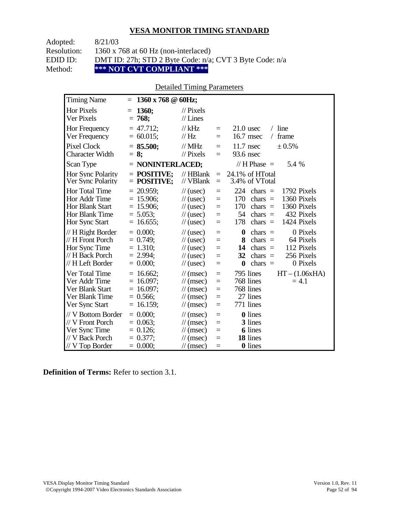| Adopted:    | 8/21/03                                                 |
|-------------|---------------------------------------------------------|
| Resolution: | 1360 x 768 at 60 Hz (non-interlaced)                    |
| EDID ID:    | DMT ID: 27h; STD 2 Byte Code: n/a; CVT 3 Byte Code: n/a |
| Method:     | *** NOT CVT COMPLIANT ***                               |

#### Detailed Timing Parameters

| <b>Timing Name</b>                                                                                          | 1360 x 768 @ 60Hz;<br>$=$                                                   |                                                                                                                                    |                                      |                                                                                                                                                                                 |
|-------------------------------------------------------------------------------------------------------------|-----------------------------------------------------------------------------|------------------------------------------------------------------------------------------------------------------------------------|--------------------------------------|---------------------------------------------------------------------------------------------------------------------------------------------------------------------------------|
| <b>Hor Pixels</b><br>Ver Pixels                                                                             | 1360;<br>$=$<br>$= 768;$                                                    | $\frac{1}{2}$ Pixels<br>$//$ Lines                                                                                                 |                                      |                                                                                                                                                                                 |
| Hor Frequency<br>Ver Frequency                                                                              | $= 47.712$ ;<br>$= 60.015$ ;                                                | $//$ kHz<br>// Hz                                                                                                                  | $\equiv$<br>$=$                      | $/$ line<br>$21.0$ usec<br>16.7 msec<br>frame<br>$\sqrt{2}$                                                                                                                     |
| <b>Pixel Clock</b><br><b>Character Width</b>                                                                | $= 85.500;$<br>$= 8:$                                                       | $//$ MHz<br>$//$ Pixels                                                                                                            | $=$<br>$=$                           | $11.7$ nsec<br>$\pm 0.5\%$<br>93.6 nsec                                                                                                                                         |
| Scan Type                                                                                                   | $=$ NONINTERLACED;                                                          |                                                                                                                                    |                                      | // H Phase $=$<br>5.4 %                                                                                                                                                         |
| Hor Sync Polarity<br>Ver Sync Polarity                                                                      | $=$ POSITIVE:<br>$=$ POSITIVE;                                              | $//$ HBlank<br>// VBlank                                                                                                           | $=$<br>$=$                           | 24.1% of HTotal<br>3.4% of VTotal                                                                                                                                               |
| <b>Hor Total Time</b><br>Hor Addr Time<br><b>Hor Blank Start</b><br><b>Hor Blank Time</b><br>Hor Sync Start | $= 20.959$ ;<br>$= 15.906$ ;<br>$= 15.906$ ;<br>$= 5.053$ ;<br>$= 16.655$ ; | $\frac{1}{2}$ (usec)<br>$\frac{1}{2}$ (usec)<br>$\frac{1}{2}$ (usec)<br>$\frac{1}{2}$ (usec)<br>$\frac{1}{2}$ (usec)               | $=$<br>$=$<br>$=$<br>$\equiv$<br>$=$ | 224<br>1792 Pixels<br>chars $=$<br>170<br>1360 Pixels<br>chars $=$<br>170<br>1360 Pixels<br>chars $=$<br>54<br>432 Pixels<br>$chars =$<br>178<br>chars $=$<br>1424 Pixels       |
| // H Right Border<br>// H Front Porch<br>Hor Sync Time<br>// H Back Porch<br>// H Left Border               | $= 0.000$<br>$= 0.749$ ;<br>$= 1.310$ ;<br>$= 2.994;$<br>$= 0.000$          | $\frac{1}{2}$ (usec)<br>$\frac{1}{2}$ (usec)<br>$\frac{1}{2}$ (usec)<br>$\frac{1}{2}$ (usec)<br>$\frac{1}{2}$ (usec)               | $=$<br>$=$<br>$=$<br>$=$<br>$=$      | $\bf{0}$<br>0 Pixels<br>$chars =$<br>$chars =$<br>64 Pixels<br>8<br>112 Pixels<br>14<br>chars $=$<br>256 Pixels<br>chars $=$<br>32<br>0 Pixels<br>$\boldsymbol{0}$<br>chars $=$ |
| Ver Total Time<br>Ver Addr Time<br>Ver Blank Start<br>Ver Blank Time<br>Ver Sync Start                      | $= 16.662$ ;<br>$= 16.097$ ;<br>$= 16.097$ ;<br>$= 0.566$ ;<br>$= 16.159;$  | $\mathcal{U}$ (msec)<br>$\mathcal{U}$ (msec)<br>$\mathcal{U}$ (msec)<br>$\mathcal{U}$ (msec)<br>$\mathcal{U}$ (msec)               | $=$<br>$=$<br>$=$<br>$=$<br>$=$      | $HT - (1.06xHA)$<br>795 lines<br>768 lines<br>$= 4.1$<br>768 lines<br>27 lines<br>771 lines                                                                                     |
| // V Bottom Border<br>// V Front Porch<br>Ver Sync Time<br>// V Back Porch<br>// V Top Border               | $= 0.000;$<br>$= 0.063$ ;<br>$= 0.126$ ;<br>$= 0.377$ ;<br>$= 0.000;$       | $\mathcal{U}$ (msec)<br>$\frac{1}{\sqrt{2}}$ (msec)<br>$\frac{1}{\sqrt{2}}$ (msec)<br>$\mathcal{U}$ (msec)<br>$\mathcal{U}$ (msec) | $=$<br>$=$<br>$=$<br>$=$<br>$=$      | <b>0</b> lines<br>3 lines<br><b>6</b> lines<br>18 lines<br>0 lines                                                                                                              |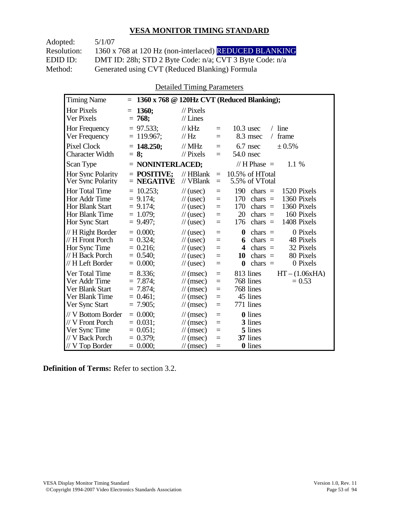| Adopted:    | 5/1/07                                                  |
|-------------|---------------------------------------------------------|
| Resolution: | 1360 x 768 at 120 Hz (non-interlaced) REDUCED BLANKING  |
| EDID ID:    | DMT ID: 28h; STD 2 Byte Code: n/a; CVT 3 Byte Code: n/a |
| Method:     | Generated using CVT (Reduced Blanking) Formula          |

Detailed Timing Parameters

| <b>Timing Name</b>                                                                            | $\equiv$                                                                |                                                                                                                                    |                                 | 1360 x 768 @ 120Hz CVT (Reduced Blanking);                                                                                                                                           |
|-----------------------------------------------------------------------------------------------|-------------------------------------------------------------------------|------------------------------------------------------------------------------------------------------------------------------------|---------------------------------|--------------------------------------------------------------------------------------------------------------------------------------------------------------------------------------|
| Hor Pixels<br>Ver Pixels                                                                      | <b>1360;</b><br>$=$<br>$= 768;$                                         | $\frac{1}{2}$ Pixels<br>$//$ Lines                                                                                                 |                                 |                                                                                                                                                                                      |
| <b>Hor Frequency</b><br>Ver Frequency                                                         | $= 97.533$ ;<br>$= 119.967$ ;                                           | $//$ kHz<br>// Hz                                                                                                                  | $=$<br>$=$                      | $/$ line<br>$10.3$ usec<br>8.3 msec<br>frame<br>$\sqrt{2}$                                                                                                                           |
| <b>Pixel Clock</b><br><b>Character Width</b>                                                  | $= 148.250$ ;<br>$= 8:$                                                 | $//$ MHz<br>$//$ Pixels                                                                                                            | $=$<br>$=$                      | 6.7 nsec<br>± 0.5%<br>54.0 nsec                                                                                                                                                      |
| Scan Type                                                                                     | $=$ NONINTERLACED;                                                      |                                                                                                                                    |                                 | // H Phase $=$<br>1.1 %                                                                                                                                                              |
| Hor Sync Polarity<br>Ver Sync Polarity                                                        | $=$ POSITIVE:<br>$=$ NEGATIVE                                           | $//$ HBlank<br>// VBlank                                                                                                           | $=$<br>$=$                      | 10.5% of HTotal<br>5.5% of VTotal                                                                                                                                                    |
| Hor Total Time<br>Hor Addr Time<br><b>Hor Blank Start</b><br>Hor Blank Time<br>Hor Sync Start | $= 10.253;$<br>$= 9.174$ ;<br>$= 9.174$ ;<br>$= 1.079$ ;<br>$= 9.497$ ; | $\frac{1}{2}$ (usec)<br>$\frac{1}{2}$ (usec)<br>$\frac{1}{2}$ (usec)<br>$\frac{1}{2}$ (usec)<br>$\frac{1}{2}$ (usec)               | $=$<br>$=$<br>$=$<br>$=$<br>$=$ | 190<br>chars $=$<br>1520 Pixels<br>1360 Pixels<br>170<br>chars $=$<br>1360 Pixels<br>170<br>chars $=$<br>20<br>160 Pixels<br>chars $=$<br>1408 Pixels<br>chars $=$<br>176            |
| // H Right Border<br>// H Front Porch<br>Hor Sync Time<br>// H Back Porch<br>// H Left Border | $= 0.000$<br>$= 0.324$ ;<br>$= 0.216;$<br>$= 0.540$ ;<br>$= 0.000;$     | $\frac{1}{2}$ (usec)<br>$\frac{1}{2}$ (usec)<br>$\frac{1}{2}$ (usec)<br>$\frac{1}{2}$ (usec)<br>$\frac{1}{2}$ (usec)               | $=$<br>$=$<br>$=$<br>$=$<br>$=$ | $\boldsymbol{0}$<br>0 Pixels<br>chars $=$<br>chars $=$<br>48 Pixels<br>6<br>32 Pixels<br>$chars =$<br>4<br>80 Pixels<br>10<br>$chars =$<br>0 Pixels<br>$\boldsymbol{0}$<br>$chars =$ |
| Ver Total Time<br>Ver Addr Time<br>Ver Blank Start<br>Ver Blank Time<br>Ver Sync Start        | $= 8.336$ ;<br>$= 7.874$ ;<br>$= 7.874$ ;<br>$= 0.461$ ;<br>$= 7.905$ ; | $\mathcal{U}$ (msec)<br>$\mathcal{U}$ (msec)<br>$\mathcal{U}$ (msec)<br>$\mathcal{U}$ (msec)<br>$\mathcal{U}$ (msec)               | $=$<br>$=$<br>$=$<br>$=$<br>$=$ | 813 lines<br>$HT - (1.06xHA)$<br>768 lines<br>$= 0.53$<br>768 lines<br>45 lines<br>771 lines                                                                                         |
| // V Bottom Border<br>// V Front Porch<br>Ver Sync Time<br>// V Back Porch<br>// V Top Border | $= 0.000$<br>$= 0.031$ :<br>$= 0.051$ ;<br>$= 0.379$ ;<br>$= 0.000;$    | $\frac{1}{\sqrt{2}}$ (msec)<br>$\mathcal{U}$ (msec)<br>$\frac{1}{\sqrt{2}}$ (msec)<br>$\mathcal{U}$ (msec)<br>$\mathcal{U}$ (msec) | $=$<br>$=$<br>$=$<br>$=$<br>$=$ | <b>0</b> lines<br>3 lines<br>5 lines<br>37 lines<br>0 lines                                                                                                                          |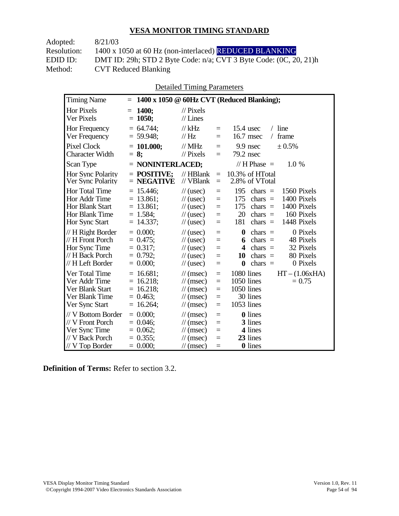| 8/21/03                                                           |
|-------------------------------------------------------------------|
| 1400 x 1050 at 60 Hz (non-interlaced) REDUCED BLANKING            |
| DMT ID: 29h; STD 2 Byte Code: n/a; CVT 3 Byte Code: (0C, 20, 21)h |
| <b>CVT Reduced Blanking</b>                                       |
|                                                                   |

Detailed Timing Parameters

| <b>Timing Name</b>                                                                                          | $=$                                                                      |                                                                                                                                                         |                                      | 1400 x 1050 @ 60Hz CVT (Reduced Blanking);                                                                                                                                           |
|-------------------------------------------------------------------------------------------------------------|--------------------------------------------------------------------------|---------------------------------------------------------------------------------------------------------------------------------------------------------|--------------------------------------|--------------------------------------------------------------------------------------------------------------------------------------------------------------------------------------|
| Hor Pixels<br>Ver Pixels                                                                                    | <b>1400:</b><br>$=$<br>$= 1050;$                                         | $\frac{1}{2}$ Pixels<br>$//$ Lines                                                                                                                      |                                      |                                                                                                                                                                                      |
| <b>Hor Frequency</b><br>Ver Frequency                                                                       | $= 64.744$ ;<br>$= 59.948$ ;                                             | $//$ kHz<br>//Hz                                                                                                                                        | $=$<br>$=$                           | $15.4$ usec<br>$/$ line<br>16.7 msec<br>frame<br>$\sqrt{2}$                                                                                                                          |
| <b>Pixel Clock</b><br><b>Character Width</b>                                                                | $= 101.000;$<br>$= 8:$                                                   | // $MHz$<br>$\frac{1}{2}$ Pixels                                                                                                                        | $=$<br>$=$                           | 9.9 nsec<br>± 0.5%<br>$79.2$ nsec                                                                                                                                                    |
| Scan Type                                                                                                   | $=$ NONINTERLACED;                                                       |                                                                                                                                                         |                                      | // H Phase $=$<br>1.0 %                                                                                                                                                              |
| Hor Sync Polarity<br>Ver Sync Polarity                                                                      | $=$ POSITIVE:<br>$=$ NEGATIVE                                            | $//$ HBlank<br>// VBlank                                                                                                                                | $=$<br>$=$                           | 10.3% of HTotal<br>2.8% of VTotal                                                                                                                                                    |
| <b>Hor Total Time</b><br>Hor Addr Time<br><b>Hor Blank Start</b><br><b>Hor Blank Time</b><br>Hor Sync Start | $= 15.446;$<br>$= 13.861;$<br>$= 13.861;$<br>$= 1.584$ ;<br>$= 14.337;$  | $\frac{1}{2}$ (usec)<br>$\frac{1}{2}$ (usec)<br>$\frac{1}{2}$ (usec)<br>$\frac{1}{2}$ (usec)<br>$\frac{1}{2}$ (usec)                                    | $=$<br>$=$<br>$=$<br>$=$<br>$=$      | 195<br>chars $=$<br>1560 Pixels<br>1400 Pixels<br>175<br>chars $=$<br>1400 Pixels<br>175<br>chars $=$<br>20<br>160 Pixels<br>$chars =$<br>1448 Pixels<br>181<br>$chars =$            |
| // H Right Border<br>// H Front Porch<br>Hor Sync Time<br>// H Back Porch<br>// H Left Border               | $= 0.000$<br>$= 0.475$ ;<br>$= 0.317$ ;<br>$= 0.792$ ;<br>$= 0.000;$     | $\frac{1}{2}$ (usec)<br>$\frac{1}{2}$ (usec)<br>$\frac{1}{2}$ (usec)<br>$\frac{1}{2}$ (usec)<br>$\frac{1}{2}$ (usec)                                    | $=$<br>$=$<br>$=$<br>$=$<br>$=$      | $\boldsymbol{0}$<br>0 Pixels<br>$chars =$<br>$chars =$<br>48 Pixels<br>6<br>32 Pixels<br>chars $=$<br>4<br>80 Pixels<br>chars $=$<br>10<br>chars $=$<br>0 Pixels<br>$\boldsymbol{0}$ |
| Ver Total Time<br>Ver Addr Time<br>Ver Blank Start<br>Ver Blank Time<br>Ver Sync Start                      | $= 16.681;$<br>$= 16.218$ ;<br>$= 16.218;$<br>$= 0.463$ ;<br>$= 16.264;$ | $\frac{1}{\sqrt{2}}$ (msec)<br>$\frac{1}{\sqrt{2}}$ (msec)<br>$\frac{1}{\sqrt{2}}$ (msec)<br>$\frac{1}{\sqrt{2}}$ (msec)<br>$\frac{1}{\sqrt{2}}$ (msec) | $=$<br>$=$<br>$\equiv$<br>$=$<br>$=$ | 1080 lines<br>$HT - (1.06xHA)$<br>1050 lines<br>$= 0.75$<br>1050 lines<br>30 lines<br>1053 lines                                                                                     |
| // V Bottom Border<br>// V Front Porch<br>Ver Sync Time<br>// V Back Porch<br>// V Top Border               | $= 0.000$<br>$= 0.046$ ;<br>$= 0.062$ ;<br>$= 0.355$ ;<br>$= 0.000;$     | $\mathcal{U}$ (msec)<br>$\frac{1}{\sqrt{2}}$ (msec)<br>$\mathcal{U}$ (msec)<br>$\frac{1}{\pi}$ (msec)<br>$\mathcal{U}$ (msec)                           | $=$<br>$=$<br>$=$<br>$=$<br>$=$      | <b>0</b> lines<br>3 lines<br>4 lines<br>23 lines<br>0 lines                                                                                                                          |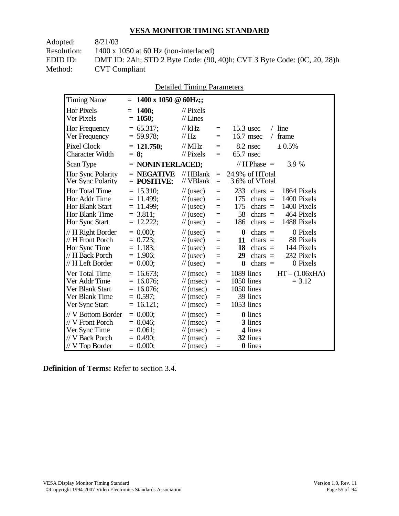| Adopted:    | 8/21/03                                                                 |
|-------------|-------------------------------------------------------------------------|
| Resolution: | $1400 \times 1050$ at 60 Hz (non-interlaced)                            |
| EDID ID:    | DMT ID: 2Ah; STD 2 Byte Code: (90, 40)h; CVT 3 Byte Code: (0C, 20, 28)h |
| Method:     | <b>CVT</b> Compliant                                                    |
|             |                                                                         |

|                                                                                               |                                                                               | Detailed Thinng I alameters                                                                                                               |                                 |                                                                                                                                                                                  |
|-----------------------------------------------------------------------------------------------|-------------------------------------------------------------------------------|-------------------------------------------------------------------------------------------------------------------------------------------|---------------------------------|----------------------------------------------------------------------------------------------------------------------------------------------------------------------------------|
| <b>Timing Name</b>                                                                            | 1400 x 1050 $\oslash$ 60Hz;;<br>$=$                                           |                                                                                                                                           |                                 |                                                                                                                                                                                  |
| <b>Hor Pixels</b><br>Ver Pixels                                                               | 1400;<br>$=$<br>1050;<br>$=$                                                  | $\frac{1}{2}$ Pixels<br>$//$ Lines                                                                                                        |                                 |                                                                                                                                                                                  |
| Hor Frequency<br>Ver Frequency                                                                | $= 65.317$ ;<br>$= 59.978$ ;                                                  | $//$ kHz<br>$\frac{1}{1}$ Hz                                                                                                              | $=$<br>$=$                      | $/$ line<br>$15.3$ usec<br>16.7 msec<br>/ frame                                                                                                                                  |
| <b>Pixel Clock</b><br><b>Character Width</b>                                                  | $= 121.750$ ;<br>$= 8:$                                                       | $//$ MHz<br>$//$ Pixels                                                                                                                   | $=$<br>$=$                      | 8.2 nsec<br>± 0.5%<br>$65.7$ nsec                                                                                                                                                |
| Scan Type                                                                                     | $=$ NONINTERLACED;                                                            |                                                                                                                                           |                                 | // $H$ Phase $=$<br>3.9 %                                                                                                                                                        |
| Hor Sync Polarity<br>Ver Sync Polarity                                                        | $=$ NEGATIVE<br>$=$ POSITIVE;                                                 | // HBlank<br>// VBlank                                                                                                                    | $=$<br>$=$                      | 24.9% of HTotal<br>3.6% of VTotal                                                                                                                                                |
| <b>Hor Total Time</b><br>Hor Addr Time<br>Hor Blank Start<br>Hor Blank Time<br>Hor Sync Start | $= 15.310;$<br>$= 11.499$ ;<br>$= 11.499$ ;<br>$= 3.811$ ;<br>$= 12.222;$     | $\frac{1}{2}$ (usec)<br>$\frac{1}{2}$ (usec)<br>$\frac{1}{2}$ (usec)<br>$\frac{1}{2}$ (usec)<br>$\frac{1}{2}$ (usec)                      | $=$<br>$=$<br>$=$<br>$=$<br>$=$ | 233<br>1864 Pixels<br>$chars =$<br>1400 Pixels<br>175<br>chars $=$<br>1400 Pixels<br>175<br>chars $=$<br>58<br>464 Pixels<br>$chars =$<br>1488 Pixels<br>186<br>$chars =$        |
| // H Right Border<br>// H Front Porch<br>Hor Sync Time<br>// H Back Porch<br>// H Left Border | $= 0.000;$<br>$= 0.723$ ;<br>$= 1.183;$<br>$= 1.906$ ;<br>$= 0.000;$          | $\frac{1}{2}$ (usec)<br>$\frac{1}{2}$ (usec)<br>$\frac{1}{2}$ (usec)<br>$\frac{1}{2}$ (usec)<br>$\frac{1}{2}$ (usec)                      | $=$<br>$=$<br>$=$<br>$=$<br>$=$ | $\bf{0}$<br>0 Pixels<br>chars $=$<br>chars $=$<br>88 Pixels<br>11<br>144 Pixels<br>18<br>$chars =$<br>232 Pixels<br>29<br>chars $=$<br>$\boldsymbol{0}$<br>chars $=$<br>0 Pixels |
| Ver Total Time<br>Ver Addr Time<br>Ver Blank Start<br>Ver Blank Time<br>Ver Sync Start        | $= 16.673$ ;<br>$= 16.076$ ;<br>$= 16.076$ ;<br>$= 0.597$ ;<br>16.121;<br>$=$ | $\mathcal{U}$ (msec)<br>$\frac{1}{\sqrt{2}}$ (msec)<br>$\mathcal{U}$ (msec)<br>$\mathcal{U}$ (msec)<br>$\frac{1}{\sqrt{2}}$ (msec)        | $=$<br>$=$<br>$=$<br>$=$<br>$=$ | 1089 lines<br>$HT - (1.06xHA)$<br>1050 lines<br>$= 3.12$<br>1050 lines<br>39 lines<br>1053 lines                                                                                 |
| // V Bottom Border<br>// V Front Porch<br>Ver Sync Time<br>// V Back Porch<br>// V Top Border | $= 0.000$<br>$= 0.046$ ;<br>$= 0.061$ ;<br>$= 0.490$ ;<br>$= 0.000;$          | $\frac{1}{\sqrt{2}}$ (msec)<br>$\mathcal{U}$ (msec)<br>$\frac{1}{\sqrt{2}}$ (msec)<br>$\frac{1}{\sqrt{2}}$ (msec)<br>$\mathcal{U}$ (msec) | $=$<br>$=$<br>$=$<br>$=$<br>$=$ | <b>0</b> lines<br>3 lines<br>4 lines<br>32 lines<br>0 lines                                                                                                                      |

Detailed Timing Parameters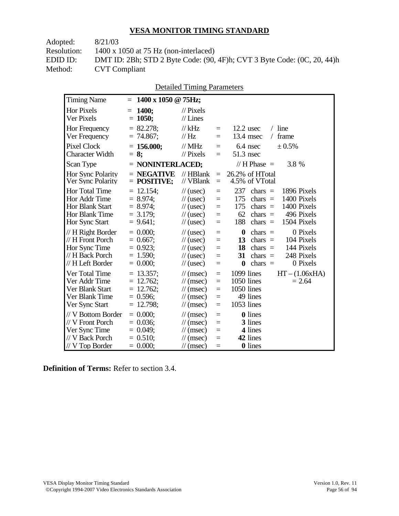| Adopted:    | 8/21/03                                                                 |
|-------------|-------------------------------------------------------------------------|
| Resolution: | $1400 \times 1050$ at 75 Hz (non-interlaced)                            |
| EDID ID:    | DMT ID: 2Bh; STD 2 Byte Code: (90, 4F)h; CVT 3 Byte Code: (0C, 20, 44)h |
| Method:     | <b>CVT</b> Compliant                                                    |
|             |                                                                         |

| <b>Detailed Timing Parameters</b> |
|-----------------------------------|
|                                   |
|                                   |
|                                   |

| Hor Pixels<br>Ver Pixels                                                                        | <b>1400;</b><br>$= 1050;$                                                | $\frac{1}{2}$ Pixels<br>$//$ Lines                                                                                          |                                                          |                                                                                                                                                                           |
|-------------------------------------------------------------------------------------------------|--------------------------------------------------------------------------|-----------------------------------------------------------------------------------------------------------------------------|----------------------------------------------------------|---------------------------------------------------------------------------------------------------------------------------------------------------------------------------|
| Hor Frequency<br>Ver Frequency                                                                  | $= 82.278;$<br>$= 74.867$ ;                                              | $//$ kHz<br>$\frac{1}{1}$ Hz                                                                                                | $\equiv$<br>$=$                                          | $/$ line<br>$12.2$ usec<br>frame<br>13.4 msec<br>$\sqrt{2}$                                                                                                               |
| Pixel Clock<br><b>Character Width</b>                                                           | $= 156.000;$<br>$= 8:$                                                   | $//$ MHz<br>$\frac{1}{2}$ Pixels                                                                                            | $=$<br>$=$                                               | ± 0.5%<br>6.4 nsec<br>$51.3$ nsec                                                                                                                                         |
| Scan Type                                                                                       | = NONINTERLACED;                                                         |                                                                                                                             |                                                          | $// H Phase =$<br>3.8 %                                                                                                                                                   |
| Hor Sync Polarity<br>Ver Sync Polarity                                                          | $=$ NEGATIVE<br>$=$ POSITIVE;                                            | $//$ HBlank<br>// VBlank                                                                                                    | $\equiv$<br>$\equiv$                                     | 26.2% of HTotal<br>4.5% of VTotal                                                                                                                                         |
| Hor Total Time<br>Hor Addr Time<br>Hor Blank Start<br>Hor Blank Time<br>Hor Sync Start          | $= 12.154;$<br>$= 8.974$ ;<br>$= 8.974$ ;<br>$= 3.179$ ;<br>$= 9.641$ ;  | $\frac{1}{2}$ (usec)<br>$\frac{1}{2}$ (usec)<br>$\frac{1}{2}$ (usec)<br>$\frac{1}{2}$ (usec)<br>$\frac{1}{2}$ (usec)        | $\equiv$<br>$\equiv$<br>$=$<br>$=$<br>$\equiv$           | 237<br>1896 Pixels<br>$chars =$<br>175<br>1400 Pixels<br>chars $=$<br>1400 Pixels<br>175<br>chars $=$<br>496 Pixels<br>62<br>$chars =$<br>188<br>1504 Pixels<br>chars $=$ |
| // H Right Border<br>// H Front Porch<br>Hor Sync Time<br>// H Back Porch<br>// H Left Border   | $= 0.000$<br>$= 0.667$ ;<br>$= 0.923$ ;<br>$= 1.590;$<br>$= 0.000;$      | $\frac{1}{2}$ (usec)<br>$\frac{1}{2}$ (usec)<br>$\frac{1}{2}$ (usec)<br>$\frac{1}{2}$ (usec)<br>$\frac{1}{2}$ (usec)        | $=$<br>$=$<br>$=$<br>$=$<br>$=$                          | $\bf{0}$<br>0 Pixels<br>chars $=$<br>104 Pixels<br>13<br>$chars =$<br>144 Pixels<br>18<br>$chars =$<br>248 Pixels<br>31<br>chars $=$<br>$\bf{0}$<br>0 Pixels<br>chars $=$ |
| Ver Total Time<br>Ver Addr Time<br>Ver Blank Start<br>Ver Blank Time<br>Ver Sync Start          | $= 13.357;$<br>$= 12.762;$<br>$= 12.762$ ;<br>$= 0.596$ ;<br>$= 12.798;$ | $\mathcal{U}$ (msec)<br>$\mathcal{U}$ (msec)<br>$\mathcal{U}$ (msec)<br>$\mathcal{U}$ (msec)<br>$\mathcal{U}$ (msec)        | $\equiv$<br>$\equiv$<br>$\equiv$<br>$\equiv$<br>$\equiv$ | 1099 lines<br>$HT - (1.06xHA)$<br>1050 lines<br>$= 2.64$<br>1050 lines<br>49 lines<br>1053 lines                                                                          |
| // V Bottom Border<br>// V Front Porch<br>Ver Sync Time<br>// V Back Porch<br>$//$ V Top Border | $= 0.000;$<br>$= 0.036$ ;<br>$= 0.049$ ;<br>$= 0.510$ ;<br>$= 0.000;$    | $\mathcal{U}$ (msec)<br>$\mathcal{U}$ (msec)<br>$\mathcal{U}$ (msec)<br>$\mathcal{U}$ (msec)<br>$\frac{1}{\sqrt{2}}$ (msec) | $=$<br>$=$<br>$\equiv$<br>$\equiv$<br>$=$                | <b>0</b> lines<br>3 lines<br>4 lines<br>42 lines<br><b>0</b> lines                                                                                                        |

**Definition of Terms:** Refer to section 3.4.

**1200 Timing Name**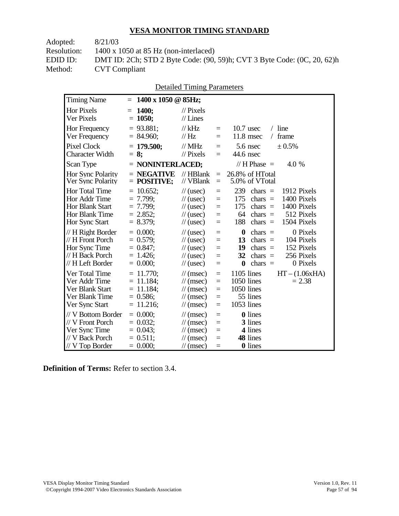| Adopted:    | 8/21/03                                                                 |
|-------------|-------------------------------------------------------------------------|
| Resolution: | $1400 \times 1050$ at 85 Hz (non-interlaced)                            |
| EDID ID:    | DMT ID: 2Ch; STD 2 Byte Code: (90, 59)h; CVT 3 Byte Code: (0C, 20, 62)h |
| Method:     | <b>CVT</b> Compliant                                                    |
|             |                                                                         |

| <b>Detailed Timing Parameters</b> |
|-----------------------------------|
|-----------------------------------|

| <b>Timing Name</b>                                                                              | $1400 \times 1050 \text{ @ } 85 \text{Hz};$<br>$=$                          |                                                                                                                                             |                                      |                                                                                                                                                                                           |
|-------------------------------------------------------------------------------------------------|-----------------------------------------------------------------------------|---------------------------------------------------------------------------------------------------------------------------------------------|--------------------------------------|-------------------------------------------------------------------------------------------------------------------------------------------------------------------------------------------|
| <b>Hor Pixels</b><br>Ver Pixels                                                                 | <b>1400:</b><br>$=$<br>$= 1050;$                                            | $\frac{1}{2}$ Pixels<br>$//$ Lines                                                                                                          |                                      |                                                                                                                                                                                           |
| <b>Hor Frequency</b><br>Ver Frequency                                                           | $= 93.881$ ;<br>$= 84.960;$                                                 | $//$ kHz<br>// Hz                                                                                                                           | $=$<br>$=$                           | $10.7$ usec<br>$/$ line<br>$11.8$ msec<br>frame<br>$\sqrt{2}$                                                                                                                             |
| <b>Pixel Clock</b><br><b>Character Width</b>                                                    | $= 179.500$ ;<br>$= 8:$                                                     | $//$ MHz<br>$//$ Pixels                                                                                                                     | $=$<br>$=$                           | $5.6$ nsec<br>± 0.5%<br>44.6 nsec                                                                                                                                                         |
| Scan Type                                                                                       | $=$ NONINTERLACED;                                                          |                                                                                                                                             |                                      | // H Phase $=$<br>4.0 %                                                                                                                                                                   |
| Hor Sync Polarity<br>Ver Sync Polarity                                                          | $=$ NEGATIVE<br>$=$ POSITIVE;                                               | $//$ HBlank<br>// VBlank                                                                                                                    | $=$<br>$=$                           | 26.8% of HTotal<br>5.0% of VTotal                                                                                                                                                         |
| Hor Total Time<br>Hor Addr Time<br><b>Hor Blank Start</b><br>Hor Blank Time<br>Hor Sync Start   | $= 10.652$ ;<br>$= 7.799$ ;<br>$= 7.799$ ;<br>$= 2.852;$<br>$= 8.379$ ;     | $\frac{1}{2}$ (usec)<br>$\frac{1}{2}$ (usec)<br>$\frac{1}{2}$ (usec)<br>$\frac{1}{2}$ (usec)<br>$\frac{1}{2}$ (usec)                        | $=$<br>$=$<br>$=$<br>$=$<br>$=$      | 239<br>chars $=$<br>1912 Pixels<br>175<br>1400 Pixels<br>$chars =$<br>1400 Pixels<br>175<br>chars $=$<br>64<br>512 Pixels<br>chars $=$<br>188<br>chars $=$<br>1504 Pixels                 |
| // H Right Border<br>// H Front Porch<br>Hor Sync Time<br>// H Back Porch<br>// H Left Border   | $= 0.000;$<br>$= 0.579;$<br>$= 0.847$ ;<br>$= 1.426$ ;<br>$= 0.000;$        | $\frac{1}{2}$ (usec)<br>$\frac{1}{2}$ (usec)<br>$\frac{1}{2}$ (usec)<br>$\frac{1}{2}$ (usec)<br>$\frac{1}{2}$ (usec)                        | $=$<br>$=$<br>$=$<br>$=$<br>$=$      | $\boldsymbol{0}$<br>0 Pixels<br>$chars =$<br>13<br>$chars =$<br>104 Pixels<br>152 Pixels<br>19<br>$chars =$<br>256 Pixels<br>32<br>$chars =$<br>0 Pixels<br>$\boldsymbol{0}$<br>$chars =$ |
| Ver Total Time<br>Ver Addr Time<br>Ver Blank Start<br>Ver Blank Time<br>Ver Sync Start          | $= 11.770$ ;<br>$= 11.184$ ;<br>$= 11.184$ ;<br>$= 0.586$ ;<br>$= 11.216$ ; | $\mathcal{U}$ (msec)<br>$\frac{1}{\sqrt{2}}$ (msec)<br>$\mathcal{U}$ (msec)<br>$\mathcal{U}$ (msec)<br>$\frac{1}{\sqrt{2}}$ (msec)          | $\equiv$<br>$=$<br>$=$<br>$=$<br>$=$ | $1105$ lines<br>$HT - (1.06xHA)$<br>1050 lines<br>$= 2.38$<br>1050 lines<br>55 lines<br>1053 lines                                                                                        |
| // V Bottom Border<br>// V Front Porch<br>Ver Sync Time<br>// V Back Porch<br>$//$ V Top Border | $= 0.000$<br>$= 0.032$<br>$= 0.043$ ;<br>$= 0.511$ ;<br>$= 0.000;$          | $\mathcal{U}$ (msec)<br>$\frac{1}{\sqrt{2}}$ (msec)<br>$\frac{1}{\sqrt{2}}$ (msec)<br>$\frac{1}{\sqrt{2}}$ (msec)<br>$\frac{1}{\pi}$ (msec) | $=$<br>$=$<br>$=$<br>$=$<br>$=$      | <b>0</b> lines<br>3 lines<br>4 lines<br>48 lines<br><b>0</b> lines                                                                                                                        |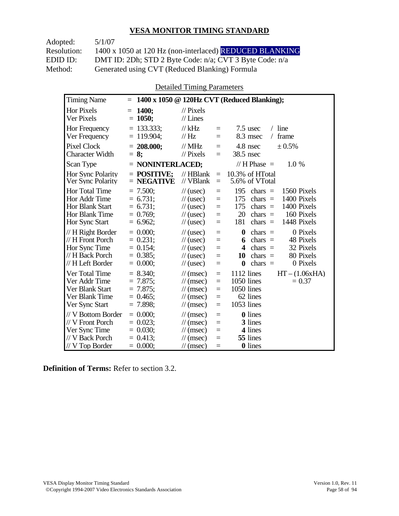Adopted: 5/1/07 Resolution: 1400 x 1050 at 120 Hz (non-interlaced) REDUCED BLANKING EDID ID: DMT ID: 2Dh; STD 2 Byte Code: n/a; CVT 3 Byte Code: n/a<br>Method: Generated using CVT (Reduced Blanking) Formula Generated using CVT (Reduced Blanking) Formula

Detailed Timing Parameters

| <b>Timing Name</b>                                                                              | $=$                                                                  |                                                                                                                        |                                      | 1400 x 1050 @ 120Hz CVT (Reduced Blanking);                                                                                                                                          |
|-------------------------------------------------------------------------------------------------|----------------------------------------------------------------------|------------------------------------------------------------------------------------------------------------------------|--------------------------------------|--------------------------------------------------------------------------------------------------------------------------------------------------------------------------------------|
| <b>Hor Pixels</b><br>Ver Pixels                                                                 | 1400;<br>$=$<br>$= 1050;$                                            | $\frac{1}{2}$ Pixels<br>$//$ Lines                                                                                     |                                      |                                                                                                                                                                                      |
| Hor Frequency<br>Ver Frequency                                                                  | $= 133.333$ ;<br>$= 119.904$ ;                                       | $//$ kHz<br>$\mathcal{U}$ Hz                                                                                           | $=$<br>$=$                           | $7.5$ usec<br>$/$ line<br>8.3 msec<br>frame<br>$\sqrt{2}$                                                                                                                            |
| <b>Pixel Clock</b><br><b>Character Width</b>                                                    | $= 208.000;$<br>$= 8:$                                               | $//$ MHz<br>$\frac{1}{2}$ Pixels                                                                                       | $=$<br>$=$                           | 4.8 nsec<br>± 0.5%<br>38.5 nsec                                                                                                                                                      |
| Scan Type                                                                                       | $=$ NONINTERLACED;                                                   |                                                                                                                        |                                      | // H Phase $=$<br>$1.0\%$                                                                                                                                                            |
| <b>Hor Sync Polarity</b><br>Ver Sync Polarity                                                   | $=$ POSITIVE;<br>$=$ NEGATIVE                                        | $//$ HBlank<br>// VBlank                                                                                               | $=$<br>$=$                           | 10.3% of HTotal<br>5.6% of VTotal                                                                                                                                                    |
| Hor Total Time<br>Hor Addr Time<br>Hor Blank Start<br>Hor Blank Time<br>Hor Sync Start          | $= 7.500;$<br>$= 6.731;$<br>$= 6.731;$<br>$= 0.769$ ;<br>$= 6.962$ ; | $\frac{1}{2}$ (usec)<br>$\frac{1}{2}$ (usec)<br>$\frac{1}{2}$ (usec)<br>$\frac{1}{2}$ (usec)<br>$\frac{1}{2}$ (usec)   | $=$<br>$=$<br>$=$<br>$=$<br>$=$      | 195<br>1560 Pixels<br>chars $=$<br>175<br>1400 Pixels<br>chars $=$<br>175<br>1400 Pixels<br>chars $=$<br>20<br>chars $=$<br>160 Pixels<br>181<br>1448 Pixels<br>chars $=$            |
| // H Right Border<br>// H Front Porch<br>Hor Sync Time<br>// H Back Porch<br>// H Left Border   | $= 0.000$<br>$= 0.231$ ;<br>$= 0.154$ ;<br>$= 0.385$<br>$= 0.000;$   | $\frac{1}{2}$ (usec)<br>$\frac{1}{2}$ (usec)<br>$\frac{1}{2}$ (usec)<br>$\frac{1}{2}$ (usec)<br>$\frac{1}{2}$ (usec)   | $=$<br>$=$<br>$=$<br>$=$<br>$=$      | 0 Pixels<br>$\boldsymbol{0}$<br>chars $=$<br>48 Pixels<br>chars $=$<br>6<br>32 Pixels<br>4<br>$chars =$<br>80 Pixels<br>10<br>chars $=$<br>0 Pixels<br>$\boldsymbol{0}$<br>chars $=$ |
| Ver Total Time<br>Ver Addr Time<br>Ver Blank Start<br>Ver Blank Time<br>Ver Sync Start          | $= 8.340$ ;<br>$= 7.875$<br>$= 7.875$ ;<br>$= 0.465$<br>$= 7.898$ ;  | $\mathcal{U}$ (msec)<br>$\frac{1}{\pi}$ (msec)<br>$\mathcal{U}$ (msec)<br>$\mathcal{U}$ (msec)<br>$\mathcal{U}$ (msec) | $\equiv$<br>$=$<br>$=$<br>$=$<br>$=$ | $HT - (1.06xHA)$<br>1112 lines<br>1050 lines<br>$= 0.37$<br>1050 lines<br>62 lines<br>1053 lines                                                                                     |
| // V Bottom Border<br>// V Front Porch<br>Ver Sync Time<br>// V Back Porch<br>$//$ V Top Border | $= 0.000$<br>$= 0.023$<br>$= 0.030;$<br>$= 0.413$ ;<br>$= 0.000;$    | $\mathcal{U}$ (msec)<br>$\mathcal{U}$ (msec)<br>$\mathcal{U}$ (msec)<br>$\mathcal{U}$ (msec)<br>$\mathcal{U}$ (msec)   | $=$<br>$=$<br>$=$<br>$=$<br>$=$      | 0 lines<br>3 lines<br>4 lines<br>55 lines<br><b>0</b> lines                                                                                                                          |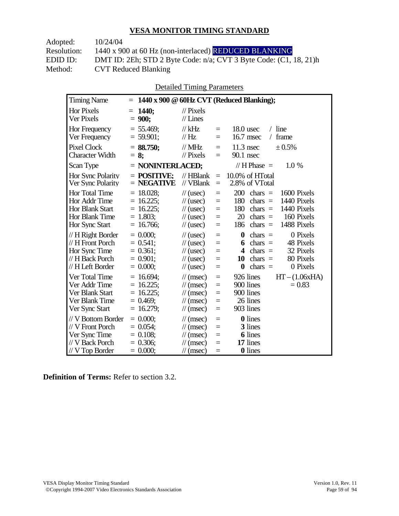| 10/24/04                                                                |
|-------------------------------------------------------------------------|
| 1440 x 900 at 60 Hz (non-interlaced) REDUCED BLANKING                   |
| DMT ID: 2Eh; STD 2 Byte Code: $n/a$ ; CVT 3 Byte Code: $(C1, 18, 21)$ h |
| <b>CVT Reduced Blanking</b>                                             |
|                                                                         |

Detailed Timing Parameters

| <b>Timing Name</b>                                                                              | $=$                                                                        |                                                                                                                      |                                      | 1440 x 900 @ 60Hz CVT (Reduced Blanking);                                                                                                                                                   |
|-------------------------------------------------------------------------------------------------|----------------------------------------------------------------------------|----------------------------------------------------------------------------------------------------------------------|--------------------------------------|---------------------------------------------------------------------------------------------------------------------------------------------------------------------------------------------|
| <b>Hor Pixels</b><br>Ver Pixels                                                                 | $= 1440$ ;<br>$= 900;$                                                     | $\mathcal{U}$ Pixels<br>$//$ Lines                                                                                   |                                      |                                                                                                                                                                                             |
| Hor Frequency<br>Ver Frequency                                                                  | $= 55.469$ ;<br>$= 59.901$ ;                                               | $//$ kHz<br>$\mathcal{U}$ Hz                                                                                         | $=$<br>$=$                           | $18.0$ usec<br>$/$ line<br>frame<br>16.7 msec<br>$\sqrt{2}$                                                                                                                                 |
| <b>Pixel Clock</b><br>Character Width                                                           | $=$ 88.750;<br>$= 8:$                                                      | $//$ MHz<br>$\mathcal{U}$ Pixels                                                                                     | $=$<br>$=$                           | $11.3$ nsec<br>± 0.5%<br>$90.1$ nsec                                                                                                                                                        |
| Scan Type                                                                                       | $=$ NONINTERLACED;                                                         |                                                                                                                      |                                      | // $H$ Phase $=$<br>1.0%                                                                                                                                                                    |
| Hor Sync Polarity<br>Ver Sync Polarity                                                          | $=$ POSITIVE:<br>$=$ NEGATIVE                                              | $//$ HBlank<br>// VBlank                                                                                             | $\equiv$<br>$=$                      | 10.0% of HTotal<br>2.8% of VTotal                                                                                                                                                           |
| Hor Total Time<br>Hor Addr Time<br><b>Hor Blank Start</b><br>Hor Blank Time<br>Hor Sync Start   | $= 18.028;$<br>$= 16.225$ ;<br>$= 16.225$ ;<br>$= 1.803$ ;<br>$= 16.766$ ; | $\frac{1}{2}$ (usec)<br>$\frac{1}{2}$ (usec)<br>$\frac{1}{2}$ (usec)<br>$\frac{1}{2}$ (usec)<br>$\frac{1}{2}$ (usec) | $=$<br>$=$<br>$=$<br>$=$<br>$=$      | 200<br>chars $=$<br>1600 Pixels<br>1440 Pixels<br>180<br>chars $=$<br>180<br>chars $=$<br>1440 Pixels<br>20<br>chars $=$<br>160 Pixels<br>chars $=$<br>1488 Pixels<br>186                   |
| // H Right Border<br>// H Front Porch<br>Hor Sync Time<br>// H Back Porch<br>// H Left Border   | $= 0.000$<br>$= 0.541$ ;<br>$= 0.361$ ;<br>$= 0.901$ ;<br>$= 0.000$ ;      | $\frac{1}{2}$ (usec)<br>$\frac{1}{2}$ (usec)<br>$\frac{1}{2}$ (usec)<br>$\frac{1}{2}$ (usec)<br>$\frac{1}{2}$ (usec) | $=$<br>$=$<br>$=$<br>$=$<br>$=$      | $\boldsymbol{0}$<br>chars $=$<br>0 Pixels<br>chars $=$<br>48 Pixels<br>6<br>32 Pixels<br>4<br>chars $=$<br>chars $=$<br>80 Pixels<br>10<br>$\boldsymbol{0}$<br>$\text{chars}$ =<br>0 Pixels |
| Ver Total Time<br>Ver Addr Time<br>Ver Blank Start<br>Ver Blank Time<br>Ver Sync Start          | $= 16.694$ ;<br>$= 16.225$ ;<br>$= 16.225$ ;<br>$= 0.469$ ;<br>$= 16.279;$ | $\mathcal{U}$ (msec)<br>$\mathcal{U}$ (msec)<br>$\mathcal{U}$ (msec)<br>$\mathcal{U}$ (msec)<br>$\mathcal{U}$ (msec) | $=$<br>$=$<br>$=$<br>$\equiv$<br>$=$ | 926 lines<br>$HT - (1.06xHA)$<br>900 lines<br>$= 0.83$<br>900 lines<br>26 lines<br>903 lines                                                                                                |
| // V Bottom Border<br>// V Front Porch<br>Ver Sync Time<br>// V Back Porch<br>$//$ V Top Border | $= 0.000;$<br>$= 0.054$ ;<br>$= 0.108$ ;<br>$= 0.306$ ;<br>$= 0.000;$      | $\mathcal{U}$ (msec)<br>$\mathcal{U}$ (msec)<br>$\mathcal{U}$ (msec)<br>$\mathcal{U}$ (msec)<br>$\mathcal{N}(msec)$  | $=$<br>$=$<br>$=$<br>$=$<br>$=$      | <b>0</b> lines<br>3 lines<br><b>6</b> lines<br>17 lines<br><b>0</b> lines                                                                                                                   |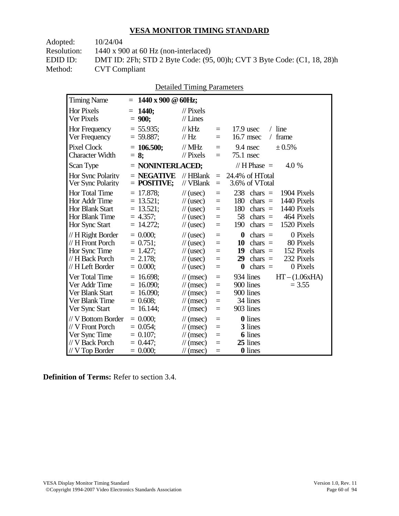| Adopted:    | 10/24/04                                                                |
|-------------|-------------------------------------------------------------------------|
| Resolution: | $1440 \times 900$ at 60 Hz (non-interlaced)                             |
| EDID ID:    | DMT ID: 2Fh; STD 2 Byte Code: (95, 00)h; CVT 3 Byte Code: (C1, 18, 28)h |
| Method:     | <b>CVT</b> Compliant                                                    |
|             |                                                                         |

|  | <b>Detailed Timing Parameters</b> |
|--|-----------------------------------|
|  |                                   |

| <b>Timing Name</b>     | $= 1440 \times 900 \text{ } @60Hz;$ |                      |     |                                                   |
|------------------------|-------------------------------------|----------------------|-----|---------------------------------------------------|
| <b>Hor Pixels</b>      | $= 1440$ ;                          | $\mathcal{U}$ Pixels |     |                                                   |
| Ver Pixels             | $= 900;$                            | $//$ Lines           |     |                                                   |
| Hor Frequency          | $= 55.935$ ;                        | // $kHz$             | $=$ | $/$ line<br>$17.9$ usec                           |
| Ver Frequency          | $= 59.887;$                         | $\frac{1}{1}$ Hz     | $=$ | frame<br>16.7 msec<br>$\sqrt{2}$                  |
| <b>Pixel Clock</b>     | $= 106.500;$                        | $\frac{1}{2}$ MHz    | $=$ | ± 0.5%<br>9.4 nsec                                |
| <b>Character Width</b> | $= 8:$                              | $//$ Pixels          | $=$ | $75.1$ nsec                                       |
| Scan Type              | $=$ NONINTERLACED;                  |                      |     | // $H$ Phase $=$<br>4.0 %                         |
| Hor Sync Polarity      | $=$ NEGATIVE                        | $//$ HBlank          | $=$ | 24.4% of HTotal                                   |
| Ver Sync Polarity      | $=$ POSITIVE;                       | // VBlank            | $=$ | 3.6% of VTotal                                    |
| Hor Total Time         | $= 17.878$ ;                        | $\frac{1}{2}$ (usec) | $=$ | 238<br>1904 Pixels<br>$chars =$                   |
| Hor Addr Time          | $= 13.521$ ;                        | $\frac{1}{2}$ (usec) | $=$ | 180<br>1440 Pixels<br>$chars =$                   |
| Hor Blank Start        | $= 13.521;$                         | $\frac{1}{2}$ (usec) | $=$ | 180<br>$chars =$<br>1440 Pixels                   |
| Hor Blank Time         | $= 4.357$ ;                         | $\frac{1}{2}$ (usec) | $=$ | 58<br>464 Pixels<br>$chars =$                     |
| Hor Sync Start         | $= 14.272;$                         | $\frac{1}{2}$ (usec) | $=$ | 190<br>1520 Pixels<br>chars $=$                   |
| // H Right Border      | $= 0.000;$                          | $\frac{1}{2}$ (usec) | $=$ | $\boldsymbol{0}$<br>0 Pixels<br>$\text{chars}$ =  |
| // H Front Porch       | $= 0.751$ ;                         | $\frac{1}{2}$ (usec) | $=$ | 10<br>$chars =$<br>80 Pixels                      |
| Hor Sync Time          | $= 1.427$ ;                         | $\frac{1}{2}$ (usec) | $=$ | 19<br>152 Pixels<br>$chars =$                     |
| // H Back Porch        | $= 2.178$ ;                         | $\frac{1}{2}$ (usec) | $=$ | 232 Pixels<br>29<br>chars $=$                     |
| // H Left Border       | $= 0.000;$                          | $\frac{1}{2}$ (usec) | $=$ | $\text{char}_s$ =<br>0 Pixels<br>$\boldsymbol{0}$ |
| Ver Total Time         | $= 16.698$ ;                        | $\mathcal{U}$ (msec) | $=$ | 934 lines<br>$HT - (1.06xHA)$                     |
| Ver Addr Time          | $= 16.090$ ;                        | $\mathcal{U}$ (msec) | $=$ | 900 lines<br>$= 3.55$                             |
| Ver Blank Start        | $= 16.090$ ;                        | $\mathcal{U}$ (msec) | $=$ | 900 lines                                         |
| Ver Blank Time         | $= 0.608;$                          | $\mathcal{U}$ (msec) | $=$ | 34 lines                                          |
| Ver Sync Start         | $= 16.144;$                         | $\mathcal{N}(msec)$  | $=$ | 903 lines                                         |
| // V Bottom Border     | $= 0.000$                           | $\mathcal{U}$ (msec) | $=$ | <b>0</b> lines                                    |
| // V Front Porch       | $= 0.054$ ;                         | $\mathcal{U}$ (msec) | $=$ | 3 lines                                           |
| Ver Sync Time          | $= 0.107$ ;                         | $\mathcal{U}$ (msec) | $=$ | <b>6</b> lines                                    |
| // V Back Porch        | $= 0.447$ ;                         | $\mathcal{U}$ (msec) | $=$ | 25 lines                                          |
| $//$ V Top Border      | $= 0.000;$                          | $\mathcal{U}$ (msec) | $=$ | <b>0</b> lines                                    |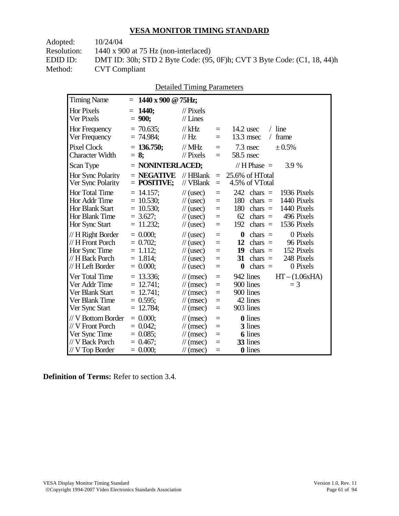| Adopted:    | 10/24/04                                                                |
|-------------|-------------------------------------------------------------------------|
| Resolution: | 1440 x 900 at 75 Hz (non-interlaced)                                    |
| EDID ID:    | DMT ID: 30h; STD 2 Byte Code: (95, 0F)h; CVT 3 Byte Code: (C1, 18, 44)h |
| Method:     | <b>CVT</b> Compliant                                                    |
|             |                                                                         |

|  | <b>Detailed Timing Parameters</b> |
|--|-----------------------------------|
|  |                                   |

| <b>Timing Name</b>                                                                             | 1440 x 900 @ 75Hz;<br>$=$                                                  |                                                                                                                             |                                                     |                                                                                                                                                                                                        |
|------------------------------------------------------------------------------------------------|----------------------------------------------------------------------------|-----------------------------------------------------------------------------------------------------------------------------|-----------------------------------------------------|--------------------------------------------------------------------------------------------------------------------------------------------------------------------------------------------------------|
| <b>Hor Pixels</b><br>Ver Pixels                                                                | $= 1440$<br>$= 900;$                                                       | $\mathcal{U}$ Pixels<br>$//$ Lines                                                                                          |                                                     |                                                                                                                                                                                                        |
| Hor Frequency<br>Ver Frequency                                                                 | $= 70.635$ ;<br>$= 74.984$ ;                                               | $//$ kHz<br>$\mathcal{U}$ Hz                                                                                                | $\equiv$<br>$=$                                     | 14.2 usec<br>$/$ line<br>$13.3$ msec<br>frame<br>$\sqrt{2}$                                                                                                                                            |
| <b>Pixel Clock</b><br><b>Character Width</b>                                                   | $= 136.750$ ;<br>$= 8:$                                                    | $//$ MHz<br>$\frac{1}{2}$ Pixels                                                                                            | $=$<br>$=$                                          | 7.3 nsec<br>± 0.5%<br>58.5 nsec                                                                                                                                                                        |
| Scan Type                                                                                      | $=$ NONINTERLACED;                                                         |                                                                                                                             |                                                     | // $H$ Phase $=$<br>3.9 %                                                                                                                                                                              |
| Hor Sync Polarity<br>Ver Sync Polarity                                                         | $=$ NEGATIVE<br>$=$ POSITIVE;                                              | $//$ HBlank<br>// VBlank                                                                                                    | $=$<br>$\equiv$                                     | 25.6% of HTotal<br>4.5% of VTotal                                                                                                                                                                      |
| Hor Total Time<br>Hor Addr Time<br>Hor Blank Start<br>Hor Blank Time<br>Hor Sync Start         | $= 14.157$ ;<br>$= 10.530$ ;<br>$= 10.530$ ;<br>$= 3.627$ ;<br>$= 11.232;$ | $\frac{1}{2}$ (usec)<br>$\frac{1}{2}$ (usec)<br>$\frac{1}{2}$ (usec)<br>$\frac{1}{2}$ (usec)<br>$\frac{1}{2}$ (usec)        | $=$<br>$=$<br>$\quad =$<br>$\quad =$<br>$=$         | 242<br>$\text{chars}$ =<br>1936 Pixels<br>180<br>1440 Pixels<br>$\text{chars}$ =<br>180<br>chars $=$<br>1440 Pixels<br>62<br>496 Pixels<br>chars $=$<br>192<br>$\text{chars}$ =<br>1536 Pixels         |
| // H Right Border<br>// H Front Porch<br>Hor Sync Time<br>// H Back Porch<br>// H Left Border  | $= 0.000$<br>$= 0.702$<br>$= 1.112$ ;<br>$= 1.814$ ;<br>$= 0.000;$         | $\frac{1}{2}$ (usec)<br>$\frac{1}{2}$ (usec)<br>$\frac{1}{2}$ (usec)<br>$\mathcal{U}$ (usec)<br>$\frac{1}{2}$ (usec)        | $=$<br>$=$<br>$=$<br>$=$<br>$=$                     | $\boldsymbol{0}$<br>0 Pixels<br>chars $=$<br>12<br>$chars =$<br>96 Pixels<br>152 Pixels<br>19<br>$chars =$<br>248 Pixels<br>31<br>$\text{chars}$ =<br>0 Pixels<br>$\boldsymbol{0}$<br>$\text{chars}$ = |
| Ver Total Time<br>Ver Addr Time<br>Ver Blank Start<br>Ver Blank Time<br>Ver Sync Start         | $= 13.336$ ;<br>$= 12.741$ ;<br>$= 12.741$ ;<br>$= 0.595$ ;<br>$= 12.784;$ | $\mathcal{U}$ (msec)<br>$\mathcal{U}$ (msec)<br>$\mathcal{U}$ (msec)<br>$\frac{1}{\sqrt{2}}$ (msec)<br>$\mathcal{U}$ (msec) | $\equiv$<br>$\equiv$<br>$=$<br>$\equiv$<br>$\equiv$ | 942 lines<br>$HT - (1.06xHA)$<br>900 lines<br>$=$ 3<br>900 lines<br>42 lines<br>903 lines                                                                                                              |
| // V Bottom Border<br>// V Front Porch<br>Ver Sync Time<br>// V Back Porch<br>$//V$ Top Border | $= 0.000$<br>$= 0.042$ ;<br>$= 0.085$ ;<br>$= 0.467$ ;<br>$= 0.000;$       | $\mathcal{U}$ (msec)<br>$\mathcal{U}$ (msec)<br>$\mathcal{U}$ (msec)<br>$\mathcal{U}$ (msec)<br>$\mathcal{U}$ (msec)        | $=$<br>$=$<br>$=$<br>$=$<br>$\equiv$                | 0 lines<br>3 lines<br>6 lines<br>33 lines<br>0 lines                                                                                                                                                   |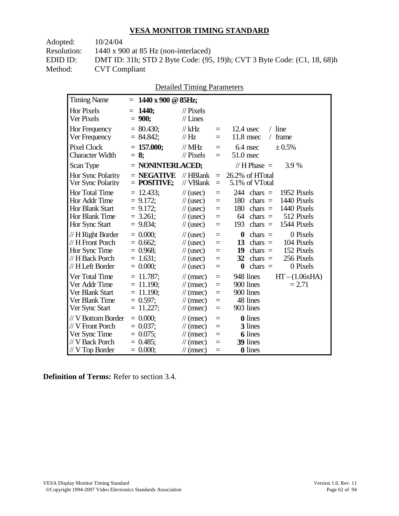Adopted: 10/24/04 Resolution: 1440 x 900 at 85 Hz (non-interlaced) EDID ID: DMT ID: 31h; STD 2 Byte Code: (95, 19)h; CVT 3 Byte Code: (C1, 18, 68)h<br>Method: CVT Compliant **CVT Compliant** 

| <b>Detailed Timing Parameters</b> |  |
|-----------------------------------|--|
|-----------------------------------|--|

| <b>Timing Name</b>                                                                                   | 1440 x 900 @ 85Hz;<br>$=$                                                  |                                                                                                                      |                                             |                                                                                                                                                                                                  |
|------------------------------------------------------------------------------------------------------|----------------------------------------------------------------------------|----------------------------------------------------------------------------------------------------------------------|---------------------------------------------|--------------------------------------------------------------------------------------------------------------------------------------------------------------------------------------------------|
| <b>Hor Pixels</b><br>Ver Pixels                                                                      | <b>1440;</b><br>$=$<br>$= 900;$                                            | $\mathcal{U}$ Pixels<br>$//$ Lines                                                                                   |                                             |                                                                                                                                                                                                  |
| Hor Frequency<br>Ver Frequency                                                                       | $= 80.430$ ;<br>$= 84.842;$                                                | $//$ kHz<br>// $Hz$                                                                                                  | $\quad \  \  =$<br>$=$                      | $/$ line<br>$12.4$ usec<br>$11.8$ msec<br>frame<br>$\sqrt{2}$                                                                                                                                    |
| <b>Pixel Clock</b><br><b>Character Width</b>                                                         | $= 157.000;$<br>$= 8:$                                                     | $\frac{1}{1}$ MHz<br>$\mathcal{U}$ Pixels                                                                            | $=$<br>$=$                                  | 6.4 nsec<br>± 0.5%<br>$51.0$ nsec                                                                                                                                                                |
| Scan Type                                                                                            | $=$ NONINTERLACED;                                                         |                                                                                                                      |                                             | // $H$ Phase $=$<br>3.9 %                                                                                                                                                                        |
| Hor Sync Polarity<br>Ver Sync Polarity                                                               | $=$ NEGATIVE<br>$=$ POSITIVE;                                              | $//$ HBlank<br>$//$ VBlank                                                                                           | $\equiv$<br>$\quad =$                       | 26.2% of HTotal<br>5.1% of VTotal                                                                                                                                                                |
| <b>Hor Total Time</b><br>Hor Addr Time<br><b>Hor Blank Start</b><br>Hor Blank Time<br>Hor Sync Start | $= 12.433$ ;<br>$= 9.172;$<br>$= 9.172$ ;<br>$= 3.261$ ;<br>$= 9.834$ ;    | $\frac{1}{2}$ (usec)<br>$\frac{1}{2}$ (usec)<br>$\frac{1}{2}$ (usec)<br>$\frac{1}{2}$ (usec)<br>$\frac{1}{2}$ (usec) | $=$<br>$=$<br>$=$<br>$\quad \  \  =$<br>$=$ | 244<br>chars $=$<br>1952 Pixels<br>180<br>1440 Pixels<br>chars $=$<br>180<br>1440 Pixels<br>chars $=$<br>512 Pixels<br>64<br>chars $=$<br>1544 Pixels<br>193<br>chars $=$                        |
| // H Right Border<br>// H Front Porch<br>Hor Sync Time<br>// H Back Porch<br>// H Left Border        | $= 0.000;$<br>$= 0.662$ ;<br>$= 0.968$ ;<br>$= 1.631$ ;<br>$= 0.000;$      | $\frac{1}{2}$ (usec)<br>$\frac{1}{2}$ (usec)<br>$\frac{1}{2}$ (usec)<br>$\frac{1}{2}$ (usec)<br>$\frac{1}{2}$ (usec) | $=$<br>$=$<br>$=$<br>$=$<br>$=$             | $\boldsymbol{0}$<br>0 Pixels<br>$\text{chars}$ =<br>104 Pixels<br>13<br>chars $=$<br>152 Pixels<br>19<br>$chars =$<br>32<br>256 Pixels<br>chars $=$<br>$\boldsymbol{0}$<br>chars $=$<br>0 Pixels |
| Ver Total Time<br>Ver Addr Time<br>Ver Blank Start<br>Ver Blank Time<br>Ver Sync Start               | $= 11.787$ ;<br>$= 11.190$ ;<br>$= 11.190$ ;<br>$= 0.597$ ;<br>$= 11.227;$ | $\mathcal{U}$ (msec)<br>$\mathcal{U}$ (msec)<br>$\mathcal{U}$ (msec)<br>$\mathcal{U}$ (msec)<br>$\mathcal{U}$ (msec) | $=$<br>$=$<br>$=$<br>$=$<br>$=$             | 948 lines<br>$HT - (1.06xHA)$<br>900 lines<br>$= 2.71$<br>900 lines<br>48 lines<br>903 lines                                                                                                     |
| // V Bottom Border<br>// V Front Porch<br>Ver Sync Time<br>// V Back Porch<br>$//$ V Top Border      | $= 0.000$<br>$= 0.037$ ;<br>$= 0.075$ ;<br>$= 0.485$ ;<br>$= 0.000;$       | $\mathcal{U}$ (msec)<br>$\mathcal{U}$ (msec)<br>$\mathcal{U}$ (msec)<br>$\mathcal{U}$ (msec)<br>$\mathcal{N}(msec)$  | $=$<br>$=$<br>$=$<br>$=$<br>$=$             | <b>0</b> lines<br>3 lines<br><b>6</b> lines<br>39 lines<br>0 lines                                                                                                                               |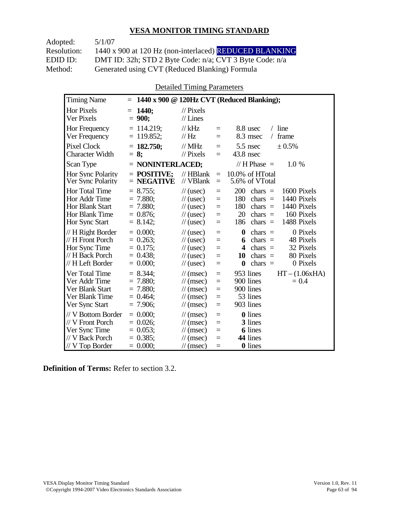| Adopted:    | 5/1/07                                                  |
|-------------|---------------------------------------------------------|
| Resolution: | 1440 x 900 at 120 Hz (non-interlaced) REDUCED BLANKING  |
| EDID ID:    | DMT ID: 32h; STD 2 Byte Code: n/a; CVT 3 Byte Code: n/a |
| Method:     | Generated using CVT (Reduced Blanking) Formula          |

Detailed Timing Parameters

| <b>Timing Name</b>                                                                                          | $=$                                                                   |                                                                                                                      |                                      | $1440 \times 900 \text{ @ } 120$ Hz CVT (Reduced Blanking);                                                                                                                                        |
|-------------------------------------------------------------------------------------------------------------|-----------------------------------------------------------------------|----------------------------------------------------------------------------------------------------------------------|--------------------------------------|----------------------------------------------------------------------------------------------------------------------------------------------------------------------------------------------------|
| <b>Hor Pixels</b><br>Ver Pixels                                                                             | <b>1440;</b><br>$=$<br>$= 900;$                                       | $\frac{1}{2}$ Pixels<br>$//$ Lines                                                                                   |                                      |                                                                                                                                                                                                    |
| Hor Frequency<br>Ver Frequency                                                                              | $= 114.219$ ;<br>$= 119.852$ ;                                        | $//$ kHz<br>$\mathcal{U}$ Hz                                                                                         | $=$<br>$=$                           | $/$ line<br>8.8 usec<br>frame<br>8.3 msec<br>$\sqrt{2}$                                                                                                                                            |
| <b>Pixel Clock</b><br><b>Character Width</b>                                                                | $= 182.750$ ;<br>$= 8:$                                               | $//$ MHz<br>$\mathcal{U}$ Pixels                                                                                     | $=$<br>$=$                           | 5.5 nsec<br>± 0.5%<br>$43.8$ nsec                                                                                                                                                                  |
| Scan Type                                                                                                   | $=$ NONINTERLACED;                                                    |                                                                                                                      |                                      | // H Phase $=$<br>1.0 %                                                                                                                                                                            |
| Hor Sync Polarity<br>Ver Sync Polarity                                                                      | $=$ POSITIVE:<br>$=$ NEGATIVE                                         | $//$ HBlank<br>// VBlank                                                                                             | $=$<br>$=$                           | 10.0% of HTotal<br>5.6% of VTotal                                                                                                                                                                  |
| <b>Hor Total Time</b><br>Hor Addr Time<br><b>Hor Blank Start</b><br><b>Hor Blank Time</b><br>Hor Sync Start | $= 8.755$ ;<br>$= 7.880$ ;<br>$= 7.880$<br>$= 0.876$ ;<br>$= 8.142$ ; | $\frac{1}{2}$ (usec)<br>$\frac{1}{2}$ (usec)<br>$\frac{1}{2}$ (usec)<br>$\frac{1}{2}$ (usec)<br>$\frac{1}{2}$ (usec) | $=$<br>$=$<br>$\equiv$<br>$=$<br>$=$ | 200<br>1600 Pixels<br>chars $=$<br>180<br>1440 Pixels<br>$chars =$<br>180<br>1440 Pixels<br>$chars =$<br>20<br>160 Pixels<br>$chars =$<br>1488 Pixels<br>186<br>$chars =$                          |
| // H Right Border<br>// H Front Porch<br>Hor Sync Time<br>// H Back Porch<br>// H Left Border               | $= 0.000$<br>$= 0.263$ ;<br>$= 0.175$ ;<br>$= 0.438$<br>$= 0.000;$    | $\frac{1}{2}$ (usec)<br>$\frac{1}{2}$ (usec)<br>$\frac{1}{2}$ (usec)<br>$\frac{1}{2}$ (usec)<br>$\frac{1}{2}$ (usec) | $=$<br>$=$<br>$=$<br>$=$<br>$=$      | $\boldsymbol{0}$<br>chars $=$<br>0 Pixels<br>48 Pixels<br>$chars =$<br>6<br>32 Pixels<br>$\overline{\mathbf{4}}$<br>$chars =$<br>chars $=$<br>80 Pixels<br>10<br>$\bf{0}$<br>chars $=$<br>0 Pixels |
| Ver Total Time<br>Ver Addr Time<br>Ver Blank Start<br>Ver Blank Time<br>Ver Sync Start                      | $= 8.344$ ;<br>$= 7.880;$<br>$= 7.880;$<br>$= 0.464$ ;<br>$= 7.906$ ; | $\mathcal{U}$ (msec)<br>$\mathcal{U}$ (msec)<br>$\mathcal{U}$ (msec)<br>$\mathcal{U}$ (msec)<br>$\mathcal{U}$ (msec) | $=$<br>$=$<br>$=$<br>$=$<br>$\equiv$ | $HT - (1.06xHA)$<br>953 lines<br>900 lines<br>$= 0.4$<br>900 lines<br>53 lines<br>903 lines                                                                                                        |
| // V Bottom Border<br>// V Front Porch<br>Ver Sync Time<br>// V Back Porch<br>$//$ V Top Border             | $= 0.000$<br>$= 0.026$ ;<br>$= 0.053$ ;<br>$= 0.385$ ;<br>$= 0.000;$  | $\mathcal{U}$ (msec)<br>$\mathcal{U}$ (msec)<br>$\mathcal{U}$ (msec)<br>$\mathcal{U}$ (msec)<br>$\mathcal{U}$ (msec) | $=$<br>$=$<br>$=$<br>$=$<br>$=$      | <b>0</b> lines<br>3 lines<br><b>6</b> lines<br>44 lines<br><b>0</b> lines                                                                                                                          |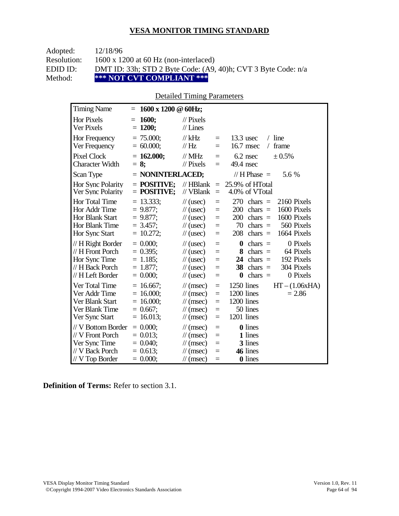| Adopted:    | 12/18/96                                                      |
|-------------|---------------------------------------------------------------|
| Resolution: | $1600 \times 1200$ at 60 Hz (non-interlaced)                  |
| EDID ID:    | DMT ID: 33h; STD 2 Byte Code: (A9, 40)h; CVT 3 Byte Code: n/a |
| Method:     | *** NOT CVT COMPLIANT ***                                     |

#### Detailed Timing Parameters

| <b>Timing Name</b>                                                                            | 1600 x 1200 @ 60Hz;<br>$=$                                                |                                                                                                                             |                                      |                                                                                                                                                                                 |
|-----------------------------------------------------------------------------------------------|---------------------------------------------------------------------------|-----------------------------------------------------------------------------------------------------------------------------|--------------------------------------|---------------------------------------------------------------------------------------------------------------------------------------------------------------------------------|
| <b>Hor Pixels</b><br>Ver Pixels                                                               | 1600;<br>Ξ<br>$= 1200;$                                                   | $\frac{1}{2}$ Pixels<br>$//$ Lines                                                                                          |                                      |                                                                                                                                                                                 |
| Hor Frequency<br>Ver Frequency                                                                | $= 75.000$ ;<br>$= 60.000;$                                               | $//$ kHz<br>//Hz                                                                                                            | $\equiv$<br>$\equiv$                 | $13.3$ usec<br>$/$ line<br>16.7 msec<br>frame<br>$\sqrt{2}$                                                                                                                     |
| <b>Pixel Clock</b><br>Character Width                                                         | $= 162.000;$<br>$= 8$ ;                                                   | $//$ MHz<br>$\mathcal{U}$ Pixels                                                                                            | $=$<br>$=$                           | $6.2$ nsec<br>± 0.5%<br>49.4 nsec                                                                                                                                               |
| Scan Type                                                                                     | $=$ NONINTERLACED;                                                        |                                                                                                                             |                                      | // $H$ Phase $=$<br>5.6 %                                                                                                                                                       |
| Hor Sync Polarity<br>Ver Sync Polarity                                                        | $=$ POSITIVE:<br>$=$ POSITIVE;                                            | $//$ HBlank<br>// VBlank                                                                                                    | $\equiv$<br>$\equiv$                 | 25.9% of HTotal<br>4.0% of VTotal                                                                                                                                               |
| <b>Hor Total Time</b><br>Hor Addr Time<br>Hor Blank Start<br>Hor Blank Time<br>Hor Sync Start | $= 13.333;$<br>$= 9.877$ ;<br>$= 9.877;$<br>$= 3.457$ :<br>$= 10.272;$    | $\frac{1}{2}$ (usec)<br>$\frac{1}{2}$ (usec)<br>$\frac{1}{2}$ (usec)<br>$\frac{1}{2}$ (usec)<br>$\frac{1}{2}$ (usec)        | $=$<br>$=$<br>$=$<br>$=$<br>$=$      | 270<br>$chars =$<br>2160 Pixels<br>1600 Pixels<br>200<br>chars $=$<br>200<br>1600 Pixels<br>chars $=$<br>70<br>560 Pixels<br>$chars =$<br>208<br>chars $=$<br>1664 Pixels       |
| // H Right Border<br>// H Front Porch<br>Hor Sync Time<br>// H Back Porch<br>// H Left Border | $= 0.000;$<br>$= 0.395$ ;<br>$= 1.185$ ;<br>$= 1.877$ ;<br>$= 0.000;$     | $\frac{1}{2}$ (usec)<br>$\frac{1}{\sqrt{2}}$ (usec)<br>$\frac{1}{2}$ (usec)<br>$\frac{1}{2}$ (usec)<br>$\frac{1}{2}$ (usec) | $=$<br>$=$<br>$=$<br>$=$<br>$=$      | 0 Pixels<br>$\bf{0}$<br>$chars =$<br>64 Pixels<br>8<br>chars $=$<br>192 Pixels<br>24<br>$chars =$<br>304 Pixels<br>38<br>chars $=$<br>0 Pixels<br>$chars =$<br>$\boldsymbol{0}$ |
| Ver Total Time<br>Ver Addr Time<br>Ver Blank Start<br>Ver Blank Time<br>Ver Sync Start        | $= 16.667$ ;<br>$= 16.000;$<br>$= 16.000$ ;<br>$= 0.667$ ;<br>$= 16.013;$ | $\mathcal{U}$ (msec)<br>$\mathcal{U}$ (msec)<br>$\mathcal{U}$ (msec)<br>$\mathcal{U}$ (msec)<br>$\mathcal{U}$ (msec)        | $\equiv$<br>$=$<br>$=$<br>$=$<br>$=$ | 1250 lines<br>$HT - (1.06xHA)$<br>1200 lines<br>$= 2.86$<br>1200 lines<br>50 lines<br>1201 lines                                                                                |
| // V Bottom Border<br>// V Front Porch<br>Ver Sync Time<br>// V Back Porch<br>// V Top Border | $= 0.000$<br>$= 0.013$ ;<br>$= 0.040$ ;<br>$= 0.613$ ;<br>$= 0.000;$      | $\mathcal{U}$ (msec)<br>$\mathcal{U}$ (msec)<br>$\mathcal{U}$ (msec)<br>$\mathcal{U}$ (msec)<br>$\mathcal{U}$ (msec)        | $=$<br>$=$<br>$=$<br>$=$<br>$\equiv$ | <b>0</b> lines<br>1 lines<br>3 lines<br>46 lines<br>0 lines                                                                                                                     |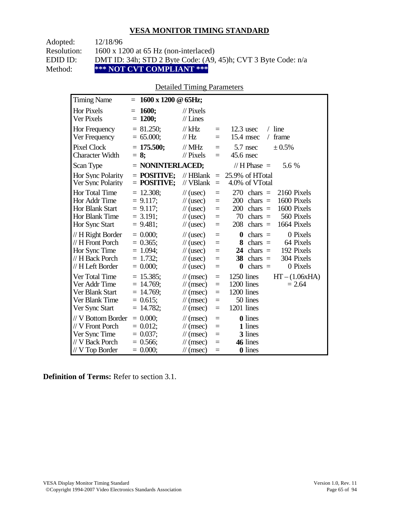| Adopted:    | 12/18/96                                                      |
|-------------|---------------------------------------------------------------|
| Resolution: | $1600 \times 1200$ at 65 Hz (non-interlaced)                  |
| EDID ID:    | DMT ID: 34h; STD 2 Byte Code: (A9, 45)h; CVT 3 Byte Code: n/a |
| Method:     | *** NOT CVT COMPLIANT ***                                     |

### Detailed Timing Parameters

| <b>Timing Name</b>                                                                            | 1600 x 1200 @ 65Hz;<br>$=$                                                 |                                                                                                                             |                                      |                                                                                                                                                                           |
|-----------------------------------------------------------------------------------------------|----------------------------------------------------------------------------|-----------------------------------------------------------------------------------------------------------------------------|--------------------------------------|---------------------------------------------------------------------------------------------------------------------------------------------------------------------------|
| <b>Hor Pixels</b><br>Ver Pixels                                                               | <b>1600;</b><br>$=$<br>$= 1200;$                                           | $\frac{1}{2}$ Pixels<br>$//$ Lines                                                                                          |                                      |                                                                                                                                                                           |
| Hor Frequency<br>Ver Frequency                                                                | $= 81.250$ ;<br>$= 65.000;$                                                | $//$ kHz<br>$\frac{1}{1}$ Hz                                                                                                | $\equiv$<br>$=$                      | $/$ line<br>$12.3$ usec<br>$15.4$ msec<br>frame<br>$\sqrt{2}$                                                                                                             |
| <b>Pixel Clock</b><br><b>Character Width</b>                                                  | $= 175.500;$<br>$= 8$ ;                                                    | $\mathcal{N}$ MHz<br>$//$ Pixels                                                                                            | $=$<br>$=$                           | 5.7 nsec<br>± 0.5%<br>45.6 nsec                                                                                                                                           |
| Scan Type                                                                                     | $=$ NONINTERLACED;                                                         |                                                                                                                             |                                      | // H Phase $=$<br>5.6 %                                                                                                                                                   |
| Hor Sync Polarity<br>Ver Sync Polarity                                                        | $=$ POSITIVE:<br>$=$ POSITIVE;                                             | $//$ HBlank<br>// VBlank                                                                                                    | $\equiv$<br>$\equiv$                 | 25.9% of HTotal<br>4.0% of VTotal                                                                                                                                         |
| Hor Total Time<br>Hor Addr Time<br><b>Hor Blank Start</b><br>Hor Blank Time<br>Hor Sync Start | $= 12.308;$<br>$= 9.117$ ;<br>$= 9.117$ ;<br>$= 3.191$ ;<br>$= 9.481;$     | $\frac{1}{2}$ (usec)<br>$\frac{1}{2}$ (usec)<br>$\frac{1}{2}$ (usec)<br>$\frac{1}{2}$ (usec)<br>$\frac{1}{2}$ (usec)        | $=$<br>$=$<br>$=$<br>$=$<br>$=$      | 270<br>2160 Pixels<br>$chars =$<br>1600 Pixels<br>200<br>$chars =$<br>1600 Pixels<br>200<br>$chars =$<br>70<br>chars $=$<br>560 Pixels<br>208<br>1664 Pixels<br>$chars =$ |
| // H Right Border<br>// H Front Porch<br>Hor Sync Time<br>// H Back Porch<br>// H Left Border | $= 0.000;$<br>$= 0.365$ ;<br>$= 1.094$ ;<br>$= 1.732$ ;<br>$= 0.000;$      | $\frac{1}{2}$ (usec)<br>$\frac{1}{2}$ (usec)<br>$\frac{1}{2}$ (usec)<br>$\frac{1}{2}$ (usec)<br>$\frac{1}{2}$ (usec)        | $=$<br>$=$<br>$=$<br>$=$<br>$=$      | 0 Pixels<br>$\bf{0}$<br>$chars =$<br>8<br>$chars =$<br>64 Pixels<br>192 Pixels<br>24<br>chars $=$<br>304 Pixels<br>38<br>$chars =$<br>0 Pixels<br>$\bf{0}$<br>$chars =$   |
| Ver Total Time<br>Ver Addr Time<br>Ver Blank Start<br>Ver Blank Time<br>Ver Sync Start        | $= 15.385$ ;<br>$= 14.769$ ;<br>$= 14.769$ ;<br>$= 0.615$ ;<br>$= 14.782;$ | $\mathcal{U}$ (msec)<br>$\mathcal{U}$ (msec)<br>$\frac{1}{\sqrt{2}}$ (msec)<br>$\mathcal{U}$ (msec)<br>$\mathcal{U}$ (msec) | $=$<br>$\equiv$<br>$=$<br>$=$<br>$=$ | 1250 lines<br>$HT - (1.06xHA)$<br>1200 lines<br>$= 2.64$<br>1200 lines<br>50 lines<br>1201 lines                                                                          |
| // V Bottom Border<br>// V Front Porch<br>Ver Sync Time<br>// V Back Porch<br>// V Top Border | $= 0.000;$<br>$= 0.012$ ;<br>$= 0.037$ ;<br>$= 0.566$ ;<br>$= 0.000;$      | $\mathcal{U}$ (msec)<br>$\mathcal{U}$ (msec)<br>$\mathcal{U}$ (msec)<br>$\mathcal{U}$ (msec)<br>$\mathcal{U}$ (msec)        | $\equiv$<br>$=$<br>$=$<br>$=$<br>$=$ | <b>0</b> lines<br>1 lines<br>3 lines<br>46 lines<br>0 lines                                                                                                               |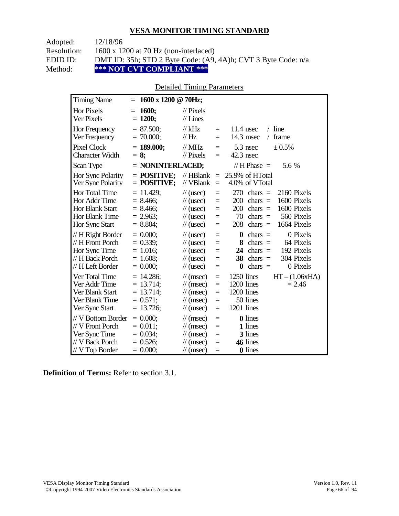| Adopted:    | 12/18/96                                                      |
|-------------|---------------------------------------------------------------|
| Resolution: | $1600 \times 1200$ at 70 Hz (non-interlaced)                  |
| EDID ID:    | DMT ID: 35h; STD 2 Byte Code: (A9, 4A)h; CVT 3 Byte Code: n/a |
| Method:     | *** NOT CVT COMPLIANT ***                                     |

### Detailed Timing Parameters

| <b>Timing Name</b>                                                                                   | 1600 x 1200 @ 70Hz;<br>$=$                                                |                                                                                                                             |                                      |                                                                                                                                                                                  |
|------------------------------------------------------------------------------------------------------|---------------------------------------------------------------------------|-----------------------------------------------------------------------------------------------------------------------------|--------------------------------------|----------------------------------------------------------------------------------------------------------------------------------------------------------------------------------|
| <b>Hor Pixels</b><br>Ver Pixels                                                                      | 1600;<br>$=$<br>$= 1200;$                                                 | $\frac{1}{2}$ Pixels<br>$//$ Lines                                                                                          |                                      |                                                                                                                                                                                  |
| Hor Frequency<br>Ver Frequency                                                                       | $= 87.500;$<br>$= 70.000;$                                                | $//$ kHz<br>$\frac{1}{1}$ Hz                                                                                                | $=$<br>$=$                           | $/$ line<br>$11.4$ usec<br>14.3 msec<br>frame<br>$\sqrt{2}$                                                                                                                      |
| <b>Pixel Clock</b><br><b>Character Width</b>                                                         | $= 189.000;$<br>$= 8$ ;                                                   | $\mathcal{U}$ MHz<br>$//$ Pixels                                                                                            | $\equiv$<br>$=$                      | $5.3$ nsec<br>$\pm 0.5\%$<br>$42.3$ nsec                                                                                                                                         |
| Scan Type                                                                                            | $=$ NONINTERLACED;                                                        |                                                                                                                             |                                      | // H Phase $=$<br>5.6 %                                                                                                                                                          |
| Hor Sync Polarity<br>Ver Sync Polarity                                                               | $=$ POSITIVE:<br>$=$ POSITIVE;                                            | $//$ HBlank<br>// VBlank                                                                                                    | $\equiv$<br>$\equiv$                 | 25.9% of HTotal<br>4.0% of VTotal                                                                                                                                                |
| <b>Hor Total Time</b><br>Hor Addr Time<br><b>Hor Blank Start</b><br>Hor Blank Time<br>Hor Sync Start | $= 11.429$ ;<br>$= 8.466$ ;<br>$= 8.466$<br>$= 2.963$ ;<br>$= 8.804;$     | $\frac{1}{2}$ (usec)<br>$\frac{1}{2}$ (usec)<br>$\frac{1}{2}$ (usec)<br>$\frac{1}{2}$ (usec)<br>$\frac{1}{2}$ (usec)        | $=$<br>$=$<br>$=$<br>$\equiv$<br>$=$ | 270<br>2160 Pixels<br>$chars =$<br>1600 Pixels<br>200<br>$chars =$<br>1600 Pixels<br>200<br>$\text{chars}$ =<br>560 Pixels<br>70<br>chars $=$<br>208<br>chars $=$<br>1664 Pixels |
| // H Right Border<br>// H Front Porch<br>Hor Sync Time<br>// H Back Porch<br>// H Left Border        | $= 0.000;$<br>$= 0.339$ ;<br>$= 1.016$ ;<br>$= 1.608$ ;<br>$= 0.000;$     | $\frac{1}{2}$ (usec)<br>$\frac{1}{2}$ (usec)<br>$\frac{1}{2}$ (usec)<br>$\frac{1}{2}$ (usec)<br>$\frac{1}{2}$ (usec)        | $=$<br>$=$<br>$=$<br>$=$<br>$=$      | $\bf{0}$<br>0 Pixels<br>$chars =$<br>8<br>chars $=$<br>64 Pixels<br>192 Pixels<br>24<br>$chars =$<br>304 Pixels<br>38<br>$chars =$<br>0 Pixels<br>chars $=$<br>$\boldsymbol{0}$  |
| Ver Total Time<br>Ver Addr Time<br>Ver Blank Start<br>Ver Blank Time<br>Ver Sync Start               | $= 14.286$ ;<br>$= 13.714;$<br>$= 13.714$ ;<br>$= 0.571$ ;<br>$= 13.726;$ | $\mathcal{U}$ (msec)<br>$\mathcal{U}$ (msec)<br>$\mathcal{U}$ (msec)<br>$\frac{1}{\sqrt{2}}$ (msec)<br>$\mathcal{U}$ (msec) | $=$<br>$=$<br>$=$<br>$=$<br>$=$      | 1250 lines<br>$HT - (1.06xHA)$<br>1200 lines<br>$= 2.46$<br>1200 lines<br>50 lines<br>1201 lines                                                                                 |
| // V Bottom Border<br>// V Front Porch<br>Ver Sync Time<br>// V Back Porch<br>// V Top Border        | $= 0.000;$<br>$= 0.011$ ;<br>$= 0.034$ ;<br>$= 0.526;$<br>$= 0.000;$      | $\mathcal{U}$ (msec)<br>$\frac{1}{\sqrt{2}}$ (msec)<br>$\mathcal{U}$ (msec)<br>$\mathcal{U}$ (msec)<br>$\mathcal{U}$ (msec) | $=$<br>$=$<br>$=$<br>$=$<br>$=$      | <b>0</b> lines<br>1 lines<br>3 lines<br>46 lines<br><b>0</b> lines                                                                                                               |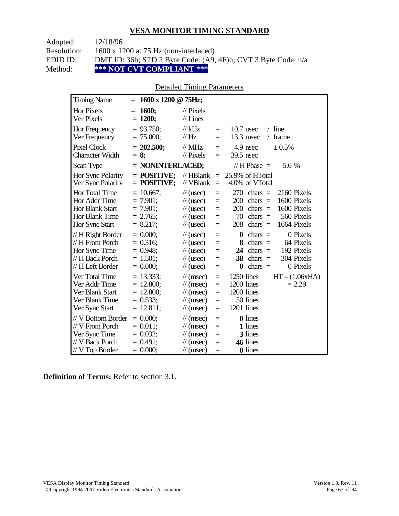| Adopted:    | 12/18/96                                                      |
|-------------|---------------------------------------------------------------|
| Resolution: | $1600 \times 1200$ at 75 Hz (non-interlaced)                  |
| EDID ID:    | DMT ID: 36h; STD 2 Byte Code: (A9, 4F)h; CVT 3 Byte Code: n/a |
| Method:     | *** NOT CVT COMPLIANT ***                                     |

### Detailed Timing Parameters

| <b>Timing Name</b>                                                                            | 1600 x 1200 @ 75Hz;<br>$=$                                              |                                                                                                                      |                                      |                                                                                                                                                                           |
|-----------------------------------------------------------------------------------------------|-------------------------------------------------------------------------|----------------------------------------------------------------------------------------------------------------------|--------------------------------------|---------------------------------------------------------------------------------------------------------------------------------------------------------------------------|
| <b>Hor Pixels</b><br>Ver Pixels                                                               | <b>1600;</b><br>$=$<br>$= 1200;$                                        | $\frac{1}{2}$ Pixels<br>$//$ Lines                                                                                   |                                      |                                                                                                                                                                           |
| Hor Frequency<br>Ver Frequency                                                                | $= 93.750$ ;<br>$= 75.000;$                                             | $//$ kHz<br>$\frac{1}{1}$ Hz                                                                                         | $\equiv$<br>$=$                      | $/$ line<br>$10.7$ usec<br>13.3 msec<br>frame<br>$\sqrt{2}$                                                                                                               |
| <b>Pixel Clock</b><br><b>Character Width</b>                                                  | $= 202.500;$<br>$= 8$ ;                                                 | // $MHz$<br>$//$ Pixels                                                                                              | $=$<br>$=$                           | 4.9 nsec<br>± 0.5%<br>39.5 nsec                                                                                                                                           |
| Scan Type                                                                                     | $=$ NONINTERLACED;                                                      |                                                                                                                      |                                      | // H Phase $=$<br>5.6 %                                                                                                                                                   |
| Hor Sync Polarity<br>Ver Sync Polarity                                                        | $=$ POSITIVE:<br>$=$ POSITIVE;                                          | $//$ HBlank<br>// VBlank                                                                                             | $\equiv$<br>$\equiv$                 | 25.9% of HTotal<br>4.0% of VTotal                                                                                                                                         |
| Hor Total Time<br>Hor Addr Time<br><b>Hor Blank Start</b><br>Hor Blank Time<br>Hor Sync Start | $= 10.667$ ;<br>$= 7.901$ ;<br>$= 7.901$ :<br>$= 2.765$ ;<br>$= 8.217;$ | $\frac{1}{2}$ (usec)<br>$\frac{1}{2}$ (usec)<br>$\frac{1}{2}$ (usec)<br>$\frac{1}{2}$ (usec)<br>$\frac{1}{2}$ (usec) | $=$<br>$=$<br>$=$<br>$=$<br>$=$      | 270<br>2160 Pixels<br>$chars =$<br>1600 Pixels<br>200<br>$chars =$<br>1600 Pixels<br>200<br>$chars =$<br>70<br>$chars =$<br>560 Pixels<br>208<br>1664 Pixels<br>$chars =$ |
| // H Right Border<br>// H Front Porch<br>Hor Sync Time<br>// H Back Porch<br>// H Left Border | $= 0.000;$<br>$= 0.316;$<br>$= 0.948$ ;<br>$= 1.501$ ;<br>$= 0.000;$    | $\frac{1}{2}$ (usec)<br>$\frac{1}{2}$ (usec)<br>$\frac{1}{2}$ (usec)<br>$\frac{1}{2}$ (usec)<br>$\frac{1}{2}$ (usec) | $=$<br>$=$<br>$=$<br>$=$<br>$=$      | 0 Pixels<br>$\bf{0}$<br>$chars =$<br>8<br>$chars =$<br>64 Pixels<br>192 Pixels<br>24<br>$chars =$<br>304 Pixels<br>38<br>$chars =$<br>0 Pixels<br>$\bf{0}$<br>$chars =$   |
| Ver Total Time<br>Ver Addr Time<br>Ver Blank Start<br>Ver Blank Time<br>Ver Sync Start        | $= 13.333;$<br>$= 12.800;$<br>$= 12.800;$<br>$= 0.533$ ;<br>$= 12.811;$ | $\mathcal{U}$ (msec)<br>$\mathcal{U}$ (msec)<br>$\mathcal{N}(msec)$<br>$\mathcal{U}$ (msec)<br>$\mathcal{U}$ (msec)  | $=$<br>$=$<br>$=$<br>$=$<br>$=$      | 1250 lines<br>$HT - (1.06xHA)$<br>1200 lines<br>$= 2.29$<br>1200 lines<br>50 lines<br>1201 lines                                                                          |
| // V Bottom Border<br>// V Front Porch<br>Ver Sync Time<br>// V Back Porch<br>// V Top Border | $= 0.000;$<br>$= 0.011$ ;<br>$= 0.032$ ;<br>$= 0.491$ ;<br>$= 0.000;$   | $\mathcal{U}$ (msec)<br>$\mathcal{U}$ (msec)<br>$\mathcal{U}$ (msec)<br>$\mathcal{U}$ (msec)<br>$\mathcal{U}$ (msec) | $\equiv$<br>$=$<br>$=$<br>$=$<br>$=$ | <b>0</b> lines<br>1 lines<br>3 lines<br>46 lines<br>0 lines                                                                                                               |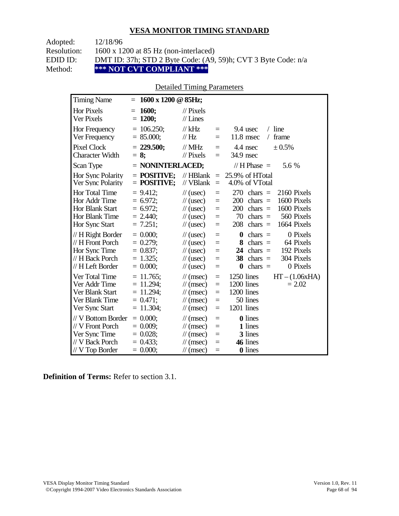| Adopted:    | 12/18/96                                                      |
|-------------|---------------------------------------------------------------|
| Resolution: | $1600 \times 1200$ at 85 Hz (non-interlaced)                  |
| EDID ID:    | DMT ID: 37h; STD 2 Byte Code: (A9, 59)h; CVT 3 Byte Code: n/a |
| Method:     | *** NOT CVT COMPLIANT ***                                     |

### Detailed Timing Parameters

| <b>Timing Name</b>                                                                            | 1600 x 1200 @ 85Hz;<br>$=$                                                 |                                                                                                                             |                                                |                                                                                                                                                                           |
|-----------------------------------------------------------------------------------------------|----------------------------------------------------------------------------|-----------------------------------------------------------------------------------------------------------------------------|------------------------------------------------|---------------------------------------------------------------------------------------------------------------------------------------------------------------------------|
| <b>Hor Pixels</b><br>Ver Pixels                                                               | 1600;<br>$=$<br>$= 1200;$                                                  | $\frac{1}{2}$ Pixels<br>$//$ Lines                                                                                          |                                                |                                                                                                                                                                           |
| Hor Frequency<br>Ver Frequency                                                                | $= 106.250$ ;<br>$= 85.000;$                                               | $//$ kHz<br>$\mathcal{U}$ Hz                                                                                                | $\equiv$<br>$=$                                | $/$ line<br>9.4 usec<br>frame<br>$11.8$ msec<br>$\sqrt{2}$                                                                                                                |
| <b>Pixel Clock</b><br><b>Character Width</b>                                                  | $= 229.500;$<br>$= 8$ ;                                                    | $//$ MHz<br>$//$ Pixels                                                                                                     | $\equiv$<br>$\equiv$                           | $\pm 0.5\%$<br>4.4 nsec<br>34.9 nsec                                                                                                                                      |
| Scan Type                                                                                     | $=$ NONINTERLACED;                                                         |                                                                                                                             |                                                | // $H$ Phase $=$<br>5.6 %                                                                                                                                                 |
| Hor Sync Polarity<br>Ver Sync Polarity                                                        | $=$ POSITIVE:<br>$=$ POSITIVE;                                             | $//$ HBlank<br>// VBlank                                                                                                    | $\equiv$<br>$\equiv$                           | 25.9% of HTotal<br>4.0% of VTotal                                                                                                                                         |
| Hor Total Time<br>Hor Addr Time<br><b>Hor Blank Start</b><br>Hor Blank Time<br>Hor Sync Start | $= 9.412$ ;<br>$= 6.972$ ;<br>$= 6.972$ ;<br>$= 2.440$ ;<br>$= 7.251$ ;    | $\frac{1}{2}$ (usec)<br>$\frac{1}{2}$ (usec)<br>$\frac{1}{2}$ (usec)<br>$\frac{1}{2}$ (usec)<br>$\frac{1}{2}$ (usec)        | $=$<br>$=$<br>$=$<br>$=$<br>$=$                | 270<br>chars $=$<br>2160 Pixels<br>200<br>1600 Pixels<br>chars $=$<br>1600 Pixels<br>200<br>$chars =$<br>70<br>560 Pixels<br>$chars =$<br>208<br>1664 Pixels<br>$chars =$ |
| // H Right Border<br>// H Front Porch<br>Hor Sync Time<br>// H Back Porch<br>// H Left Border | $= 0.000$<br>$= 0.279$ ;<br>$= 0.837;$<br>$= 1.325$ ;<br>$= 0.000;$        | $\frac{1}{2}$ (usec)<br>$\frac{1}{2}$ (usec)<br>$\frac{1}{2}$ (usec)<br>$\frac{1}{2}$ (usec)<br>$\frac{1}{2}$ (usec)        | $=$<br>$=$<br>$=$<br>$=$<br>$=$                | 0 Pixels<br>$\bf{0}$<br>$chars =$<br>64 Pixels<br>8<br>$chars =$<br>192 Pixels<br>24<br>chars $=$<br>304 Pixels<br>38<br>chars $=$<br>0 Pixels<br>$\bf{0}$<br>$chars =$   |
| Ver Total Time<br>Ver Addr Time<br>Ver Blank Start<br>Ver Blank Time<br>Ver Sync Start        | $= 11.765$ ;<br>$= 11.294$ ;<br>$= 11.294$ ;<br>$= 0.471$ ;<br>$= 11.304;$ | $\mathcal{U}$ (msec)<br>$\mathcal{U}$ (msec)<br>$\frac{1}{\sqrt{2}}$ (msec)<br>$\mathcal{U}$ (msec)<br>$\mathcal{U}$ (msec) | $\equiv$<br>$\equiv$<br>$=$<br>$=$<br>$\equiv$ | 1250 lines<br>$HT - (1.06xHA)$<br>1200 lines<br>$= 2.02$<br>1200 lines<br>50 lines<br>1201 lines                                                                          |
| // V Bottom Border<br>// V Front Porch<br>Ver Sync Time<br>// V Back Porch<br>// V Top Border | $= 0.000;$<br>$= 0.009$ ;<br>$= 0.028$ ;<br>$= 0.433;$<br>$= 0.000;$       | $\mathcal{U}$ (msec)<br>$\frac{1}{\sqrt{2}}$ (msec)<br>$\mathcal{U}$ (msec)<br>$\mathcal{U}$ (msec)<br>$\mathcal{U}$ (msec) | $\equiv$<br>$=$<br>$=$<br>$=$<br>$=$           | <b>0</b> lines<br>1 lines<br>3 lines<br>46 lines<br>0 lines                                                                                                               |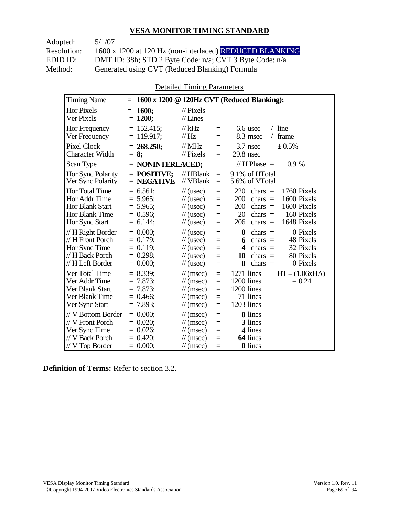Adopted: 5/1/07 Resolution: 1600 x 1200 at 120 Hz (non-interlaced) REDUCED BLANKING EDID ID: DMT ID: 38h; STD 2 Byte Code: n/a; CVT 3 Byte Code: n/a<br>Method: Generated using CVT (Reduced Blanking) Formula Generated using CVT (Reduced Blanking) Formula

Detailed Timing Parameters

| <b>Timing Name</b>                                                                              | $=$                                                                   |                                                                                                                                                                     | 1600 x 1200 @ 120Hz CVT (Reduced Blanking);                                                                                                                                  |
|-------------------------------------------------------------------------------------------------|-----------------------------------------------------------------------|---------------------------------------------------------------------------------------------------------------------------------------------------------------------|------------------------------------------------------------------------------------------------------------------------------------------------------------------------------|
| <b>Hor Pixels</b><br>Ver Pixels                                                                 | 1600:<br>$=$<br>$= 1200;$                                             | $\mathcal{U}$ Pixels<br>$//$ Lines                                                                                                                                  |                                                                                                                                                                              |
| Hor Frequency<br>Ver Frequency                                                                  | $= 152.415$ ;<br>$= 119.917$ ;                                        | $//$ kHz<br>$=$<br>//Hz<br>$=$                                                                                                                                      | $/$ line<br>$6.6$ usec<br>8.3 msec<br>frame<br>$\sqrt{2}$                                                                                                                    |
| <b>Pixel Clock</b><br><b>Character Width</b>                                                    | $= 268.250$ ;<br>$= 8:$                                               | // $MHz$<br>$=$<br>// Pixels<br>$=$                                                                                                                                 | $3.7$ nsec<br>$\pm 0.5\%$<br>$29.8$ nsec                                                                                                                                     |
| Scan Type                                                                                       | $=$ NONINTERLACED;                                                    |                                                                                                                                                                     | // H Phase $=$<br>0.9%                                                                                                                                                       |
| Hor Sync Polarity<br>Ver Sync Polarity                                                          | $=$ POSITIVE:<br>$=$ NEGATIVE                                         | $//$ HBlank<br>$\equiv$<br>// VBlank<br>$=$                                                                                                                         | 9.1% of HTotal<br>5.6% of VTotal                                                                                                                                             |
| Hor Total Time<br>Hor Addr Time<br>Hor Blank Start<br>Hor Blank Time<br>Hor Sync Start          | $= 6.561$ ;<br>$= 5.965$ ;<br>$= 5.965$ ;<br>$= 0.596$<br>$= 6.144$ ; | $\frac{1}{2}$ (usec)<br>$=$<br>$\frac{1}{2}$ (usec)<br>$=$<br>$\frac{1}{2}$ (usec)<br>$=$<br>$\frac{1}{2}$ (usec)<br>$=$<br>$\frac{1}{2}$ (usec)<br>$=$             | 220<br>chars $=$<br>1760 Pixels<br>1600 Pixels<br>200<br>chars $=$<br>1600 Pixels<br>200<br>chars $=$<br>160 Pixels<br>20<br>chars $=$<br>1648 Pixels<br>206<br>chars $=$    |
| // H Right Border<br>// H Front Porch<br>Hor Sync Time<br>// H Back Porch<br>// H Left Border   | $= 0.000;$<br>$= 0.179;$<br>$= 0.119;$<br>$= 0.298$ ;<br>$= 0.000;$   | $\frac{1}{2}$ (usec)<br>$=$<br>$\frac{1}{2}$ (usec)<br>$=$<br>$\frac{1}{2}$ (usec)<br>$=$<br>$\frac{1}{2}$ (usec)<br>$=$<br>$\frac{1}{2}$ (usec)<br>$=$             | $\bf{0}$<br>0 Pixels<br>chars $=$<br>chars $=$<br>48 Pixels<br>6<br>32 Pixels<br>4<br>$chars =$<br>80 Pixels<br>$chars =$<br>10<br>0 Pixels<br>$\boldsymbol{0}$<br>$chars =$ |
| Ver Total Time<br>Ver Addr Time<br>Ver Blank Start<br>Ver Blank Time<br>Ver Sync Start          | $= 8.339;$<br>$= 7.873$ ;<br>$= 7.873$ ;<br>$= 0.466$ ;<br>$= 7.893;$ | $\mathcal{U}$ (msec)<br>$\equiv$<br>$\mathcal{U}$ (msec)<br>$=$<br>$\mathcal{U}$ (msec)<br>$=$<br>$\mathcal{U}$ (msec)<br>$=$<br>$\frac{1}{\sqrt{2}}$ (msec)<br>$=$ | 1271 lines<br>$HT - (1.06xHA)$<br>1200 lines<br>$= 0.24$<br>1200 lines<br>71 lines<br>1203 lines                                                                             |
| // V Bottom Border<br>// V Front Porch<br>Ver Sync Time<br>// V Back Porch<br>$//$ V Top Border | $= 0.000$<br>$= 0.020$<br>$= 0.026$ ;<br>$= 0.420$<br>$= 0.000;$      | $\mathcal{U}$ (msec)<br>$=$<br>$\mathcal{U}$ (msec)<br>$=$<br>$\mathcal{U}$ (msec)<br>$=$<br>$\mathcal{U}$ (msec)<br>$=$<br>$\mathcal{U}$ (msec)<br>$=$             | <b>0</b> lines<br>3 lines<br>4 lines<br>64 lines<br><b>0</b> lines                                                                                                           |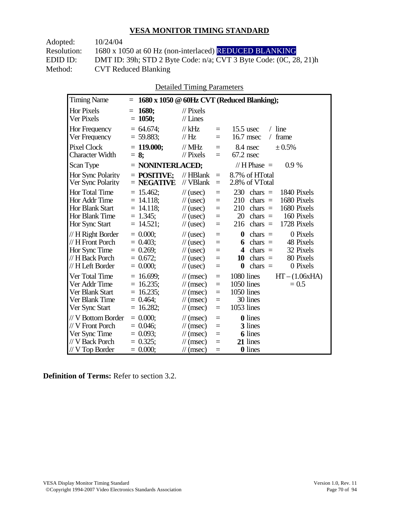| 10/24/04                                                               |
|------------------------------------------------------------------------|
| 1680 x 1050 at 60 Hz (non-interlaced) REDUCED BLANKING                 |
| DMT ID: 39h; STD 2 Byte Code: $n/a$ ; CVT 3 Byte Code: $(0C, 28, 21)h$ |
| <b>CVT Reduced Blanking</b>                                            |
|                                                                        |

Detailed Timing Parameters

| <b>Timing Name</b>                                                                             | $=$                                                                        |                                                                                                                                                               | 1680 x 1050 @ 60Hz CVT (Reduced Blanking);                                                                                                                                                 |
|------------------------------------------------------------------------------------------------|----------------------------------------------------------------------------|---------------------------------------------------------------------------------------------------------------------------------------------------------------|--------------------------------------------------------------------------------------------------------------------------------------------------------------------------------------------|
| <b>Hor Pixels</b><br>Ver Pixels                                                                | <b>1680;</b><br>$=$<br>$= 1050$ ;                                          | $\mathcal{U}$ Pixels<br>$//$ Lines                                                                                                                            |                                                                                                                                                                                            |
| Hor Frequency<br>Ver Frequency                                                                 | $= 64.674$ ;<br>$= 59.883;$                                                | $//$ kHz<br>$=$<br>// Hz<br>$=$                                                                                                                               | line<br>$15.5$ usec<br>$\sqrt{2}$<br>frame<br>$16.7$ msec<br>$\sqrt{2}$                                                                                                                    |
| <b>Pixel Clock</b><br><b>Character Width</b>                                                   | $= 119.000$ ;<br>$= 8$ ;                                                   | $//$ MHz<br>$=$<br>$\frac{1}{2}$ Pixels<br>$=$                                                                                                                | 8.4 nsec<br>± 0.5%<br>$67.2$ nsec                                                                                                                                                          |
| Scan Type                                                                                      | $=$ NONINTERLACED;                                                         |                                                                                                                                                               | // $H$ Phase $=$<br>0.9%                                                                                                                                                                   |
| Hor Sync Polarity<br>Ver Sync Polarity                                                         | $=$ POSITIVE;<br>$=$ NEGATIVE                                              | $//$ HBlank<br>$=$<br>// VBlank<br>$=$                                                                                                                        | 8.7% of HTotal<br>2.8% of VTotal                                                                                                                                                           |
| Hor Total Time<br>Hor Addr Time<br>Hor Blank Start<br>Hor Blank Time<br>Hor Sync Start         | $= 15.462$ ;<br>$= 14.118$ ;<br>$= 14.118$ ;<br>$= 1.345$ ;<br>$= 14.521;$ | $\frac{1}{2}$ (usec)<br>$=$<br>$\frac{1}{2}$ (usec)<br>$=$<br>$\frac{1}{2}$ (usec)<br>$=$<br>$\frac{1}{2}$ (usec)<br>$=$<br>$\frac{1}{2}$ (usec)<br>$=$       | 230<br>chars $=$<br>1840 Pixels<br>1680 Pixels<br>210<br>$\text{chars}$ =<br>1680 Pixels<br>210<br>chars $=$<br>20<br>chars $=$<br>160 Pixels<br>1728 Pixels<br>chars $=$<br>216           |
| // H Right Border<br>// H Front Porch<br>Hor Sync Time<br>// H Back Porch<br>// H Left Border  | $= 0.000;$<br>$= 0.403$<br>$= 0.269$ ;<br>$= 0.672$ ;<br>$= 0.000;$        | $\frac{1}{2}$ (usec)<br>$=$<br>$\frac{1}{2}$ (usec)<br>$=$<br>$\frac{1}{2}$ (usec)<br>$=$<br>$\frac{1}{2}$ (usec)<br>$=$<br>$\frac{1}{2}$ (usec)<br>$=$       | 0 Pixels<br>$\bf{0}$<br>$\text{chars}$ =<br>48 Pixels<br>$chars =$<br>6<br>32 Pixels<br>$\boldsymbol{4}$<br>$chars =$<br>80 Pixels<br>10<br>chars $=$<br>$\bf{0}$<br>0 Pixels<br>chars $=$ |
| Ver Total Time<br>Ver Addr Time<br>Ver Blank Start<br>Ver Blank Time<br>Ver Sync Start         | $= 16.699;$<br>$= 16.235$ ;<br>$= 16.235$ ;<br>$= 0.464$ ;<br>$= 16.282;$  | $\mathcal{U}$ (msec)<br>$=$<br>$\mathcal{U}$ (msec)<br>$=$<br>$\mathcal{U}$ (msec)<br>$=$<br>$\mathcal{U}$ (msec)<br>$=$<br>$\mathcal{U}$ (msec)<br>$=$       | 1080 lines<br>$HT - (1.06xHA)$<br>1050 lines<br>$= 0.5$<br>1050 lines<br>30 lines<br>1053 lines                                                                                            |
| // V Bottom Border<br>// V Front Porch<br>Ver Sync Time<br>// V Back Porch<br>$//V$ Top Border | $= 0.000$<br>$= 0.046$ ;<br>$= 0.093$ ;<br>$= 0.325$ ;<br>$= 0.000;$       | $\mathcal{U}$ (msec)<br>$=$<br>$\mathcal{U}$ (msec)<br>$=$<br>$\mathcal{U}$ (msec)<br>$=$<br>$\mathcal{U}$ (msec)<br>$=$<br>$\mathcal{U}(\text{msec})$<br>$=$ | <b>0</b> lines<br>3 lines<br>6 lines<br>21 lines<br><b>0</b> lines                                                                                                                         |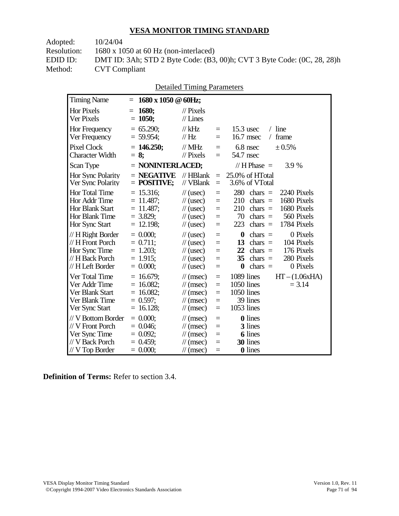Adopted: 10/24/04

Resolution: 1680 x 1050 at 60 Hz (non-interlaced)

EDID ID: DMT ID: 3Ah; STD 2 Byte Code: (B3, 00)h; CVT 3 Byte Code: (0C, 28, 28)h<br>Method: CVT Compliant **CVT Compliant** 

|                                                                                                 |            |                                                                            | <b>Detailed Timing Parameters</b>                                                                                                |                                      |                                                                                                                                                                                                |
|-------------------------------------------------------------------------------------------------|------------|----------------------------------------------------------------------------|----------------------------------------------------------------------------------------------------------------------------------|--------------------------------------|------------------------------------------------------------------------------------------------------------------------------------------------------------------------------------------------|
| <b>Timing Name</b>                                                                              | $=$        | 1680 x 1050 @ 60Hz;                                                        |                                                                                                                                  |                                      |                                                                                                                                                                                                |
| <b>Hor Pixels</b><br><b>Ver Pixels</b>                                                          | $=$<br>$=$ | 1680;<br>1050;                                                             | $\mathcal{U}$ Pixels<br>$//$ Lines                                                                                               |                                      |                                                                                                                                                                                                |
| Hor Frequency<br>Ver Frequency                                                                  |            | $= 65.290;$<br>$= 59.954$ ;                                                | $\frac{1}{kHz}$<br>$\frac{1}{1}$ Hz                                                                                              | $=$<br>$\equiv$                      | $/$ line<br>$15.3$ usec<br>frame<br>$16.7$ msec<br>$\sqrt{2}$                                                                                                                                  |
| <b>Pixel Clock</b><br><b>Character Width</b>                                                    |            | $= 146.250$ ;<br>$= 8:$                                                    | $//$ MHz<br>$\frac{1}{2}$ Pixels                                                                                                 | $=$<br>$=$                           | 6.8 nsec<br>± 0.5%<br>54.7 nsec                                                                                                                                                                |
| Scan Type                                                                                       |            | = NONINTERLACED;                                                           |                                                                                                                                  |                                      | // $H$ Phase $=$<br>3.9 %                                                                                                                                                                      |
| Hor Sync Polarity<br>Ver Sync Polarity                                                          |            | $=$ NEGATIVE<br>$=$ POSITIVE;                                              | $//$ HBlank<br>// VBlank                                                                                                         | $=$<br>$=$                           | 25.0% of HTotal<br>3.6% of VTotal                                                                                                                                                              |
| <b>Hor Total Time</b><br>Hor Addr Time<br>Hor Blank Start<br>Hor Blank Time<br>Hor Sync Start   |            | $= 15.316$ ;<br>$= 11.487$ ;<br>$= 11.487$ ;<br>$= 3.829$ ;<br>$= 12.198;$ | $\frac{1}{2}$ (usec)<br>$\frac{1}{2}$ (usec)<br>$\frac{1}{2}$ (usec)<br>$\frac{1}{2}$ (usec)<br>$\frac{1}{2}$ (usec)             | $=$<br>$=$<br>$=$<br>$\equiv$<br>$=$ | 280<br>2240 Pixels<br>$\text{chars}$ =<br>1680 Pixels<br>210<br>chars $=$<br>1680 Pixels<br>210<br>$chars =$<br>70<br>chars $=$<br>560 Pixels<br>1784 Pixels<br>223<br>chars $=$               |
| // H Right Border<br>// H Front Porch<br>Hor Sync Time<br>// H Back Porch<br>// H Left Border   |            | $= 0.000;$<br>$= 0.711;$<br>$= 1.203;$<br>$= 1.915$ ;<br>$= 0.000;$        | $\frac{1}{2}$ (usec)<br>$\frac{1}{2}$ (usec)<br>$\frac{1}{2}$ (usec)<br>$\frac{1}{2}$ (usec)<br>$\frac{1}{2}$ (usec)             | $=$<br>$=$<br>$=$<br>$=$<br>$=$      | $\bf{0}$<br>0 Pixels<br>$\text{chars}$ =<br>chars $=$<br>104 Pixels<br>13<br>176 Pixels<br>22<br>$\text{chars}$ =<br>35<br>280 Pixels<br>$\text{chars}$ =<br>$\bf{0}$<br>$chars =$<br>0 Pixels |
| Ver Total Time<br>Ver Addr Time<br>Ver Blank Start<br>Ver Blank Time<br>Ver Sync Start          |            | $= 16.679;$<br>$= 16.082$ ;<br>$= 16.082$ ;<br>$= 0.597$ ;<br>$= 16.128;$  | $\mathcal{U}$ (msec)<br>$\mathcal{U}(\text{msec})$<br>$\mathcal{U}$ (msec)<br>$\mathcal{U}$ (msec)<br>$\mathcal{U}$ (msec)       | $=$<br>$=$<br>$=$<br>$=$<br>$=$      | 1089 lines<br>$HT - (1.06xHA)$<br>1050 lines<br>$= 3.14$<br>1050 lines<br>39 lines<br>1053 lines                                                                                               |
| // V Bottom Border<br>// V Front Porch<br>Ver Sync Time<br>// V Back Porch<br>$//$ V Top Border |            | $= 0.000$<br>$= 0.046$ ;<br>$= 0.092;$<br>$= 0.459$ ;<br>$= 0.000;$        | $\mathcal{U}$ (msec)<br>$\mathcal{U}(\text{msec})$<br>$\mathcal{U}(\text{msec})$<br>$\mathcal{U}$ (msec)<br>$\mathcal{U}$ (msec) | $=$<br>$=$<br>$=$<br>$=$<br>$=$      | <b>0</b> lines<br>3 lines<br>6 lines<br>30 lines<br>0 lines                                                                                                                                    |

Detailed Timing Parameters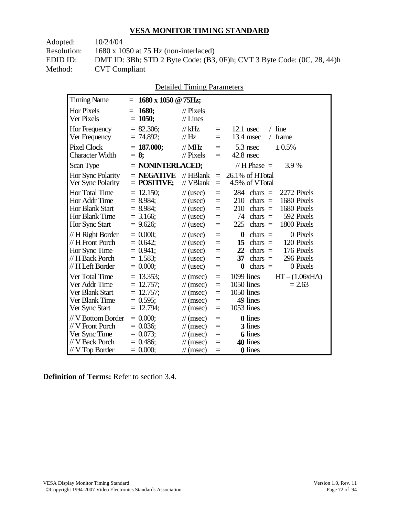Adopted: 10/24/04 Resolution: 1680 x 1050 at 75 Hz (non-interlaced)

EDID ID: DMT ID: 3Bh; STD 2 Byte Code: (B3, 0F)h; CVT 3 Byte Code: (0C, 28, 44)h **CVT Compliant** 

| <b>Detailed Timing Parameters</b> |
|-----------------------------------|
|-----------------------------------|

| <b>Timing Name</b>                                                                              | $=$        | 1680 x 1050 @ 75Hz;                                                  |                                                                                                                      |                                 |                                                                                                                                                                                                |
|-------------------------------------------------------------------------------------------------|------------|----------------------------------------------------------------------|----------------------------------------------------------------------------------------------------------------------|---------------------------------|------------------------------------------------------------------------------------------------------------------------------------------------------------------------------------------------|
| <b>Hor Pixels</b><br>Ver Pixels                                                                 | $=$        | 1680;<br>$= 1050;$                                                   | $\mathcal{U}$ Pixels<br>$//$ Lines                                                                                   |                                 |                                                                                                                                                                                                |
| Hor Frequency<br>Ver Frequency                                                                  |            | $= 82.306;$<br>$= 74.892;$                                           | $//$ kHz<br>$\mathcal{U}$ Hz                                                                                         | $=$<br>$=$                      | $/$ line<br>$12.1$ usec<br>frame<br>13.4 msec<br>$\sqrt{2}$                                                                                                                                    |
| <b>Pixel Clock</b><br><b>Character Width</b>                                                    |            | $= 187.000;$<br>$= 8:$                                               | $//$ MHz<br>$//$ Pixels                                                                                              | $=$<br>$=$                      | 5.3 nsec<br>± 0.5%<br>$42.8$ nsec                                                                                                                                                              |
| Scan Type                                                                                       |            | $=$ NONINTERLACED;                                                   |                                                                                                                      |                                 | // $H$ Phase $=$<br>3.9 %                                                                                                                                                                      |
| Hor Sync Polarity<br>Ver Sync Polarity                                                          |            | $=$ NEGATIVE<br>$=$ POSITIVE;                                        | $//$ HBlank<br>// VBlank                                                                                             | $=$<br>$\equiv$                 | 26.1% of HTotal<br>4.5% of VTotal                                                                                                                                                              |
| Hor Total Time<br>Hor Addr Time<br>Hor Blank Start<br>Hor Blank Time<br>Hor Sync Start          | $=$        | 12.150;<br>$= 8.984$ ;<br>$= 8.984$ ;<br>$= 3.166$ ;<br>$= 9.626$ ;  | $\frac{1}{2}$ (usec)<br>$\frac{1}{2}$ (usec)<br>$\frac{1}{2}$ (usec)<br>$\frac{1}{2}$ (usec)<br>$\frac{1}{2}$ (usec) | $=$<br>$=$<br>$=$<br>$=$<br>$=$ | 284<br>$\text{chars}$ =<br>2272 Pixels<br>1680 Pixels<br>210<br>$\text{chars}$ =<br>1680 Pixels<br>210<br>chars $=$<br>74<br>592 Pixels<br>$\text{chars}$ =<br>1800 Pixels<br>225<br>$chars =$ |
| // H Right Border<br>// H Front Porch<br>Hor Sync Time<br>// H Back Porch<br>// H Left Border   |            | $= 0.000$<br>$= 0.642$ ;<br>$= 0.941$ ;<br>$= 1.583$ ;<br>$= 0.000;$ | $\frac{1}{2}$ (usec)<br>$\frac{1}{2}$ (usec)<br>$\frac{1}{2}$ (usec)<br>$\frac{1}{2}$ (usec)<br>$\frac{1}{2}$ (usec) | $=$<br>$=$<br>$=$<br>$=$<br>$=$ | $\boldsymbol{0}$<br>0 Pixels<br>$\text{chars}$ =<br>chars $=$<br>120 Pixels<br>15<br>22<br>176 Pixels<br>chars $=$<br>296 Pixels<br>37<br>chars $=$<br>$\bf{0}$<br>0 Pixels<br>chars $=$       |
| Ver Total Time<br>Ver Addr Time<br>Ver Blank Start<br>Ver Blank Time<br>Ver Sync Start          | $=$<br>$=$ | $= 13.353$ ;<br>$= 12.757;$<br>12.757;<br>$= 0.595$ ;<br>12.794;     | $\mathcal{U}$ (msec)<br>$\mathcal{U}$ (msec)<br>$\mathcal{U}$ (msec)<br>$\mathcal{U}$ (msec)<br>$\mathcal{U}$ (msec) | $=$<br>$=$<br>$=$<br>$=$<br>$=$ | 1099 lines<br>$HT - (1.06xHA)$<br>1050 lines<br>$= 2.63$<br>1050 lines<br>49 lines<br>1053 lines                                                                                               |
| // V Bottom Border<br>// V Front Porch<br>Ver Sync Time<br>// V Back Porch<br>$//$ V Top Border |            | $= 0.000$<br>$= 0.036$ ;<br>$= 0.073$ ;<br>$= 0.486$ ;<br>$= 0.000;$ | $\mathcal{U}$ (msec)<br>$\mathcal{N}(msec)$<br>$\mathcal{U}$ (msec)<br>$\mathcal{U}$ (msec)<br>$\mathcal{N}(msec)$   | $=$<br>$=$<br>$=$<br>$=$<br>$=$ | <b>0</b> lines<br>3 lines<br><b>6</b> lines<br>40 lines<br>0 lines                                                                                                                             |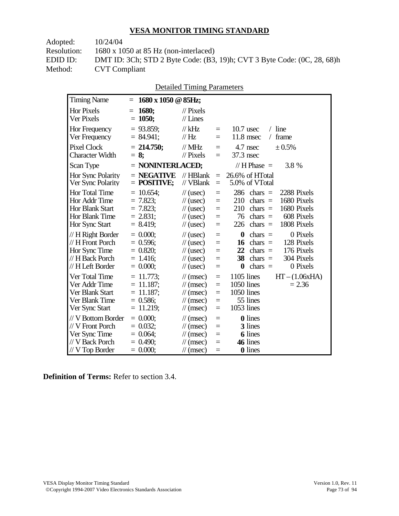Adopted: 10/24/04

**15 Timing Name** 

Resolution: 1680 x 1050 at 85 Hz (non-interlaced)

EDID ID: DMT ID: 3Ch; STD 2 Byte Code: (B3, 19)h; CVT 3 Byte Code: (0C, 28, 68)h **CVT Compliant** 

| <b>Detailed Timing Parameters</b>             |                      |  |             |     |  |
|-----------------------------------------------|----------------------|--|-------------|-----|--|
| $= 1680 \times 1050 \text{ @ } 85 \text{Hz};$ |                      |  |             |     |  |
| $= 1680;$                                     | $\mathcal{U}$ Pixels |  |             |     |  |
| $= 1050;$                                     | $//$ Lines           |  |             |     |  |
| $= 93.859$ ;                                  | // kHz               |  | $10.7$ usec | -li |  |

| <b>Hor Pixels</b><br>Ver Pixels                                                                 | 1680;<br>$=$<br>$= 1050;$                                                | $\mathcal{U}$ Pixels<br>$//$ Lines                                                                                                 |                                           |                                                                                                                                                                                  |
|-------------------------------------------------------------------------------------------------|--------------------------------------------------------------------------|------------------------------------------------------------------------------------------------------------------------------------|-------------------------------------------|----------------------------------------------------------------------------------------------------------------------------------------------------------------------------------|
| Hor Frequency<br>Ver Frequency                                                                  | $= 93.859$ ;<br>$= 84.941;$                                              | $//$ kHz<br>$\mathcal{U}$ Hz                                                                                                       | $=$<br>$=$                                | $/$ line<br>$10.7$ usec<br>11.8 msec<br>frame<br>$\sqrt{2}$                                                                                                                      |
| <b>Pixel Clock</b><br><b>Character Width</b>                                                    | $= 214.750$ ;<br>$= 8$                                                   | $\mathcal{N}$ MHz<br>$\frac{1}{2}$ Pixels                                                                                          | $=$<br>$=$                                | 4.7 nsec<br>± 0.5%<br>37.3 nsec                                                                                                                                                  |
| Scan Type                                                                                       | $=$ NONINTERLACED;                                                       |                                                                                                                                    |                                           | // H Phase $=$<br>3.8 %                                                                                                                                                          |
| Hor Sync Polarity<br>Ver Sync Polarity                                                          | $=$ NEGATIVE<br>$=$ POSITIVE;                                            | $//$ HBlank<br>// VBlank                                                                                                           | $\equiv$<br>$\equiv$                      | 26.6% of HTotal<br>5.0% of VTotal                                                                                                                                                |
| <b>Hor Total Time</b><br>Hor Addr Time<br>Hor Blank Start<br>Hor Blank Time<br>Hor Sync Start   | $= 10.654$ ;<br>$= 7.823$ ;<br>$= 7.823;$<br>$= 2.831$ ;<br>$= 8.419;$   | $\frac{1}{2}$ (usec)<br>$\frac{1}{\sqrt{2}}$ (usec)<br>$\frac{1}{\sqrt{2}}$ (usec)<br>$\frac{1}{2}$ (usec)<br>$\frac{1}{2}$ (usec) | $=$<br>$=$<br>$=$<br>$\equiv$<br>$=$      | $286$ chars =<br>2288 Pixels<br>1680 Pixels<br>210<br>$\text{chars}$ =<br>1680 Pixels<br>210<br>$chars =$<br>608 Pixels<br>76<br>chars $=$<br>1808 Pixels<br>226<br>chars $=$    |
| $// H$ Right Border<br>// H Front Porch<br>Hor Sync Time<br>// H Back Porch<br>// H Left Border | $= 0.000$<br>$= 0.596$ ;<br>$= 0.820;$<br>$= 1.416$ ;<br>$= 0.000$       | $\frac{1}{\sqrt{2}}$ (usec)<br>$\frac{1}{2}$ (usec)<br>$\frac{1}{2}$ (usec)<br>$\frac{1}{2}$ (usec)<br>$\frac{1}{2}$ (usec)        | $=$<br>$=$<br>$=$<br>$=$<br>$=$           | $\bf{0}$<br>0 Pixels<br>$\text{chars}$ =<br>128 Pixels<br>16<br>chars $=$<br>176 Pixels<br>22<br>chars $=$<br>38<br>304 Pixels<br>chars $=$<br>0 Pixels<br>$\bf{0}$<br>$chars =$ |
| Ver Total Time<br>Ver Addr Time<br>Ver Blank Start<br>Ver Blank Time<br>Ver Sync Start          | $= 11.773;$<br>$= 11.187;$<br>$= 11.187$ :<br>$= 0.586$ ;<br>$= 11.219;$ | $\mathcal{U}$ (msec)<br>$\mathcal{U}$ (msec)<br>$\mathcal{U}$ (msec)<br>$\mathcal{U}$ (msec)<br>$\mathcal{U}$ (msec)               | $=$<br>$\equiv$<br>$\equiv$<br>$=$<br>$=$ | $1105$ lines<br>$HT - (1.06xHA)$<br>1050 lines<br>$= 2.36$<br>1050 lines<br>55 lines<br>1053 lines                                                                               |
| // V Bottom Border<br>// V Front Porch<br>Ver Sync Time<br>// V Back Porch<br>$// V$ Top Border | $= 0.000;$<br>$= 0.032$<br>$= 0.064$ ;<br>$= 0.490$ ;<br>$= 0.000;$      | $\mathcal{U}$ (msec)<br>$\mathcal{U}$ (msec)<br>$\mathcal{U}$ (msec)<br>$\mathcal{U}$ (msec)<br>$\mathcal{U}$ (msec)               | $=$<br>$=$<br>$=$<br>$=$<br>$=$           | <b>0</b> lines<br>3 lines<br><b>6</b> lines<br>46 lines<br><b>0</b> lines                                                                                                        |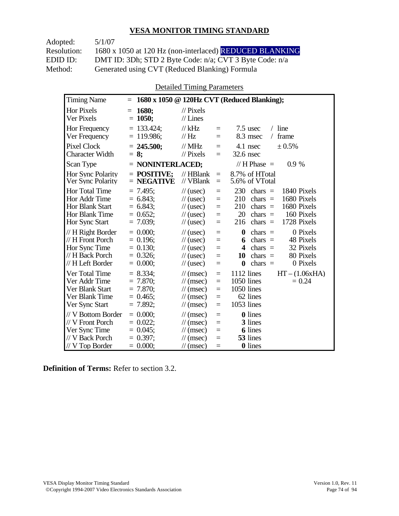Adopted: 5/1/07 Resolution: 1680 x 1050 at 120 Hz (non-interlaced) REDUCED BLANKING EDID ID: DMT ID: 3Dh; STD 2 Byte Code: n/a; CVT 3 Byte Code: n/a<br>Method: Generated using CVT (Reduced Blanking) Formula Generated using CVT (Reduced Blanking) Formula

Detailed Timing Parameters

| <b>Timing Name</b>                                                                              | $=$                                                                    |                                                                                                                                                                                     | 1680 x 1050 @ 120Hz CVT (Reduced Blanking);                                                                                                                                                        |
|-------------------------------------------------------------------------------------------------|------------------------------------------------------------------------|-------------------------------------------------------------------------------------------------------------------------------------------------------------------------------------|----------------------------------------------------------------------------------------------------------------------------------------------------------------------------------------------------|
| Hor Pixels<br>Ver Pixels                                                                        | 1680;<br>$=$<br>$= 1050;$                                              | $\frac{1}{2}$ Pixels<br>$//$ Lines                                                                                                                                                  |                                                                                                                                                                                                    |
| Hor Frequency<br>Ver Frequency                                                                  | $= 133.424$ ;<br>$= 119.986$ ;                                         | $//$ kHz<br>$=$<br>$\mathcal{U}$ Hz<br>$=$                                                                                                                                          | $/$ line<br>$7.5$ usec<br>8.3 msec<br>frame<br>$\sqrt{2}$                                                                                                                                          |
| <b>Pixel Clock</b><br><b>Character Width</b>                                                    | $= 245.500$ ;<br>$= 8:$                                                | // $MHz$<br>$=$<br>$\frac{1}{2}$ Pixels<br>$=$                                                                                                                                      | 4.1 nsec<br>± 0.5%<br>$32.6$ nsec                                                                                                                                                                  |
| Scan Type                                                                                       | $=$ NONINTERLACED;                                                     |                                                                                                                                                                                     | // H Phase $=$<br>0.9%                                                                                                                                                                             |
| <b>Hor Sync Polarity</b><br>Ver Sync Polarity                                                   | $=$ POSITIVE:<br>$=$ NEGATIVE                                          | $//$ HBlank<br>$\equiv$<br>// VBlank<br>$=$                                                                                                                                         | 8.7% of HTotal<br>5.6% of VTotal                                                                                                                                                                   |
| Hor Total Time<br>Hor Addr Time<br><b>Hor Blank Start</b><br>Hor Blank Time<br>Hor Sync Start   | $= 7.495$ ;<br>$= 6.843$ ;<br>$= 6.843$ ;<br>$= 0.652;$<br>$= 7.039$ ; | $\frac{1}{2}$ (usec)<br>$=$<br>$\frac{1}{2}$ (usec)<br>$=$<br>$\frac{1}{2}$ (usec)<br>$=$<br>$\frac{1}{2}$ (usec)<br>$=$<br>$\frac{1}{2}$ (usec)<br>$=$                             | 230<br>chars $=$<br>1840 Pixels<br>1680 Pixels<br>210<br>chars $=$<br>1680 Pixels<br>210<br>chars $=$<br>20<br>160 Pixels<br>chars $=$<br>1728 Pixels<br>216<br>$chars =$                          |
| $// H$ Right Border<br>// H Front Porch<br>Hor Sync Time<br>// H Back Porch<br>// H Left Border | $= 0.000$<br>$= 0.196$ ;<br>$= 0.130$ ;<br>$= 0.326$ ;<br>$= 0.000;$   | $\frac{1}{2}$ (usec)<br>$=$<br>$\frac{1}{2}$ (usec)<br>$=$<br>$\frac{1}{2}$ (usec)<br>$=$<br>$\frac{1}{2}$ (usec)<br>$=$<br>$\frac{1}{2}$ (usec)<br>$=$                             | 0 Pixels<br>$\boldsymbol{0}$<br>chars $=$<br>chars $=$<br>48 Pixels<br>6<br>32 Pixels<br>$\boldsymbol{4}$<br>chars $=$<br>80 Pixels<br>10<br>chars $=$<br>$\text{chars}$ =<br>0 Pixels<br>$\bf{0}$ |
| Ver Total Time<br>Ver Addr Time<br>Ver Blank Start<br>Ver Blank Time<br>Ver Sync Start          | $= 8.334;$<br>$= 7.870$ ;<br>$= 7.870;$<br>$= 0.465$ ;<br>$= 7.892;$   | $\frac{1}{\sqrt{2}}$ (msec)<br>$=$<br>$\frac{1}{\sqrt{2}}$ (msec)<br>$=$<br>$\mathcal{U}$ (msec)<br>$=$<br>$\frac{1}{\sqrt{2}}$ (msec)<br>$=$<br>$\frac{1}{\sqrt{2}}$ (msec)<br>$=$ | 1112 lines<br>$HT - (1.06xHA)$<br>1050 lines<br>$= 0.24$<br>1050 lines<br>62 lines<br>1053 lines                                                                                                   |
| // V Bottom Border<br>// V Front Porch<br>Ver Sync Time<br>// V Back Porch<br>$//$ V Top Border | $= 0.000$<br>$= 0.022$<br>$= 0.045$ ;<br>$= 0.397$ ;<br>$= 0.000;$     | $\mathcal{U}$ (msec)<br>$=$<br>$\frac{1}{\sqrt{2}}$ (msec)<br>$=$<br>$\mathcal{U}$ (msec)<br>$=$<br>$\mathcal{U}$ (msec)<br>$=$<br>$\mathcal{U}$ (msec)<br>$=$                      | <b>0</b> lines<br>3 lines<br><b>6</b> lines<br>53 lines<br>0 lines                                                                                                                                 |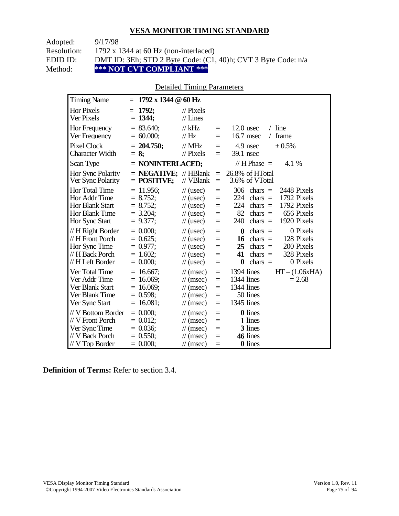| Adopted:    | 9/17/98                                                       |
|-------------|---------------------------------------------------------------|
| Resolution: | 1792 x 1344 at 60 Hz (non-interlaced)                         |
| EDID ID:    | DMT ID: 3Eh; STD 2 Byte Code: (C1, 40)h; CVT 3 Byte Code: n/a |
| Method:     | *** NOT CVT COMPLIANT ***                                     |

### Detailed Timing Parameters

| <b>Timing Name</b>                                                                             | $1792 \times 1344 \ @ 60 \text{ Hz}$<br>$=$                                |                                                                                                                      |                                      |                                                                                                                                                                                   |
|------------------------------------------------------------------------------------------------|----------------------------------------------------------------------------|----------------------------------------------------------------------------------------------------------------------|--------------------------------------|-----------------------------------------------------------------------------------------------------------------------------------------------------------------------------------|
| <b>Hor Pixels</b><br>Ver Pixels                                                                | 1792;<br>$=$<br>$= 1344$ ;                                                 | $\mathcal{U}$ Pixels<br>$//$ Lines                                                                                   |                                      |                                                                                                                                                                                   |
| Hor Frequency<br>Ver Frequency                                                                 | $= 83.640$ ;<br>$= 60.000;$                                                | $//$ kHz<br>$\mathcal{U}$ Hz                                                                                         | $\equiv$<br>$=$                      | $12.0$ usec<br>$/$ line<br>16.7 msec<br>frame<br>$\sqrt{2}$                                                                                                                       |
| <b>Pixel Clock</b><br>Character Width                                                          | $= 204.750;$<br>$= 8:$                                                     | $//$ MHz<br>$//$ Pixels                                                                                              | $=$<br>$=$                           | 4.9 nsec<br>± 0.5%<br>39.1 nsec                                                                                                                                                   |
| Scan Type                                                                                      | $=$ NONINTERLACED;                                                         |                                                                                                                      |                                      | // H Phase $=$<br>4.1 %                                                                                                                                                           |
| Hor Sync Polarity<br>Ver Sync Polarity                                                         | $=$ <b>NEGATIVE</b> ; // HBlank<br>$=$ POSITIVE;                           | // VBlank                                                                                                            | $=$<br>$\equiv$                      | 26.8% of HTotal<br>3.6% of VTotal                                                                                                                                                 |
| Hor Total Time<br>Hor Addr Time<br><b>Hor Blank Start</b><br>Hor Blank Time<br>Hor Sync Start  | $= 11.956$ ;<br>$= 8.752;$<br>$= 8.752;$<br>$= 3.204$ ;<br>$= 9.377$ ;     | $\frac{1}{2}$ (usec)<br>$\frac{1}{2}$ (usec)<br>$\frac{1}{2}$ (usec)<br>$\frac{1}{2}$ (usec)<br>$\frac{1}{2}$ (usec) | $=$<br>$=$<br>$=$<br>$=$<br>$=$      | 306<br>2448 Pixels<br>$chars =$<br>224<br>1792 Pixels<br>chars $=$<br>224<br>1792 Pixels<br>$chars =$<br>82<br>656 Pixels<br>chars $=$<br>240<br>chars $=$<br>1920 Pixels         |
| // H Right Border<br>// H Front Porch<br>Hor Sync Time<br>// H Back Porch<br>// H Left Border  | $= 0.000$<br>$= 0.625$ ;<br>$= 0.977$ ;<br>$= 1.602$ ;<br>$= 0.000;$       | $\frac{1}{2}$ (usec)<br>$\frac{1}{2}$ (usec)<br>$\frac{1}{2}$ (usec)<br>$\frac{1}{2}$ (usec)<br>$\frac{1}{2}$ (usec) | $=$<br>$=$<br>$=$<br>$=$<br>$=$      | $\bf{0}$<br>0 Pixels<br>$chars =$<br>128 Pixels<br>$chars =$<br>16<br>200 Pixels<br>25<br>$chars =$<br>41<br>328 Pixels<br>$chars =$<br>chars $=$<br>0 Pixels<br>$\boldsymbol{0}$ |
| Ver Total Time<br>Ver Addr Time<br>Ver Blank Start<br>Ver Blank Time<br>Ver Sync Start         | $= 16.667$ ;<br>$= 16.069$ ;<br>$= 16.069$ ;<br>$= 0.598$ ;<br>$= 16.081;$ | $\mathcal{U}$ (msec)<br>$\mathcal{U}$ (msec)<br>$\mathcal{U}$ (msec)<br>$\mathcal{U}$ (msec)<br>$\mathcal{U}$ (msec) | $=$<br>$=$<br>$=$<br>$=$<br>$=$      | 1394 lines<br>$HT - (1.06xHA)$<br>1344 lines<br>$= 2.68$<br>1344 lines<br>50 lines<br>1345 lines                                                                                  |
| // V Bottom Border<br>// V Front Porch<br>Ver Sync Time<br>// V Back Porch<br>$//V$ Top Border | $= 0.000;$<br>$= 0.012$ ;<br>$= 0.036$ ;<br>$= 0.550;$<br>$= 0.000;$       | $\mathcal{U}$ (msec)<br>$\mathcal{U}$ (msec)<br>$\mathcal{U}$ (msec)<br>$\mathcal{U}$ (msec)<br>$\mathcal{U}$ (msec) | $\equiv$<br>$=$<br>$=$<br>$=$<br>$=$ | 0 lines<br>1 lines<br>3 lines<br>46 lines<br>0 lines                                                                                                                              |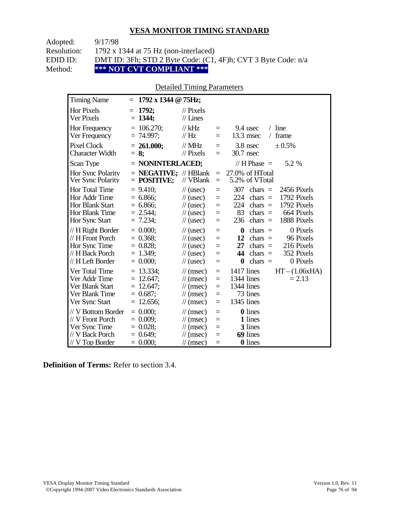| Adopted:    | 9/17/98                                                       |
|-------------|---------------------------------------------------------------|
| Resolution: | 1792 x 1344 at 75 Hz (non-interlaced)                         |
| EDID ID:    | DMT ID: 3Fh; STD 2 Byte Code: (C1, 4F)h; CVT 3 Byte Code: n/a |
| Method:     | *** NOT CVT COMPLIANT ***                                     |

#### Detailed Timing Parameters

| <b>Timing Name</b>                                                                              | $1792 \times 1344 \odot 75$ Hz;<br>$=$                                  |                                                                                                                      |                                      |                                                                                                                                                                                  |
|-------------------------------------------------------------------------------------------------|-------------------------------------------------------------------------|----------------------------------------------------------------------------------------------------------------------|--------------------------------------|----------------------------------------------------------------------------------------------------------------------------------------------------------------------------------|
| <b>Hor Pixels</b><br>Ver Pixels                                                                 | 1792:<br>$=$<br>$= 1344$ ;                                              | $\mathcal{U}$ Pixels<br>$//$ Lines                                                                                   |                                      |                                                                                                                                                                                  |
| Hor Frequency<br>Ver Frequency                                                                  | $= 106.270$ ;<br>$= 74.997$ ;                                           | $//$ kHz<br>$\frac{1}{1}$ Hz                                                                                         | $=$<br>$=$                           | $/$ line<br>9.4 usec<br>$13.3$ msec<br>frame<br>$\sqrt{2}$                                                                                                                       |
| <b>Pixel Clock</b><br><b>Character Width</b>                                                    | $= 261.000;$<br>$= 8$ ;                                                 | $//$ MHz<br>$\frac{1}{2}$ Pixels                                                                                     | $\equiv$<br>$=$                      | 3.8 nsec<br>± 0.5%<br>30.7 nsec                                                                                                                                                  |
| Scan Type                                                                                       | $=$ NONINTERLACED;                                                      |                                                                                                                      |                                      | 5.2 %<br>// H Phase $=$                                                                                                                                                          |
| Hor Sync Polarity<br>Ver Sync Polarity                                                          | $=$ <b>NEGATIVE</b> ; // HBlank<br>$=$ POSITIVE;                        | // VBlank                                                                                                            | $\equiv$<br>$\equiv$                 | 27.0% of HTotal<br>5.2% of VTotal                                                                                                                                                |
| Hor Total Time<br>Hor Addr Time<br><b>Hor Blank Start</b><br>Hor Blank Time<br>Hor Sync Start   | $= 9.410$ ;<br>$= 6.866$ ;<br>$= 6.866$ ;<br>$= 2.544$ ;<br>$= 7.234$ ; | $\frac{1}{2}$ (usec)<br>$\frac{1}{2}$ (usec)<br>$\frac{1}{2}$ (usec)<br>$\frac{1}{2}$ (usec)<br>$\frac{1}{2}$ (usec) | $=$<br>$=$<br>$=$<br>$\equiv$<br>$=$ | 307<br>2456 Pixels<br>chars $=$<br>1792 Pixels<br>224<br>chars $=$<br>224<br>1792 Pixels<br>$chars =$<br>83<br>664 Pixels<br>chars $=$<br>236<br>1888 Pixels<br>chars $=$        |
| // H Right Border<br>// H Front Porch<br>Hor Sync Time<br>// H Back Porch<br>// H Left Border   | $= 0.000$<br>$= 0.368$ ;<br>$= 0.828$ ;<br>$= 1.349$ ;<br>$= 0.000$     | $\frac{1}{2}$ (usec)<br>$\frac{1}{2}$ (usec)<br>$\frac{1}{2}$ (usec)<br>$\frac{1}{2}$ (usec)<br>$\frac{1}{2}$ (usec) | $=$<br>$=$<br>$=$<br>$=$<br>$=$      | 0 Pixels<br>$\bf{0}$<br>chars $=$<br>96 Pixels<br>12<br>$chars =$<br>27<br>216 Pixels<br>chars $=$<br>44<br>352 Pixels<br>chars $=$<br>0 Pixels<br>$\boldsymbol{0}$<br>chars $=$ |
| Ver Total Time<br>Ver Addr Time<br>Ver Blank Start<br>Ver Blank Time<br>Ver Sync Start          | $= 13.334$ ;<br>$= 12.647;$<br>$= 12.647$ ;<br>$= 0.687;$<br>12.656;    | $\mathcal{U}$ (msec)<br>$\mathcal{U}$ (msec)<br>$\mathcal{U}$ (msec)<br>$\mathcal{U}$ (msec)<br>$\mathcal{U}$ (msec) | $\equiv$<br>$=$<br>$=$<br>$=$<br>$=$ | 1417 lines<br>$HT - (1.06xHA)$<br>1344 lines<br>$= 2.13$<br>1344 lines<br>73 lines<br>1345 lines                                                                                 |
| // V Bottom Border<br>// V Front Porch<br>Ver Sync Time<br>// V Back Porch<br>$//$ V Top Border | $= 0.000;$<br>$= 0.009$<br>$= 0.028;$<br>$= 0.649$ ;<br>$= 0.000;$      | $\mathcal{U}$ (msec)<br>$\mathcal{U}$ (msec)<br>$\mathcal{U}$ (msec)<br>$\mathcal{U}$ (msec)<br>$\mathcal{U}$ (msec) | $\equiv$<br>$=$<br>$=$<br>$=$<br>$=$ | <b>0</b> lines<br>1 lines<br>3 lines<br>69 lines<br>0 lines                                                                                                                      |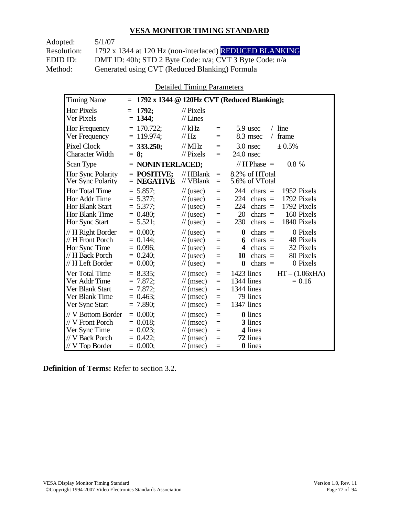Adopted: 5/1/07

Resolution: 1792 x 1344 at 120 Hz (non-interlaced) REDUCED BLANKING EDID ID: DMT ID: 40h; STD 2 Byte Code: n/a; CVT 3 Byte Code: n/a<br>Method: Generated using CVT (Reduced Blanking) Formula Generated using CVT (Reduced Blanking) Formula

Detailed Timing Parameters

| <b>Timing Name</b>                                                                              | $=$                                                                    |                                                                                                                                                                | 1792 x 1344 @ 120Hz CVT (Reduced Blanking);                                                                                                                               |
|-------------------------------------------------------------------------------------------------|------------------------------------------------------------------------|----------------------------------------------------------------------------------------------------------------------------------------------------------------|---------------------------------------------------------------------------------------------------------------------------------------------------------------------------|
| <b>Hor Pixels</b><br>Ver Pixels                                                                 | 1792;<br>$=$<br>$= 1344$ ;                                             | $\frac{1}{2}$ Pixels<br>$//$ Lines                                                                                                                             |                                                                                                                                                                           |
| Hor Frequency<br>Ver Frequency                                                                  | $= 170.722$ ;<br>$= 119.974$ ;                                         | $//$ kHz<br>$=$<br>$\mathcal{U}$ Hz<br>$=$                                                                                                                     | $/$ line<br>5.9 usec<br>8.3 msec<br>frame<br>$\sqrt{2}$                                                                                                                   |
| <b>Pixel Clock</b><br><b>Character Width</b>                                                    | $= 333.250$ ;<br>$= 8:$                                                | $//$ MHz<br>$=$<br>$\frac{1}{2}$ Pixels<br>$=$                                                                                                                 | 3.0 nsec<br>± 0.5%<br>$24.0$ nsec                                                                                                                                         |
| Scan Type                                                                                       | $=$ NONINTERLACED;                                                     |                                                                                                                                                                | // H Phase $=$<br>$0.8 \%$                                                                                                                                                |
| <b>Hor Sync Polarity</b><br>Ver Sync Polarity                                                   | $=$ POSITIVE:<br>$=$ NEGATIVE                                          | $//$ HBlank<br>$=$<br>// VBlank<br>$=$                                                                                                                         | 8.2% of HTotal<br>5.6% of VTotal                                                                                                                                          |
| Hor Total Time<br>Hor Addr Time<br>Hor Blank Start<br>Hor Blank Time<br>Hor Sync Start          | $= 5.857$ ;<br>$= 5.377$ ;<br>$= 5.377$ ;<br>$= 0.480$ ;<br>$= 5.521;$ | $\frac{1}{2}$ (usec)<br>$=$<br>$\frac{1}{2}$ (usec)<br>$=$<br>$\frac{1}{2}$ (usec)<br>$=$<br>$\frac{1}{2}$ (usec)<br>$=$<br>$\frac{1}{2}$ (usec)<br>$=$        | 1952 Pixels<br>244<br>chars $=$<br>1792 Pixels<br>224<br>chars $=$<br>224<br>1792 Pixels<br>chars $=$<br>20<br>chars $=$<br>160 Pixels<br>230<br>1840 Pixels<br>chars $=$ |
| // H Right Border<br>// H Front Porch<br>Hor Sync Time<br>// H Back Porch<br>// H Left Border   | $= 0.000$<br>$= 0.144$ ;<br>$= 0.096$ ;<br>$= 0.240$ ;<br>$= 0.000;$   | $\frac{1}{2}$ (usec)<br>$=$<br>$\frac{1}{2}$ (usec)<br>$=$<br>$\frac{1}{2}$ (usec)<br>$=$<br>$\frac{1}{2}$ (usec)<br>$=$<br>$\frac{1}{2}$ (usec)<br>$=$        | 0 Pixels<br>0<br>$chars =$<br>48 Pixels<br>chars $=$<br>6<br>32 Pixels<br>4<br>chars $=$<br>80 Pixels<br>10<br>chars $=$<br>$\bf{0}$<br>chars $=$<br>0 Pixels             |
| Ver Total Time<br>Ver Addr Time<br>Ver Blank Start<br>Ver Blank Time<br>Ver Sync Start          | $= 8.335$<br>$= 7.872$<br>$= 7.872$ ;<br>$= 0.463$ ;<br>$= 7.890$ ;    | $\mathcal{U}$ (msec)<br>$=$<br>$\frac{1}{\pi}$ (msec)<br>$=$<br>$\mathcal{U}$ (msec)<br>$\equiv$<br>$\mathcal{U}$ (msec)<br>$=$<br>$\mathcal{U}$ (msec)<br>$=$ | $HT - (1.06xHA)$<br>1423 lines<br>1344 lines<br>$= 0.16$<br>1344 lines<br>79 lines<br>1347 lines                                                                          |
| // V Bottom Border<br>// V Front Porch<br>Ver Sync Time<br>// V Back Porch<br>$//$ V Top Border | $= 0.000$<br>$= 0.018$ ;<br>$= 0.023$ ;<br>$= 0.422$ ;<br>$= 0.000;$   | $\mathcal{U}$ (msec)<br>$=$<br>$\mathcal{U}$ (msec)<br>$=$<br>$\mathcal{U}$ (msec)<br>$=$<br>$\mathcal{U}$ (msec)<br>$=$<br>$\mathcal{U}$ (msec)<br>$=$        | <b>0</b> lines<br>3 lines<br>4 lines<br>72 lines<br><b>0</b> lines                                                                                                        |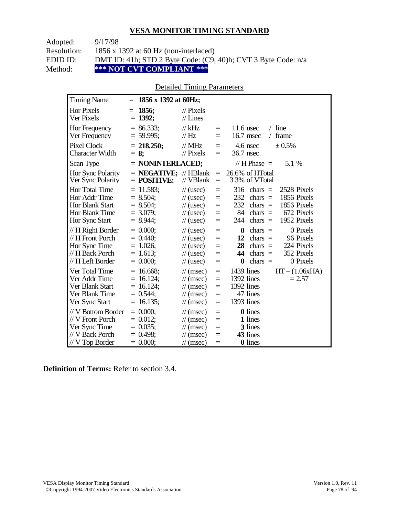| Adopted:    | 9/17/98                                                       |
|-------------|---------------------------------------------------------------|
| Resolution: | 1856 x 1392 at 60 Hz (non-interlaced)                         |
| EDID ID:    | DMT ID: 41h; STD 2 Byte Code: (C9, 40)h; CVT 3 Byte Code: n/a |
| Method:     | *** NOT CVT COMPLIANT ***                                     |

#### Detailed Timing Parameters

| <b>Timing Name</b>                                                                                   | $=$                                                                        | 1856 x 1392 at 60Hz;                                                                                                                                                                                                                                                                                                                      |
|------------------------------------------------------------------------------------------------------|----------------------------------------------------------------------------|-------------------------------------------------------------------------------------------------------------------------------------------------------------------------------------------------------------------------------------------------------------------------------------------------------------------------------------------|
| Hor Pixels<br>Ver Pixels                                                                             | 1856:<br>$=$<br>$= 1392;$                                                  | $\frac{1}{2}$ Pixels<br>$//$ Lines                                                                                                                                                                                                                                                                                                        |
| Hor Frequency<br>Ver Frequency                                                                       | $= 86.333;$<br>$= 59.995$ ;                                                | $/$ line<br>$//$ kHz<br>$11.6$ usec<br>$\equiv$<br>$\frac{1}{1}$ Hz<br>16.7 msec<br>frame<br>$\sqrt{2}$<br>$=$                                                                                                                                                                                                                            |
| Pixel Clock<br><b>Character Width</b>                                                                | $= 218.250;$<br>$= 8;$                                                     | // $MHz$<br>4.6 nsec<br>$\pm 0.5\%$<br>$\equiv$<br>$//$ Pixels<br>36.7 nsec<br>$\equiv$                                                                                                                                                                                                                                                   |
| Scan Type                                                                                            |                                                                            | $=$ NONINTERLACED;<br>// H Phase $=$<br>5.1 %                                                                                                                                                                                                                                                                                             |
| Hor Sync Polarity<br>Ver Sync Polarity                                                               | $=$ POSITIVE;                                                              | $=$ <b>NEGATIVE</b> ; // HBlank<br>26.6% of HTotal<br>$\equiv$<br>// VBlank<br>3.3% of VTotal<br>$=$                                                                                                                                                                                                                                      |
| <b>Hor Total Time</b><br>Hor Addr Time<br><b>Hor Blank Start</b><br>Hor Blank Time<br>Hor Sync Start | $= 11.583$ ;<br>$= 8.504$ ;<br>$= 8.504$ ;<br>$= 3.079$ ;<br>$= 8.944$ ;   | $\frac{1}{2}$ (usec)<br>316<br>chars $=$<br>2528 Pixels<br>$\equiv$<br>1856 Pixels<br>232<br>$chars =$<br>$\frac{1}{2}$ (usec)<br>$=$<br>232<br>1856 Pixels<br>$\frac{1}{2}$ (usec)<br>$chars =$<br>$=$<br>84<br>672 Pixels<br>$chars =$<br>$\frac{1}{2}$ (usec)<br>$=$<br>1952 Pixels<br>244<br>chars $=$<br>$\frac{1}{2}$ (usec)<br>$=$ |
| // H Right Border<br>// H Front Porch<br>Hor Sync Time<br>// H Back Porch<br>// H Left Border        | $= 0.000;$<br>$= 0.440$<br>$= 1.026$ ;<br>$= 1.613$ ;<br>$= 0.000$         | 0 Pixels<br>chars $=$<br>$\frac{1}{2}$ (usec)<br>$\bf{0}$<br>$\equiv$<br>12<br>$chars =$<br>96 Pixels<br>$\frac{1}{2}$ (usec)<br>$=$<br>28<br>224 Pixels<br>$chars =$<br>$\frac{1}{2}$ (usec)<br>$=$<br>44<br>352 Pixels<br>chars $=$<br>$\frac{1}{2}$ (usec)<br>$=$<br>0 Pixels<br>chars $=$<br>$\frac{1}{2}$ (usec)<br>$\bf{0}$<br>$=$  |
| Ver Total Time<br>Ver Addr Time<br>Ver Blank Start<br>Ver Blank Time<br>Ver Sync Start               | $= 16.668$ ;<br>$= 16.124$ ;<br>$= 16.124$ ;<br>$= 0.544$ ;<br>$= 16.135;$ | $HT - (1.06xHA)$<br>$1439$ lines<br>$\mathcal{U}$ (msec)<br>$\equiv$<br>1392 lines<br>$\mathcal{U}$ (msec)<br>$= 2.57$<br>$=$<br>1392 lines<br>$\mathcal{U}$ (msec)<br>$=$<br>47 lines<br>$\mathcal{U}$ (msec)<br>$=$<br>1393 lines<br>$\mathcal{U}$ (msec)<br>$\equiv$                                                                   |
| // V Bottom Border<br>// V Front Porch<br>Ver Sync Time<br>// V Back Porch<br>$//$ V Top Border      | $= 0.000$<br>$= 0.012$ ;<br>$= 0.035$ ;<br>$= 0.498$<br>$= 0.000;$         | 0 lines<br>$\mathcal{U}$ (msec)<br>$\equiv$<br>1 lines<br>$\mathcal{U}$ (msec)<br>$\equiv$<br>3 lines<br>$\mathcal{U}$ (msec)<br>$=$<br>43 lines<br>$\mathcal{U}$ (msec)<br>$=$<br>0 lines<br>$\mathcal{U}$ (msec)<br>$=$                                                                                                                 |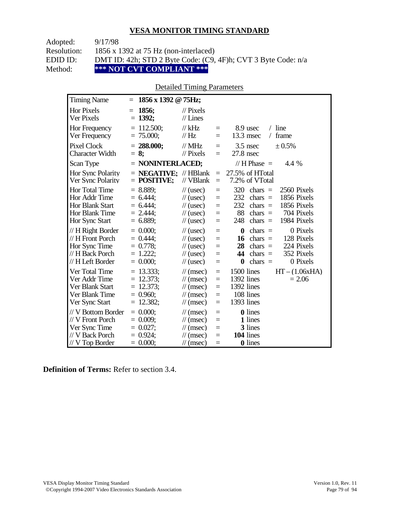| Adopted:    | 9/17/98                                                       |
|-------------|---------------------------------------------------------------|
| Resolution: | 1856 x 1392 at 75 Hz (non-interlaced)                         |
| EDID ID:    | DMT ID: 42h; STD 2 Byte Code: (C9, 4F)h; CVT 3 Byte Code: n/a |
| Method:     | *** NOT CVT COMPLIANT ***                                     |

### Detailed Timing Parameters

| <b>Timing Name</b>                                                                              | 1856 x 1392 @ 75Hz;<br>$=$                                             |                                                                                                                                    |                                           |                                                                                                                                                                           |
|-------------------------------------------------------------------------------------------------|------------------------------------------------------------------------|------------------------------------------------------------------------------------------------------------------------------------|-------------------------------------------|---------------------------------------------------------------------------------------------------------------------------------------------------------------------------|
| Hor Pixels<br>Ver Pixels                                                                        | 1856;<br>$=$<br>$= 1392;$                                              | $\mathcal{U}$ Pixels<br>$//$ Lines                                                                                                 |                                           |                                                                                                                                                                           |
| <b>Hor Frequency</b><br>Ver Frequency                                                           | $= 112.500$ ;<br>$= 75.000;$                                           | $//$ kHz<br>// Hz                                                                                                                  | $\equiv$<br>$=$                           | $/$ line<br>8.9 usec<br>13.3 msec<br>frame<br>$\sqrt{2}$                                                                                                                  |
| <b>Pixel Clock</b><br><b>Character Width</b>                                                    | $= 288.000;$<br>$= 8$ ;                                                | $\frac{1}{1}$ MHz<br>$\frac{1}{2}$ Pixels                                                                                          | $\equiv$<br>$=$                           | $3.5$ nsec<br>± 0.5%<br>$27.8$ nsec                                                                                                                                       |
| Scan Type                                                                                       | = NONINTERLACED;                                                       |                                                                                                                                    |                                           | // H Phase $=$<br>4.4 %                                                                                                                                                   |
| Hor Sync Polarity<br>Ver Sync Polarity                                                          | $=$ <b>NEGATIVE</b> ; // HBlank<br>$=$ POSITIVE;                       | // VBlank                                                                                                                          | $=$<br>$\equiv$                           | 27.5% of HTotal<br>7.2% of VTotal                                                                                                                                         |
| Hor Total Time<br>Hor Addr Time<br><b>Hor Blank Start</b><br>Hor Blank Time<br>Hor Sync Start   | $= 8.889$<br>$= 6.444$ ;<br>$= 6.444$<br>$= 2.444$ ;<br>$= 6.889$ ;    | $\frac{1}{2}$ (usec)<br>$\frac{1}{2}$ (usec)<br>$\frac{1}{2}$ (usec)<br>$\frac{1}{2}$ (usec)<br>$\frac{1}{2}$ (usec)               | $=$<br>$=$<br>$=$<br>$=$<br>$=$           | 320<br>chars $=$<br>2560 Pixels<br>232<br>1856 Pixels<br>chars $=$<br>232<br>1856 Pixels<br>chars $=$<br>88<br>704 Pixels<br>chars $=$<br>248<br>chars $=$<br>1984 Pixels |
| // H Right Border<br>// H Front Porch<br>Hor Sync Time<br>// H Back Porch<br>// H Left Border   | $= 0.000$<br>$= 0.444$<br>$= 0.778$ ;<br>$= 1.222$ ;<br>$= 0.000;$     | $\frac{1}{2}$ (usec)<br>$\frac{1}{2}$ (usec)<br>$\frac{1}{2}$ (usec)<br>$\frac{1}{2}$ (usec)<br>$\frac{1}{2}$ (usec)               | $=$<br>$=$<br>$=$<br>$=$<br>$=$           | 0 Pixels<br>$\bf{0}$<br>chars $=$<br>16<br>chars $=$<br>128 Pixels<br>28<br>224 Pixels<br>$chars =$<br>44<br>352 Pixels<br>$chars =$<br>0 Pixels<br>chars $=$<br>$\bf{0}$ |
| Ver Total Time<br>Ver Addr Time<br>Ver Blank Start<br>Ver Blank Time<br>Ver Sync Start          | $= 13.333$ ;<br>$= 12.373$ ;<br>$= 12.373$ ;<br>$= 0.960$ ;<br>12.382; | $\frac{1}{\sqrt{2}}$ (msec)<br>$\frac{1}{\sqrt{2}}$ (msec)<br>$\mathcal{U}$ (msec)<br>$\mathcal{U}$ (msec)<br>$\mathcal{U}$ (msec) | $\equiv$<br>$\equiv$<br>$=$<br>$=$<br>$=$ | 1500 lines<br>$HT - (1.06xHA)$<br>1392 lines<br>$= 2.06$<br>1392 lines<br>108 lines<br>1393 lines                                                                         |
| // V Bottom Border<br>// V Front Porch<br>Ver Sync Time<br>// V Back Porch<br>$//$ V Top Border | $= 0.000;$<br>$= 0.009$ ;<br>$= 0.027$ ;<br>$= 0.924$<br>$= 0.000;$    | $\mathcal{U}$ (msec)<br>$\mathcal{U}$ (msec)<br>$\mathcal{U}$ (msec)<br>$\mathcal{U}$ (msec)<br>$\mathcal{U}$ (msec)               | $=$<br>$=$<br>$=$<br>$=$<br>$=$           | <b>0</b> lines<br>1 lines<br>3 lines<br>104 lines<br>0 lines                                                                                                              |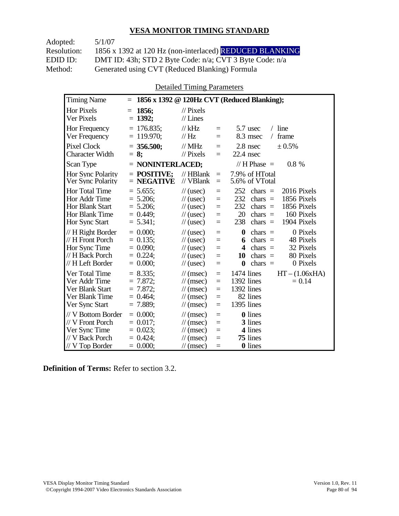Adopted: 5/1/07 Resolution: 1856 x 1392 at 120 Hz (non-interlaced) REDUCED BLANKING EDID ID: DMT ID: 43h; STD 2 Byte Code: n/a; CVT 3 Byte Code: n/a<br>Method: Generated using CVT (Reduced Blanking) Formula Generated using CVT (Reduced Blanking) Formula

Detailed Timing Parameters

| <b>Timing Name</b>                                                                              | $=$                                                                    |                                                                                                                                                         | 1856 x 1392 @ 120Hz CVT (Reduced Blanking);                                                                                                                                                        |
|-------------------------------------------------------------------------------------------------|------------------------------------------------------------------------|---------------------------------------------------------------------------------------------------------------------------------------------------------|----------------------------------------------------------------------------------------------------------------------------------------------------------------------------------------------------|
| <b>Hor Pixels</b><br>Ver Pixels                                                                 | 1856;<br>$=$<br>$= 1392$ ;                                             | $\frac{1}{2}$ Pixels<br>$//$ Lines                                                                                                                      |                                                                                                                                                                                                    |
| Hor Frequency<br>Ver Frequency                                                                  | $= 176.835$ ;<br>$= 119.970$ ;                                         | $//$ kHz<br>$=$<br>$\mathcal{U}$ Hz<br>$=$                                                                                                              | $/$ line<br>5.7 usec<br>frame<br>8.3 msec<br>$\sqrt{2}$                                                                                                                                            |
| <b>Pixel Clock</b><br><b>Character Width</b>                                                    | $= 356.500$ ;<br>$= 8:$                                                | $//$ MHz<br>$=$<br>$\mathcal{U}$ Pixels<br>$=$                                                                                                          | 2.8 nsec<br>± 0.5%<br>$22.4$ nsec                                                                                                                                                                  |
| Scan Type                                                                                       | $=$ NONINTERLACED;                                                     |                                                                                                                                                         | // H Phase $=$<br>$0.8 \%$                                                                                                                                                                         |
| <b>Hor Sync Polarity</b><br>Ver Sync Polarity                                                   | $=$ POSITIVE:<br>$=$ NEGATIVE                                          | $//$ HBlank<br>$=$<br>// VBlank<br>$\equiv$                                                                                                             | 7.9% of HTotal<br>5.6% of VTotal                                                                                                                                                                   |
| Hor Total Time<br>Hor Addr Time<br>Hor Blank Start<br>Hor Blank Time<br>Hor Sync Start          | $= 5.655$ ;<br>$= 5.206$ ;<br>$= 5.206$ ;<br>$= 0.449$ ;<br>$= 5.341;$ | $\frac{1}{2}$ (usec)<br>$=$<br>$\frac{1}{2}$ (usec)<br>$=$<br>$\frac{1}{2}$ (usec)<br>$=$<br>$\mathcal{U}$ (usec)<br>$=$<br>$\frac{1}{2}$ (usec)<br>$=$ | 252<br>2016 Pixels<br>chars $=$<br>232<br>1856 Pixels<br>chars $=$<br>232<br>1856 Pixels<br>chars $=$<br>20<br>chars $=$<br>160 Pixels<br>238<br>1904 Pixels<br>chars $=$                          |
| // H Right Border<br>// H Front Porch<br>Hor Sync Time<br>// H Back Porch<br>// H Left Border   | $= 0.000$ :<br>$= 0.135$ ;<br>$= 0.090;$<br>$= 0.224$ ;<br>$= 0.000;$  | $\frac{1}{2}$ (usec)<br>$=$<br>$\frac{1}{2}$ (usec)<br>$=$<br>$\frac{1}{2}$ (usec)<br>$=$<br>$\frac{1}{2}$ (usec)<br>$=$<br>$\frac{1}{2}$ (usec)<br>$=$ | 0 Pixels<br>$\boldsymbol{0}$<br>$chars =$<br>48 Pixels<br>chars $=$<br>6<br>32 Pixels<br>$\overline{\mathbf{4}}$<br>chars $=$<br>80 Pixels<br>10<br>chars $=$<br>chars $=$<br>0 Pixels<br>$\bf{0}$ |
| Ver Total Time<br>Ver Addr Time<br>Ver Blank Start<br>Ver Blank Time<br>Ver Sync Start          | $= 8.335$<br>7.872;<br>$= 7.872$ ;<br>$= 0.464$ ;<br>$= 7.889$ ;       | $\mathcal{U}$ (msec)<br>$=$<br>$\mathcal{U}$ (msec)<br>$=$<br>$\mathcal{U}$ (msec)<br>$=$<br>$\mathcal{U}$ (msec)<br>$=$<br>$\mathcal{U}$ (msec)<br>$=$ | $HT - (1.06xHA)$<br>1474 lines<br>1392 lines<br>$= 0.14$<br>1392 lines<br>82 lines<br>1395 lines                                                                                                   |
| // V Bottom Border<br>// V Front Porch<br>Ver Sync Time<br>// V Back Porch<br>$//$ V Top Border | $= 0.000$<br>$= 0.017$ :<br>$= 0.023$ ;<br>$= 0.424$ ;<br>$= 0.000;$   | $\mathcal{U}$ (msec)<br>$=$<br>$\mathcal{U}$ (msec)<br>$=$<br>$\mathcal{U}$ (msec)<br>$=$<br>$\mathcal{U}$ (msec)<br>$=$<br>$\mathcal{U}$ (msec)<br>$=$ | <b>0</b> lines<br>3 lines<br>4 lines<br>75 lines<br>0 lines                                                                                                                                        |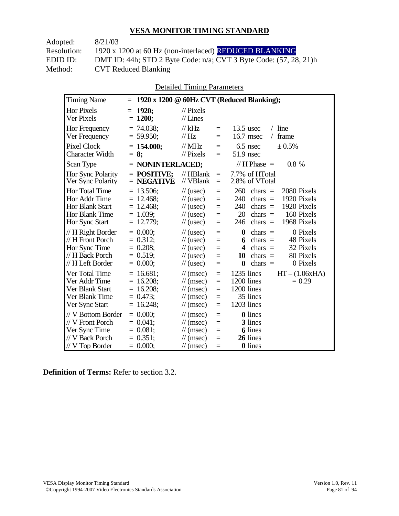| 8/21/03                                                                 |
|-------------------------------------------------------------------------|
| 1920 x 1200 at 60 Hz (non-interlaced) REDUCED BLANKING                  |
| DMT ID: 44h; STD 2 Byte Code: $n/a$ ; CVT 3 Byte Code: $(57, 28, 21)$ h |
| <b>CVT Reduced Blanking</b>                                             |
|                                                                         |

Detailed Timing Parameters

| <b>Timing Name</b>                                                                              | $=$                                                                        |                                                                                                                                                                       | 1920 x 1200 @ 60Hz CVT (Reduced Blanking);                                                                                                                                   |
|-------------------------------------------------------------------------------------------------|----------------------------------------------------------------------------|-----------------------------------------------------------------------------------------------------------------------------------------------------------------------|------------------------------------------------------------------------------------------------------------------------------------------------------------------------------|
| <b>Hor Pixels</b><br>Ver Pixels                                                                 | 1920;<br>$=$<br>$= 1200;$                                                  | $\frac{1}{2}$ Pixels<br>$//$ Lines                                                                                                                                    |                                                                                                                                                                              |
| Hor Frequency<br>Ver Frequency                                                                  | $= 74.038$ ;<br>$= 59.950$ ;                                               | $//$ kHz<br>$\equiv$<br>$\frac{1}{1}$ Hz<br>$=$                                                                                                                       | $/$ line<br>$13.5$ usec<br>16.7 msec<br>frame<br>$\sqrt{2}$                                                                                                                  |
| <b>Pixel Clock</b><br><b>Character Width</b>                                                    | $= 154.000$ ;<br>$= 8:$                                                    | $//$ MHz<br>$=$<br>$\frac{1}{2}$ Pixels<br>$=$                                                                                                                        | $6.5$ nsec<br>± 0.5%<br>$51.9$ nsec                                                                                                                                          |
| Scan Type                                                                                       | $=$ NONINTERLACED;                                                         |                                                                                                                                                                       | // H Phase $=$<br>$0.8 \%$                                                                                                                                                   |
| <b>Hor Sync Polarity</b><br>Ver Sync Polarity                                                   | $=$ POSITIVE:<br>$=$ NEGATIVE                                              | $//$ HBlank<br>$\equiv$<br>// VBlank<br>$=$                                                                                                                           | 7.7% of HTotal<br>2.8% of VTotal                                                                                                                                             |
| Hor Total Time<br>Hor Addr Time<br><b>Hor Blank Start</b><br>Hor Blank Time<br>Hor Sync Start   | $= 13.506$ ;<br>$= 12.468$ ;<br>$= 12.468$ ;<br>$= 1.039$ ;<br>$= 12.779;$ | $\frac{1}{2}$ (usec)<br>$=$<br>$\frac{1}{2}$ (usec)<br>$=$<br>$\frac{1}{2}$ (usec)<br>$=$<br>$\frac{1}{2}$ (usec)<br>$=$<br>$\frac{1}{2}$ (usec)<br>$=$               | 260<br>2080 Pixels<br>chars $=$<br>240<br>1920 Pixels<br>chars $=$<br>240<br>1920 Pixels<br>chars $=$<br>20<br>160 Pixels<br>$chars =$<br>1968 Pixels<br>246<br>chars $=$    |
| // H Right Border<br>// H Front Porch<br>Hor Sync Time<br>// H Back Porch<br>// H Left Border   | $= 0.000$<br>$= 0.312$ ;<br>$= 0.208$ ;<br>$= 0.519$ ;<br>$= 0.000;$       | $\frac{1}{2}$ (usec)<br>$=$<br>$\frac{1}{2}$ (usec)<br>$=$<br>$\frac{1}{2}$ (usec)<br>$=$<br>$\frac{1}{2}$ (usec)<br>$=$<br>$\frac{1}{2}$ (usec)<br>$=$               | 0 Pixels<br>$\boldsymbol{0}$<br>$chars =$<br>48 Pixels<br>chars $=$<br>6<br>32 Pixels<br>4<br>chars $=$<br>chars $=$<br>80 Pixels<br>10<br>$\bf{0}$<br>0 Pixels<br>chars $=$ |
| Ver Total Time<br>Ver Addr Time<br>Ver Blank Start<br>Ver Blank Time<br>Ver Sync Start          | $= 16.681;$<br>$= 16.208$ ;<br>$= 16.208$ ;<br>$= 0.473$ ;<br>$= 16.248$ ; | $\mathcal{U}$ (msec)<br>$=$<br>$\mathcal{U}$ (msec)<br>$=$<br>$\mathcal{U}$ (msec)<br>$=$<br>$\mathcal{U}$ (msec)<br>$=$<br>$\mathcal{U}$ (msec)<br>$=$               | 1235 lines<br>$HT - (1.06xHA)$<br>1200 lines<br>$= 0.29$<br>1200 lines<br>35 lines<br>1203 lines                                                                             |
| // V Bottom Border<br>// V Front Porch<br>Ver Sync Time<br>// V Back Porch<br>$//$ V Top Border | $= 0.000$<br>$= 0.041$ ;<br>$= 0.081$ ;<br>$= 0.351$ ;<br>$= 0.000;$       | $\mathcal{U}$ (msec)<br>$=$<br>$\mathcal{U}$ (msec)<br>$=$<br>$\frac{1}{\sqrt{2}}$ (msec)<br>$=$<br>$\mathcal{U}$ (msec)<br>$=$<br>$\frac{1}{\sqrt{2}}$ (msec)<br>$=$ | <b>0</b> lines<br>3 lines<br><b>6</b> lines<br>26 lines<br><b>0</b> lines                                                                                                    |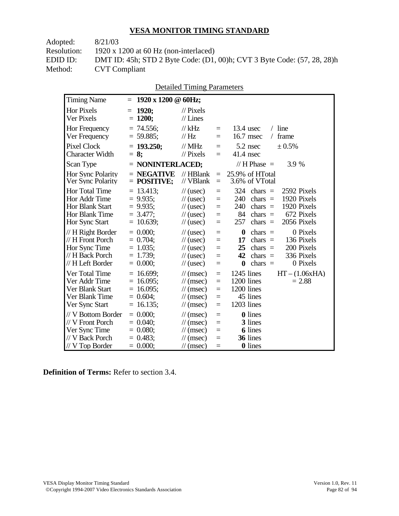| Adopted:    | 8/21/03                                                                 |
|-------------|-------------------------------------------------------------------------|
| Resolution: | 1920 x 1200 at 60 Hz (non-interlaced)                                   |
| EDID ID:    | DMT ID: 45h; STD 2 Byte Code: (D1, 00)h; CVT 3 Byte Code: (57, 28, 28)h |
| Method:     | <b>CVT</b> Compliant                                                    |
|             |                                                                         |

| <b>Timing Name</b>                     | $= 1920 \times 1200 \text{ } \textcircled{a}$ 60Hz; |                                    |            |                                                                           |               |
|----------------------------------------|-----------------------------------------------------|------------------------------------|------------|---------------------------------------------------------------------------|---------------|
| Hor Pixels<br>Ver Pixels               | $= 1920;$<br>$= 1200;$                              | $\frac{1}{2}$ Pixels<br>$//$ Lines |            |                                                                           |               |
| Hor Frequency<br>Ver Frequency         | $= 74.556$ ;<br>$= 59.885$ ;                        | // $kHz$<br>// Hz                  | $=$<br>$=$ | $13.4$ usec<br>$16.7$ msec                                                | line<br>frame |
| Pixel Clock<br><b>Character Width</b>  | $= 193.250$ ;<br>$= 8:$                             | // $MHz$<br>$\frac{1}{2}$ Pixels   | $=$<br>$=$ | $5.2$ nsec<br>41.4 nsec                                                   | $\pm 0.5\%$   |
| Scan Type                              | $=$ NONINTERLACED;                                  |                                    |            | // H Phase $=$                                                            | 3.9           |
| Hor Sync Polarity<br>Ver Sync Polarity | $=$ NEGATIVE<br>$=$ POSITIVE:                       |                                    |            | // HBlank $= 25.9\%$ of HTotal<br>$\textdegree N$ VBlank = 3.6% of VTotal |               |

Detailed Timing Parameters

| Pixel Clock<br><b>Character Width</b>                                                           | $= 193.250;$<br>$= 8$ ;                                                  | // $MHz$<br>$\frac{1}{2}$ Pixels                                                                                     | $=$                                       | 5.2 nsec<br>$± 0.5\%$<br>$=$ $-$<br>$41.4$ nsec                                                                                                                                               |
|-------------------------------------------------------------------------------------------------|--------------------------------------------------------------------------|----------------------------------------------------------------------------------------------------------------------|-------------------------------------------|-----------------------------------------------------------------------------------------------------------------------------------------------------------------------------------------------|
| Scan Type                                                                                       | $=$ NONINTERLACED;                                                       |                                                                                                                      |                                           | // H Phase $=$<br>3.9 %                                                                                                                                                                       |
| <b>Hor Sync Polarity</b><br>Ver Sync Polarity                                                   | $=$ NEGATIVE<br>$=$ POSITIVE;                                            | $\frac{1}{2}$ HBlank<br>// VBlank                                                                                    | $\equiv$ .                                | $= 25.9\%$ of HTotal<br>3.6% of VTotal                                                                                                                                                        |
| Hor Total Time<br>Hor Addr Time<br>Hor Blank Start<br>Hor Blank Time<br>Hor Sync Start          | $= 13.413$ ;<br>$= 9.935$ ;<br>$= 9.935$ ;<br>$= 3.477$ ;<br>$= 10.639;$ | $\frac{1}{2}$ (usec)<br>$\frac{1}{2}$ (usec)<br>$\frac{1}{2}$ (usec)<br>$\frac{1}{2}$ (usec)<br>$\frac{1}{2}$ (usec) | $\equiv$<br>$=$<br>$\equiv$<br>$=$<br>$=$ | $324 \text{ chars} =$<br>2592 Pixels<br>1920 Pixels<br>$240$ chars =<br>1920 Pixels<br>$240 \text{ chars} =$<br>672 Pixels<br>$84 \text{ chars} =$<br>2056 Pixels<br>$257 \text{ chars} =$    |
| $// H$ Right Border<br>// H Front Porch<br>Hor Sync Time<br>// H Back Porch<br>// H Left Border | $= 0.000;$<br>$= 0.704$ ;<br>$= 1.035$ ;<br>$= 1.739;$<br>$= 0.000;$     | $\frac{1}{2}$ (usec)<br>$\frac{1}{2}$ (usec)<br>$\frac{1}{2}$ (usec)<br>$\frac{1}{2}$ (usec)<br>$\frac{1}{2}$ (usec) | $=$<br>$\equiv$<br>$\equiv$<br>$=$        | 0 Pixels<br>$\mathbf{0}$<br>$chars =$<br>136 Pixels<br>$\text{chars}$ =<br>17<br>200 Pixels<br>$25$ chars =<br>$42 \text{ chars} =$<br>336 Pixels<br>$\equiv$<br>$\theta$ chars =<br>0 Pixels |
| Ver Total Time<br>Ver Addr Time<br>Ver Blank Start<br>Ver Blank Time<br>Ver Sync Start          | $= 16.699;$<br>$= 16.095$ ;<br>$= 16.095$ ;<br>$= 0.604;$<br>$= 16.135;$ | $\mathcal{U}$ (msec)<br>$\mathcal{U}$ (msec)<br>$\mathcal{U}$ (msec)<br>$\mathcal{U}$ (msec)<br>$\mathcal{U}$ (msec) | $\equiv$<br>$=$<br>$=$<br>$=$<br>$\equiv$ | $1245$ lines<br>$HT - (1.06xHA)$<br>1200 lines<br>$= 2.88$<br>1200 lines<br>45 lines<br>1203 lines                                                                                            |
| // V Bottom Border<br>$//V$ Front Porch<br>Ver Sync Time<br>// V Back Porch<br>// V Top Border  | $= 0.000;$<br>$= 0.040$ ;<br>$= 0.080;$<br>$= 0.483;$<br>$= 0.000;$      | $\mathcal{U}$ (msec)<br>$\mathcal{U}$ (msec)<br>$\mathcal{U}$ (msec)<br>$\mathcal{U}$ (msec)<br>$\mathcal{U}$ (msec) | $=$<br>$=$<br>$\equiv$<br>$=$<br>$\equiv$ | <b>0</b> lines<br>3 lines<br><b>6</b> lines<br>36 lines<br><b>0</b> lines                                                                                                                     |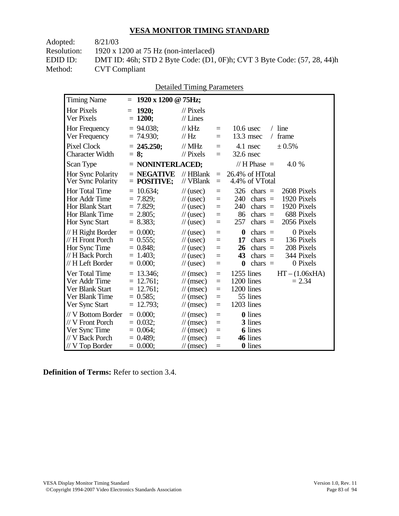| Adopted:    | 8/21/03                                                                 |
|-------------|-------------------------------------------------------------------------|
| Resolution: | 1920 x 1200 at 75 Hz (non-interlaced)                                   |
| EDID ID:    | DMT ID: 46h; STD 2 Byte Code: (D1, 0F)h; CVT 3 Byte Code: (57, 28, 44)h |
| Method:     | <b>CVT Compliant</b>                                                    |
|             |                                                                         |

| <b>Detailed Timing Parameters</b> |
|-----------------------------------|
|-----------------------------------|

| <b>Timing Name</b>                                                                              | 1920 x 1200 @ 75Hz;<br>$=$                                                   |                                                                                                                                                                                                                                                                                                                                                        |
|-------------------------------------------------------------------------------------------------|------------------------------------------------------------------------------|--------------------------------------------------------------------------------------------------------------------------------------------------------------------------------------------------------------------------------------------------------------------------------------------------------------------------------------------------------|
| Hor Pixels<br>Ver Pixels                                                                        | 1920;<br>$=$<br>$= 1200;$                                                    | $\mathcal{U}$ Pixels<br>$//$ Lines                                                                                                                                                                                                                                                                                                                     |
| Hor Frequency<br>Ver Frequency                                                                  | $= 94.038$ ;<br>$= 74.930$ ;                                                 | $//$ kHz<br>$/$ line<br>$10.6$ usec<br>$=$<br>// Hz<br>$13.3$ msec<br>frame<br>$\sqrt{2}$<br>$=$                                                                                                                                                                                                                                                       |
| <b>Pixel Clock</b><br><b>Character Width</b>                                                    | $= 245.250;$<br>$= 8$ ;                                                      | $//$ MHz<br>± 0.5%<br>4.1 nsec<br>$\equiv$<br>$//$ Pixels<br>32.6 nsec<br>$=$                                                                                                                                                                                                                                                                          |
| Scan Type                                                                                       | $=$ NONINTERLACED;                                                           | // H Phase $=$<br>4.0 %                                                                                                                                                                                                                                                                                                                                |
| Hor Sync Polarity<br>Ver Sync Polarity                                                          | $=$ NEGATIVE<br>$=$ POSITIVE;                                                | $//$ HBlank<br>26.4% of HTotal<br>$=$<br>// VBlank<br>4.4% of VTotal<br>$\equiv$                                                                                                                                                                                                                                                                       |
| Hor Total Time<br>Hor Addr Time<br><b>Hor Blank Start</b><br>Hor Blank Time<br>Hor Sync Start   | $= 10.634$ ;<br>$= 7.829$ ;<br>$= 7.829$ ;<br>$= 2.805$ ;<br>$= 8.383$ ;     | 326<br>2608 Pixels<br>$\frac{1}{2}$ (usec)<br>$chars =$<br>$=$<br>1920 Pixels<br>$\frac{1}{2}$ (usec)<br>240<br>$chars =$<br>$=$<br>240<br>1920 Pixels<br>$chars =$<br>$\frac{1}{2}$ (usec)<br>$=$<br>86<br>688 Pixels<br>$chars =$<br>$\frac{1}{2}$ (usec)<br>$=$<br>257<br>2056 Pixels<br>$chars =$<br>$\frac{1}{2}$ (usec)<br>$=$                   |
| $// H$ Right Border<br>// H Front Porch<br>Hor Sync Time<br>// H Back Porch<br>// H Left Border | $= 0.000$<br>$= 0.555;$<br>$= 0.848;$<br>$= 1.403$ ;<br>$= 0.000$            | 0 Pixels<br>$\boldsymbol{0}$<br>$\frac{1}{2}$ (usec)<br>$chars =$<br>$=$<br>$chars =$<br>136 Pixels<br>17<br>$\frac{1}{2}$ (usec)<br>$=$<br>208 Pixels<br>$\frac{1}{2}$ (usec)<br>26<br>$chars =$<br>$=$<br>344 Pixels<br>43<br>chars $=$<br>$\frac{1}{2}$ (usec)<br>$\equiv$<br>0 Pixels<br>$\bf{0}$<br>chars $=$<br>$\frac{1}{2}$ (usec)<br>$\equiv$ |
| Ver Total Time<br>Ver Addr Time<br>Ver Blank Start<br>Ver Blank Time<br>Ver Sync Start          | $= 13.346$ ;<br>$= 12.761;$<br>$= 12.761$ ;<br>$= 0.585$ ;<br>12.793;<br>$=$ | $1255$ lines<br>$HT - (1.06xHA)$<br>$\mathcal{U}$ (msec)<br>$=$<br>1200 lines<br>$= 2.34$<br>$\mathcal{U}$ (msec)<br>$=$<br>1200 lines<br>$\mathcal{U}$ (msec)<br>$=$<br>55 lines<br>$\mathcal{U}$ (msec)<br>$=$<br>1203 lines<br>$\mathcal{U}$ (msec)<br>$=$                                                                                          |
| // V Bottom Border<br>// V Front Porch<br>Ver Sync Time<br>// V Back Porch<br>$//$ V Top Border | $= 0.000;$<br>$= 0.032$ ;<br>$= 0.064$ ;<br>$= 0.489$ ;<br>$= 0.000;$        | <b>0</b> lines<br>$\frac{1}{\pi}$ (msec)<br>$\equiv$<br>3 lines<br>$\mathcal{U}$ (msec)<br>$=$<br><b>6</b> lines<br>$\mathcal{U}$ (msec)<br>$=$<br>46 lines<br>$\mathcal{U}$ (msec)<br>$=$<br>0 lines<br>$\mathcal{U}$ (msec)<br>$=$                                                                                                                   |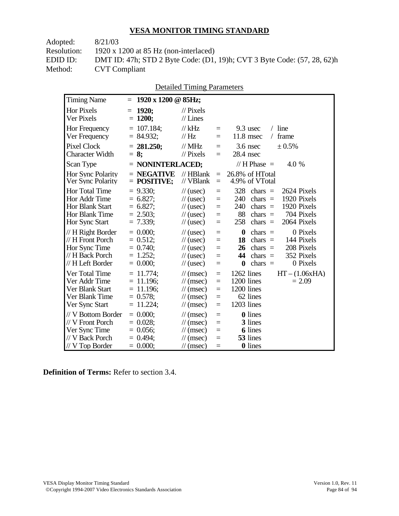| DMT ID: 47h; STD 2 Byte Code: (D1, 19)h; CVT 3 Byte Code: (57, 28, 62)h |
|-------------------------------------------------------------------------|
|                                                                         |
|                                                                         |

| <b>Detailed Timing Parameters</b> |
|-----------------------------------|
|-----------------------------------|

| <b>Timing Name</b>                                                                              | 1920 x 1200 @ 85Hz;<br>$=$                                                 |                                                                                                                             |                                      |                                                                                                                                                                                   |
|-------------------------------------------------------------------------------------------------|----------------------------------------------------------------------------|-----------------------------------------------------------------------------------------------------------------------------|--------------------------------------|-----------------------------------------------------------------------------------------------------------------------------------------------------------------------------------|
| <b>Hor Pixels</b><br>Ver Pixels                                                                 | 1920;<br>$=$<br>$= 1200;$                                                  | $\frac{1}{2}$ Pixels<br>$//$ Lines                                                                                          |                                      |                                                                                                                                                                                   |
| Hor Frequency<br>Ver Frequency                                                                  | $= 107.184$ ;<br>$= 84.932;$                                               | $//$ kHz<br>$\mathcal{U}$ Hz                                                                                                | $=$<br>$=$                           | $/$ line<br>9.3 usec<br>$11.8$ msec<br>frame<br>$\sqrt{2}$                                                                                                                        |
| <b>Pixel Clock</b><br><b>Character Width</b>                                                    | $= 281.250;$<br>$= 8:$                                                     | $//$ MHz<br>// Pixels                                                                                                       | $\equiv$<br>$=$                      | $3.6$ nsec<br>± 0.5%<br>28.4 nsec                                                                                                                                                 |
| Scan Type                                                                                       | $=$ NONINTERLACED;                                                         |                                                                                                                             |                                      | // H Phase $=$<br>4.0 %                                                                                                                                                           |
| Hor Sync Polarity<br>Ver Sync Polarity                                                          | $=$ NEGATIVE<br>$=$ POSITIVE;                                              | $//$ HBlank<br>// VBlank                                                                                                    | $=$<br>$=$                           | 26.8% of HTotal<br>4.9% of VTotal                                                                                                                                                 |
| <b>Hor Total Time</b><br>Hor Addr Time<br>Hor Blank Start<br>Hor Blank Time<br>Hor Sync Start   | $= 9.330$ ;<br>$= 6.827$ ;<br>$= 6.827$ ;<br>$= 2.503$ ;<br>$= 7.339;$     | $\frac{1}{2}$ (usec)<br>$\frac{1}{2}$ (usec)<br>$\frac{1}{2}$ (usec)<br>$\frac{1}{2}$ (usec)<br>$\frac{1}{2}$ (usec)        | $=$<br>$=$<br>$=$<br>$=$<br>$=$      | 328<br>chars $=$<br>2624 Pixels<br>1920 Pixels<br>240<br>chars $=$<br>1920 Pixels<br>240<br>chars $=$<br>88<br>704 Pixels<br>chars $=$<br>258<br>$chars =$<br>2064 Pixels         |
| // H Right Border<br>// H Front Porch<br>Hor Sync Time<br>// H Back Porch<br>// H Left Border   | $= 0.000;$<br>$= 0.512;$<br>$= 0.740$ ;<br>$= 1.252$ ;<br>$= 0.000;$       | $\frac{1}{2}$ (usec)<br>$\frac{1}{2}$ (usec)<br>$\frac{1}{2}$ (usec)<br>$\frac{1}{2}$ (usec)<br>$\frac{1}{2}$ (usec)        | $=$<br>$=$<br>$=$<br>$=$<br>$=$      | $\boldsymbol{0}$<br>0 Pixels<br>chars $=$<br>18<br>$chars =$<br>144 Pixels<br>208 Pixels<br>26<br>$chars =$<br>352 Pixels<br>44<br>$chars =$<br>0 Pixels<br>$\bf{0}$<br>$chars =$ |
| Ver Total Time<br>Ver Addr Time<br>Ver Blank Start<br>Ver Blank Time<br>Ver Sync Start          | $= 11.774$ ;<br>$= 11.196$ ;<br>$= 11.196$ ;<br>$= 0.578$ ;<br>$= 11.224;$ | $\mathcal{U}$ (msec)<br>$\mathcal{U}$ (msec)<br>$\mathcal{U}$ (msec)<br>$\mathcal{U}$ (msec)<br>$\frac{1}{\sqrt{2}}$ (msec) | $\equiv$<br>$=$<br>$=$<br>$=$<br>$=$ | 1262 lines<br>$HT - (1.06xHA)$<br>1200 lines<br>$= 2.09$<br>1200 lines<br>62 lines<br>1203 lines                                                                                  |
| // V Bottom Border<br>// V Front Porch<br>Ver Sync Time<br>// V Back Porch<br>$//$ V Top Border | $= 0.000$<br>$= 0.028$<br>$= 0.056$ ;<br>$= 0.494$ :<br>$= 0.000;$         | $\mathcal{U}$ (msec)<br>$\mathcal{U}$ (msec)<br>$\mathcal{U}$ (msec)<br>$\mathcal{U}$ (msec)<br>$\frac{1}{\sqrt{2}}$ (msec) | $=$<br>$=$<br>$=$<br>$=$<br>$=$      | <b>0</b> lines<br>3 lines<br><b>6</b> lines<br>53 lines<br><b>0</b> lines                                                                                                         |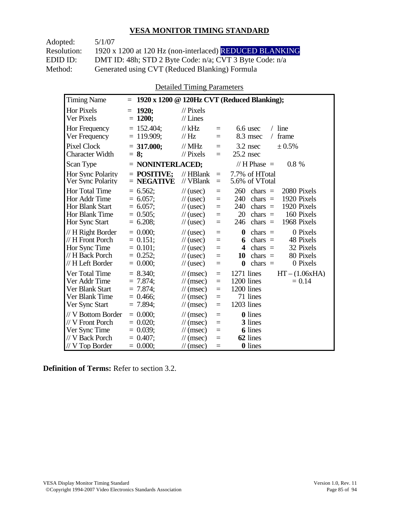Adopted: 5/1/07 Resolution: 1920 x 1200 at 120 Hz (non-interlaced) REDUCED BLANKING EDID ID: DMT ID: 48h; STD 2 Byte Code: n/a; CVT 3 Byte Code: n/a<br>Method: Generated using CVT (Reduced Blanking) Formula Generated using CVT (Reduced Blanking) Formula

Detailed Timing Parameters

| <b>Timing Name</b>                                                                              | $=$                                                                    |                                                                                                                                                                | 1920 x 1200 @ 120Hz CVT (Reduced Blanking);                                                                                                                                                        |
|-------------------------------------------------------------------------------------------------|------------------------------------------------------------------------|----------------------------------------------------------------------------------------------------------------------------------------------------------------|----------------------------------------------------------------------------------------------------------------------------------------------------------------------------------------------------|
| <b>Hor Pixels</b><br>Ver Pixels                                                                 | 1920;<br>$=$<br>$= 1200;$                                              | $\frac{1}{2}$ Pixels<br>$//$ Lines                                                                                                                             |                                                                                                                                                                                                    |
| Hor Frequency<br>Ver Frequency                                                                  | $= 152.404$ ;<br>$= 119.909$ ;                                         | $//$ kHz<br>$=$<br>$\mathcal{U}$ Hz<br>$=$                                                                                                                     | $/$ line<br>6.6 usec<br>8.3 msec<br>frame<br>$\sqrt{2}$                                                                                                                                            |
| <b>Pixel Clock</b><br><b>Character Width</b>                                                    | $= 317.000$ ;<br>$= 8:$                                                | $//$ MHz<br>$=$<br>$\frac{1}{2}$ Pixels<br>$=$                                                                                                                 | $3.2$ nsec<br>± 0.5%<br>$25.2$ nsec                                                                                                                                                                |
| Scan Type                                                                                       | $=$ NONINTERLACED;                                                     |                                                                                                                                                                | // H Phase $=$<br>$0.8 \%$                                                                                                                                                                         |
| <b>Hor Sync Polarity</b><br>Ver Sync Polarity                                                   | $=$ POSITIVE:<br>$=$ NEGATIVE                                          | $//$ HBlank<br>$=$<br>// VBlank<br>$\equiv$                                                                                                                    | 7.7% of HTotal<br>5.6% of VTotal                                                                                                                                                                   |
| Hor Total Time<br>Hor Addr Time<br>Hor Blank Start<br>Hor Blank Time<br>Hor Sync Start          | $= 6.562$ ;<br>$= 6.057$ ;<br>$= 6.057$<br>$= 0.505$ ;<br>$= 6.208$ ;  | $\frac{1}{2}$ (usec)<br>$=$<br>$\frac{1}{2}$ (usec)<br>$=$<br>$\frac{1}{2}$ (usec)<br>$=$<br>$\mathcal{U}$ (usec)<br>$=$<br>$\frac{1}{2}$ (usec)<br>$=$        | 260<br>2080 Pixels<br>chars $=$<br>240<br>1920 Pixels<br>chars $=$<br>240<br>1920 Pixels<br>chars $=$<br>20<br>chars $=$<br>160 Pixels<br>1968 Pixels<br>246<br>chars $=$                          |
| // H Right Border<br>// H Front Porch<br>Hor Sync Time<br>// H Back Porch<br>// H Left Border   | $= 0.000$ :<br>$= 0.151$ ;<br>$= 0.101$ ;<br>$= 0.252$ ;<br>$= 0.000;$ | $\frac{1}{2}$ (usec)<br>$=$<br>$\frac{1}{2}$ (usec)<br>$=$<br>$\frac{1}{2}$ (usec)<br>$=$<br>$\frac{1}{2}$ (usec)<br>$=$<br>$\frac{1}{2}$ (usec)<br>$=$        | 0 Pixels<br>$\boldsymbol{0}$<br>$chars =$<br>48 Pixels<br>chars $=$<br>6<br>32 Pixels<br>$\overline{\mathbf{4}}$<br>chars $=$<br>80 Pixels<br>10<br>chars $=$<br>chars $=$<br>0 Pixels<br>$\bf{0}$ |
| Ver Total Time<br>Ver Addr Time<br>Ver Blank Start<br>Ver Blank Time<br>Ver Sync Start          | $= 8.340$ ;<br>$= 7.874$<br>$= 7.874$ ;<br>$= 0.466$<br>$= 7.894$ ;    | $\mathcal{U}$ (msec)<br>$=$<br>$\mathcal{U}$ (msec)<br>$=$<br>$\mathcal{U}$ (msec)<br>$=$<br>$\mathcal{U}$ (msec)<br>$=$<br>$\mathcal{U}$ (msec)<br>$=$        | 1271 lines<br>$HT - (1.06xHA)$<br>1200 lines<br>$= 0.14$<br>1200 lines<br>71 lines<br>1203 lines                                                                                                   |
| // V Bottom Border<br>// V Front Porch<br>Ver Sync Time<br>// V Back Porch<br>$//$ V Top Border | $= 0.000$<br>$= 0.020$<br>$= 0.039$ ;<br>$= 0.407$ ;<br>$= 0.000;$     | $\frac{1}{\sqrt{2}}$ (msec)<br>$=$<br>$\mathcal{U}$ (msec)<br>$=$<br>$\mathcal{U}$ (msec)<br>$=$<br>$\mathcal{U}$ (msec)<br>$=$<br>$\mathcal{U}$ (msec)<br>$=$ | <b>0</b> lines<br>3 lines<br><b>6</b> lines<br>62 lines<br>0 lines                                                                                                                                 |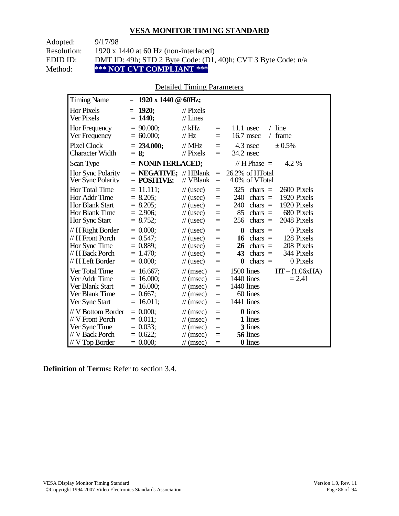| Adopted:    | 9/17/98                                                       |
|-------------|---------------------------------------------------------------|
| Resolution: | 1920 x 1440 at 60 Hz (non-interlaced)                         |
| EDID ID:    | DMT ID: 49h; STD 2 Byte Code: (D1, 40)h; CVT 3 Byte Code: n/a |
| Method:     | *** NOT CVT COMPLIANT ***                                     |

### Detailed Timing Parameters

| <b>Timing Name</b>                                                                              | $1920 \times 1440 \odot 60$ Hz;<br>$=$                                   |                                                                                                                      |                                 |                                                                                                                                                                                   |
|-------------------------------------------------------------------------------------------------|--------------------------------------------------------------------------|----------------------------------------------------------------------------------------------------------------------|---------------------------------|-----------------------------------------------------------------------------------------------------------------------------------------------------------------------------------|
| <b>Hor Pixels</b><br>Ver Pixels                                                                 | 1920:<br>$=$<br>$= 1440;$                                                | $\mathcal{U}$ Pixels<br>$//$ Lines                                                                                   |                                 |                                                                                                                                                                                   |
| Hor Frequency<br>Ver Frequency                                                                  | $= 90.000;$<br>$= 60.000;$                                               | $//$ kHz<br>$\frac{1}{1}$ Hz                                                                                         | $=$<br>$=$                      | $/$ line<br>$11.1$ usec<br>16.7 msec<br>frame<br>$\sqrt{2}$                                                                                                                       |
| <b>Pixel Clock</b><br><b>Character Width</b>                                                    | $= 234.000$ ;<br>$= 8$ ;                                                 | $//$ MHz<br>$\frac{1}{2}$ Pixels                                                                                     | $=$<br>$=$                      | 4.3 nsec<br>$\pm 0.5\%$<br>34.2 nsec                                                                                                                                              |
| Scan Type                                                                                       | $=$ NONINTERLACED;                                                       |                                                                                                                      |                                 | // H Phase $=$<br>4.2 %                                                                                                                                                           |
| Hor Sync Polarity<br>Ver Sync Polarity                                                          | $=$ <b>NEGATIVE:</b> // HBlank<br>$=$ POSITIVE;                          | // VBlank                                                                                                            | $=$<br>$=$                      | 26.2% of HTotal<br>4.0% of VTotal                                                                                                                                                 |
| Hor Total Time<br>Hor Addr Time<br><b>Hor Blank Start</b><br>Hor Blank Time<br>Hor Sync Start   | $= 11.111;$<br>$= 8.205$ ;<br>$= 8.205$ ;<br>$= 2.906$ ;<br>$= 8.752;$   | $\frac{1}{2}$ (usec)<br>$\frac{1}{2}$ (usec)<br>$\frac{1}{2}$ (usec)<br>$\frac{1}{2}$ (usec)<br>$\frac{1}{2}$ (usec) | $=$<br>$=$<br>$=$<br>$=$<br>$=$ | 325<br>chars $=$<br>2600 Pixels<br>1920 Pixels<br>240<br>chars $=$<br>1920 Pixels<br>240<br>chars $=$<br>85<br>680 Pixels<br>chars $=$<br>2048 Pixels<br>256<br>chars $=$         |
| // H Right Border<br>// H Front Porch<br>Hor Sync Time<br>// H Back Porch<br>// H Left Border   | $= 0.000$<br>$= 0.547$ ;<br>$= 0.889$ ;<br>$= 1.470$ ;<br>$= 0.000;$     | $\frac{1}{2}$ (usec)<br>$\frac{1}{2}$ (usec)<br>$\frac{1}{2}$ (usec)<br>$\frac{1}{2}$ (usec)<br>$\frac{1}{2}$ (usec) | $=$<br>$=$<br>$=$<br>$=$<br>$=$ | 0 Pixels<br>$\boldsymbol{0}$<br>$chars =$<br>128 Pixels<br>chars $=$<br>16<br>208 Pixels<br>26<br>chars $=$<br>344 Pixels<br>43<br>chars $=$<br>0 Pixels<br>$\bf{0}$<br>chars $=$ |
| Ver Total Time<br>Ver Addr Time<br>Ver Blank Start<br>Ver Blank Time<br>Ver Sync Start          | $= 16.667$ ;<br>$= 16.000;$<br>$= 16.000;$<br>$= 0.667$ ;<br>$= 16.011;$ | $\mathcal{U}$ (msec)<br>$\mathcal{U}$ (msec)<br>$\mathcal{U}$ (msec)<br>$\mathcal{U}$ (msec)<br>$\mathcal{U}$ (msec) | $=$<br>$=$<br>$=$<br>$=$<br>$=$ | $HT - (1.06xHA)$<br>1500 lines<br>1440 lines<br>$= 2.41$<br>1440 lines<br>60 lines<br>1441 lines                                                                                  |
| // V Bottom Border<br>// V Front Porch<br>Ver Sync Time<br>// V Back Porch<br>$//$ V Top Border | $= 0.000;$<br>$= 0.011$ ;<br>$= 0.033;$<br>$= 0.622$ ;<br>$= 0.000;$     | $\mathcal{U}$ (msec)<br>$\mathcal{U}$ (msec)<br>$\mathcal{U}$ (msec)<br>$\mathcal{U}$ (msec)<br>$\mathcal{U}$ (msec) | $=$<br>$=$<br>$=$<br>$=$<br>$=$ | <b>0</b> lines<br>1 lines<br>3 lines<br>56 lines<br>0 lines                                                                                                                       |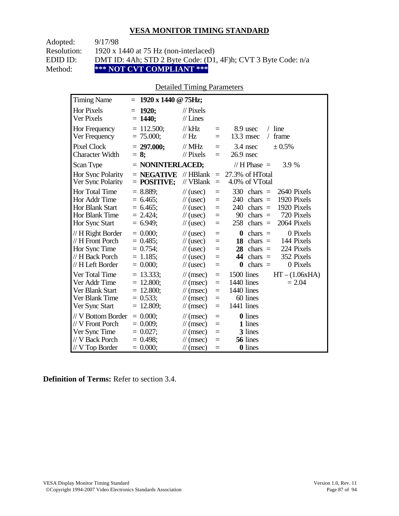Adopted: 9/17/98 Resolution: 1920 x 1440 at 75 Hz (non-interlaced) EDID ID: DMT ID: 4Ah; STD 2 Byte Code: (D1, 4F)h; CVT 3 Byte Code: n/a<br>Method: \*\*\* NOT CVT COMPLIANT \*\*\* **\*\*\* NOT CVT COMPLIANT \*\*\*** 

### Detailed Timing Parameters

| <b>Timing Name</b>                                                                             | $= 1920 \times 1440 \text{ } \textcircled{g}$ 75Hz;                     |                                                                                                                             |                                      |                                                                                                                                                                           |
|------------------------------------------------------------------------------------------------|-------------------------------------------------------------------------|-----------------------------------------------------------------------------------------------------------------------------|--------------------------------------|---------------------------------------------------------------------------------------------------------------------------------------------------------------------------|
| <b>Hor Pixels</b><br>Ver Pixels                                                                | 1920;<br>$\equiv$<br>$= 1440$ ;                                         | $\mathcal{U}$ Pixels<br>$//$ Lines                                                                                          |                                      |                                                                                                                                                                           |
| Hor Frequency<br>Ver Frequency                                                                 | $= 112.500$ ;<br>$= 75.000;$                                            | $//$ kHz<br>$\frac{1}{1}$ Hz                                                                                                | $=$<br>$=$                           | $/$ line<br>8.9 usec<br>13.3 msec<br>frame<br>$\sqrt{2}$                                                                                                                  |
| <b>Pixel Clock</b><br><b>Character Width</b>                                                   | $= 297.000;$<br>$= 8$ ;                                                 | $//$ MHz<br>$//$ Pixels                                                                                                     | $=$<br>$=$                           | 3.4 nsec<br>± 0.5%<br>$26.9$ nsec                                                                                                                                         |
| Scan Type                                                                                      | $=$ NONINTERLACED;                                                      |                                                                                                                             |                                      | // H Phase $=$<br>3.9 %                                                                                                                                                   |
| Hor Sync Polarity<br>Ver Sync Polarity                                                         | $=$ NEGATIVE<br>$=$ POSITIVE;                                           | $//$ HBlank<br>// VBlank                                                                                                    | $\equiv$<br>$=$                      | 27.3% of HTotal<br>4.0% of VTotal                                                                                                                                         |
| Hor Total Time<br>Hor Addr Time<br><b>Hor Blank Start</b><br>Hor Blank Time<br>Hor Sync Start  | $= 8.889$ ;<br>$= 6.465$ ;<br>$= 6.465$ ;<br>$= 2.424$ ;<br>$= 6.949$ ; | $\frac{1}{2}$ (usec)<br>$\frac{1}{2}$ (usec)<br>$\frac{1}{2}$ (usec)<br>$\frac{1}{2}$ (usec)<br>$\frac{1}{2}$ (usec)        | $=$<br>$=$<br>$=$<br>$=$<br>$=$      | 330<br>2640 Pixels<br>$chars =$<br>1920 Pixels<br>240<br>$chars =$<br>1920 Pixels<br>240<br>$chars =$<br>720 Pixels<br>90<br>$chars =$<br>2064 Pixels<br>258<br>$chars =$ |
| // H Right Border<br>// H Front Porch<br>Hor Sync Time<br>// H Back Porch<br>// H Left Border  | $= 0.000$<br>$= 0.485$ ;<br>$= 0.754$ ;<br>$= 1.185$ ;<br>$= 0.000;$    | $\frac{1}{2}$ (usec)<br>$\frac{1}{2}$ (usec)<br>$\frac{1}{2}$ (usec)<br>$\frac{1}{2}$ (usec)<br>$\frac{1}{2}$ (usec)        | $=$<br>$=$<br>$=$<br>$=$<br>$=$      | $\bf{0}$<br>0 Pixels<br>$chars =$<br>18<br>chars $=$<br>144 Pixels<br>28<br>224 Pixels<br>$chars =$<br>44<br>chars $=$<br>352 Pixels<br>$chars =$<br>0 Pixels<br>0        |
| Ver Total Time<br>Ver Addr Time<br>Ver Blank Start<br>Ver Blank Time<br>Ver Sync Start         | $= 13.333;$<br>$= 12.800;$<br>$= 12.800;$<br>$= 0.533;$<br>$= 12.809;$  | $\mathcal{U}$ (msec)<br>$\mathcal{U}$ (msec)<br>$\mathcal{U}$ (msec)<br>$\mathcal{U}$ (msec)<br>$\mathcal{U}$ (msec)        | $\equiv$<br>$=$<br>$=$<br>$=$<br>$=$ | 1500 lines<br>$HT - (1.06xHA)$<br>1440 lines<br>$= 2.04$<br>1440 lines<br>60 lines<br>1441 lines                                                                          |
| // V Bottom Border<br>// V Front Porch<br>Ver Sync Time<br>// V Back Porch<br>$//V$ Top Border | $= 0.000$<br>$= 0.009$ ;<br>$= 0.027$ ;<br>$= 0.498$ ;<br>$= 0.000;$    | $\mathcal{U}$ (msec)<br>$\mathcal{U}$ (msec)<br>$\mathcal{U}$ (msec)<br>$\mathcal{U}$ (msec)<br>$\frac{1}{\sqrt{2}}$ (msec) | $\equiv$<br>$=$<br>$=$<br>$=$<br>$=$ | <b>0</b> lines<br>1 lines<br>3 lines<br>56 lines<br><b>0</b> lines                                                                                                        |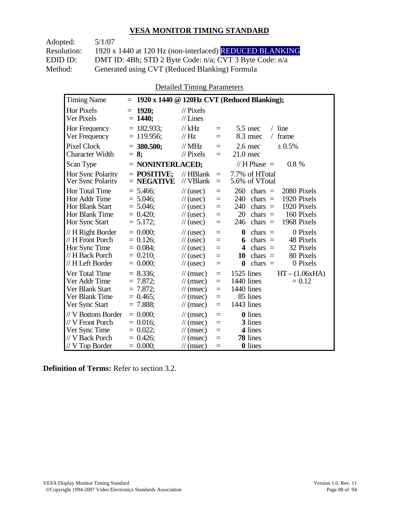Adopted: 5/1/07

Resolution: 1920 x 1440 at 120 Hz (non-interlaced) REDUCED BLANKING EDID ID: DMT ID: 4Bh; STD 2 Byte Code: n/a; CVT 3 Byte Code: n/a<br>Method: Generated using CVT (Reduced Blanking) Formula Generated using CVT (Reduced Blanking) Formula

Detailed Timing Parameters

| <b>Timing Name</b>                                                                              | $=$                                                                    |                                                                                                                                                                  | 1920 x 1440 @ 120Hz CVT (Reduced Blanking);                                                                                                                                  |
|-------------------------------------------------------------------------------------------------|------------------------------------------------------------------------|------------------------------------------------------------------------------------------------------------------------------------------------------------------|------------------------------------------------------------------------------------------------------------------------------------------------------------------------------|
| <b>Hor Pixels</b><br>Ver Pixels                                                                 | 1920;<br>$=$<br>$= 1440;$                                              | $\frac{1}{2}$ Pixels<br>$//$ Lines                                                                                                                               |                                                                                                                                                                              |
| Hor Frequency<br>Ver Frequency                                                                  | $= 182.933$ ;<br>$= 119.956$ ;                                         | $//$ kHz<br>$=$<br>// Hz<br>$=$                                                                                                                                  | $/$ line<br>$5.5$ usec<br>8.3 msec<br>frame<br>$\sqrt{2}$                                                                                                                    |
| <b>Pixel Clock</b><br><b>Character Width</b>                                                    | $=$ 380.500;<br>$= 8:$                                                 | $//$ MHz<br>$=$<br>$//$ Pixels<br>$=$                                                                                                                            | ± 0.5%<br>$2.6$ nsec<br>$21.0$ nsec                                                                                                                                          |
| Scan Type                                                                                       | = NONINTERLACED;                                                       |                                                                                                                                                                  | // H Phase $=$<br>0.8 %                                                                                                                                                      |
| Hor Sync Polarity<br>Ver Sync Polarity                                                          | $=$ POSITIVE:<br>$=$ NEGATIVE                                          | $//$ HBlank<br>$\equiv$<br>// VBlank<br>$=$                                                                                                                      | 7.7% of HTotal<br>5.6% of VTotal                                                                                                                                             |
| Hor Total Time<br>Hor Addr Time<br><b>Hor Blank Start</b><br>Hor Blank Time<br>Hor Sync Start   | $= 5.466$ ;<br>$= 5.046$ ;<br>$= 5.046$ ;<br>$= 0.420$ ;<br>$= 5.172;$ | $\frac{1}{2}$ (usec)<br>$=$<br>$\frac{1}{2}$ (usec)<br>$=$<br>$\frac{1}{2}$ (usec)<br>$=$<br>$\frac{1}{2}$ (usec)<br>$=$<br>$\frac{1}{2}$ (usec)<br>$=$          | 260<br>2080 Pixels<br>chars $=$<br>1920 Pixels<br>240<br>chars $=$<br>1920 Pixels<br>240<br>chars $=$<br>20<br>160 Pixels<br>$chars =$<br>1968 Pixels<br>246<br>$chars =$    |
| // H Right Border<br>// H Front Porch<br>Hor Sync Time<br>// H Back Porch<br>// H Left Border   | $= 0.000$<br>$= 0.126$ ;<br>$= 0.084$ ;<br>$= 0.210$ ;<br>$= 0.000$    | $\frac{1}{2}$ (usec)<br>$=$<br>$\frac{1}{2}$ (usec)<br>$=$<br>$\frac{1}{2}$ (usec)<br>$=$<br>$\frac{1}{2}$ (usec)<br>$=$<br>$\frac{1}{2}$ (usec)<br>$=$          | 0 Pixels<br>$\boldsymbol{0}$<br>chars $=$<br>chars $=$<br>48 Pixels<br>6<br>32 Pixels<br>4<br>chars $=$<br>80 Pixels<br>10<br>chars $=$<br>$\bf{0}$<br>chars $=$<br>0 Pixels |
| Ver Total Time<br>Ver Addr Time<br>Ver Blank Start<br>Ver Blank Time<br>Ver Sync Start          | $= 8.336$<br>$= 7.872$<br>$= 7.872$ ;<br>$= 0.465$ ;<br>$= 7.888$ ;    | $\mathcal{U}$ (msec)<br>$=$<br>$\frac{1}{\pi}$ (msec)<br>$=$<br>$\mathcal{U}$ (msec)<br>$=$<br>$\mathcal{U}$ (msec)<br>$=$<br>$\mathcal{U}$ (msec)<br>$=$        | $HT - (1.06xHA)$<br>1525 lines<br>1440 lines<br>$= 0.12$<br>1440 lines<br>85 lines<br>1443 lines                                                                             |
| // V Bottom Border<br>// V Front Porch<br>Ver Sync Time<br>// V Back Porch<br>$//$ V Top Border | $= 0.000;$<br>$= 0.016$ ;<br>$= 0.022$ ;<br>$= 0.426$ ;<br>$= 0.000;$  | $\mathcal{U}$ (msec)<br>$=$<br>$\mathcal{U}$ (msec)<br>$=$<br>$\mathcal{U}$ (msec)<br>$=$<br>$\frac{1}{\pi}$ (msec)<br>$=$<br>$\frac{1}{\sqrt{2}}$ (msec)<br>$=$ | <b>0</b> lines<br>3 lines<br>4 lines<br>78 lines<br>0 lines                                                                                                                  |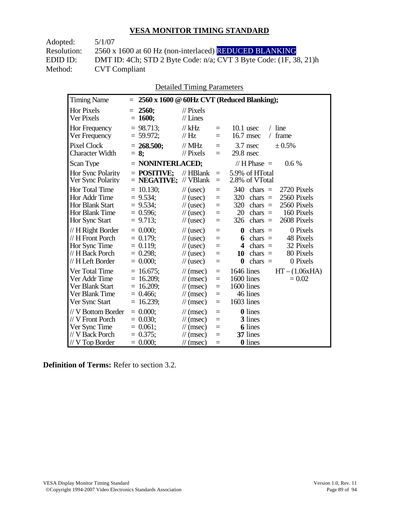Adopted: 5/1/07 **CVT Compliant** 

Resolution: 2560 x 1600 at 60 Hz (non-interlaced) REDUCED BLANKING EDID ID: DMT ID: 4Ch; STD 2 Byte Code: n/a; CVT 3 Byte Code: (1F, 38, 21)h<br>Method: CVT Compliant

Detailed Timing Parameters

| <b>Timing Name</b>                                                                                   | 2560 x 1600 @ 60Hz CVT (Reduced Blanking);<br>$=$                                                                                                                                                                                                                                                                                                                                                                                              |
|------------------------------------------------------------------------------------------------------|------------------------------------------------------------------------------------------------------------------------------------------------------------------------------------------------------------------------------------------------------------------------------------------------------------------------------------------------------------------------------------------------------------------------------------------------|
| <b>Hor Pixels</b><br>Ver Pixels                                                                      | 2560;<br>$\mathcal{U}$ Pixels<br>$=$<br>$//$ Lines<br>$= 1600;$                                                                                                                                                                                                                                                                                                                                                                                |
| Hor Frequency<br>Ver Frequency                                                                       | $= 98.713$ ;<br>$//$ kHz<br>$/$ line<br>$10.1$ usec<br>$=$<br>// $\rm Hz$<br>frame<br>$= 59.972$ ;<br>$16.7$ msec<br>$\sqrt{2}$<br>$=$                                                                                                                                                                                                                                                                                                         |
| <b>Pixel Clock</b><br><b>Character Width</b>                                                         | $//$ MHz<br>$3.7$ nsec<br>± 0.5%<br>$= 268.500;$<br>$=$<br>$//$ Pixels<br>$29.8$ nsec<br>$= 8$ ;<br>$=$                                                                                                                                                                                                                                                                                                                                        |
| Scan Type                                                                                            | $=$ NONINTERLACED;<br>// H Phase $=$<br>$0.6\%$                                                                                                                                                                                                                                                                                                                                                                                                |
| Hor Sync Polarity<br>Ver Sync Polarity                                                               | 5.9% of HTotal<br>$=$ POSITIVE:<br>$//$ HBlank<br>$=$<br>// VBlank<br>2.8% of VTotal<br>$=$ NEGATIVE;<br>$=$                                                                                                                                                                                                                                                                                                                                   |
| <b>Hor Total Time</b><br>Hor Addr Time<br><b>Hor Blank Start</b><br>Hor Blank Time<br>Hor Sync Start | $= 10.130$ ;<br>340<br>chars $=$<br>2720 Pixels<br>$\frac{1}{2}$ (usec)<br>$=$<br>$= 9.534$ ;<br>320<br>2560 Pixels<br>$\frac{1}{2}$ (usec)<br>chars $=$<br>$=$<br>$= 9.534$ ;<br>320<br>2560 Pixels<br>$chars =$<br>$\frac{1}{2}$ (usec)<br>$=$<br>$= 0.596$ ;<br>20<br>chars $=$<br>160 Pixels<br>$\frac{1}{2}$ (usec)<br>$=$<br>2608 Pixels<br>$= 9.713$ ;<br>326<br>$chars =$<br>$\frac{1}{2}$ (usec)<br>$=$                               |
| // H Right Border<br>// H Front Porch<br>Hor Sync Time<br>// H Back Porch<br>// H Left Border        | $= 0.000;$<br>0 Pixels<br>$\frac{1}{2}$ (usec)<br>$\boldsymbol{0}$<br>chars $=$<br>$=$<br>48 Pixels<br>$= 0.179$ ;<br>$chars =$<br>$\frac{1}{2}$ (usec)<br>6<br>$=$<br>$= 0.119$ ;<br>32 Pixels<br>$\overline{\mathbf{4}}$<br>$chars =$<br>$\frac{1}{2}$ (usec)<br>$=$<br>$= 0.298$ ;<br>chars $=$<br>80 Pixels<br>10<br>$\frac{1}{2}$ (usec)<br>$=$<br>$= 0.000;$<br>0 Pixels<br>$\boldsymbol{0}$<br>$chars =$<br>$\frac{1}{2}$ (usec)<br>$=$ |
| Ver Total Time<br>Ver Addr Time<br>Ver Blank Start<br>Ver Blank Time<br>Ver Sync Start               | $= 16.675$ ;<br>1646 lines<br>$HT - (1.06xHA)$<br>$\frac{1}{\sqrt{2}}$ (msec)<br>$=$<br>$= 16.209;$<br>1600 lines<br>$= 0.02$<br>$\mathcal{U}$ (msec)<br>$=$<br>1600 lines<br>$= 16.209$ ;<br>$\mathcal{U}$ (msec)<br>$=$<br>46 lines<br>$= 0.466$ ;<br>$\mathcal{U}$ (msec)<br>$=$<br>1603 lines<br>$= 16.239;$<br>$\mathcal{U}$ (msec)<br>$=$                                                                                                |
| // V Bottom Border<br>// V Front Porch<br>Ver Sync Time<br>// V Back Porch<br>$//V$ Top Border       | $= 0.000$<br><b>0</b> lines<br>$\mathcal{U}$ (msec)<br>$=$<br>$= 0.030$ ;<br>3 lines<br>$\frac{1}{\sqrt{2}}$ (msec)<br>$=$<br>6 lines<br>$= 0.061$ ;<br>$\mathcal{U}$ (msec)<br>$=$<br>37 lines<br>$= 0.375$ ;<br>$\mathcal{U}$ (msec)<br>$=$<br>0 lines<br>$= 0.000;$<br>$\mathcal{U}$ (msec)<br>$=$                                                                                                                                          |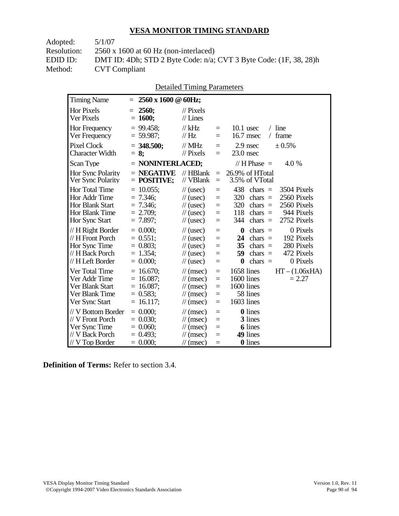| DMT ID: 4Dh; STD 2 Byte Code: n/a; CVT 3 Byte Code: (1F, 38, 28)h |
|-------------------------------------------------------------------|
|                                                                   |
|                                                                   |

|  | <b>Detailed Timing Parameters</b> |
|--|-----------------------------------|
|  |                                   |

| <b>Timing Name</b>                                                                                   | $=$                                                                         | 2560 x 1600 @ 60Hz;                                                                                                                                                                                                                                                                                                                          |
|------------------------------------------------------------------------------------------------------|-----------------------------------------------------------------------------|----------------------------------------------------------------------------------------------------------------------------------------------------------------------------------------------------------------------------------------------------------------------------------------------------------------------------------------------|
| <b>Hor Pixels</b><br>Ver Pixels                                                                      | 2560;<br>$=$<br>$= 1600;$                                                   | $\mathcal{U}$ Pixels<br>$//$ Lines                                                                                                                                                                                                                                                                                                           |
| Hor Frequency<br>Ver Frequency                                                                       | $= 99.458$ ;<br>$= 59.987$ ;                                                | $//$ kHz<br>$10.1$ usec<br>$/$ line<br>$=$<br>// Hz<br>16.7 msec<br>frame<br>$\sqrt{2}$<br>$=$                                                                                                                                                                                                                                               |
| <b>Pixel Clock</b><br>Character Width                                                                | $=$ 348.500;<br>$= 8$ ;                                                     | $//$ MHz<br>2.9 nsec<br>± 0.5%<br>$=$<br>// Pixels<br>$23.0$ nsec<br>$=$                                                                                                                                                                                                                                                                     |
| Scan Type                                                                                            |                                                                             | $=$ NONINTERLACED;<br>// H Phase $=$<br>4.0 %                                                                                                                                                                                                                                                                                                |
| Hor Sync Polarity<br>Ver Sync Polarity                                                               | $=$ NEGATIVE<br>$=$ POSITIVE;                                               | $//$ HBlank<br>26.9% of HTotal<br>$=$<br>// VBlank<br>3.5% of VTotal<br>$=$                                                                                                                                                                                                                                                                  |
| <b>Hor Total Time</b><br>Hor Addr Time<br><b>Hor Blank Start</b><br>Hor Blank Time<br>Hor Sync Start | $= 10.055$ ;<br>$= 7.346$ ;<br>$= 7.346$ ;<br>$= 2.709$ ;<br>$= 7.897$ ;    | 438<br>3504 Pixels<br>$\frac{1}{2}$ (usec)<br>$\text{chars}$ =<br>$=$<br>2560 Pixels<br>320<br>chars $=$<br>$\frac{1}{2}$ (usec)<br>$=$<br>320<br>2560 Pixels<br>$\frac{1}{2}$ (usec)<br>chars $=$<br>$=$<br>944 Pixels<br>118<br>chars $=$<br>$\frac{1}{2}$ (usec)<br>$=$<br>2752 Pixels<br>344<br>$chars =$<br>$\frac{1}{2}$ (usec)<br>$=$ |
| // H Right Border<br>// H Front Porch<br>Hor Sync Time<br>// H Back Porch<br>// H Left Border        | $= 0.000$<br>$= 0.551$ ;<br>$= 0.803$ ;<br>$= 1.354$ ;<br>$= 0.000;$        | 0 Pixels<br>$\frac{1}{2}$ (usec)<br>chars $=$<br>$\boldsymbol{0}$<br>$=$<br>192 Pixels<br>24<br>chars $=$<br>$\frac{1}{2}$ (usec)<br>$=$<br>280 Pixels<br>35<br>$\frac{1}{2}$ (usec)<br>$chars =$<br>$=$<br>472 Pixels<br>59<br>$chars =$<br>$\frac{1}{2}$ (usec)<br>$=$<br>$\bf{0}$<br>chars $=$<br>0 Pixels<br>$\frac{1}{2}$ (usec)<br>$=$ |
| Ver Total Time<br>Ver Addr Time<br>Ver Blank Start<br>Ver Blank Time<br>Ver Sync Start               | $= 16.670$ ;<br>$= 16.087$ ;<br>$= 16.087$ ;<br>$= 0.583$ ;<br>$= 16.117$ ; | 1658 lines<br>$HT - (1.06xHA)$<br>$\mathcal{U}$ (msec)<br>$=$<br>1600 lines<br>$= 2.27$<br>$\mathcal{U}$ (msec)<br>$=$<br>1600 lines<br>$\mathcal{U}$ (msec)<br>$=$<br>58 lines<br>$\mathcal{U}$ (msec)<br>$=$<br>1603 lines<br>$\mathcal{U}$ (msec)<br>$=$                                                                                  |
| // V Bottom Border<br>// V Front Porch<br>Ver Sync Time<br>// V Back Porch<br>$//$ V Top Border      | $= 0.000;$<br>$= 0.030$<br>$= 0.060;$<br>$= 0.493$ ;<br>$= 0.000;$          | <b>0</b> lines<br>$\mathcal{U}$ (msec)<br>$=$<br>3 lines<br>$\mathcal{U}$ (msec)<br>$=$<br><b>6</b> lines<br>$\mathcal{U}$ (msec)<br>$=$<br>49 lines<br>$\mathcal{U}$ (msec)<br>$=$<br>0 lines<br>$\mathcal{U}$ (msec)<br>$=$                                                                                                                |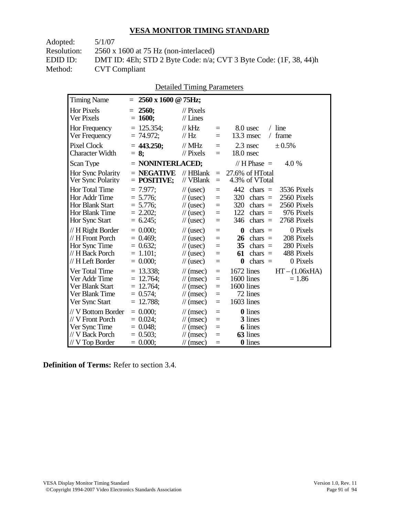| Adopted:    | 5/1/07                                                            |
|-------------|-------------------------------------------------------------------|
| Resolution: | $2560 \times 1600$ at 75 Hz (non-interlaced)                      |
| EDID ID:    | DMT ID: 4Eh; STD 2 Byte Code: n/a; CVT 3 Byte Code: (1F, 38, 44)h |
| Method:     | <b>CVT</b> Compliant                                              |
|             |                                                                   |

| <b>Detailed Timing Parameters</b> |
|-----------------------------------|
|-----------------------------------|

| <b>Timing Name</b>                                                                              | 2560 x 1600 @ 75Hz;<br>Ξ                                                  |                                                                                                                      |                                 |                                                                                                                                                                                   |
|-------------------------------------------------------------------------------------------------|---------------------------------------------------------------------------|----------------------------------------------------------------------------------------------------------------------|---------------------------------|-----------------------------------------------------------------------------------------------------------------------------------------------------------------------------------|
| <b>Hor Pixels</b><br>Ver Pixels                                                                 | 2560;<br>$=$<br>$= 1600;$                                                 | $\mathcal{U}$ Pixels<br>$//$ Lines                                                                                   |                                 |                                                                                                                                                                                   |
| Hor Frequency<br>Ver Frequency                                                                  | $= 125.354;$<br>$= 74.972$ ;                                              | $//$ kHz<br>// $Hz$                                                                                                  | $=$<br>$=$                      | $/$ line<br>8.0 usec<br>$13.3$ msec<br>frame<br>$\sqrt{2}$                                                                                                                        |
| <b>Pixel Clock</b><br><b>Character Width</b>                                                    | $= 443.250$ ;<br>$= 8$ ;                                                  | $//$ MHz<br>$//$ Pixels                                                                                              | $=$<br>$=$                      | 2.3 nsec<br>± 0.5%<br>18.0 nsec                                                                                                                                                   |
| Scan Type                                                                                       | $=$ NONINTERLACED;                                                        |                                                                                                                      |                                 | // H Phase $=$<br>4.0 %                                                                                                                                                           |
| Hor Sync Polarity<br>Ver Sync Polarity                                                          | $=$ NEGATIVE<br>$=$ POSITIVE;                                             | $//$ HBlank<br>// VBlank                                                                                             | $=$<br>$=$                      | 27.6% of HTotal<br>4.3% of VTotal                                                                                                                                                 |
| Hor Total Time<br>Hor Addr Time<br><b>Hor Blank Start</b><br>Hor Blank Time<br>Hor Sync Start   | $= 7.977$ ;<br>$= 5.776$ ;<br>$= 5.776$ ;<br>$= 2.202$<br>$= 6.245$ ;     | $\frac{1}{2}$ (usec)<br>$\frac{1}{2}$ (usec)<br>$\frac{1}{2}$ (usec)<br>$\frac{1}{2}$ (usec)<br>$\frac{1}{2}$ (usec) | $=$<br>$=$<br>$=$<br>$=$<br>$=$ | 442<br>3536 Pixels<br>chars $=$<br>2560 Pixels<br>320<br>$chars =$<br>320<br>2560 Pixels<br>chars $=$<br>122<br>chars $=$<br>976 Pixels<br>2768 Pixels<br>346<br>$\text{chars}$ = |
| // H Right Border<br>// H Front Porch<br>Hor Sync Time<br>// H Back Porch<br>// H Left Border   | $= 0.000$<br>$= 0.469$ ;<br>$= 0.632;$<br>$= 1.101$ ;<br>$= 0.000;$       | $\frac{1}{2}$ (usec)<br>$\frac{1}{2}$ (usec)<br>$\frac{1}{2}$ (usec)<br>$\frac{1}{2}$ (usec)<br>$\frac{1}{2}$ (usec) | $=$<br>$=$<br>$=$<br>$=$<br>$=$ | 0 Pixels<br>$chars =$<br>$\boldsymbol{0}$<br>208 Pixels<br>26<br>$chars =$<br>35<br>280 Pixels<br>$chars =$<br>488 Pixels<br>61<br>$chars =$<br>$\bf{0}$<br>chars $=$<br>0 Pixels |
| Ver Total Time<br>Ver Addr Time<br>Ver Blank Start<br>Ver Blank Time<br>Ver Sync Start          | $= 13.338;$<br>$= 12.764$ ;<br>$= 12.764$ ;<br>$= 0.574$ ;<br>$= 12.788;$ | $\mathcal{U}$ (msec)<br>$\mathcal{U}$ (msec)<br>$\mathcal{U}$ (msec)<br>$\mathcal{U}$ (msec)<br>$\mathcal{U}$ (msec) | $=$<br>$=$<br>$=$<br>$=$<br>$=$ | 1672 lines<br>$HT - (1.06xHA)$<br>1600 lines<br>$= 1.86$<br>1600 lines<br>72 lines<br>1603 lines                                                                                  |
| // V Bottom Border<br>// V Front Porch<br>Ver Sync Time<br>// V Back Porch<br>$//$ V Top Border | $= 0.000;$<br>$= 0.024$<br>$= 0.048;$<br>$= 0.503$ ;<br>$= 0.000;$        | $\mathcal{U}$ (msec)<br>$\mathcal{U}$ (msec)<br>$\mathcal{U}$ (msec)<br>$\mathcal{U}$ (msec)<br>$\mathcal{U}$ (msec) | $=$<br>$=$<br>$=$<br>$=$<br>$=$ | <b>0</b> lines<br>3 lines<br><b>6</b> lines<br>63 lines<br>0 lines                                                                                                                |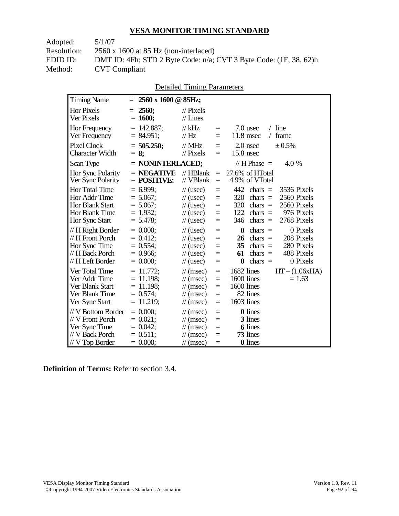| DMT ID: 4Fh; STD 2 Byte Code: $n/a$ ; CVT 3 Byte Code: $(1F, 38, 62)h$ |
|------------------------------------------------------------------------|
|                                                                        |
|                                                                        |

| <b>Detailed Timing Parameters</b> |
|-----------------------------------|
|-----------------------------------|

| <b>Timing Name</b>                                                                             | 2560 x 1600 @ 85Hz;<br>$=$                                                |                                                                                                                             |                                                     |                                                                                                                                                                                          |
|------------------------------------------------------------------------------------------------|---------------------------------------------------------------------------|-----------------------------------------------------------------------------------------------------------------------------|-----------------------------------------------------|------------------------------------------------------------------------------------------------------------------------------------------------------------------------------------------|
| <b>Hor Pixels</b><br>Ver Pixels                                                                | 2560;<br>$=$<br>$= 1600;$                                                 | $\mathcal{U}$ Pixels<br>$//$ Lines                                                                                          |                                                     |                                                                                                                                                                                          |
| Hor Frequency<br>Ver Frequency                                                                 | $= 142.887;$<br>$= 84.951$ ;                                              | $//$ kHz<br>$\frac{1}{1}$ Hz                                                                                                | $=$<br>$=$                                          | $/$ line<br>7.0 usec<br>$11.8$ msec<br>frame<br>$\sqrt{2}$                                                                                                                               |
| <b>Pixel Clock</b><br><b>Character Width</b>                                                   | $= 505.250;$<br>$= 8$ ;                                                   | $//$ MHz<br>$//$ Pixels                                                                                                     | $\equiv$<br>$\equiv$                                | $2.0$ nsec<br>± 0.5%<br>15.8 nsec                                                                                                                                                        |
| Scan Type                                                                                      | $=$ NONINTERLACED;                                                        |                                                                                                                             |                                                     | // H Phase $=$<br>4.0 %                                                                                                                                                                  |
| Hor Sync Polarity<br>Ver Sync Polarity                                                         | $=$ NEGATIVE<br>$=$ POSITIVE;                                             | $//$ HBlank<br>// VBlank                                                                                                    | $\equiv$<br>$\equiv$                                | 27.6% of HTotal<br>4.9% of VTotal                                                                                                                                                        |
| Hor Total Time<br>Hor Addr Time<br><b>Hor Blank Start</b><br>Hor Blank Time<br>Hor Sync Start  | $= 6.999$ ;<br>$= 5.067$ ;<br>$= 5.067$ ;<br>$= 1.932;$<br>$= 5.478$ ;    | $\frac{1}{2}$ (usec)<br>$\frac{1}{2}$ (usec)<br>$\frac{1}{2}$ (usec)<br>$\frac{1}{2}$ (usec)<br>$\frac{1}{2}$ (usec)        | $\equiv$<br>$=$<br>$=$<br>$=$<br>$\equiv$           | 442<br>3536 Pixels<br>chars $=$<br>320<br>2560 Pixels<br>$chars =$<br>320<br>2560 Pixels<br>chars $=$<br>122<br>976 Pixels<br>chars $=$<br>346<br>chars $=$<br>2768 Pixels               |
| // H Right Border<br>// H Front Porch<br>Hor Sync Time<br>// H Back Porch<br>// H Left Border  | $= 0.000$<br>$= 0.412$ ;<br>$= 0.554$ ;<br>$= 0.966$ ;<br>$= 0.000;$      | $\frac{1}{2}$ (usec)<br>$\frac{1}{2}$ (usec)<br>$\frac{1}{2}$ (usec)<br>$\frac{1}{2}$ (usec)<br>$\frac{1}{2}$ (usec)        | $\equiv$<br>$=$<br>$=$<br>$=$<br>$\equiv$           | 0 Pixels<br>$\boldsymbol{0}$<br>$\text{chars}$ =<br>208 Pixels<br>chars $=$<br>26<br>35<br>280 Pixels<br>$chars =$<br>488 Pixels<br>61<br>$chars =$<br>$\bf{0}$<br>chars $=$<br>0 Pixels |
| Ver Total Time<br>Ver Addr Time<br>Ver Blank Start<br>Ver Blank Time<br>Ver Sync Start         | $= 11.772$ ;<br>$= 11.198$ ;<br>$= 11.198$ ;<br>$= 0.574;$<br>$= 11.219;$ | $\mathcal{U}$ (msec)<br>$\mathcal{U}$ (msec)<br>$\mathcal{U}$ (msec)<br>$\frac{1}{\sqrt{2}}$ (msec)<br>$\mathcal{U}$ (msec) | $\equiv$<br>$\equiv$<br>$\equiv$<br>$=$<br>$\equiv$ | 1682 lines<br>$HT - (1.06xHA)$<br>1600 lines<br>$= 1.63$<br>1600 lines<br>82 lines<br>1603 lines                                                                                         |
| // V Bottom Border<br>// V Front Porch<br>Ver Sync Time<br>// V Back Porch<br>$//V$ Top Border | $= 0.000$<br>$= 0.021$ ;<br>$= 0.042;$<br>$= 0.511$ ;<br>$= 0.000;$       | $\mathcal{U}$ (msec)<br>$\mathcal{U}$ (msec)<br>$\mathcal{U}$ (msec)<br>$\mathcal{U}$ (msec)<br>$\mathcal{U}$ (msec)        | $\equiv$<br>$\equiv$<br>$=$<br>$=$<br>$=$           | 0 lines<br>3 lines<br><b>6</b> lines<br>73 lines<br>0 lines                                                                                                                              |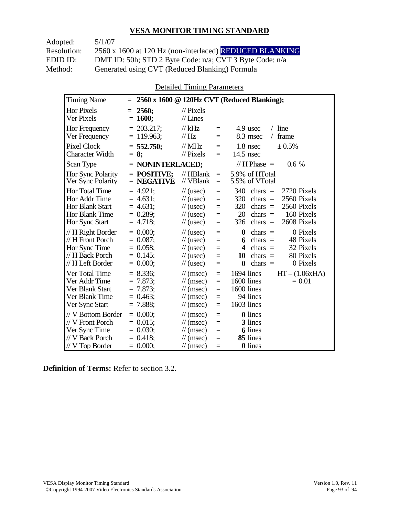Adopted: 5/1/07 Resolution: 2560 x 1600 at 120 Hz (non-interlaced) REDUCED BLANKING EDID ID: DMT ID: 50h; STD 2 Byte Code: n/a; CVT 3 Byte Code: n/a<br>Method: Generated using CVT (Reduced Blanking) Formula Generated using CVT (Reduced Blanking) Formula

Detailed Timing Parameters

| <b>Timing Name</b>                                                                              | 2560 x 1600 @ 120Hz CVT (Reduced Blanking);<br>$=$                                                                                                                                                                                                                                                                                                                                                              |  |
|-------------------------------------------------------------------------------------------------|-----------------------------------------------------------------------------------------------------------------------------------------------------------------------------------------------------------------------------------------------------------------------------------------------------------------------------------------------------------------------------------------------------------------|--|
| Hor Pixels<br>Ver Pixels                                                                        | 2560;<br>$\frac{1}{2}$ Pixels<br>$=$<br>$= 1600;$<br>$//$ Lines                                                                                                                                                                                                                                                                                                                                                 |  |
| Hor Frequency<br>Ver Frequency                                                                  | $= 203.217$ ;<br>$//$ kHz<br>$/$ line<br>4.9 usec<br>$\equiv$<br>$= 119.963$ ;<br>// Hz<br>8.3 msec<br>frame<br>$\sqrt{2}$<br>$=$                                                                                                                                                                                                                                                                               |  |
| <b>Pixel Clock</b><br><b>Character Width</b>                                                    | $//$ MHz<br>1.8 nsec<br>± 0.5%<br>$= 552.750$ ;<br>$=$<br>$//$ Pixels<br>$14.5$ nsec<br>$= 8:$<br>$=$                                                                                                                                                                                                                                                                                                           |  |
| Scan Type                                                                                       | // $H$ Phase $=$<br>$=$ NONINTERLACED;<br>$0.6\%$                                                                                                                                                                                                                                                                                                                                                               |  |
| Hor Sync Polarity<br>Ver Sync Polarity                                                          | $=$ POSITIVE:<br>$//$ HBlank<br>5.9% of HTotal<br>$\equiv$<br>$//$ VBlank<br>$=$ NEGATIVE<br>5.5% of VTotal<br>$=$                                                                                                                                                                                                                                                                                              |  |
| Hor Total Time<br>Hor Addr Time<br>Hor Blank Start<br>Hor Blank Time<br>Hor Sync Start          | $= 4.921$ ;<br>340<br>2720 Pixels<br>$\frac{1}{2}$ (usec)<br>chars $=$<br>$=$<br>$= 4.631;$<br>320<br>chars $=$<br>2560 Pixels<br>$\frac{1}{2}$ (usec)<br>$=$<br>2560 Pixels<br>$= 4.631;$<br>320<br>chars $=$<br>$\frac{1}{2}$ (usec)<br>$=$<br>160 Pixels<br>$= 0.289$ ;<br>20<br>chars $=$<br>$\frac{1}{2}$ (usec)<br>$=$<br>2608 Pixels<br>$= 4.718$ ;<br>chars $=$<br>$\frac{1}{2}$ (usec)<br>326<br>$=$   |  |
| // H Right Border<br>// H Front Porch<br>Hor Sync Time<br>// H Back Porch<br>// H Left Border   | $= 0.000$<br>$\boldsymbol{0}$<br>0 Pixels<br>$\frac{1}{2}$ (usec)<br>chars $=$<br>$=$<br>$= 0.087$ ;<br>chars $=$<br>48 Pixels<br>$\frac{1}{2}$ (usec)<br>6<br>$=$<br>$= 0.058$ ;<br>32 Pixels<br>chars $=$<br>$\frac{1}{2}$ (usec)<br>4<br>$=$<br>80 Pixels<br>$= 0.145$ ;<br>10<br>$chars =$<br>$\frac{1}{2}$ (usec)<br>$=$<br>$= 0.000;$<br>0 Pixels<br>$\bf{0}$<br>$chars =$<br>$\frac{1}{2}$ (usec)<br>$=$ |  |
| Ver Total Time<br>Ver Addr Time<br>Ver Blank Start<br>Ver Blank Time<br>Ver Sync Start          | $= 8.336;$<br>1694 lines<br>$HT - (1.06xHA)$<br>$\mathcal{U}$ (msec)<br>$=$<br>1600 lines<br>$= 7.873$ ;<br>$= 0.01$<br>$\mathcal{U}$ (msec)<br>$=$<br>$= 7.873$ ;<br>1600 lines<br>$\mathcal{U}$ (msec)<br>$=$<br>94 lines<br>$= 0.463$<br>$\mathcal{U}$ (msec)<br>$=$<br>1603 lines<br>$= 7.888;$<br>$\mathcal{U}$ (msec)<br>$=$                                                                              |  |
| // V Bottom Border<br>// V Front Porch<br>Ver Sync Time<br>// V Back Porch<br>$//$ V Top Border | $= 0.000$<br><b>0</b> lines<br>$\frac{1}{\sqrt{2}}$ (msec)<br>$=$<br>3 lines<br>$= 0.015$ ;<br>$\mathcal{U}$ (msec)<br>$=$<br>$= 0.030$ ;<br><b>6</b> lines<br>$\frac{1}{\sqrt{2}}$ (msec)<br>$=$<br>85 lines<br>$= 0.418$ ;<br>$\mathcal{U}$ (msec)<br>$=$<br>$= 0.000;$<br><b>0</b> lines<br>$\mathcal{U}$ (msec)<br>$=$                                                                                      |  |